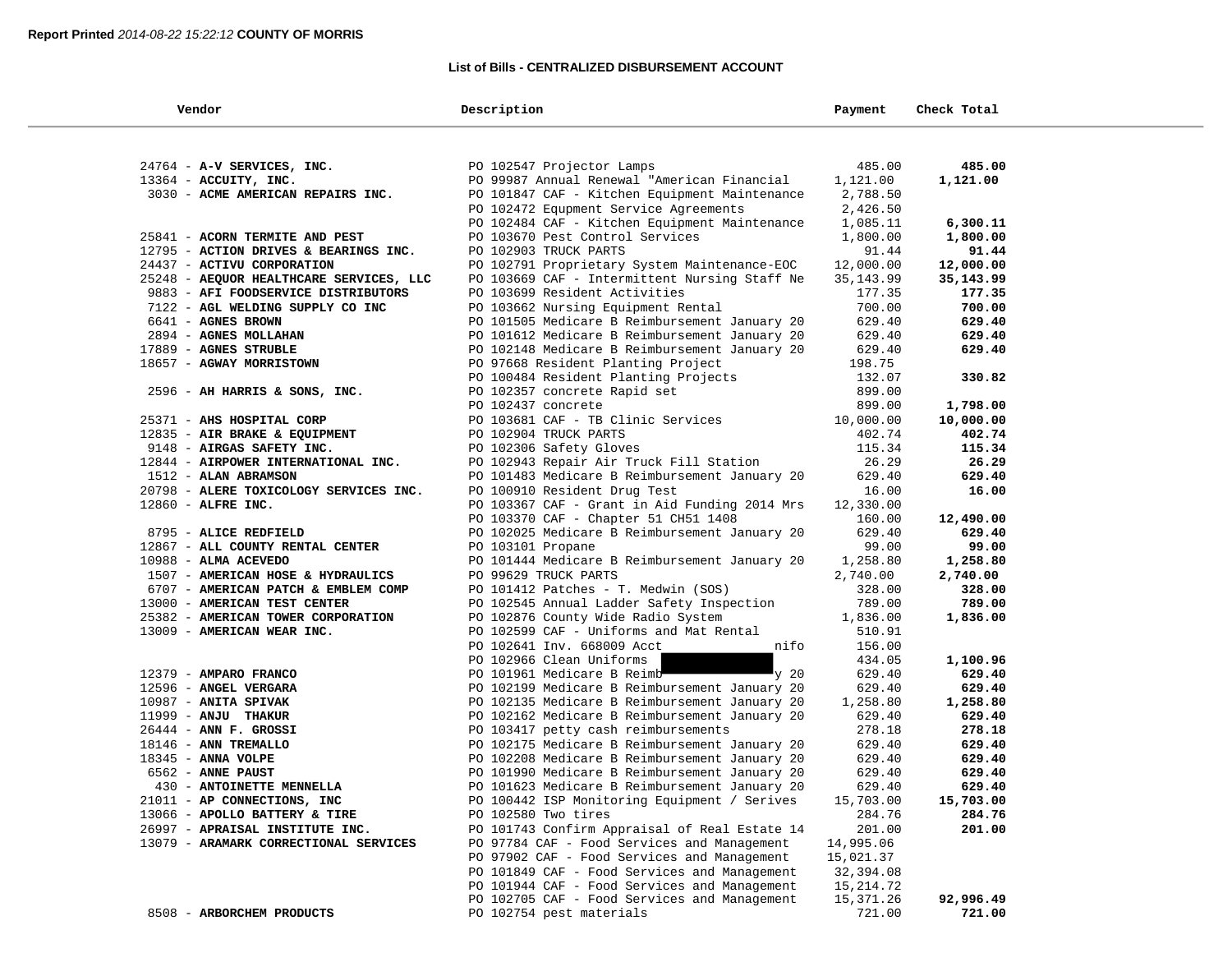#### **List of Bills - CENTRALIZED DISBURSEMENT ACCOUNT**

| Vendor                                  | Description                                   | Payment    | Check Total |  |
|-----------------------------------------|-----------------------------------------------|------------|-------------|--|
|                                         |                                               |            |             |  |
| 24764 - A-V SERVICES, INC.              | PO 102547 Projector Lamps                     | 485.00     | 485.00      |  |
| 13364 - ACCUITY, INC.                   | PO 99987 Annual Renewal "American Financial   | 1,121.00   | 1,121.00    |  |
| 3030 - ACME AMERICAN REPAIRS INC.       | PO 101847 CAF - Kitchen Equipment Maintenance | 2,788.50   |             |  |
|                                         | PO 102472 Equpment Service Agreements         | 2,426.50   |             |  |
|                                         | PO 102484 CAF - Kitchen Equipment Maintenance | 1,085.11   | 6,300.11    |  |
| 25841 - ACORN TERMITE AND PEST          | PO 103670 Pest Control Services               | 1,800.00   | 1,800.00    |  |
| 12795 - ACTION DRIVES & BEARINGS INC.   | PO 102903 TRUCK PARTS                         | 91.44      | 91.44       |  |
| 24437 - ACTIVU CORPORATION              | PO 102791 Proprietary System Maintenance-EOC  | 12,000.00  | 12,000.00   |  |
| 25248 - AEQUOR HEALTHCARE SERVICES, LLC | PO 103669 CAF - Intermittent Nursing Staff Ne | 35, 143.99 | 35,143.99   |  |
| 9883 - AFI FOODSERVICE DISTRIBUTORS     | PO 103699 Resident Activities                 | 177.35     | 177.35      |  |
| 7122 - AGL WELDING SUPPLY CO INC        | PO 103662 Nursing Equipment Rental            | 700.00     | 700.00      |  |
| 6641 - AGNES BROWN                      | PO 101505 Medicare B Reimbursement January 20 | 629.40     | 629.40      |  |
| 2894 - AGNES MOLLAHAN                   | PO 101612 Medicare B Reimbursement January 20 | 629.40     | 629.40      |  |
| 17889 - AGNES STRUBLE                   | PO 102148 Medicare B Reimbursement January 20 | 629.40     | 629.40      |  |
| 18657 - AGWAY MORRISTOWN                | PO 97668 Resident Planting Project            | 198.75     |             |  |
|                                         | PO 100484 Resident Planting Projects          | 132.07     | 330.82      |  |
| 2596 - AH HARRIS & SONS, INC.           | PO 102357 concrete Rapid set                  | 899.00     |             |  |
|                                         | PO 102437 concrete                            | 899.00     | 1,798.00    |  |
| 25371 - AHS HOSPITAL CORP               | PO 103681 CAF - TB Clinic Services            | 10,000.00  | 10,000.00   |  |
| 12835 - AIR BRAKE & EQUIPMENT           | PO 102904 TRUCK PARTS                         | 402.74     | 402.74      |  |
| 9148 - AIRGAS SAFETY INC.               | PO 102306 Safety Gloves                       | 115.34     | 115.34      |  |
| 12844 - AIRPOWER INTERNATIONAL INC.     | PO 102943 Repair Air Truck Fill Station       | 26.29      | 26.29       |  |
| 1512 - ALAN ABRAMSON                    | PO 101483 Medicare B Reimbursement January 20 | 629.40     | 629.40      |  |
| 20798 - ALERE TOXICOLOGY SERVICES INC.  | PO 100910 Resident Drug Test                  | 16.00      | 16.00       |  |
| 12860 - ALFRE INC.                      | PO 103367 CAF - Grant in Aid Funding 2014 Mrs | 12,330.00  |             |  |
|                                         | PO 103370 CAF - Chapter 51 CH51 1408          | 160.00     | 12,490.00   |  |
| 8795 - ALICE REDFIELD                   | PO 102025 Medicare B Reimbursement January 20 | 629.40     | 629.40      |  |
| 12867 - ALL COUNTY RENTAL CENTER        | PO 103101 Propane                             | 99.00      | 99.00       |  |
| 10988 - ALMA ACEVEDO                    | PO 101444 Medicare B Reimbursement January 20 | 1,258.80   | 1,258.80    |  |
| 1507 - AMERICAN HOSE & HYDRAULICS       | PO 99629 TRUCK PARTS                          | 2,740.00   | 2,740.00    |  |
| 6707 - AMERICAN PATCH & EMBLEM COMP     | PO 101412 Patches - T. Medwin (SOS)           | 328.00     | 328.00      |  |
| 13000 - AMERICAN TEST CENTER            | PO 102545 Annual Ladder Safety Inspection     | 789.00     | 789.00      |  |
| 25382 - AMERICAN TOWER CORPORATION      | PO 102876 County Wide Radio System            | 1,836.00   | 1,836.00    |  |
| 13009 - AMERICAN WEAR INC.              | PO 102599 CAF - Uniforms and Mat Rental       | 510.91     |             |  |
|                                         | PO 102641 Inv. 668009 Acct<br>nifo            | 156.00     |             |  |
|                                         | PO 102966 Clean Uniforms                      | 434.05     | 1,100.96    |  |
| 12379 - AMPARO FRANCO                   | y 20<br>PO 101961 Medicare B Reimb            | 629.40     | 629.40      |  |
| 12596 - ANGEL VERGARA                   | PO 102199 Medicare B Reimbursement January 20 | 629.40     | 629.40      |  |
| $10987$ - ANITA SPIVAK                  | PO 102135 Medicare B Reimbursement January 20 | 1,258.80   | 1,258.80    |  |
| 11999 - ANJU THAKUR                     | PO 102162 Medicare B Reimbursement January 20 | 629.40     | 629.40      |  |
| $26444$ - ANN F. GROSSI                 | PO 103417 petty cash reimbursements           | 278.18     | 278.18      |  |
| 18146 - ANN TREMALLO                    | PO 102175 Medicare B Reimbursement January 20 | 629.40     | 629.40      |  |
| 18345 - ANNA VOLPE                      | PO 102208 Medicare B Reimbursement January 20 | 629.40     | 629.40      |  |
| 6562 - ANNE PAUST                       | PO 101990 Medicare B Reimbursement January 20 | 629.40     | 629.40      |  |
| 430 - ANTOINETTE MENNELLA               | PO 101623 Medicare B Reimbursement January 20 | 629.40     | 629.40      |  |
| 21011 - AP CONNECTIONS, INC             | PO 100442 ISP Monitoring Equipment / Serives  | 15,703.00  | 15,703.00   |  |
| 13066 - APOLLO BATTERY & TIRE           | PO 102580 Two tires                           | 284.76     | 284.76      |  |
| 26997 - APRAISAL INSTITUTE INC.         | PO 101743 Confirm Appraisal of Real Estate 14 | 201.00     | 201.00      |  |
| 13079 - ARAMARK CORRECTIONAL SERVICES   | PO 97784 CAF - Food Services and Management   | 14,995.06  |             |  |
|                                         | PO 97902 CAF - Food Services and Management   | 15,021.37  |             |  |
|                                         | PO 101849 CAF - Food Services and Management  | 32,394.08  |             |  |
|                                         | PO 101944 CAF - Food Services and Management  | 15,214.72  |             |  |
|                                         | PO 102705 CAF - Food Services and Management  | 15,371.26  | 92,996.49   |  |
| 8508 - ARBORCHEM PRODUCTS               | PO 102754 pest materials                      | 721.00     | 721.00      |  |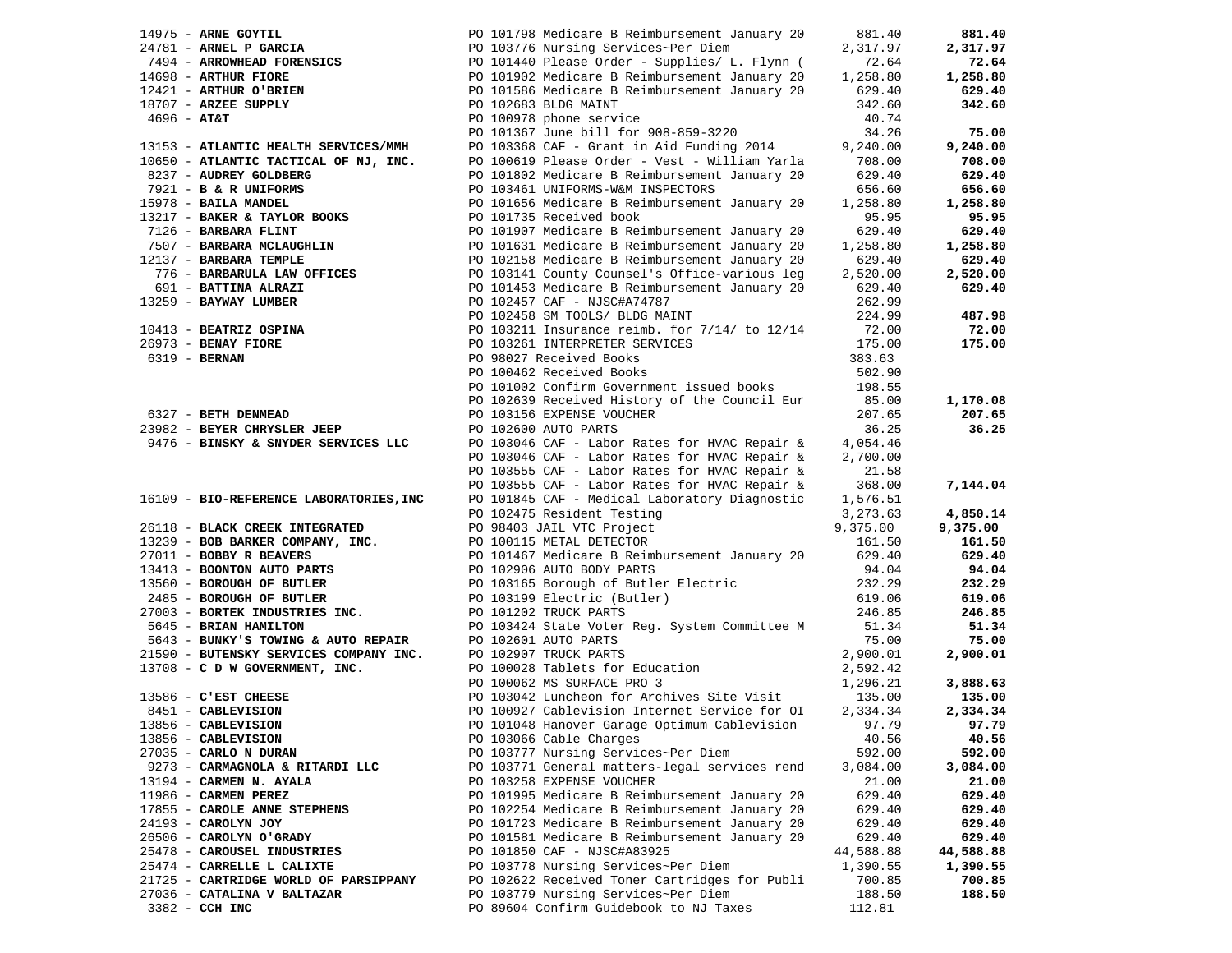|               |                                                                                        |                                                                                                                                                                                                                                      |                  | 881.40    |
|---------------|----------------------------------------------------------------------------------------|--------------------------------------------------------------------------------------------------------------------------------------------------------------------------------------------------------------------------------------|------------------|-----------|
|               |                                                                                        |                                                                                                                                                                                                                                      |                  | 2,317.97  |
|               |                                                                                        | 14975 - ARNE GOYTIL PO 101798 Medicare B Reimbursement January 20 881.40<br>24781 - ARNEL P GARCIA PO 103776 Nursing Services~Per Diem 2,317.97<br>7494 - ARROWHEAD FORENSICS PO 101440 Please Order - Supplies/ L. Flynn (2.64<br>1 |                  | 72.64     |
|               |                                                                                        |                                                                                                                                                                                                                                      |                  | 1,258.80  |
|               | 12421 - ARTHUR O'BRIEN                                                                 |                                                                                                                                                                                                                                      |                  | 629.40    |
|               | 18707 - ARZEE SUPPLY                                                                   | PO 102683 BLDG MAINT                                                                                                                                                                                                                 | 342.60           | 342.60    |
| $4696 - AT&T$ |                                                                                        | PO 100978 phone service                                                                                                                                                                                                              | 40.74            |           |
|               |                                                                                        | PO 101367 June bill for 908-859-3220                                                                                                                                                                                                 | 34.26            | 75.00     |
|               | 13153 - ATLANTIC HEALTH SERVICES/MMH                                                   | PO 103368 CAF - Grant in Aid Funding 2014                                                                                                                                                                                            | 9,240.00         | 9,240.00  |
|               |                                                                                        |                                                                                                                                                                                                                                      | 708.00           |           |
|               | 10650 - ATLANTIC TACTICAL OF NJ, INC.                                                  | PO 100619 Please Order - Vest - William Yarla                                                                                                                                                                                        |                  | 708.00    |
|               | 8237 - AUDREY GOLDBERG                                                                 | PO 101802 Medicare B Reimbursement January 20                                                                                                                                                                                        | 629.40           | 629.40    |
|               | 7921 - B & R UNIFORMS                                                                  | PO 103461 UNIFORMS-W&M INSPECTORS                                                                                                                                                                                                    | 656.60           | 656.60    |
|               | 15978 - BAILA MANDEL                                                                   | PO 101656 Medicare B Reimbursement January 20 1,258.80                                                                                                                                                                               |                  | 1,258.80  |
|               | $13217$ - BAKER & TAYLOR BOOKS                                                         | PO 101735 Received book                                                                                                                                                                                                              | 95.95            | 95.95     |
|               | 7126 - BARBARA FLINT                                                                   | PO 101735 Received Door<br>PO 101907 Medicare B Reimbursement January 20                                                                                                                                                             | 629.40           | 629.40    |
|               | 7507 - BARBARA MCLAUGHLIN                                                              |                                                                                                                                                                                                                                      | 1,258.80         | 1,258.80  |
|               | 12137 - BARBARA TEMPLE                                                                 | PO 101631 Medicare B Reimbursement January 20<br>PO 102158 Medicare B Reimbursement January 20                                                                                                                                       | 629.40           | 629.40    |
|               |                                                                                        | 776 - BARBARULA LAW OFFICES DO 103141 County Counsel's Office-various leg<br>691 - BATTINA ALRAZI DO 101453 Medicare B Reimbursement January 20                                                                                      | 2,520.00         | 2,520.00  |
|               |                                                                                        |                                                                                                                                                                                                                                      | 629.40           | 629.40    |
|               | 13259 - BAYWAY LUMBER                                                                  | PO 102457 CAF - NJSC#A74787                                                                                                                                                                                                          | 262.99           |           |
|               |                                                                                        | PO 102458 SM TOOLS/ BLDG MAINT                                                                                                                                                                                                       | 224.99           | 487.98    |
|               | 10413 - BEATRIZ OSPINA<br>26973 - BENAY FIORE<br>6319 - BERNAN                         |                                                                                                                                                                                                                                      | 72.00            | 72.00     |
|               |                                                                                        | PO 103211 Insurance reimb. for 7/14/ to 12/14<br>PO 103261 INTERPRETER SERVICES                                                                                                                                                      | 175.00           | 175.00    |
|               |                                                                                        |                                                                                                                                                                                                                                      |                  |           |
|               |                                                                                        | PO 98027 Received Books                                                                                                                                                                                                              | 383.63           |           |
|               |                                                                                        | PO 100462 Received Books                                                                                                                                                                                                             | 502.90           |           |
|               |                                                                                        | PO 101002 Confirm Government issued books                                                                                                                                                                                            | 198.55           |           |
|               |                                                                                        | PO 102639 Received History of the Council Eur                                                                                                                                                                                        | 85.00            | 1,170.08  |
|               | 6327 - BETH DENMEAD                                                                    | PO 103156 EXPENSE VOUCHER                                                                                                                                                                                                            | 207.65           | 207.65    |
|               | 23982 - BEYER CHRYSLER JEEP                                                            | PO 102600 AUTO PARTS                                                                                                                                                                                                                 | 36.25            | 36.25     |
|               | 9476 - BINSKY & SNYDER SERVICES LLC                                                    | PO 103046 CAF - Labor Rates for HVAC Repair &                                                                                                                                                                                        | 4,054.46         |           |
|               |                                                                                        | PO 103046 CAF - Labor Rates for HVAC Repair &                                                                                                                                                                                        | 2,700.00         |           |
|               |                                                                                        | PO 103555 CAF - Labor Rates for HVAC Repair &                                                                                                                                                                                        | 21.58            |           |
|               |                                                                                        | PO 103555 CAF - Labor Rates for HVAC Repair &                                                                                                                                                                                        | 368.00           | 7,144.04  |
|               | 16109 - BIO-REFERENCE LABORATORIES, INC                                                | PO 101845 CAF - Medical Laboratory Diagnostic                                                                                                                                                                                        | 1,576.51         |           |
|               |                                                                                        | PO 102475 Resident Testing<br>PO 98403 JAIL VTC Project<br>DO 100115 METAL DETECTOR                                                                                                                                                  | 3,273.63         | 4,850.14  |
|               | 26118 - BLACK CREEK INTEGRATED                                                         |                                                                                                                                                                                                                                      | 9,375.00         | 9,375.00  |
|               |                                                                                        |                                                                                                                                                                                                                                      | 161.50           | 161.50    |
|               | 13239 - BOB BARKER COMPANY, INC.<br>27011 - BOBBY R BEAVERS<br>27011 - BOBBY R BEAVERS | PO 100115 METAL DETECTOR<br>PO 100115 METAL DETECTOR<br>PO 102906 AUTO BODY PARTS<br>PO 103165 Borough of Butler Electric<br>PO 103199 Electric (Butler)                                                                             | 629.40           | 629.40    |
|               | 13413 - BOONTON AUTO PARTS                                                             |                                                                                                                                                                                                                                      | 94.04            | 94.04     |
|               |                                                                                        |                                                                                                                                                                                                                                      |                  | 232.29    |
|               | 13560 - BOROUGH OF BUTLER                                                              |                                                                                                                                                                                                                                      | 232.29           |           |
|               | 2485 - BOROUGH OF BUTLER                                                               |                                                                                                                                                                                                                                      | 619.06           | 619.06    |
|               | 27003 - BORTEK INDUSTRIES INC. $PQ$ 101202 TRUCK PARTS                                 |                                                                                                                                                                                                                                      | 246.85           | 246.85    |
|               | 5645 - BRIAN HAMILTON                                                                  | PO 103424 State Voter Reg. System Committee M                                                                                                                                                                                        | 51.34            | 51.34     |
|               | 5643 - BUNKY'S TOWING & AUTO REPAIR PO 102601 AUTO PARTS                               |                                                                                                                                                                                                                                      | 75.00            | 75.00     |
|               |                                                                                        |                                                                                                                                                                                                                                      | 2,900.01         | 2,900.01  |
|               |                                                                                        | 9643 - BUNKY'S TOWING & AUIO ABEAIR<br>21590 - BUTENSKY SERVICES COMPANY INC. PO 102907 TRUCK PARTS<br>13708 - C D W GOVERNMENT, INC. PO 100028 Tablets for Education                                                                | 2,592.42         |           |
|               |                                                                                        |                                                                                                                                                                                                                                      | 1,296.21         | 3,888.63  |
|               | 13586 - C'EST CHEESE                                                                   | PO 103042 Luncheon for Archives Site Visit 135.00                                                                                                                                                                                    |                  | 135.00    |
|               | 8451 - CABLEVISION                                                                     | PO 100927 Cablevision Internet Service for OI                                                                                                                                                                                        | 2,334.34         | 2,334.34  |
|               | 13856 - CABLEVISION                                                                    | PO 101048 Hanover Garage Optimum Cablevision 97.79                                                                                                                                                                                   |                  | 97.79     |
|               | 13856 - CABLEVISION                                                                    | PO 103066 Cable Charges                                                                                                                                                                                                              | 40.56            | 40.56     |
|               |                                                                                        | PO 103777 Nursing Services~Per Diem                                                                                                                                                                                                  | 592.00           | 592.00    |
|               |                                                                                        |                                                                                                                                                                                                                                      |                  |           |
|               | 27035 - CARLO N DURAN                                                                  |                                                                                                                                                                                                                                      |                  |           |
|               | 9273 - CARMAGNOLA & RITARDI LLC                                                        | PO 103771 General matters-legal services rend                                                                                                                                                                                        | 3,084.00         | 3,084.00  |
|               | 13194 - CARMEN N. AYALA                                                                | PO 103258 EXPENSE VOUCHER                                                                                                                                                                                                            | 21.00            | 21.00     |
|               | 11986 - CARMEN PEREZ                                                                   | PO 101995 Medicare B Reimbursement January 20                                                                                                                                                                                        | 629.40           | 629.40    |
|               | 17855 - CAROLE ANNE STEPHENS                                                           | PO 102254 Medicare B Reimbursement January 20                                                                                                                                                                                        | 629.40           | 629.40    |
|               | 24193 - CAROLYN JOY                                                                    | PO 101723 Medicare B Reimbursement January 20                                                                                                                                                                                        | 629.40           | 629.40    |
|               | 26506 - CAROLYN O'GRADY                                                                | PO 101581 Medicare B Reimbursement January 20                                                                                                                                                                                        | 629.40           | 629.40    |
|               | 25478 - CAROUSEL INDUSTRIES                                                            | PO 101850 CAF - NJSC#A83925                                                                                                                                                                                                          | 44,588.88        | 44,588.88 |
|               | 25474 - CARRELLE L CALIXTE                                                             | PO 103778 Nursing Services~Per Diem                                                                                                                                                                                                  | 1,390.55         | 1,390.55  |
|               | 21725 - CARTRIDGE WORLD OF PARSIPPANY                                                  | PO 102622 Received Toner Cartridges for Publi                                                                                                                                                                                        | 700.85           | 700.85    |
|               | 27036 - CATALINA V BALTAZAR<br>3382 - CCH INC                                          | PO 103779 Nursing Services~Per Diem<br>PO 89604 Confirm Guidebook to NJ Taxes                                                                                                                                                        | 188.50<br>112.81 | 188.50    |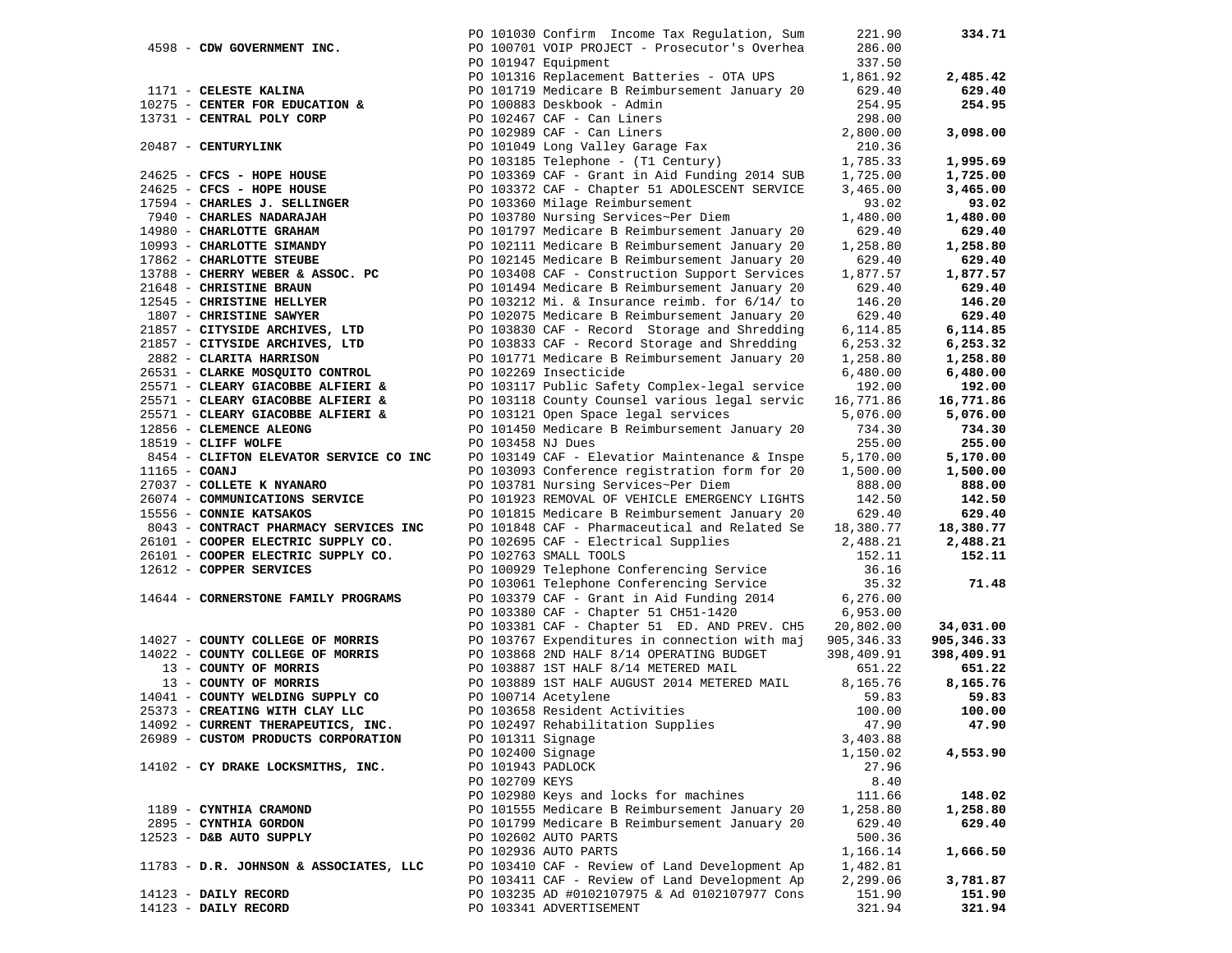|                 |                                                |                   | PO 101030 Confirm Income Tax Regulation, Sum                                                   | 221.90             | 334.71              |
|-----------------|------------------------------------------------|-------------------|------------------------------------------------------------------------------------------------|--------------------|---------------------|
|                 | 4598 - CDW GOVERNMENT INC.                     |                   | PO 100701 VOIP PROJECT - Prosecutor's Overhea                                                  | 286.00             |                     |
|                 |                                                |                   | PO 101947 Equipment                                                                            | 337.50             |                     |
|                 |                                                |                   | PO 101316 Replacement Batteries - OTA UPS                                                      | 1,861.92           | 2,485.42            |
|                 | 1171 - CELESTE KALINA                          |                   | PO 101719 Medicare B Reimbursement January 20                                                  | 629.40             | 629.40              |
|                 | 10275 - CENTER FOR EDUCATION &                 |                   | PO 100883 Deskbook - Admin                                                                     | 254.95             | 254.95              |
|                 | 13731 - CENTRAL POLY CORP                      |                   | PO 102467 CAF - Can Liners                                                                     | 298.00             |                     |
|                 |                                                |                   | PO 102989 CAF - Can Liners                                                                     | 2,800.00           | 3,098.00            |
|                 | 20487 - CENTURYLINK                            |                   | PO 101049 Long Valley Garage Fax                                                               | 210.36             |                     |
|                 |                                                |                   | PO 103185 Telephone - (T1 Century)                                                             | 1,785.33           | 1,995.69            |
|                 | $24625$ - CFCS - HOPE HOUSE                    |                   | PO 103369 CAF - Grant in Aid Funding 2014 SUB                                                  | 1,725.00           | 1,725.00            |
|                 | $24625$ - CFCS - HOPE HOUSE                    |                   | PO 103372 CAF - Chapter 51 ADOLESCENT SERVICE                                                  | 3,465.00           | 3,465.00            |
|                 | 17594 - CHARLES J. SELLINGER                   |                   | PO 103360 Milage Reimbursement                                                                 | 93.02              | 93.02               |
|                 | 7940 - CHARLES NADARAJAH                       |                   | PO 103780 Nursing Services~Per Diem                                                            | 1,480.00           | 1,480.00            |
|                 | 14980 - CHARLOTTE GRAHAM                       |                   | PO 101797 Medicare B Reimbursement January 20                                                  | 629.40             | 629.40              |
|                 | 10993 - CHARLOTTE SIMANDY                      |                   | PO 102111 Medicare B Reimbursement January 20                                                  | 1,258.80           | 1,258.80            |
|                 | 17862 - CHARLOTTE STEUBE                       |                   | PO 102145 Medicare B Reimbursement January 20                                                  | 629.40             | 629.40              |
|                 | 13788 - CHERRY WEBER & ASSOC. PC               |                   | PO 103408 CAF - Construction Support Services                                                  | 1,877.57           | 1,877.57            |
|                 | 21648 - CHRISTINE BRAUN                        |                   | PO 101494 Medicare B Reimbursement January 20                                                  | 629.40             | 629.40              |
|                 | 12545 - CHRISTINE HELLYER                      |                   | PO 103212 Mi. & Insurance reimb. for $6/14/$ to                                                | 146.20             | 146.20              |
|                 | 1807 - CHRISTINE SAWYER                        |                   | PO 102075 Medicare B Reimbursement January 20                                                  | 629.40             | 629.40              |
|                 | 21857 - CITYSIDE ARCHIVES, LTD                 |                   | PO 103830 CAF - Record Storage and Shredding                                                   | 6,114.85           | 6,114.85            |
|                 | 21857 - CITYSIDE ARCHIVES, LTD                 |                   | PO 103833 CAF - Record Storage and Shredding                                                   | 6,253.32           | 6,253.32            |
|                 | 2882 - CLARITA HARRISON                        |                   | PO 101771 Medicare B Reimbursement January 20                                                  | 1,258.80           | 1,258.80            |
|                 | 26531 - CLARKE MOSQUITO CONTROL                |                   | PO 102269 Insecticide                                                                          | 6,480.00           | 6,480.00            |
|                 | 25571 - CLEARY GIACOBBE ALFIERI &              |                   | PO 103117 Public Safety Complex-legal service                                                  | 192.00             | 192.00<br>16,771.86 |
|                 | 25571 - CLEARY GIACOBBE ALFIERI &              |                   | PO 103118 County Counsel various legal servic                                                  | 16,771.86          |                     |
|                 | 25571 - CLEARY GIACOBBE ALFIERI &              |                   | PO 103121 Open Space legal services<br>PO 101450 Medicare B Reimbursement January 20           | 5,076.00           | 5,076.00            |
|                 | 12856 - CLEMENCE ALEONG<br>18519 - CLIFF WOLFE | PO 103458 NJ Dues |                                                                                                | 734.30<br>255.00   | 734.30<br>255.00    |
|                 | 8454 - CLIFTON ELEVATOR SERVICE CO INC         |                   |                                                                                                | 5,170.00           | 5,170.00            |
|                 |                                                |                   | PO 103149 CAF - Elevatior Maintenance & Inspe<br>PO 103093 Conference registration form for 20 |                    |                     |
| $11165$ - COANJ | 27037 - COLLETE K NYANARO                      |                   |                                                                                                | 1,500.00<br>888.00 | 1,500.00<br>888.00  |
|                 | 26074 - COMMUNICATIONS SERVICE                 |                   | PO 103781 Nursing Services~Per Diem<br>PO 101923 REMOVAL OF VEHICLE EMERGENCY LIGHTS           | 142.50             | 142.50              |
|                 | 15556 - CONNIE KATSAKOS                        |                   | PO 101815 Medicare B Reimbursement January 20                                                  | 629.40             | 629.40              |
|                 | 8043 - CONTRACT PHARMACY SERVICES INC          |                   | PO 101848 CAF - Pharmaceutical and Related Se                                                  | 18,380.77          | 18,380.77           |
|                 | 26101 - COOPER ELECTRIC SUPPLY CO.             |                   | PO 102695 CAF - Electrical Supplies                                                            | 2,488.21           | 2,488.21            |
|                 | 26101 - COOPER ELECTRIC SUPPLY CO.             |                   | PO 102763 SMALL TOOLS                                                                          | 152.11             | 152.11              |
|                 | 12612 - COPPER SERVICES                        |                   | PO 100929 Telephone Conferencing Service                                                       | 36.16              |                     |
|                 |                                                |                   | PO 103061 Telephone Conferencing Service                                                       | 35.32              | 71.48               |
|                 | 14644 - CORNERSTONE FAMILY PROGRAMS            |                   | PO 103379 CAF - Grant in Aid Funding 2014                                                      | 6,276.00           |                     |
|                 |                                                |                   | PO 103380 CAF - Chapter 51 CH51-1420                                                           | 6,953.00           |                     |
|                 |                                                |                   | PO 103381 CAF - Chapter 51 ED. AND PREV. CH5                                                   | 20,802.00          | 34,031.00           |
|                 | 14027 - COUNTY COLLEGE OF MORRIS               |                   | PO 103767 Expenditures in connection with maj                                                  | 905, 346.33        | 905,346.33          |
|                 | 14022 - COUNTY COLLEGE OF MORRIS               |                   | PO 103868 2ND HALF 8/14 OPERATING BUDGET                                                       | 398,409.91         | 398,409.91          |
|                 | 13 - COUNTY OF MORRIS                          |                   | PO 103887 1ST HALF 8/14 METERED MAIL                                                           | 651.22             | 651.22              |
|                 | 13 - COUNTY OF MORRIS                          |                   | PO 103889 1ST HALF AUGUST 2014 METERED MAIL                                                    | 8,165.76           | 8,165.76            |
|                 | 14041 - COUNTY WELDING SUPPLY CO               |                   | PO 100714 Acetylene                                                                            | 59.83              | 59.83               |
|                 | 25373 - CREATING WITH CLAY LLC                 |                   | PO 103658 Resident Activities                                                                  | 100.00             | 100.00              |
|                 | 14092 - CURRENT THERAPEUTICS, INC.             |                   | PO 102497 Rehabilitation Supplies                                                              | 47.90              | 47.90               |
|                 | 26989 - CUSTOM PRODUCTS CORPORATION            | PO 101311 Signage |                                                                                                | 3,403.88           |                     |
|                 |                                                | PO 102400 Signage |                                                                                                | 1,150.02           | 4,553.90            |
|                 | 14102 - CY DRAKE LOCKSMITHS, INC.              | PO 101943 PADLOCK |                                                                                                | 27.96              |                     |
|                 |                                                | PO 102709 KEYS    |                                                                                                | 8.40               |                     |
|                 |                                                |                   | PO 102980 Keys and locks for machines                                                          | 111.66             | 148.02              |
|                 | 1189 - CYNTHIA CRAMOND                         |                   | PO 101555 Medicare B Reimbursement January 20                                                  | 1,258.80           | 1,258.80            |
|                 | 2895 - CYNTHIA GORDON                          |                   | PO 101799 Medicare B Reimbursement January 20                                                  | 629.40             | 629.40              |
|                 | 12523 - D&B AUTO SUPPLY                        |                   | PO 102602 AUTO PARTS                                                                           | 500.36             |                     |
|                 |                                                |                   | PO 102936 AUTO PARTS                                                                           | 1,166.14           | 1,666.50            |
|                 | 11783 - D.R. JOHNSON & ASSOCIATES, LLC         |                   | PO 103410 CAF - Review of Land Development Ap                                                  | 1,482.81           |                     |
|                 |                                                |                   | PO 103411 CAF - Review of Land Development Ap                                                  | 2,299.06           | 3,781.87            |
|                 | 14123 - DAILY RECORD                           |                   | PO 103235 AD #0102107975 & Ad 0102107977 Cons                                                  | 151.90             | 151.90              |
|                 | 14123 - DAILY RECORD                           |                   | PO 103341 ADVERTISEMENT                                                                        | 321.94             | 321.94              |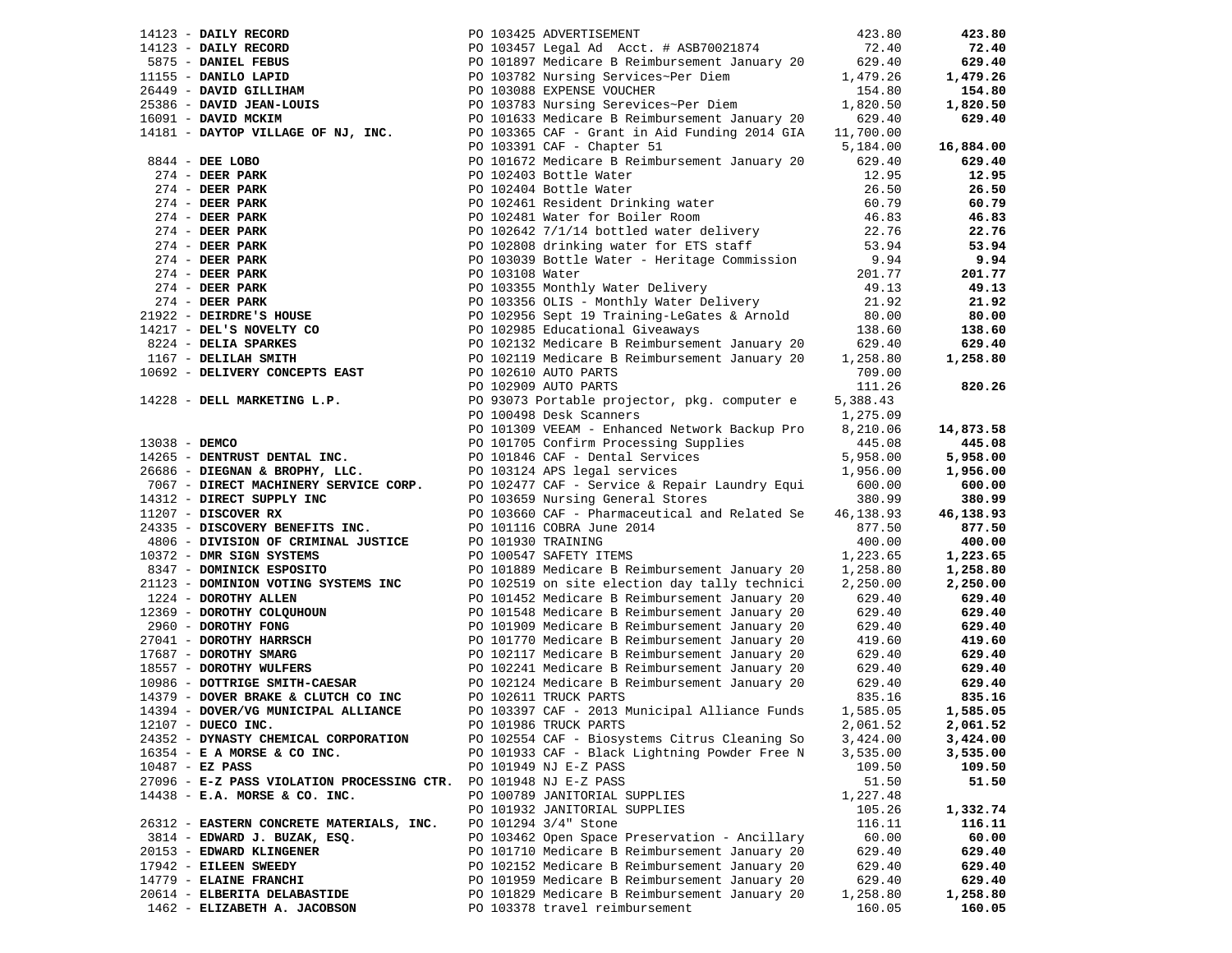|                                                                                                           |                                                                                                                                                                                                                                                                                          | 423.80             | 423.80             |
|-----------------------------------------------------------------------------------------------------------|------------------------------------------------------------------------------------------------------------------------------------------------------------------------------------------------------------------------------------------------------------------------------------------|--------------------|--------------------|
|                                                                                                           | 14123 - <b>DAILY RECORD</b><br>14123 - <b>DAILY RECORD</b><br>14123 - <b>DAILY RECORD</b><br>1155 - <b>DANIEL FEBUS</b><br>1155 - <b>DANILO LAPID</b><br>26449 - <b>DAVID GILLIHAM</b><br>26449 - <b>DAVID GILLIHAM</b><br>26449 - <b>DAVID GILLIHAM</b><br>20103088 EXPENSE VOUCHER<br> | 72.40              | 72.40              |
|                                                                                                           |                                                                                                                                                                                                                                                                                          | 629.40             | 629.40             |
|                                                                                                           |                                                                                                                                                                                                                                                                                          | 1,479.26           | 1,479.26           |
|                                                                                                           |                                                                                                                                                                                                                                                                                          | 154.80             | 154.80             |
| 25386 - DAVID JEAN-LOUIS                                                                                  | PO 103783 Nursing Serevices~Per Diem 1<br>PO 101633 Medicare B Reimbursement January 20                                                                                                                                                                                                  | 1,820.50           | 1,820.50           |
| 16091 - DAVID MCKIM                                                                                       |                                                                                                                                                                                                                                                                                          | 629.40             | 629.40             |
|                                                                                                           | 14181 - DAYTOP VILLAGE OF NJ, INC. PO 103365 CAF - Grant in Aid Funding 2014 GIA 11,700.00                                                                                                                                                                                               |                    |                    |
|                                                                                                           |                                                                                                                                                                                                                                                                                          | 5,184.00           | 16,884.00          |
|                                                                                                           |                                                                                                                                                                                                                                                                                          | 629.40             | 629.40             |
|                                                                                                           |                                                                                                                                                                                                                                                                                          | 12.95              | 12.95              |
|                                                                                                           |                                                                                                                                                                                                                                                                                          | 26.50              | 26.50              |
|                                                                                                           |                                                                                                                                                                                                                                                                                          | 60.79              | 60.79              |
|                                                                                                           |                                                                                                                                                                                                                                                                                          | 46.83<br>22.76     | 46.83              |
|                                                                                                           |                                                                                                                                                                                                                                                                                          |                    | 22.76              |
|                                                                                                           |                                                                                                                                                                                                                                                                                          | 53.94              | 53.94              |
|                                                                                                           |                                                                                                                                                                                                                                                                                          | 9.94               | 9.94               |
|                                                                                                           |                                                                                                                                                                                                                                                                                          | 201.77             | 201.77             |
|                                                                                                           |                                                                                                                                                                                                                                                                                          | 49.13              | 49.13              |
|                                                                                                           |                                                                                                                                                                                                                                                                                          | 21.92              | 21.92              |
|                                                                                                           |                                                                                                                                                                                                                                                                                          | 80.00              | 80.00              |
|                                                                                                           |                                                                                                                                                                                                                                                                                          | 138.60             | 138.60             |
|                                                                                                           |                                                                                                                                                                                                                                                                                          | 629.40             | 629.40             |
|                                                                                                           |                                                                                                                                                                                                                                                                                          | 1,258.80           | 1,258.80           |
|                                                                                                           |                                                                                                                                                                                                                                                                                          | 709.00             |                    |
|                                                                                                           |                                                                                                                                                                                                                                                                                          | 111.26             | 820.26             |
|                                                                                                           |                                                                                                                                                                                                                                                                                          | 5,388.43           |                    |
|                                                                                                           |                                                                                                                                                                                                                                                                                          | 1,275.09           |                    |
|                                                                                                           |                                                                                                                                                                                                                                                                                          | 8,210.06           | 14,873.58          |
|                                                                                                           |                                                                                                                                                                                                                                                                                          | 445.08             | 445.08             |
|                                                                                                           |                                                                                                                                                                                                                                                                                          | 5,958.00           | 5,958.00           |
|                                                                                                           | 13038 - DEMCO<br>14265 - DENTRUST DENTAL INC.<br>14265 - DENTRUST DENTAL INC.<br>26686 - DIEGNAN & BROPHY, LLC.<br>201011846 CAF - Dental Services<br>20101846 CAF - Dental Services<br>20103124 APS legal services<br>20103124 APS legal se                                             | 1,956.00           | 1,956.00           |
|                                                                                                           |                                                                                                                                                                                                                                                                                          | 600.00             | 600.00             |
|                                                                                                           |                                                                                                                                                                                                                                                                                          | 380.99             | 380.99             |
|                                                                                                           |                                                                                                                                                                                                                                                                                          | 46,138.93          | 46,138.93          |
|                                                                                                           |                                                                                                                                                                                                                                                                                          | 877.50             | 877.50             |
| 4806 - DIVISION OF CRIMINAL JUSTICE PO 101930 TRAINING<br>10372 - DMR SIGN SYSTEMS PO 100547 SAFETY ITEMS |                                                                                                                                                                                                                                                                                          | 400.00             | 400.00             |
| 10372 - DMR SIGN SYSTEMS                                                                                  |                                                                                                                                                                                                                                                                                          | 1,223.65           | 1,223.65           |
| 8347 - DOMINICK ESPOSITO                                                                                  | PO 101889 Medicare B Reimbursement January 20<br>21123 - DOMINION VOTING SYSTEMS INC PO 102519 on site election day tally technici                                                                                                                                                       | 1,258.80           | 1,258.80           |
| 1224 - DOROTHY ALLEN                                                                                      |                                                                                                                                                                                                                                                                                          | 2,250.00<br>629.40 | 2,250.00<br>629.40 |
| 12369 - DOROTHY COLQUHOUN                                                                                 | PO 101452 Medicare B Reimbursement January 20<br>PO 101548 Medicare B Reimbursement January 20                                                                                                                                                                                           | 629.40             | 629.40             |
|                                                                                                           |                                                                                                                                                                                                                                                                                          | 629.40             | 629.40             |
|                                                                                                           |                                                                                                                                                                                                                                                                                          | 419.60             | 419.60             |
|                                                                                                           | 2960 - DOROTHY FONG<br>27041 - DOROTHY HARRSCH PO 101909 Medicare B Reimbursement January 20<br>27041 - DOROTHY HARRSCH PO 101770 Medicare B Reimbursement January 20<br>27041 - DOROTHY WULFERS<br>27041 - DOROTHY SMARG PO 102117 Me                                                   | 629.40             | 629.40             |
|                                                                                                           |                                                                                                                                                                                                                                                                                          | 629.40             | 629.40             |
|                                                                                                           |                                                                                                                                                                                                                                                                                          | 629.40             | 629.40             |
|                                                                                                           |                                                                                                                                                                                                                                                                                          | 835.16             | 835.16             |
| 14394 - DOVER/VG MUNICIPAL ALLIANCE                                                                       | PO 103397 CAF - 2013 Municipal Alliance Funds                                                                                                                                                                                                                                            | 1,585.05           | 1,585.05           |
| $12107$ - DUECO INC.                                                                                      | PO 101986 TRUCK PARTS                                                                                                                                                                                                                                                                    | 2,061.52           | 2,061.52           |
| 24352 - DYNASTY CHEMICAL CORPORATION                                                                      | PO 102554 CAF - Biosystems Citrus Cleaning So                                                                                                                                                                                                                                            | 3,424.00           | 3,424.00           |
| $16354$ - E A MORSE & CO INC.                                                                             | PO 101933 CAF - Black Lightning Powder Free N                                                                                                                                                                                                                                            | 3,535.00           | 3,535.00           |
| $10487 - EZ$ PASS                                                                                         | PO 101949 NJ E-Z PASS                                                                                                                                                                                                                                                                    | 109.50             | 109.50             |
| 27096 - E-Z PASS VIOLATION PROCESSING CTR. PO 101948 NJ E-Z PASS                                          |                                                                                                                                                                                                                                                                                          | 51.50              | 51.50              |
| $14438$ - E.A. MORSE & CO. INC.                                                                           | PO 100789 JANITORIAL SUPPLIES                                                                                                                                                                                                                                                            | 1,227.48           |                    |
|                                                                                                           | PO 101932 JANITORIAL SUPPLIES                                                                                                                                                                                                                                                            | 105.26             | 1,332.74           |
| 26312 - EASTERN CONCRETE MATERIALS, INC.                                                                  | PO 101294 3/4" Stone                                                                                                                                                                                                                                                                     | 116.11             | 116.11             |
| 3814 - EDWARD J. BUZAK, ESQ.                                                                              | PO 103462 Open Space Preservation - Ancillary                                                                                                                                                                                                                                            | 60.00              | 60.00              |
| 20153 - EDWARD KLINGENER                                                                                  | PO 101710 Medicare B Reimbursement January 20                                                                                                                                                                                                                                            | 629.40             | 629.40             |
| 17942 - EILEEN SWEEDY                                                                                     | PO 102152 Medicare B Reimbursement January 20                                                                                                                                                                                                                                            | 629.40             | 629.40             |
| 14779 - ELAINE FRANCHI                                                                                    | PO 101959 Medicare B Reimbursement January 20                                                                                                                                                                                                                                            | 629.40             | 629.40             |
| 20614 - ELBERITA DELABASTIDE                                                                              | PO 101829 Medicare B Reimbursement January 20                                                                                                                                                                                                                                            | 1,258.80           | 1,258.80           |
| 1462 - ELIZABETH A. JACOBSON                                                                              | PO 103378 travel reimbursement                                                                                                                                                                                                                                                           | 160.05             | 160.05             |
|                                                                                                           |                                                                                                                                                                                                                                                                                          |                    |                    |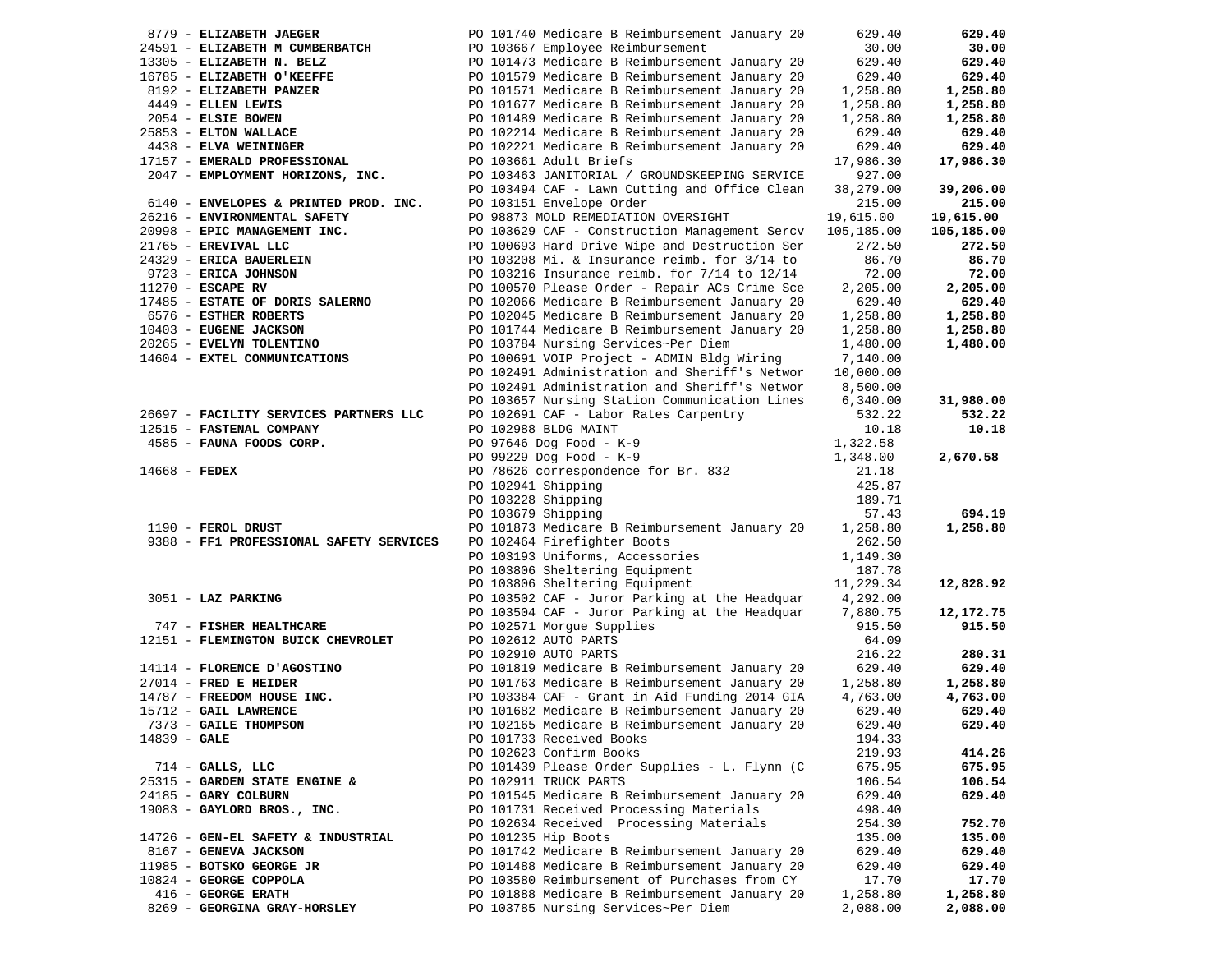|                         | 8779 - ELIZABETH JAEGER                 |                    | PO 101740 Medicare B Reimbursement January 20    | 629.40     | 629.40     |
|-------------------------|-----------------------------------------|--------------------|--------------------------------------------------|------------|------------|
|                         | 24591 - ELIZABETH M CUMBERBATCH         |                    | PO 103667 Employee Reimbursement                 | 30.00      | 30.00      |
|                         | 13305 - ELIZABETH N. BELZ               |                    | PO 101473 Medicare B Reimbursement January 20    | 629.40     | 629.40     |
|                         | 16785 - ELIZABETH O'KEEFFE              |                    | PO 101579 Medicare B Reimbursement January 20    | 629.40     | 629.40     |
|                         | 8192 - ELIZABETH PANZER                 |                    | PO 101571 Medicare B Reimbursement January 20    | 1,258.80   | 1,258.80   |
| 4449 - ELLEN LEWIS      |                                         |                    | PO 101677 Medicare B Reimbursement January 20    | 1,258.80   | 1,258.80   |
| 2054 - ELSIE BOWEN      |                                         |                    | PO 101489 Medicare B Reimbursement January 20    | 1,258.80   | 1,258.80   |
|                         | 25853 - ELTON WALLACE                   |                    | PO 102214 Medicare B Reimbursement January 20    | 629.40     | 629.40     |
|                         |                                         |                    |                                                  |            |            |
|                         | 4438 - ELVA WEININGER                   |                    | PO 102221 Medicare B Reimbursement January 20    | 629.40     | 629.40     |
|                         | 17157 - EMERALD PROFESSIONAL            |                    | PO 103661 Adult Briefs                           | 17,986.30  | 17,986.30  |
|                         | 2047 - EMPLOYMENT HORIZONS, INC.        |                    | PO 103463 JANITORIAL / GROUNDSKEEPING SERVICE    | 927.00     |            |
|                         |                                         |                    | PO 103494 CAF - Lawn Cutting and Office Clean    | 38,279.00  | 39,206.00  |
|                         | 6140 - ENVELOPES & PRINTED PROD. INC.   |                    | PO 103151 Envelope Order                         | 215.00     | 215.00     |
|                         | 26216 - ENVIRONMENTAL SAFETY            |                    | PO 98873 MOLD REMEDIATION OVERSIGHT              | 19,615.00  | 19,615.00  |
|                         | 20998 - EPIC MANAGEMENT INC.            |                    | PO 103629 CAF - Construction Management Sercy    | 105,185.00 | 105,185.00 |
| 21765 - EREVIVAL LLC    |                                         |                    | PO 100693 Hard Drive Wipe and Destruction Ser    | 272.50     | 272.50     |
|                         | 24329 - ERICA BAUERLEIN                 |                    | PO 103208 Mi. & Insurance reimb. for 3/14 to     | 86.70      | 86.70      |
|                         | 9723 - ERICA JOHNSON                    |                    | PO 103216 Insurance reimb. for $7/14$ to $12/14$ | 72.00      | 72.00      |
| 11270 - ESCAPE RV       |                                         |                    | PO 100570 Please Order - Repair ACs Crime Sce    | 2,205.00   | 2,205.00   |
|                         | 17485 - ESTATE OF DORIS SALERNO         |                    | PO 102066 Medicare B Reimbursement January 20    | 629.40     | 629.40     |
|                         | 6576 - ESTHER ROBERTS                   |                    | PO 102045 Medicare B Reimbursement January 20    | 1,258.80   | 1,258.80   |
|                         | 10403 - EUGENE JACKSON                  |                    | PO 101744 Medicare B Reimbursement January 20    | 1,258.80   | 1,258.80   |
|                         | 20265 - EVELYN TOLENTINO                |                    | PO 103784 Nursing Services~Per Diem              | 1,480.00   | 1,480.00   |
|                         | 14604 - EXTEL COMMUNICATIONS            |                    | PO 100691 VOIP Project - ADMIN Bldg Wiring       |            |            |
|                         |                                         |                    |                                                  | 7,140.00   |            |
|                         |                                         |                    | PO 102491 Administration and Sheriff's Networ    | 10,000.00  |            |
|                         |                                         |                    | PO 102491 Administration and Sheriff's Networ    | 8,500.00   |            |
|                         |                                         |                    | PO 103657 Nursing Station Communication Lines    | 6,340.00   | 31,980.00  |
|                         | 26697 - FACILITY SERVICES PARTNERS LLC  |                    | PO 102691 CAF - Labor Rates Carpentry            | 532.22     | 532.22     |
|                         | 12515 - FASTENAL COMPANY                |                    | PO 102988 BLDG MAINT                             | 10.18      | 10.18      |
|                         | 4585 - FAUNA FOODS CORP.                |                    | PO 97646 Dog Food - K-9                          | 1,322.58   |            |
|                         |                                         |                    | PO 99229 Dog Food - K-9                          | 1,348.00   | 2,670.58   |
| $14668$ - FEDEX         |                                         |                    | PO 78626 correspondence for Br. 832              | 21.18      |            |
|                         |                                         | PO 102941 Shipping |                                                  | 425.87     |            |
|                         |                                         | PO 103228 Shipping |                                                  | 189.71     |            |
|                         |                                         | PO 103679 Shipping |                                                  | 57.43      | 694.19     |
| 1190 - FEROL DRUST      |                                         |                    | PO 101873 Medicare B Reimbursement January 20    | 1,258.80   | 1,258.80   |
|                         | 9388 - FF1 PROFESSIONAL SAFETY SERVICES |                    | PO 102464 Firefighter Boots                      | 262.50     |            |
|                         |                                         |                    | PO 103193 Uniforms, Accessories                  | 1,149.30   |            |
|                         |                                         |                    | PO 103806 Sheltering Equipment                   | 187.78     |            |
|                         |                                         |                    | PO 103806 Sheltering Equipment                   | 11,229.34  | 12,828.92  |
| 3051 - LAZ PARKING      |                                         |                    | PO 103502 CAF - Juror Parking at the Headquar    | 4,292.00   |            |
|                         |                                         |                    | PO 103504 CAF - Juror Parking at the Headquar    |            | 12,172.75  |
|                         |                                         |                    |                                                  | 7,880.75   |            |
|                         | 747 - FISHER HEALTHCARE                 |                    | PO 102571 Morgue Supplies                        | 915.50     | 915.50     |
|                         | 12151 - FLEMINGTON BUICK CHEVROLET      |                    | PO 102612 AUTO PARTS                             | 64.09      |            |
|                         |                                         |                    | PO 102910 AUTO PARTS                             | 216.22     | 280.31     |
|                         | 14114 - FLORENCE D'AGOSTINO             |                    | PO 101819 Medicare B Reimbursement January 20    | 629.40     | 629.40     |
| $27014$ - FRED E HEIDER |                                         |                    | PO 101763 Medicare B Reimbursement January 20    | 1,258.80   | 1,258.80   |
|                         | 14787 - FREEDOM HOUSE INC.              |                    | PO 103384 CAF - Grant in Aid Funding 2014 GIA    | 4,763.00   | 4,763.00   |
| 15712 - GAIL LAWRENCE   |                                         |                    | PO 101682 Medicare B Reimbursement January 20    | 629.40     | 629.40     |
|                         | 7373 - GAILE THOMPSON                   |                    | PO 102165 Medicare B Reimbursement January 20    | 629.40     | 629.40     |
| $14839 - GALE$          |                                         |                    | PO 101733 Received Books                         | 194.33     |            |
|                         |                                         |                    | PO 102623 Confirm Books                          | 219.93     | 414.26     |
| $714$ - GALLS, LLC      |                                         |                    | PO 101439 Please Order Supplies - L. Flynn (C    | 675.95     | 675.95     |
|                         | 25315 - GARDEN STATE ENGINE &           |                    | PO 102911 TRUCK PARTS                            | 106.54     | 106.54     |
| 24185 - GARY COLBURN    |                                         |                    | PO 101545 Medicare B Reimbursement January 20    | 629.40     | 629.40     |
|                         | 19083 - GAYLORD BROS., INC.             |                    | PO 101731 Received Processing Materials          | 498.40     |            |
|                         |                                         |                    | PO 102634 Received Processing Materials          | 254.30     | 752.70     |
|                         | 14726 - GEN-EL SAFETY & INDUSTRIAL      |                    | PO 101235 Hip Boots                              | 135.00     | 135.00     |
|                         | 8167 - GENEVA JACKSON                   |                    | PO 101742 Medicare B Reimbursement January 20    | 629.40     | 629.40     |
|                         | 11985 - BOTSKO GEORGE JR                |                    | PO 101488 Medicare B Reimbursement January 20    | 629.40     | 629.40     |
|                         | 10824 - GEORGE COPPOLA                  |                    | PO 103580 Reimbursement of Purchases from CY     | 17.70      | 17.70      |
|                         |                                         |                    |                                                  |            |            |
|                         | 416 - GEORGE ERATH                      |                    | PO 101888 Medicare B Reimbursement January 20    | 1,258.80   | 1,258.80   |
|                         | 8269 - GEORGINA GRAY-HORSLEY            |                    | PO 103785 Nursing Services~Per Diem              | 2,088.00   | 2,088.00   |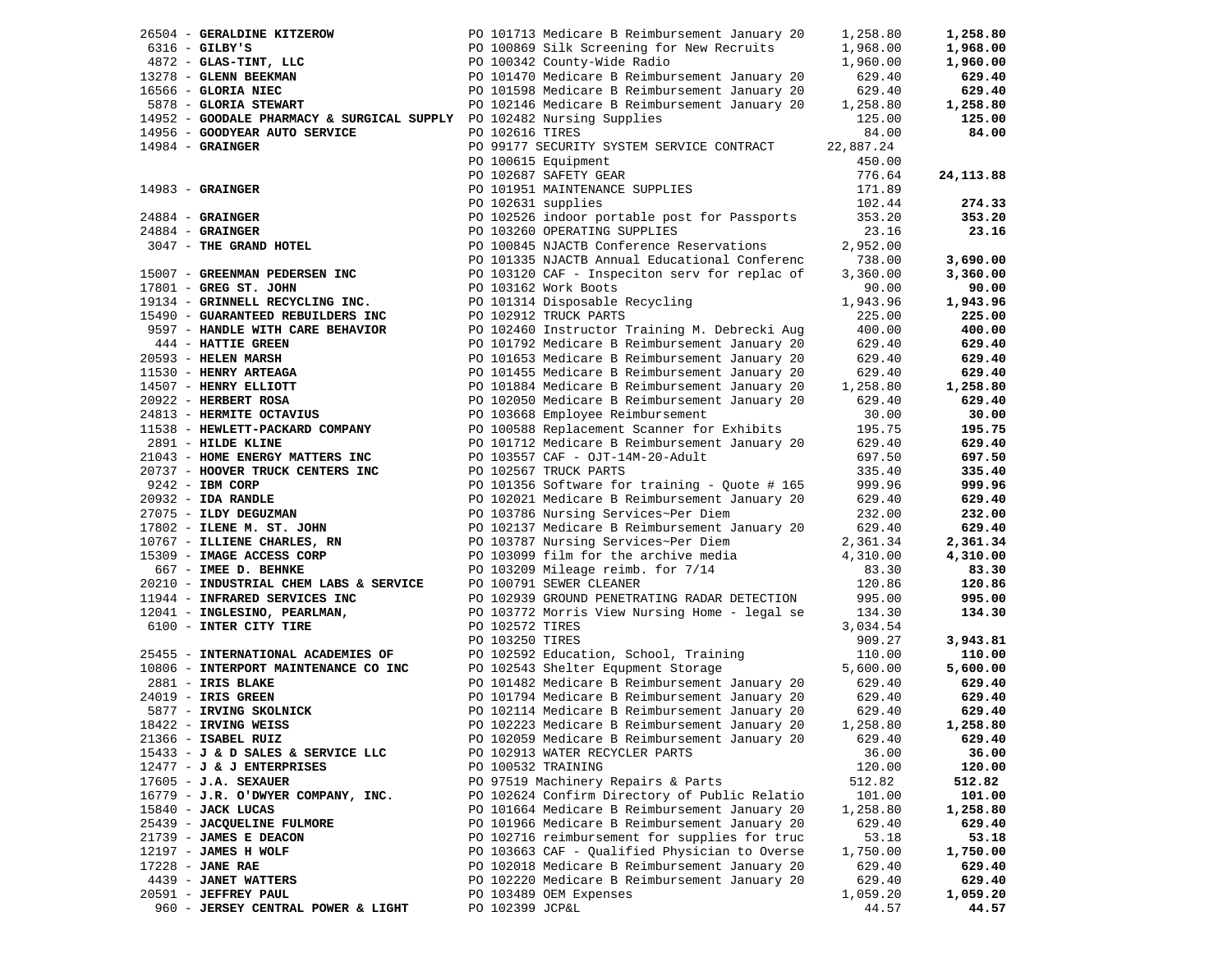|                                                                                            |                                                                                                                                                                                                                                                                                                                                                                                                                                                                                                                                                                                                                                              | 1,258.80 | 1,258.80   |
|--------------------------------------------------------------------------------------------|----------------------------------------------------------------------------------------------------------------------------------------------------------------------------------------------------------------------------------------------------------------------------------------------------------------------------------------------------------------------------------------------------------------------------------------------------------------------------------------------------------------------------------------------------------------------------------------------------------------------------------------------|----------|------------|
|                                                                                            | 26504 - GERALDINE KITZEROW PO 101713 Medicare B Reimbursement January 20 1,<br>6316 - GILBY'S PO 100869 Silk Screening for New Recruits<br>4872 - GLAS-TINT, LLC PO 100342 County-Wide Radio 1,<br>13278 - GLENN BEEKMAN PO 101470 M                                                                                                                                                                                                                                                                                                                                                                                                         | 1,968.00 | 1,968.00   |
|                                                                                            |                                                                                                                                                                                                                                                                                                                                                                                                                                                                                                                                                                                                                                              | 1,960.00 | 1,960.00   |
|                                                                                            |                                                                                                                                                                                                                                                                                                                                                                                                                                                                                                                                                                                                                                              | 629.40   | 629.40     |
|                                                                                            |                                                                                                                                                                                                                                                                                                                                                                                                                                                                                                                                                                                                                                              | 629.40   | 629.40     |
|                                                                                            |                                                                                                                                                                                                                                                                                                                                                                                                                                                                                                                                                                                                                                              | 1,258.80 | 1,258.80   |
| 14952 - GOODALE PHARMACY & SURGICAL SUPPLY PO 102482 Nursing Supplies                      |                                                                                                                                                                                                                                                                                                                                                                                                                                                                                                                                                                                                                                              | 125.00   | 125.00     |
| 14956 - GOODYEAR AUTO SERVICE                                                              | PO 102616 TIRES                                                                                                                                                                                                                                                                                                                                                                                                                                                                                                                                                                                                                              | 84.00    | 84.00      |
|                                                                                            | PO 99177 SECURITY SYSTEM SERVICE CONTRACT 22,887.24                                                                                                                                                                                                                                                                                                                                                                                                                                                                                                                                                                                          |          |            |
|                                                                                            |                                                                                                                                                                                                                                                                                                                                                                                                                                                                                                                                                                                                                                              | 450.00   |            |
|                                                                                            |                                                                                                                                                                                                                                                                                                                                                                                                                                                                                                                                                                                                                                              | 776.64   | 24, 113.88 |
|                                                                                            |                                                                                                                                                                                                                                                                                                                                                                                                                                                                                                                                                                                                                                              | 171.89   |            |
|                                                                                            |                                                                                                                                                                                                                                                                                                                                                                                                                                                                                                                                                                                                                                              | 102.44   | 274.33     |
|                                                                                            |                                                                                                                                                                                                                                                                                                                                                                                                                                                                                                                                                                                                                                              | 353.20   | 353.20     |
|                                                                                            |                                                                                                                                                                                                                                                                                                                                                                                                                                                                                                                                                                                                                                              | 23.16    | 23.16      |
|                                                                                            |                                                                                                                                                                                                                                                                                                                                                                                                                                                                                                                                                                                                                                              | 2,952.00 |            |
|                                                                                            |                                                                                                                                                                                                                                                                                                                                                                                                                                                                                                                                                                                                                                              | 738.00   | 3,690.00   |
|                                                                                            | 4984 - GRAINGER<br>14983 - GRAINGER<br>24884 - GRAINGER<br>24884 - GRAINGER<br>24884 - GRAINGER<br>24884 - GRAINGER<br>24884 - GRAINGER<br>24884 - GRAINGER<br>24884 - GRAINGER<br>24884 - GRAINGER<br>24884 - GRAINGER<br>24884 - GRAINGER<br>24884 -                                                                                                                                                                                                                                                                                                                                                                                       | 3,360.00 | 3,360.00   |
|                                                                                            |                                                                                                                                                                                                                                                                                                                                                                                                                                                                                                                                                                                                                                              | 90.00    | 90.00      |
|                                                                                            |                                                                                                                                                                                                                                                                                                                                                                                                                                                                                                                                                                                                                                              | 1,943.96 | 1,943.96   |
|                                                                                            | 19134 - GRINNELL RECYCLING INC.<br>15490 - GUARANTEED REBUILDERS INC PO 102912 TRUCK PARTS                                                                                                                                                                                                                                                                                                                                                                                                                                                                                                                                                   | 225.00   | 225.00     |
|                                                                                            |                                                                                                                                                                                                                                                                                                                                                                                                                                                                                                                                                                                                                                              | 400.00   | 400.00     |
|                                                                                            |                                                                                                                                                                                                                                                                                                                                                                                                                                                                                                                                                                                                                                              | 629.40   | 629.40     |
|                                                                                            |                                                                                                                                                                                                                                                                                                                                                                                                                                                                                                                                                                                                                                              | 629.40   | 629.40     |
|                                                                                            |                                                                                                                                                                                                                                                                                                                                                                                                                                                                                                                                                                                                                                              | 629.40   | 629.40     |
|                                                                                            |                                                                                                                                                                                                                                                                                                                                                                                                                                                                                                                                                                                                                                              | 1,258.80 | 1,258.80   |
|                                                                                            |                                                                                                                                                                                                                                                                                                                                                                                                                                                                                                                                                                                                                                              | 629.40   | 629.40     |
|                                                                                            |                                                                                                                                                                                                                                                                                                                                                                                                                                                                                                                                                                                                                                              | 30.00    | 30.00      |
|                                                                                            |                                                                                                                                                                                                                                                                                                                                                                                                                                                                                                                                                                                                                                              | 195.75   | 195.75     |
|                                                                                            |                                                                                                                                                                                                                                                                                                                                                                                                                                                                                                                                                                                                                                              | 629.40   | 629.40     |
|                                                                                            |                                                                                                                                                                                                                                                                                                                                                                                                                                                                                                                                                                                                                                              | 697.50   | 697.50     |
|                                                                                            |                                                                                                                                                                                                                                                                                                                                                                                                                                                                                                                                                                                                                                              | 335.40   | 335.40     |
|                                                                                            | 15490 - GUARANTLE CREEN<br>20597 - <b>HANDLE WITH CARE BEHAVIOR</b><br>20593 - <b>HELEN MARSH</b><br>20593 - <b>HELEN MARSH</b><br>20593 - <b>HELEN MARSH</b><br>20101455 Medicare B Reimbursement January 20<br>2022 - <b>HERRY ELLIOTT</b><br>2022 - <b>HERRY ELLIOT</b><br>20737 - HOOVER TRUCK CENTERS INC<br>9242 - IBM CORP CORP (2008) PO 101356 Software for training - Quote # 165<br>210437 - HOVER TRUCK CENTERS --<br>20932 - IBM CORP<br>20932 - IBM CORP<br>20932 - ILBME ORP<br>27075 - ILBME M. ST. JOHN<br>17802 - ILENE M. ST. JOHN<br>17802 - ILENE M. ST. JOHN<br>2010378 Nursing Services-Per Diem<br>2010378 Nursing S | 999.96   | 999.96     |
|                                                                                            |                                                                                                                                                                                                                                                                                                                                                                                                                                                                                                                                                                                                                                              | 629.40   | 629.40     |
|                                                                                            |                                                                                                                                                                                                                                                                                                                                                                                                                                                                                                                                                                                                                                              | 232.00   | 232.00     |
|                                                                                            |                                                                                                                                                                                                                                                                                                                                                                                                                                                                                                                                                                                                                                              | 629.40   | 629.40     |
|                                                                                            |                                                                                                                                                                                                                                                                                                                                                                                                                                                                                                                                                                                                                                              | 2,361.34 | 2,361.34   |
|                                                                                            | PO 103099 film for the archive media                                                                                                                                                                                                                                                                                                                                                                                                                                                                                                                                                                                                         | 4,310.00 | 4,310.00   |
|                                                                                            |                                                                                                                                                                                                                                                                                                                                                                                                                                                                                                                                                                                                                                              | 83.30    | 83.30      |
|                                                                                            |                                                                                                                                                                                                                                                                                                                                                                                                                                                                                                                                                                                                                                              | 120.86   | 120.86     |
|                                                                                            | 20210 - INDUSTRIAL CHEM LABS & SERVICE<br>1944 - INFRARED SERVICES INC<br>1944 - INFRARED SERVICES INC<br>1961 - INGLESINO, PEARLMAN, PO 102939 GROUND PENETRATING RADAR DETECTION<br>19772 Morris View Nursing Home - legal se<br>19772                                                                                                                                                                                                                                                                                                                                                                                                     | 995.00   | 995.00     |
|                                                                                            |                                                                                                                                                                                                                                                                                                                                                                                                                                                                                                                                                                                                                                              | 134.30   | 134.30     |
| 6100 - INTER CITY TIRE                                                                     |                                                                                                                                                                                                                                                                                                                                                                                                                                                                                                                                                                                                                                              | 3,034.54 |            |
|                                                                                            |                                                                                                                                                                                                                                                                                                                                                                                                                                                                                                                                                                                                                                              | 909.27   | 3,943.81   |
|                                                                                            | PO 103250 TIRES<br>10806 - INTERNATIONAL ACADEMIES OF PO 102592 Education, School, Training<br>10806 - INTERPORT MAINTENANCE CO INC PO 102543 Shelter Equpment Storage                                                                                                                                                                                                                                                                                                                                                                                                                                                                       | 110.00   | 110.00     |
|                                                                                            |                                                                                                                                                                                                                                                                                                                                                                                                                                                                                                                                                                                                                                              | 5,600.00 | 5,600.00   |
| 2881 - IRIS BLAKE                                                                          | PO 101482 Medicare B Reimbursement January 20 629.40                                                                                                                                                                                                                                                                                                                                                                                                                                                                                                                                                                                         |          | 629.40     |
| 24019 - IRIS GREEN<br>5877 - IRVING SKOLNICK<br>.8422 - IRVING WEISS<br>24019 - IRIS GREEN | PO 101794 Medicare B Reimbursement January 20                                                                                                                                                                                                                                                                                                                                                                                                                                                                                                                                                                                                | 629.40   | 629.40     |
|                                                                                            | PO 102114 Medicare B Reimbursement January 20                                                                                                                                                                                                                                                                                                                                                                                                                                                                                                                                                                                                | 629.40   | 629.40     |
| 18422 - IRVING WEISS                                                                       | PO 102223 Medicare B Reimbursement January 20                                                                                                                                                                                                                                                                                                                                                                                                                                                                                                                                                                                                | 1,258.80 | 1,258.80   |
| 21366 - ISABEL RUIZ                                                                        | PO 102059 Medicare B Reimbursement January 20                                                                                                                                                                                                                                                                                                                                                                                                                                                                                                                                                                                                | 629.40   | 629.40     |
| 15433 - J & D SALES & SERVICE LLC                                                          | PO 102913 WATER RECYCLER PARTS                                                                                                                                                                                                                                                                                                                                                                                                                                                                                                                                                                                                               | 36.00    | 36.00      |
| $12477 - J$ & J ENTERPRISES                                                                | PO 100532 TRAINING                                                                                                                                                                                                                                                                                                                                                                                                                                                                                                                                                                                                                           | 120.00   | 120.00     |
| $17605 - J.A.$ SEXAUER                                                                     | PO 97519 Machinery Repairs & Parts                                                                                                                                                                                                                                                                                                                                                                                                                                                                                                                                                                                                           | 512.82   | 512.82     |
| 16779 - J.R. O'DWYER COMPANY, INC.                                                         | PO 102624 Confirm Directory of Public Relatio                                                                                                                                                                                                                                                                                                                                                                                                                                                                                                                                                                                                | 101.00   | 101.00     |
| 15840 - JACK LUCAS                                                                         | PO 101664 Medicare B Reimbursement January 20                                                                                                                                                                                                                                                                                                                                                                                                                                                                                                                                                                                                | 1,258.80 | 1,258.80   |
| 25439 - JACQUELINE FULMORE                                                                 | PO 101966 Medicare B Reimbursement January 20                                                                                                                                                                                                                                                                                                                                                                                                                                                                                                                                                                                                | 629.40   | 629.40     |
| 21739 - JAMES E DEACON                                                                     | PO 102716 reimbursement for supplies for truc                                                                                                                                                                                                                                                                                                                                                                                                                                                                                                                                                                                                | 53.18    | 53.18      |
| 12197 - JAMES H WOLF                                                                       | PO 103663 CAF - Qualified Physician to Overse                                                                                                                                                                                                                                                                                                                                                                                                                                                                                                                                                                                                | 1,750.00 | 1,750.00   |
| $17228$ - JANE RAE                                                                         | PO 102018 Medicare B Reimbursement January 20                                                                                                                                                                                                                                                                                                                                                                                                                                                                                                                                                                                                | 629.40   | 629.40     |
| 4439 - JANET WATTERS                                                                       | PO 102220 Medicare B Reimbursement January 20                                                                                                                                                                                                                                                                                                                                                                                                                                                                                                                                                                                                | 629.40   | 629.40     |
| 20591 - JEFFREY PAUL                                                                       | PO 103489 OEM Expenses                                                                                                                                                                                                                                                                                                                                                                                                                                                                                                                                                                                                                       | 1,059.20 | 1,059.20   |
| 960 - JERSEY CENTRAL POWER & LIGHT                                                         | PO 102399 JCP&L                                                                                                                                                                                                                                                                                                                                                                                                                                                                                                                                                                                                                              | 44.57    | 44.57      |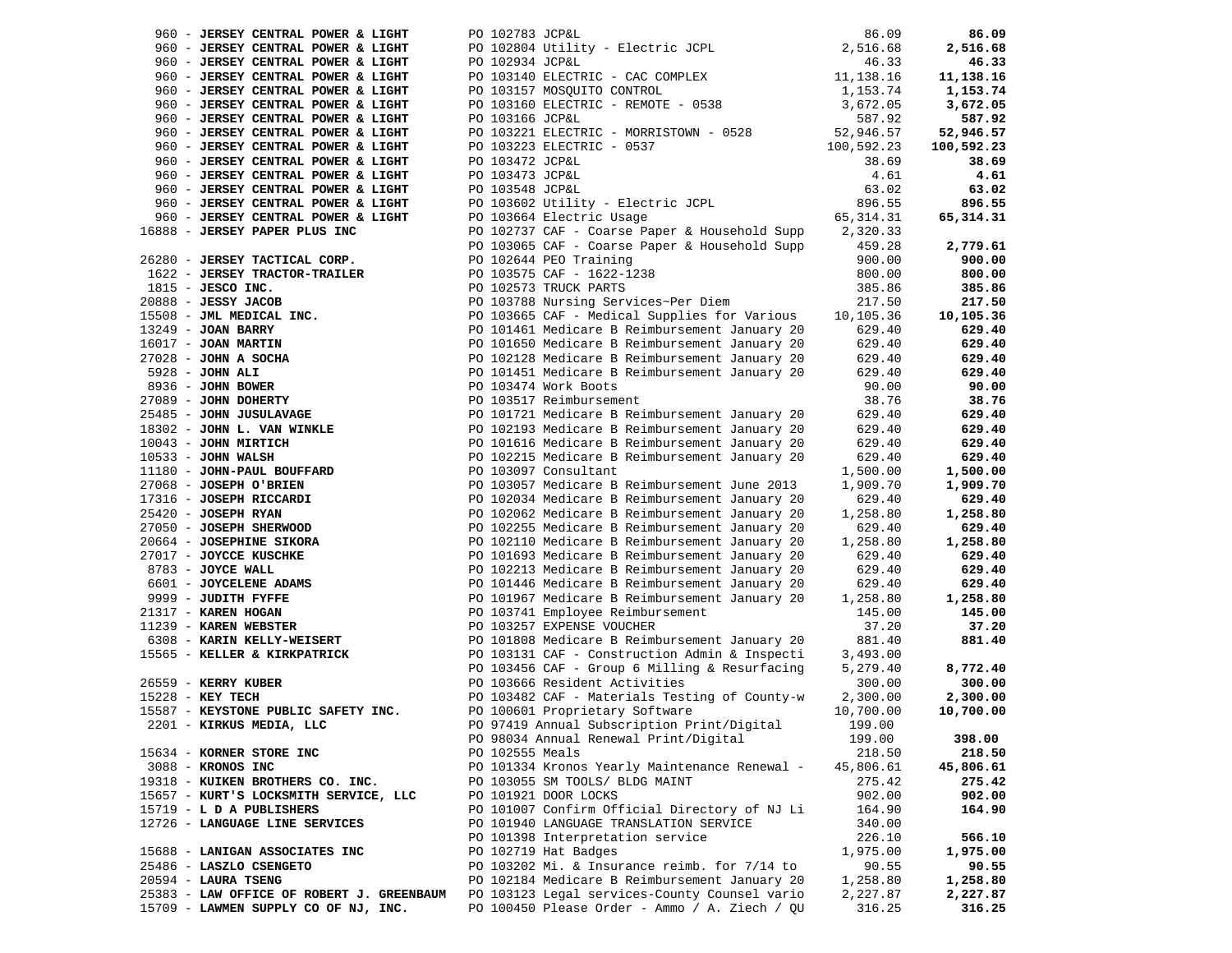| 960 - JERSEY CENTRAL POWER & LIGHT                                                                                                                                                                             | PO 102783 JCP&L |                                                                                     | 86.09                 | 86.09                 |
|----------------------------------------------------------------------------------------------------------------------------------------------------------------------------------------------------------------|-----------------|-------------------------------------------------------------------------------------|-----------------------|-----------------------|
| 960 - JERSEY CENTRAL POWER & LIGHT                                                                                                                                                                             |                 | PO 102804 Utility - Electric JCPL                                                   | 2,516.68              | 2,516.68              |
| 960 - JERSEY CENTRAL POWER & LIGHT                                                                                                                                                                             | PO 102934 JCP&L |                                                                                     | 46.33                 | 46.33                 |
| 960 - JERSEY CENTRAL POWER & LIGHT                                                                                                                                                                             |                 | PO 103140 ELECTRIC - CAC COMPLEX                                                    | 11,138.16             | 11,138.16             |
| 960 - JERSEY CENTRAL POWER & LIGHT                                                                                                                                                                             |                 | PO 103157 MOSQUITO CONTROL                                                          | 1,153.74              | 1,153.74              |
| 960 - JERSEY CENTRAL POWER & LIGHT                                                                                                                                                                             |                 | PO 103160 ELECTRIC - REMOTE - 0538                                                  | 3,672.05              | 3,672.05              |
| 960 - JERSEY CENTRAL POWER & LIGHT                                                                                                                                                                             | PO 103166 JCP&L |                                                                                     | 587.92                | 587.92                |
| 960 - JERSEY CENTRAL POWER & LIGHT                                                                                                                                                                             |                 | PO 103221 ELECTRIC - MORRISTOWN - 0528                                              | 52,946.57             | 52,946.57             |
| 960 - JERSEY CENTRAL POWER & LIGHT                                                                                                                                                                             |                 | PO 103223 ELECTRIC - 0537                                                           | 100,592.23            | 100,592.23            |
| 960 - JERSEY CENTRAL POWER & LIGHT                                                                                                                                                                             | PO 103472 JCP&L |                                                                                     | 38.69                 | 38.69                 |
| 960 - JERSEY CENTRAL POWER & LIGHT                                                                                                                                                                             | PO 103473 JCP&L |                                                                                     | 4.61                  | 4.61                  |
| 960 - JERSEY CENTRAL POWER & LIGHT                                                                                                                                                                             | PO 103548 JCP&L |                                                                                     | 63.02                 | 63.02                 |
| 960 - JERSEY CENTRAL POWER & LIGHT                                                                                                                                                                             |                 | PO 103602 Utility - Electric JCPL<br>PO 103664 Electric Usage                       | 896.55                | 896.55                |
| 960 - JERSEY CENTRAL POWER & LIGHT                                                                                                                                                                             |                 |                                                                                     | 65, 314.31            | 65, 314.31            |
| 16888 - JERSEY PAPER PLUS INC                                                                                                                                                                                  |                 | PO 102737 CAF - Coarse Paper & Household Supp                                       | 2,320.33              |                       |
|                                                                                                                                                                                                                |                 | PO 103065 CAF - Coarse Paper & Household Supp                                       | 459.28                | 2,779.61              |
| 26280 - JERSEY TACTICAL CORP.                                                                                                                                                                                  |                 | PO 102644 PEO Training                                                              | 900.00                | 900.00                |
| 1622 - JERSEY TRACTOR-TRAILER                                                                                                                                                                                  |                 | PO 103575 CAF - 1622-1238                                                           | 800.00                | 800.00                |
| $1815$ - JESCO INC.                                                                                                                                                                                            |                 | PO 102573 TRUCK PARTS                                                               | 385.86                | 385.86                |
| 20888 - JESSY JACOB                                                                                                                                                                                            |                 | PO 103788 Nursing Services~Per Diem                                                 | 217.50                | 217.50                |
|                                                                                                                                                                                                                |                 | PO 103665 CAF - Medical Supplies for Various                                        | 10,105.36             | 10,105.36             |
|                                                                                                                                                                                                                |                 | PO 101461 Medicare B Reimbursement January 20                                       | 629.40                | 629.40                |
|                                                                                                                                                                                                                |                 | PO 101650 Medicare B Reimbursement January 20                                       | 629.40                | 629.40                |
|                                                                                                                                                                                                                |                 | PO 102128 Medicare B Reimbursement January 20                                       | 629.40                | 629.40                |
|                                                                                                                                                                                                                |                 | PO 101451 Medicare B Reimbursement January 20                                       | 629.40                | 629.40                |
| 2000 - USSSI CACS<br>15508 - JML MEDICAL INC.<br>13249 - JOAN BARRY<br>27028 - JOHN A SOCHA<br>5928 - JOHN ALI<br>8936 - JOHN BOWER<br>27089 - JOHN DOHERTY<br>25485 - JOHN DOHERTY<br>25485 - JOHN JUSULAVAGE |                 | PO 103474 Work Boots                                                                | 90.00                 | 90.00                 |
|                                                                                                                                                                                                                |                 | PO 103517 Reimbursement<br>PO 101721 Medicare B Reimbursement January 20            | 38.76<br>629.40       | 38.76<br>629.40       |
|                                                                                                                                                                                                                |                 | PO 102193 Medicare B Reimbursement January 20                                       | 629.40                | 629.40                |
| $25465 - 1041$<br>18302 - JOHN L. VAN WINKLE<br>10043 - JOHN MIRTICH                                                                                                                                           |                 | PO 101616 Medicare B Reimbursement January 20                                       | 629.40                | 629.40                |
| $10533 - JOHN WALSH$                                                                                                                                                                                           |                 | PO 102215 Medicare B Reimbursement January 20                                       | 629.40                | 629.40                |
| 11180 - JOHN-PAUL BOUFFARD                                                                                                                                                                                     |                 | PO 103097 Consultant                                                                | 1,500.00              | 1,500.00              |
| 27068 - JOSEPH O'BRIEN                                                                                                                                                                                         |                 | PO 103057 Medicare B Reimbursement June 2013                                        | 1,909.70              | 1,909.70              |
| 17316 - JOSEPH RICCARDI                                                                                                                                                                                        |                 | PO 102034 Medicare B Reimbursement January 20                                       | 629.40                | 629.40                |
|                                                                                                                                                                                                                |                 | PO 102062 Medicare B Reimbursement January 20                                       | 1,258.80              | 1,258.80              |
| 25420 - <b>JOSEPH RYAN</b><br>27050 - <b>JOSEPH SHERWOOD</b>                                                                                                                                                   |                 | PO 102255 Medicare B Reimbursement January 20                                       | 629.40                | 629.40                |
| 20664 - JOSEPHINE SIKORA                                                                                                                                                                                       |                 | PO 102110 Medicare B Reimbursement January 20                                       | 1,258.80              | 1,258.80              |
| 27017 - JOYCCE KUSCHKE                                                                                                                                                                                         |                 | PO 101693 Medicare B Reimbursement January 20                                       | 629.40                | 629.40                |
| 8783 - JOYCE WALL                                                                                                                                                                                              |                 | PO 102213 Medicare B Reimbursement January 20                                       | 629.40                | 629.40                |
| 6601 - JOYCELENE ADAMS                                                                                                                                                                                         |                 | PO 101446 Medicare B Reimbursement January 20                                       | 629.40                | 629.40                |
| 9999 - JUDITH FYFFE                                                                                                                                                                                            |                 | PO 101967 Medicare B Reimbursement January 20                                       | 1,258.80              | 1,258.80              |
| 21317 - KAREN HOGAN                                                                                                                                                                                            |                 | PO 103741 Employee Reimbursement                                                    | 145.00                | 145.00                |
| 11239 - KAREN WEBSTER                                                                                                                                                                                          |                 | PO 103257 EXPENSE VOUCHER                                                           | 37.20                 | 37.20                 |
| 6308 - KARIN KELLY-WEISERT                                                                                                                                                                                     |                 | PO 101808 Medicare B Reimbursement January 20                                       | 881.40                | 881.40                |
| 15565 - KELLER & KIRKPATRICK                                                                                                                                                                                   |                 | PO 103131 CAF - Construction Admin & Inspecti                                       | 3,493.00              |                       |
|                                                                                                                                                                                                                |                 | PO 103456 CAF - Group 6 Milling & Resurfacing                                       | 5,279.40              | 8,772.40              |
| 26559 - KERRY KUBER                                                                                                                                                                                            |                 | PO 103666 Resident Activities                                                       | 300.00                | 300.00                |
| 15228 - KEY TECH<br>15587 - KEYSTONE PUBLIC SAFETY INC.                                                                                                                                                        |                 | PO 103482 CAF - Materials Testing of County-w<br>PO 100601 Proprietary Software     | 2,300.00<br>10,700.00 | 2,300.00<br>10,700.00 |
|                                                                                                                                                                                                                |                 |                                                                                     |                       |                       |
| 2201 - KIRKUS MEDIA, LLC                                                                                                                                                                                       |                 | PO 97419 Annual Subscription Print/Digital<br>PO 98034 Annual Renewal Print/Digital | 199.00<br>199.00      | 398.00                |
| 15634 - KORNER STORE INC                                                                                                                                                                                       | PO 102555 Meals |                                                                                     | 218.50                | 218.50                |
| 3088 - KRONOS INC                                                                                                                                                                                              |                 | PO 101334 Kronos Yearly Maintenance Renewal -                                       | 45,806.61             | 45,806.61             |
| 19318 - KUIKEN BROTHERS CO. INC.                                                                                                                                                                               |                 | PO 103055 SM TOOLS/ BLDG MAINT                                                      | 275.42                | 275.42                |
| 15657 - KURT'S LOCKSMITH SERVICE, LLC                                                                                                                                                                          |                 | PO 101921 DOOR LOCKS                                                                | 902.00                | 902.00                |
| 15719 - L D A PUBLISHERS                                                                                                                                                                                       |                 | PO 101007 Confirm Official Directory of NJ Li                                       | 164.90                | 164.90                |
| 12726 - LANGUAGE LINE SERVICES                                                                                                                                                                                 |                 | PO 101940 LANGUAGE TRANSLATION SERVICE                                              | 340.00                |                       |
|                                                                                                                                                                                                                |                 | PO 101398 Interpretation service                                                    | 226.10                | 566.10                |
| 15688 - LANIGAN ASSOCIATES INC                                                                                                                                                                                 |                 | PO 102719 Hat Badges                                                                | 1,975.00              | 1,975.00              |
| 25486 - LASZLO CSENGETO                                                                                                                                                                                        |                 | PO 103202 Mi. & Insurance reimb. for 7/14 to                                        | 90.55                 | 90.55                 |
| $20594$ - LAURA TSENG                                                                                                                                                                                          |                 | PO 102184 Medicare B Reimbursement January 20                                       | 1,258.80              | 1,258.80              |
| 25383 - LAW OFFICE OF ROBERT J. GREENBAUM                                                                                                                                                                      |                 | PO 103123 Legal services-County Counsel vario                                       | 2,227.87              | 2,227.87              |
| 15709 - LAWMEN SUPPLY CO OF NJ, INC.                                                                                                                                                                           |                 | PO 100450 Please Order - Ammo / A. Ziech / QU                                       | 316.25                | 316.25                |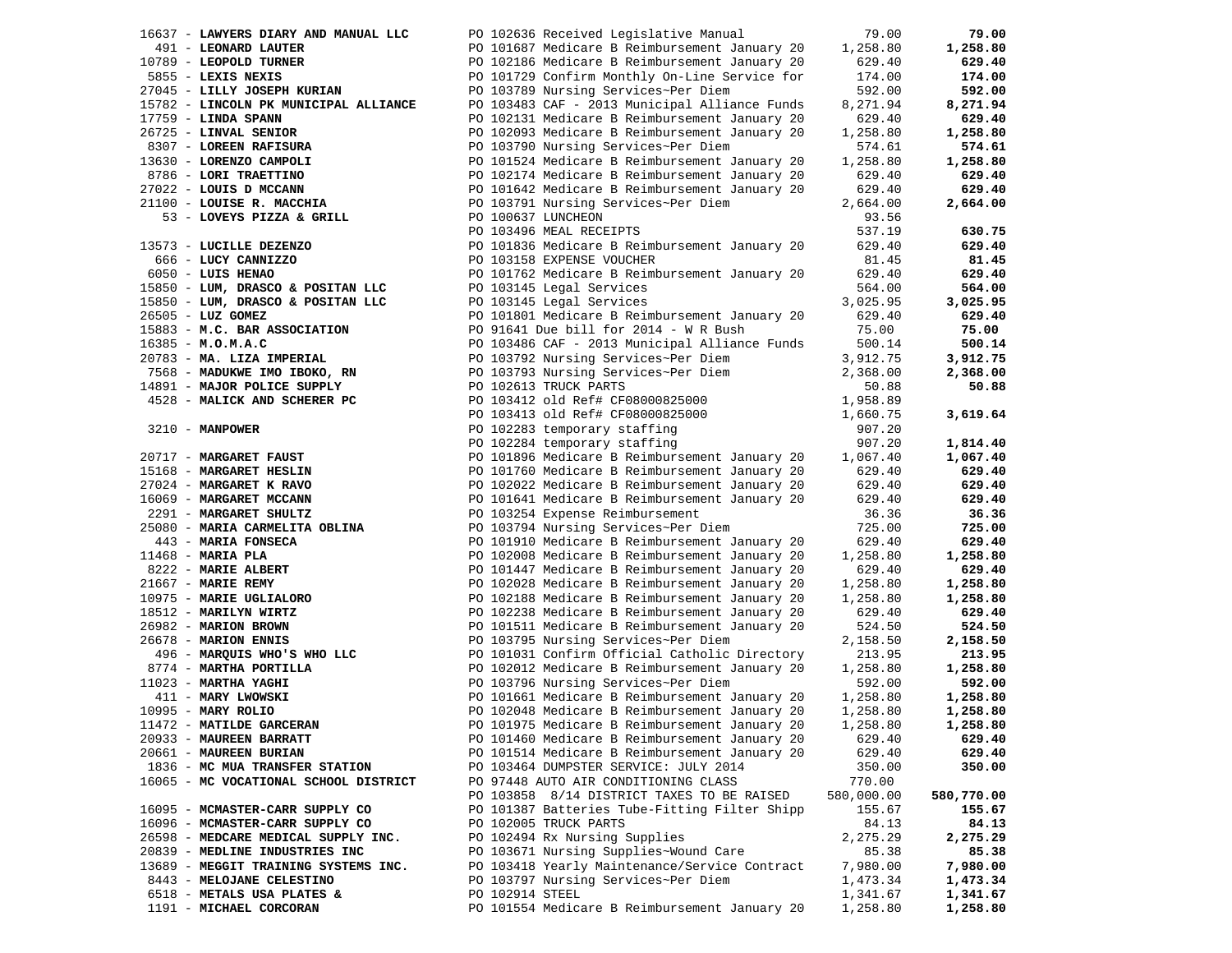| 16637 - LAWYERS DIARY AND MANUAL LLC                               |                    | PO 102636 Received Legislative Manual                                                            | 79.00                | 79.00             |
|--------------------------------------------------------------------|--------------------|--------------------------------------------------------------------------------------------------|----------------------|-------------------|
| 491 - LEONARD LAUTER                                               |                    | PO 101687 Medicare B Reimbursement January 20                                                    | 1,258.80             | 1,258.80          |
| 10789 - LEOPOLD TURNER                                             |                    | PO 102186 Medicare B Reimbursement January 20                                                    | 629.40               | 629.40            |
| 5855 - LEXIS NEXIS                                                 |                    | PO 101729 Confirm Monthly On-Line Service for                                                    | 174.00               | 174.00            |
| 27045 - LILLY JOSEPH KURIAN                                        |                    | PO 103789 Nursing Services~Per Diem                                                              | 592.00               | 592.00            |
| 15782 - LINCOLN PK MUNICIPAL ALLIANCE                              |                    | PO 103483 CAF - 2013 Municipal Alliance Funds                                                    | 8,271.94             | 8,271.94          |
| $17759$ - LINDA SPANN                                              |                    | PO 102131 Medicare B Reimbursement January 20                                                    | 629.40               | 629.40            |
| 26725 - LINVAL SENIOR                                              |                    | PO 102093 Medicare B Reimbursement January 20                                                    | 1,258.80             | 1,258.80          |
| 8307 - LOREEN RAFISURA                                             |                    | PO 103790 Nursing Services~Per Diem                                                              | 574.61               | 574.61            |
| 13630 - LORENZO CAMPOLI                                            |                    | PO 101524 Medicare B Reimbursement January 20                                                    | 1,258.80             | 1,258.80          |
| 8786 - LORI TRAETTINO                                              |                    | PO 102174 Medicare B Reimbursement January 20                                                    | 629.40               | 629.40            |
| 27022 - LOUIS D MCCANN                                             |                    | PO 101642 Medicare B Reimbursement January 20                                                    | 629.40               | 629.40            |
| 21100 - LOUISE R. MACCHIA                                          |                    | PO 103791 Nursing Services~Per Diem                                                              | 2,664.00             | 2,664.00          |
| 53 - LOVEYS PIZZA & GRILL                                          | PO 100637 LUNCHEON |                                                                                                  | 93.56                |                   |
|                                                                    |                    | PO 103496 MEAL RECEIPTS                                                                          | 537.19               | 630.75            |
| 13573 - LUCILLE DEZENZO                                            |                    | PO 101836 Medicare B Reimbursement January 20                                                    | 629.40               | 629.40            |
| 666 - LUCY CANNIZZO                                                |                    | PO 103158 EXPENSE VOUCHER                                                                        | 81.45                | 81.45             |
| 6050 - LUIS HENAO                                                  |                    | PO 101762 Medicare B Reimbursement January 20                                                    | 629.40               | 629.40            |
| 15850 - LUM, DRASCO & POSITAN LLC                                  |                    | PO 103145 Legal Services                                                                         | 564.00               | 564.00            |
| 15850 - LUM, DRASCO & POSITAN LLC                                  |                    | PO 103145 Legal Services                                                                         | 3,025.95             | 3,025.95          |
| $26505$ - LUZ GOMEZ                                                |                    | PO 101801 Medicare B Reimbursement January 20                                                    | 629.40               | 629.40            |
| 15883 - M.C. BAR ASSOCIATION                                       |                    | PO 91641 Due bill for $2014 - W$ R Bush                                                          | 75.00                | 75.00             |
| $16385 - M.0.M.A.C$                                                |                    | PO 103486 CAF - 2013 Municipal Alliance Funds                                                    | 500.14               | 500.14            |
| 20783 - MA. LIZA IMPERIAL                                          |                    | PO 103792 Nursing Services~Per Diem                                                              | 3,912.75             | 3,912.75          |
| 7568 - MADUKWE IMO IBOKO, RN                                       |                    | PO 103793 Nursing Services~Per Diem                                                              | 2,368.00             | 2,368.00          |
| 14891 - MAJOR POLICE SUPPLY                                        |                    | PO 102613 TRUCK PARTS                                                                            | 50.88                | 50.88             |
| 4528 - MALICK AND SCHERER PC                                       |                    | PO 103412 old Ref# CF08000825000                                                                 | 1,958.89             |                   |
|                                                                    |                    |                                                                                                  | 1,660.75             | 3,619.64          |
| 3210 - MANPOWER                                                    |                    | PO 103413 old Ref# CF08000825000<br>PO 102283 temporary staffing<br>PO 102284 temporary staffing | 907.20               |                   |
|                                                                    |                    | PO 102284 temporary staffing                                                                     | 907.20               | 1,814.40          |
| 20717 - MARGARET FAUST                                             |                    | PO 101896 Medicare B Reimbursement January 20                                                    | 1,067.40             | 1,067.40          |
| 15168 - MARGARET HESLIN                                            |                    | PO 101760 Medicare B Reimbursement January 20                                                    | 629.40               | 629.40            |
| 27024 - MARGARET K RAVO                                            |                    | PO 102022 Medicare B Reimbursement January 20                                                    | 629.40               | 629.40            |
| 16069 - MARGARET MCCANN                                            |                    | PO 101641 Medicare B Reimbursement January 20                                                    | 629.40               | 629.40            |
| 2291 - MARGARET SHULTZ                                             |                    | PO 103254 Expense Reimbursement                                                                  | 36.36                | 36.36             |
| 25080 - MARIA CARMELITA OBLINA                                     |                    | PO 103794 Nursing Services~Per Diem                                                              | 725.00               | 725.00            |
| 443 - MARIA FONSECA                                                |                    | PO 101910 Medicare B Reimbursement January 20                                                    | 629.40               | 629.40            |
| $11468$ - MARIA PLA                                                |                    | PO 102008 Medicare B Reimbursement January 20                                                    | 1,258.80             | 1,258.80          |
| 8222 - MARIE ALBERT                                                |                    | PO 101447 Medicare B Reimbursement January 20                                                    | 629.40               | 629.40            |
| $21667$ - MARIE REMY                                               |                    | PO 102028 Medicare B Reimbursement January 20                                                    | 1,258.80             | 1,258.80          |
| 10975 - MARIE UGLIALORO                                            |                    | PO 102188 Medicare B Reimbursement January 20                                                    | 1,258.80             | 1,258.80          |
| 18512 - MARILYN WIRTZ                                              |                    | PO 102238 Medicare B Reimbursement January 20                                                    | 629.40               | 629.40            |
| 26982 - MARION BROWN                                               |                    | PO 101511 Medicare B Reimbursement January 20                                                    | 524.50               | 524.50            |
| 26678 - MARION ENNIS                                               |                    | PO 103795 Nursing Services~Per Diem                                                              | 2,158.50             | 2,158.50          |
| 496 - MARQUIS WHO'S WHO LLC                                        |                    | PO 101031 Confirm Official Catholic Directory                                                    | 213.95               | 213.95            |
| 8774 - MARTHA PORTILLA                                             |                    | PO 102012 Medicare B Reimbursement January 20                                                    | 1,258.80             | 1,258.80          |
| $11023$ - MARTHA YAGHI                                             |                    | PO 103796 Nursing Services~Per Diem                                                              | 592.00               | 592.00            |
| 411 - MARY LWOWSKI                                                 |                    | PO 101661 Medicare B Reimbursement January 20                                                    | 1,258.80             | 1,258.80          |
| 10995 - MARY ROLIO                                                 |                    | PO 102048 Medicare B Reimbursement January 20                                                    | 1,258.80             | 1,258.80          |
| 11472 - MATILDE GARCERAN                                           |                    | PO 101975 Medicare B Reimbursement January 20                                                    | 1,258.80             | 1,258.80          |
| 20933 - MAUREEN BARRATT<br>20661 - MAUREEN BURIAN                  |                    | PO 101460 Medicare B Reimbursement January 20<br>PO 101514 Medicare B Reimbursement January 20   | 629.40               | 629.40            |
| 1836 - MC MUA TRANSFER STATION                                     |                    |                                                                                                  | 629.40               | 629.40            |
|                                                                    |                    | PO 103464 DUMPSTER SERVICE: JULY 2014                                                            | 350.00               | 350.00            |
| 16065 - MC VOCATIONAL SCHOOL DISTRICT                              |                    | PO 97448 AUTO AIR CONDITIONING CLASS<br>PO 103858 8/14 DISTRICT TAXES TO BE RAISED               | 770.00<br>580,000.00 | 580,770.00        |
|                                                                    |                    | PO 101387 Batteries Tube-Fitting Filter Shipp                                                    | 155.67               |                   |
| 16095 - MCMASTER-CARR SUPPLY CO<br>16096 - MCMASTER-CARR SUPPLY CO |                    | PO 102005 TRUCK PARTS                                                                            |                      | 155.67            |
| 26598 - MEDCARE MEDICAL SUPPLY INC.                                |                    | PO 102494 Rx Nursing Supplies                                                                    | 84.13<br>2,275.29    | 84.13<br>2,275.29 |
| 20839 - MEDLINE INDUSTRIES INC                                     |                    | PO 103671 Nursing Supplies~Wound Care                                                            | 85.38                | 85.38             |
| 13689 - MEGGIT TRAINING SYSTEMS INC.                               |                    | PO 103418 Yearly Maintenance/Service Contract                                                    | 7,980.00             | 7,980.00          |
| 8443 - MELOJANE CELESTINO                                          |                    | PO 103797 Nursing Services~Per Diem                                                              | 1,473.34             | 1,473.34          |
| 6518 - METALS USA PLATES &                                         | PO 102914 STEEL    |                                                                                                  | 1,341.67             | 1,341.67          |
| 1191 - MICHAEL CORCORAN                                            |                    | PO 101554 Medicare B Reimbursement January 20                                                    | 1,258.80             | 1,258.80          |
|                                                                    |                    |                                                                                                  |                      |                   |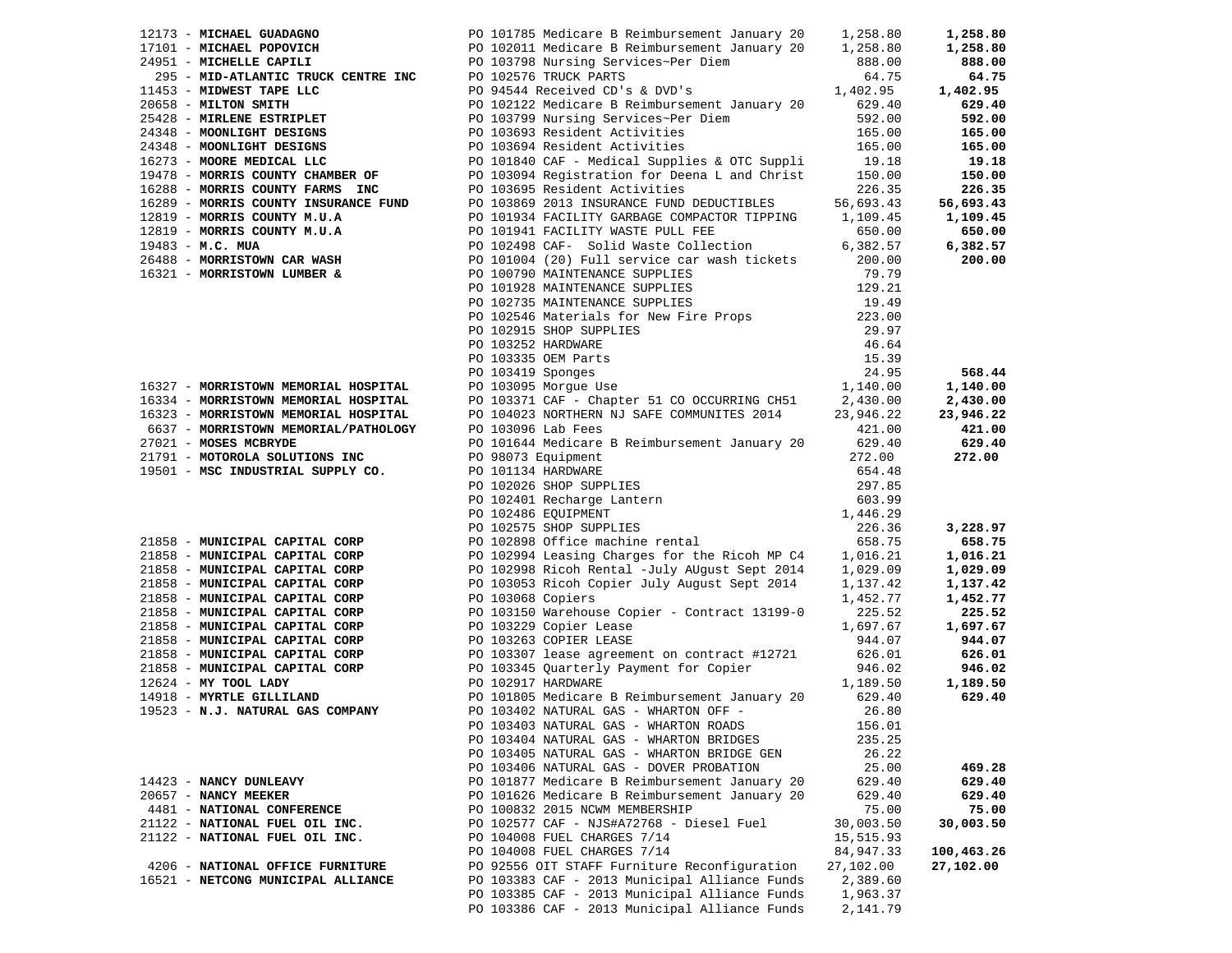| 12173 - MICHAEL GUADAGNO                                                                                                 | PO 101785 Medicare B Reimbursement January 20 1,258.80                                                                                                                                                                                                                                                |                   | 1,258.80   |
|--------------------------------------------------------------------------------------------------------------------------|-------------------------------------------------------------------------------------------------------------------------------------------------------------------------------------------------------------------------------------------------------------------------------------------------------|-------------------|------------|
|                                                                                                                          |                                                                                                                                                                                                                                                                                                       |                   | 1,258.80   |
|                                                                                                                          |                                                                                                                                                                                                                                                                                                       |                   | 888.00     |
|                                                                                                                          |                                                                                                                                                                                                                                                                                                       |                   | 64.75      |
|                                                                                                                          |                                                                                                                                                                                                                                                                                                       | 64.75<br>1,402.95 | 1,402.95   |
|                                                                                                                          |                                                                                                                                                                                                                                                                                                       |                   | 629.40     |
|                                                                                                                          |                                                                                                                                                                                                                                                                                                       |                   | 592.00     |
|                                                                                                                          |                                                                                                                                                                                                                                                                                                       |                   | 165.00     |
|                                                                                                                          |                                                                                                                                                                                                                                                                                                       |                   | 165.00     |
|                                                                                                                          |                                                                                                                                                                                                                                                                                                       |                   | 19.18      |
|                                                                                                                          |                                                                                                                                                                                                                                                                                                       |                   | 150.00     |
|                                                                                                                          |                                                                                                                                                                                                                                                                                                       | 226.35            | 226.35     |
|                                                                                                                          |                                                                                                                                                                                                                                                                                                       | 56,693.43         | 56,693.43  |
|                                                                                                                          | 1928 - MORRIS COUNTY FARMS INC<br>1628 - MORRIS COUNTY FARMS INC<br>1628 - MORRIS COUNTY INSURANCE FUND<br>1829 - MORRIS COUNTY M.U.A<br>1981 - MORRIS COUNTY M.U.A<br>1983 - M.C. MUA<br>2648 - MORRISTOWN CAR WASH<br>2648 - MORRISTOWN CA<br>PO 101934 FACILITY GARBAGE COMPACTOR TIPPING 1,109.45 |                   | 1,109.45   |
|                                                                                                                          |                                                                                                                                                                                                                                                                                                       | 650.00            | 650.00     |
|                                                                                                                          | PO 101911 TROLLETT MARKE Collection                                                                                                                                                                                                                                                                   | 6,382.57          | 6,382.57   |
|                                                                                                                          | PO 101004 (20) Full service car wash tickets 200.00                                                                                                                                                                                                                                                   |                   | 200.00     |
| 16321 - MORRISTOWN LUMBER &                                                                                              | PO 101004 (20) Full service car wash tickets<br>PO 100790 MAINTENANCE SUPPLIES<br>PO 101928 MAINTENANCE SUPPLIES<br>PO 102735 MAINTENANCE SUPPLIES<br>PO 102735 MAINTENANCE SUPPLIES<br>PO 102546 Materials for New Fire Props<br>223.00<br>                                                          |                   |            |
|                                                                                                                          |                                                                                                                                                                                                                                                                                                       |                   |            |
|                                                                                                                          |                                                                                                                                                                                                                                                                                                       |                   |            |
|                                                                                                                          |                                                                                                                                                                                                                                                                                                       |                   |            |
|                                                                                                                          |                                                                                                                                                                                                                                                                                                       |                   |            |
|                                                                                                                          |                                                                                                                                                                                                                                                                                                       |                   |            |
|                                                                                                                          |                                                                                                                                                                                                                                                                                                       |                   |            |
|                                                                                                                          |                                                                                                                                                                                                                                                                                                       |                   | 568.44     |
|                                                                                                                          |                                                                                                                                                                                                                                                                                                       |                   | 1,140.00   |
| 16327 - MORRISTOWN MEMORIAL HOSPITAL<br>16334 - MORRISTOWN MEMORIAL HOSPITAL                                             |                                                                                                                                                                                                                                                                                                       |                   | 2,430.00   |
| 16323 - MORRISTOWN MEMORIAL HOSPITAL                                                                                     |                                                                                                                                                                                                                                                                                                       |                   | 23,946.22  |
|                                                                                                                          | PO 103096 Lab Fees                                                                                                                                                                                                                                                                                    | 421.00            | 421.00     |
| 6637 - MORRISTOWN MEMORIAL/PATHOLOGY<br>27021 - MOSES MCBRYDE<br>21791 - MOTOROLA SOLUTIONS INC<br>27021 - MOSES MCBRYDE |                                                                                                                                                                                                                                                                                                       |                   | 629.40     |
| 21791 - MOTOROLA SOLUTIONS INC                                                                                           | PO 101644 Medicare B Reimbursement January 20 629.40<br>PO 98073 Equipment 272.00                                                                                                                                                                                                                     | 272.00            | 272.00     |
| 19501 - MSC INDUSTRIAL SUPPLY CO.                                                                                        |                                                                                                                                                                                                                                                                                                       | 654.48            |            |
|                                                                                                                          |                                                                                                                                                                                                                                                                                                       | 297.85            |            |
|                                                                                                                          |                                                                                                                                                                                                                                                                                                       | 603.99            |            |
|                                                                                                                          |                                                                                                                                                                                                                                                                                                       | 1,446.29          |            |
|                                                                                                                          |                                                                                                                                                                                                                                                                                                       |                   | 3,228.97   |
|                                                                                                                          | PO 98073 Equipment<br>PO 98073 Equipment<br>PO 101134 HARDWARE<br>PO 102026 SHOP SUPPLIES<br>PO 102401 Recharge Lantern<br>PO 102486 EQUIPMENT<br>PO 102575 SHOP SUPPLIES<br>PO 102898 Office machine rental<br>PO 102898 Office machine renta                                                        |                   | 658.75     |
|                                                                                                                          | 1,446.29<br>21658 - MUNICIPAL CAPITAL CORP<br>21658 - MUNICIPAL CAPITAL CORP<br>21658 - MUNICIPAL CAPITAL CORP<br>21658 - MUNICIPAL CAPITAL CORP<br>21658 - MUNICIPAL CAPITAL CORP<br>21658 - MUNICIPAL CAPITAL CORP<br>21658 - MUNICIPAL CA                                                          |                   | 1,016.21   |
|                                                                                                                          |                                                                                                                                                                                                                                                                                                       |                   | 1,029.09   |
|                                                                                                                          |                                                                                                                                                                                                                                                                                                       |                   | 1,137.42   |
|                                                                                                                          | 21858 <b>- MUNICIPAL CAPITAL CORP</b><br>21858 <b>- MUNICIPAL CAPITAL CORP</b><br>21858 <b>- MUNICIPAL CAPITAL CORP</b><br>21858 <b>- MUNICIPAL CAPITAL CORP</b><br>225.52<br>21858 <b>- MUNICIPAL CAPITAL CORP</b><br>225.52<br>21858 <b>- MUNICIPAL CAPITAL CORP</b><br>22                          |                   | 1,452.77   |
|                                                                                                                          |                                                                                                                                                                                                                                                                                                       |                   | 225.52     |
|                                                                                                                          |                                                                                                                                                                                                                                                                                                       |                   | 1,697.67   |
|                                                                                                                          |                                                                                                                                                                                                                                                                                                       |                   | 944.07     |
|                                                                                                                          |                                                                                                                                                                                                                                                                                                       |                   | 626.01     |
|                                                                                                                          |                                                                                                                                                                                                                                                                                                       | 946.02            | 946.02     |
|                                                                                                                          |                                                                                                                                                                                                                                                                                                       | 1,189.50          | 1,189.50   |
|                                                                                                                          |                                                                                                                                                                                                                                                                                                       |                   | 629.40     |
|                                                                                                                          |                                                                                                                                                                                                                                                                                                       | 26.80             |            |
| 19523 - N.J. NATURAL GAS COMPANY                                                                                         | PO 103402 NATURAL GAS - WHARTON OFF -                                                                                                                                                                                                                                                                 |                   |            |
|                                                                                                                          | PO 103403 NATURAL GAS - WHARTON ROADS                                                                                                                                                                                                                                                                 | 156.01            |            |
|                                                                                                                          | PO 103404 NATURAL GAS - WHARTON BRIDGES                                                                                                                                                                                                                                                               | 235.25            |            |
|                                                                                                                          | PO 103405 NATURAL GAS - WHARTON BRIDGE GEN                                                                                                                                                                                                                                                            | 26.22             |            |
|                                                                                                                          | PO 103406 NATURAL GAS - DOVER PROBATION                                                                                                                                                                                                                                                               | 25.00             | 469.28     |
| 14423 - NANCY DUNLEAVY<br>20657 - NANCY MEEKER                                                                           | PO 101877 Medicare B Reimbursement January 20<br>PO 101626 Medicare B Reimbursement January 20                                                                                                                                                                                                        | 629.40            | 629.40     |
|                                                                                                                          |                                                                                                                                                                                                                                                                                                       | 629.40            | 629.40     |
| 4481 - NATIONAL CONFERENCE                                                                                               | PO 100832 2015 NCWM MEMBERSHIP                                                                                                                                                                                                                                                                        | 75.00             | 75.00      |
| 21122 - NATIONAL FUEL OIL INC.                                                                                           | PO 102577 CAF - NJS#A72768 - Diesel Fuel                                                                                                                                                                                                                                                              | 30,003.50         | 30,003.50  |
| 21122 - NATIONAL FUEL OIL INC.                                                                                           | PO 104008 FUEL CHARGES 7/14                                                                                                                                                                                                                                                                           | 15,515.93         |            |
|                                                                                                                          | PO 104008 FUEL CHARGES 7/14                                                                                                                                                                                                                                                                           | 84,947.33         | 100,463.26 |
| 4206 - NATIONAL OFFICE FURNITURE                                                                                         | PO 92556 OIT STAFF Furniture Reconfiguration                                                                                                                                                                                                                                                          | 27,102.00         | 27,102.00  |
| 16521 - NETCONG MUNICIPAL ALLIANCE                                                                                       | PO 103383 CAF - 2013 Municipal Alliance Funds                                                                                                                                                                                                                                                         | 2,389.60          |            |
|                                                                                                                          | PO 103385 CAF - 2013 Municipal Alliance Funds                                                                                                                                                                                                                                                         | 1,963.37          |            |
|                                                                                                                          | PO 103386 CAF - 2013 Municipal Alliance Funds                                                                                                                                                                                                                                                         | 2,141.79          |            |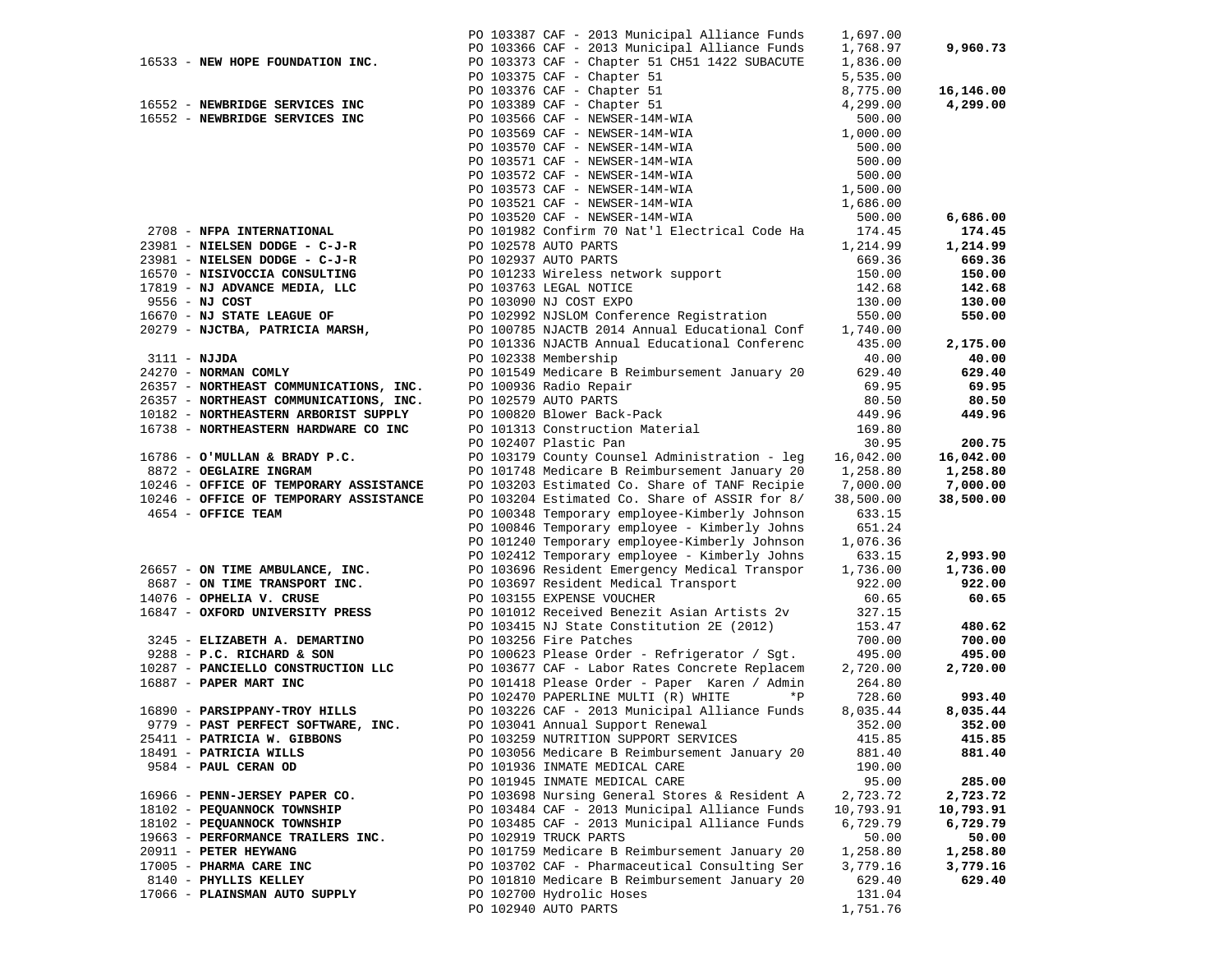|                                        |                                              | PO 103387 CAF - 2013 Municipal Alliance Funds              | 1,697.00  |           |
|----------------------------------------|----------------------------------------------|------------------------------------------------------------|-----------|-----------|
|                                        |                                              | PO 103366 CAF - 2013 Municipal Alliance Funds              | 1,768.97  | 9,960.73  |
| 16533 - NEW HOPE FOUNDATION INC.       |                                              | PO 103373 CAF - Chapter 51 CH51 1422 SUBACUTE              | 1,836.00  |           |
|                                        |                                              |                                                            |           |           |
|                                        |                                              | PO 103375 CAF - Chapter 51                                 | 5,535.00  |           |
|                                        |                                              | PO 103376 CAF - Chapter 51                                 | 8,775.00  | 16,146.00 |
| 16552 - NEWBRIDGE SERVICES INC         |                                              | PO 103389 CAF - Chapter 51                                 | 4,299.00  | 4,299.00  |
| 16552 - NEWBRIDGE SERVICES INC         |                                              | PO 103566 CAF - NEWSER-14M-WIA                             | 500.00    |           |
|                                        |                                              | PO 103569 CAF - NEWSER-14M-WIA                             | 1,000.00  |           |
|                                        |                                              | PO 103570 CAF - NEWSER-14M-WIA                             | 500.00    |           |
|                                        |                                              | PO 103571 CAF - NEWSER-14M-WIA                             | 500.00    |           |
|                                        |                                              | PO 103572 CAF - NEWSER-14M-WIA                             | 500.00    |           |
|                                        |                                              | PO 103573 CAF - NEWSER-14M-WIA                             | 1,500.00  |           |
|                                        |                                              | PO 103521 CAF - NEWSER-14M-WIA                             | 1,686.00  |           |
|                                        |                                              | PO 103520 CAF - NEWSER-14M-WIA                             | 500.00    | 6,686.00  |
| 2708 - NFPA INTERNATIONAL              |                                              | PO 101982 Confirm 70 Nat'l Electrical Code Ha              | 174.45    | 174.45    |
| 23981 - NIELSEN DODGE - C-J-R          | PO 101982 CONTITM 70<br>PO 102578 AUTO PARTS |                                                            | 1,214.99  | 1,214.99  |
| 23981 - NIELSEN DODGE - C-J-R          |                                              |                                                            | 669.36    | 669.36    |
| 16570 - NISIVOCCIA CONSULTING          |                                              | PO 102937 AUTO PARTS<br>PO 101233 Wireless network support | 150.00    | 150.00    |
| 17819 - NJ ADVANCE MEDIA, LLC          |                                              | PO 103763 LEGAL NOTICE                                     | 142.68    | 142.68    |
| 9556 - NJ COST                         |                                              | PO 103090 NJ COST EXPO                                     | 130.00    | 130.00    |
| 16670 - NJ STATE LEAGUE OF             |                                              | PO 102992 NJSLOM Conference Registration                   | 550.00    | 550.00    |
| 20279 - NJCTBA, PATRICIA MARSH,        |                                              | PO 100785 NJACTB 2014 Annual Educational Conf 1,740.00     |           |           |
|                                        |                                              | PO 101336 NJACTB Annual Educational Conferenc              |           |           |
|                                        |                                              |                                                            | 435.00    | 2,175.00  |
| $3111 - NJJDA$                         |                                              | PO 102338 Membership                                       | 40.00     | 40.00     |
| 24270 - NORMAN COMLY                   |                                              | PO 101549 Medicare B Reimbursement January 20              | 629.40    | 629.40    |
| 26357 - NORTHEAST COMMUNICATIONS, INC. |                                              | PO 100936 Radio Repair                                     | 69.95     | 69.95     |
| 26357 - NORTHEAST COMMUNICATIONS, INC. |                                              | PO 102579 AUTO PARTS                                       | 80.50     | 80.50     |
| 10182 - NORTHEASTERN ARBORIST SUPPLY   |                                              | PO 100820 Blower Back-Pack                                 | 449.96    | 449.96    |
| 16738 - NORTHEASTERN HARDWARE CO INC   |                                              | PO 101313 Construction Material                            | 169.80    |           |
|                                        |                                              | PO 102407 Plastic Pan                                      | 30.95     | 200.75    |
| 16786 - O'MULLAN & BRADY P.C.          |                                              | PO 103179 County Counsel Administration - leg              | 16,042.00 | 16,042.00 |
| 8872 - OEGLAIRE INGRAM                 |                                              | PO 101748 Medicare B Reimbursement January 20              | 1,258.80  | 1,258.80  |
| 10246 - OFFICE OF TEMPORARY ASSISTANCE |                                              | PO 103203 Estimated Co. Share of TANF Recipie              | 7,000.00  | 7,000.00  |
| 10246 - OFFICE OF TEMPORARY ASSISTANCE |                                              | PO 103204 Estimated Co. Share of ASSIR for 8/              | 38,500.00 | 38,500.00 |
| 4654 - OFFICE TEAM                     |                                              | PO 100348 Temporary employee-Kimberly Johnson              | 633.15    |           |
|                                        |                                              | PO 100846 Temporary employee - Kimberly Johns              | 651.24    |           |
|                                        |                                              | PO 101240 Temporary employee-Kimberly Johnson              | 1,076.36  |           |
|                                        |                                              | PO 102412 Temporary employee - Kimberly Johns              | 633.15    | 2,993.90  |
| 26657 - ON TIME AMBULANCE, INC.        |                                              | PO 103696 Resident Emergency Medical Transpor              | 1,736.00  | 1,736.00  |
| 8687 - ON TIME TRANSPORT INC.          |                                              | PO 103697 Resident Medical Transport                       | 922.00    | 922.00    |
| 14076 - OPHELIA V. CRUSE               |                                              | PO 103155 EXPENSE VOUCHER                                  | 60.65     | 60.65     |
| 16847 - OXFORD UNIVERSITY PRESS        |                                              | PO 101012 Received Benezit Asian Artists 2v                | 327.15    |           |
|                                        |                                              | PO 103415 NJ State Constitution 2E (2012)                  | 153.47    | 480.62    |
| 3245 - ELIZABETH A. DEMARTINO          |                                              | PO 103256 Fire Patches                                     | 700.00    | 700.00    |
| 9288 - P.C. RICHARD & SON              |                                              | PO 100623 Please Order - Refrigerator / Sgt.               | 495.00    | 495.00    |
| 10287 - PANCIELLO CONSTRUCTION LLC     |                                              | PO 103677 CAF - Labor Rates Concrete Replacem              | 2,720.00  | 2,720.00  |
| 16887 - PAPER MART INC                 |                                              | PO 101418 Please Order - Paper Karen / Admin               | 264.80    |           |
|                                        |                                              | $*_{P}$<br>PO 102470 PAPERLINE MULTI (R) WHITE             | 728.60    | 993.40    |
| 16890 - PARSIPPANY-TROY HILLS          |                                              |                                                            | 8,035.44  | 8,035.44  |
|                                        |                                              | PO 103226 CAF - 2013 Municipal Alliance Funds              |           |           |
| 9779 - PAST PERFECT SOFTWARE, INC.     |                                              | PO 103041 Annual Support Renewal                           | 352.00    | 352.00    |
| 25411 - PATRICIA W. GIBBONS            |                                              | PO 103259 NUTRITION SUPPORT SERVICES                       | 415.85    | 415.85    |
| 18491 - PATRICIA WILLS                 |                                              | PO 103056 Medicare B Reimbursement January 20              | 881.40    | 881.40    |
| 9584 - PAUL CERAN OD                   |                                              | PO 101936 INMATE MEDICAL CARE                              | 190.00    |           |
|                                        |                                              | PO 101945 INMATE MEDICAL CARE                              | 95.00     | 285.00    |
| 16966 - PENN-JERSEY PAPER CO.          |                                              | PO 103698 Nursing General Stores & Resident A              | 2,723.72  | 2,723.72  |
| 18102 - PEQUANNOCK TOWNSHIP            |                                              | PO 103484 CAF - 2013 Municipal Alliance Funds              | 10,793.91 | 10,793.91 |
| 18102 - PEQUANNOCK TOWNSHIP            |                                              | PO 103485 CAF - 2013 Municipal Alliance Funds              | 6,729.79  | 6,729.79  |
| 19663 - PERFORMANCE TRAILERS INC.      |                                              | PO 102919 TRUCK PARTS                                      | 50.00     | 50.00     |
| 20911 - PETER HEYWANG                  |                                              | PO 101759 Medicare B Reimbursement January 20              | 1,258.80  | 1,258.80  |
| 17005 - PHARMA CARE INC                |                                              | PO 103702 CAF - Pharmaceutical Consulting Ser              | 3,779.16  | 3,779.16  |
| 8140 - PHYLLIS KELLEY                  |                                              | PO 101810 Medicare B Reimbursement January 20              | 629.40    | 629.40    |
| 17066 - PLAINSMAN AUTO SUPPLY          |                                              | PO 102700 Hydrolic Hoses                                   | 131.04    |           |
|                                        |                                              | PO 102940 AUTO PARTS                                       | 1,751.76  |           |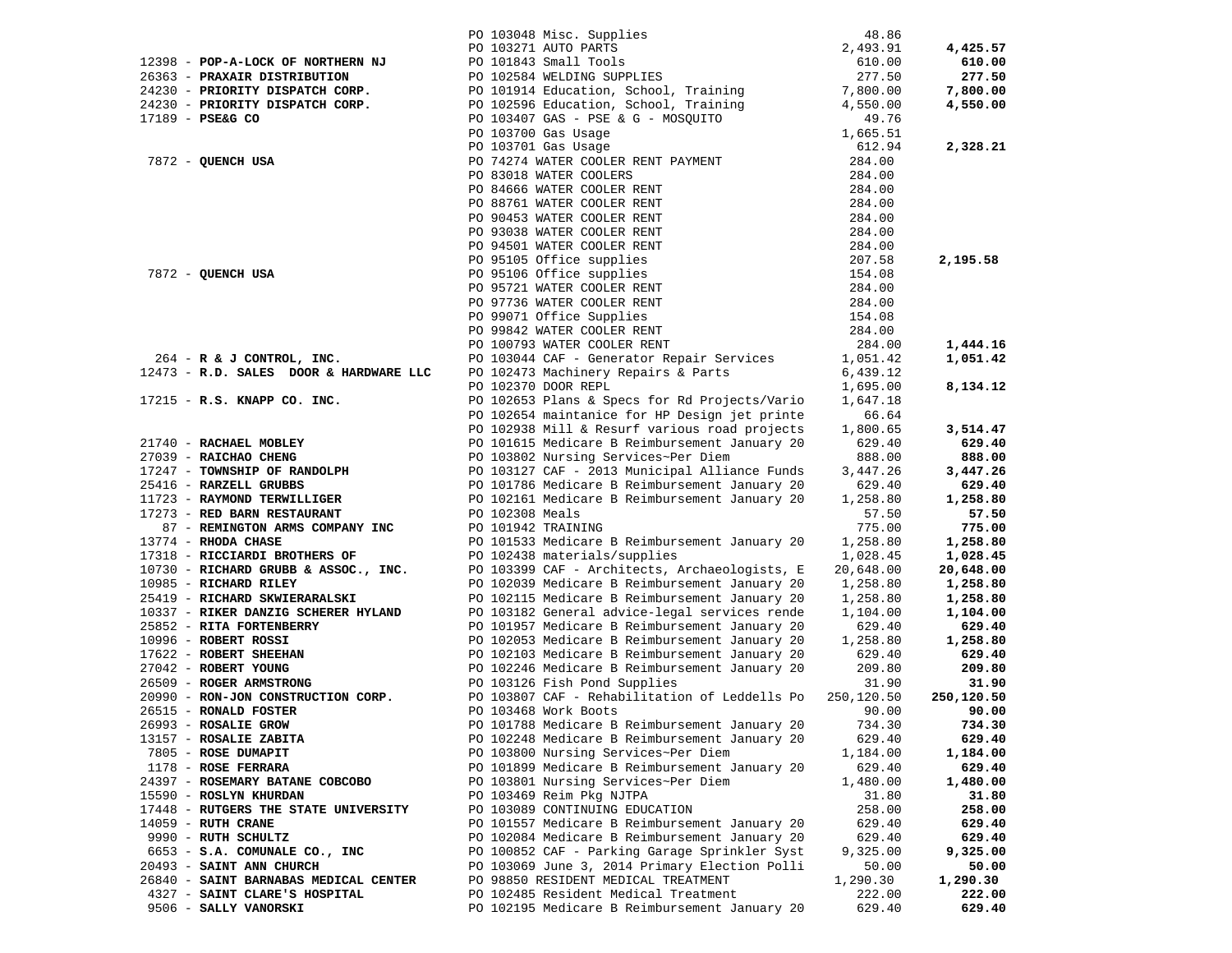|                                        |                                                                                                         | 48.86      |            |
|----------------------------------------|---------------------------------------------------------------------------------------------------------|------------|------------|
|                                        |                                                                                                         | 2,493.91   | 4,425.57   |
| 12398 - POP-A-LOCK OF NORTHERN NJ      | PO 103048 Misc. Supplies<br>PO 103271 AUTO PARTS<br>PO 101843 Small Tools<br>PO 102584 WELDING SUPPLIES | 610.00     | 610.00     |
| 26363 - PRAXAIR DISTRIBUTION           |                                                                                                         | 277.50     | 277.50     |
| 24230 - PRIORITY DISPATCH CORP.        | PO 101914 Education, School, Training                                                                   | 7,800.00   | 7,800.00   |
| 24230 - PRIORITY DISPATCH CORP.        | PO 101914 Equipment, Deligeon, Training<br>PO 102596 Education, School, Training                        | 4,550.00   | 4,550.00   |
| 17189 - PSE&G CO                       | PO 103407 GAS - PSE & G - MOSQUITO                                                                      | 49.76      |            |
|                                        | PO 103700 Gas Usage                                                                                     | 1,665.51   |            |
|                                        | PO 103701 Gas Usage                                                                                     | 612.94     | 2,328.21   |
| 7872 - QUENCH USA                      | PO 74274 WATER COOLER RENT PAYMENT                                                                      | 284.00     |            |
|                                        | PO 83018 WATER COOLERS                                                                                  | 284.00     |            |
|                                        | PO 84666 WATER COOLER RENT                                                                              | 284.00     |            |
|                                        | PO 88761 WATER COOLER RENT                                                                              | 284.00     |            |
|                                        | PO 90453 WATER COOLER RENT                                                                              | 284.00     |            |
|                                        | PO 93038 WATER COOLER RENT                                                                              | 284.00     |            |
|                                        |                                                                                                         |            |            |
|                                        | PO 94501 WATER COOLER RENT                                                                              | 284.00     |            |
|                                        | PO 95105 Office supplies                                                                                | 207.58     | 2,195.58   |
| 7872 - QUENCH USA                      | PO 95106 Office supplies                                                                                | 154.08     |            |
|                                        | PO 95721 WATER COOLER RENT                                                                              | 284.00     |            |
|                                        | PO 97736 WATER COOLER RENT                                                                              | 284.00     |            |
|                                        | PO 99071 Office Supplies                                                                                | 154.08     |            |
|                                        | PO 99842 WATER COOLER RENT                                                                              | 284.00     |            |
|                                        | PO 100793 WATER COOLER RENT                                                                             | 284.00     | 1,444.16   |
| 264 - R & J CONTROL, INC.              | PO 103044 CAF - Generator Repair Services                                                               | 1,051.42   | 1,051.42   |
| 12473 - R.D. SALES DOOR & HARDWARE LLC | PO 102473 Machinery Repairs & Parts                                                                     | 6,439.12   |            |
|                                        | PO 102370 DOOR REPL                                                                                     | 1,695.00   | 8,134.12   |
| 17215 - R.S. KNAPP CO. INC.            | PO 102653 Plans & Specs for Rd Projects/Vario                                                           | 1,647.18   |            |
|                                        | PO 102654 maintanice for HP Design jet printe                                                           | 66.64      |            |
|                                        | PO 102938 Mill & Resurf various road projects                                                           | 1,800.65   | 3,514.47   |
| 21740 - RACHAEL MOBLEY                 | PO 101615 Medicare B Reimbursement January 20                                                           | 629.40     | 629.40     |
| 27039 - RAICHAO CHENG                  | PO 103802 Nursing Services~Per Diem                                                                     | 888.00     | 888.00     |
| 17247 - TOWNSHIP OF RANDOLPH           | PO 103127 CAF - 2013 Municipal Alliance Funds                                                           | 3,447.26   | 3,447.26   |
| 25416 - RARZELL GRUBBS                 | PO 101786 Medicare B Reimbursement January 20                                                           | 629.40     | 629.40     |
| 11723 - RAYMOND TERWILLIGER            | PO 102161 Medicare B Reimbursement January 20                                                           | 1,258.80   | 1,258.80   |
| 17273 - RED BARN RESTAURANT            | PO 102308 Meals                                                                                         | 57.50      | 57.50      |
| 87 - REMINGTON ARMS COMPANY INC        | PO 101942 TRAINING                                                                                      | 775.00     | 775.00     |
| 13774 - RHODA CHASE                    | PO 101533 Medicare B Reimbursement January 20                                                           | 1,258.80   | 1,258.80   |
| 17318 - RICCIARDI BROTHERS OF          | PO 102438 materials/supplies                                                                            | 1,028.45   | 1,028.45   |
| 10730 - RICHARD GRUBB & ASSOC., INC.   | PO 103399 CAF - Architects, Archaeologists, E                                                           | 20,648.00  | 20,648.00  |
| 10985 - RICHARD RILEY                  | PO 102039 Medicare B Reimbursement January 20                                                           | 1,258.80   | 1,258.80   |
| 25419 - RICHARD SKWIERARALSKI          | PO 102115 Medicare B Reimbursement January 20                                                           | 1,258.80   | 1,258.80   |
|                                        |                                                                                                         |            |            |
| 10337 - RIKER DANZIG SCHERER HYLAND    | PO 103182 General advice-legal services rende                                                           | 1,104.00   | 1,104.00   |
| 25852 - RITA FORTENBERRY               | PO 101957 Medicare B Reimbursement January 20                                                           | 629.40     | 629.40     |
| 10996 - ROBERT ROSSI                   | PO 102053 Medicare B Reimbursement January 20                                                           | 1,258.80   | 1,258.80   |
| 17622 - ROBERT SHEEHAN                 | PO 102103 Medicare B Reimbursement January 20                                                           | 629.40     | 629.40     |
| 27042 - ROBERT YOUNG                   | PO 102246 Medicare B Reimbursement January 20                                                           | 209.80     | 209.80     |
| 26509 - ROGER ARMSTRONG                | PO 103126 Fish Pond Supplies                                                                            | 31.90      | 31.90      |
| 20990 - RON-JON CONSTRUCTION CORP.     | PO 103807 CAF - Rehabilitation of Leddells Po                                                           | 250,120.50 | 250,120.50 |
| 26515 - RONALD FOSTER                  | PO 103468 Work Boots                                                                                    | 90.00      | 90.00      |
| 26993 - ROSALIE GROW                   | PO 101788 Medicare B Reimbursement January 20                                                           | 734.30     | 734.30     |
| 13157 - ROSALIE ZABITA                 | PO 102248 Medicare B Reimbursement January 20                                                           | 629.40     | 629.40     |
| 7805 - ROSE DUMAPIT                    | PO 103800 Nursing Services~Per Diem                                                                     | 1,184.00   | 1,184.00   |
| 1178 - ROSE FERRARA                    | PO 101899 Medicare B Reimbursement January 20                                                           | 629.40     | 629.40     |
| 24397 - ROSEMARY BATANE COBCOBO        | PO 103801 Nursing Services~Per Diem                                                                     | 1,480.00   | 1,480.00   |
| 15590 - ROSLYN KHURDAN                 | PO 103469 Reim Pkg NJTPA                                                                                | 31.80      | 31.80      |
| 17448 - RUTGERS THE STATE UNIVERSITY   | PO 103089 CONTINUING EDUCATION                                                                          | 258.00     | 258.00     |
| 14059 - RUTH CRANE                     | PO 101557 Medicare B Reimbursement January 20                                                           | 629.40     | 629.40     |
| 9990 - RUTH SCHULTZ                    | PO 102084 Medicare B Reimbursement January 20                                                           | 629.40     | 629.40     |
| 6653 - S.A. COMUNALE CO., INC          | PO 100852 CAF - Parking Garage Sprinkler Syst                                                           | 9,325.00   | 9,325.00   |
| 20493 - SAINT ANN CHURCH               | PO 103069 June 3, 2014 Primary Election Polli                                                           | 50.00      | 50.00      |
| 26840 - SAINT BARNABAS MEDICAL CENTER  | PO 98850 RESIDENT MEDICAL TREATMENT                                                                     | 1,290.30   | 1,290.30   |
| 4327 - SAINT CLARE'S HOSPITAL          | PO 102485 Resident Medical Treatment                                                                    | 222.00     | 222.00     |
| 9506 - SALLY VANORSKI                  | PO 102195 Medicare B Reimbursement January 20                                                           | 629.40     | 629.40     |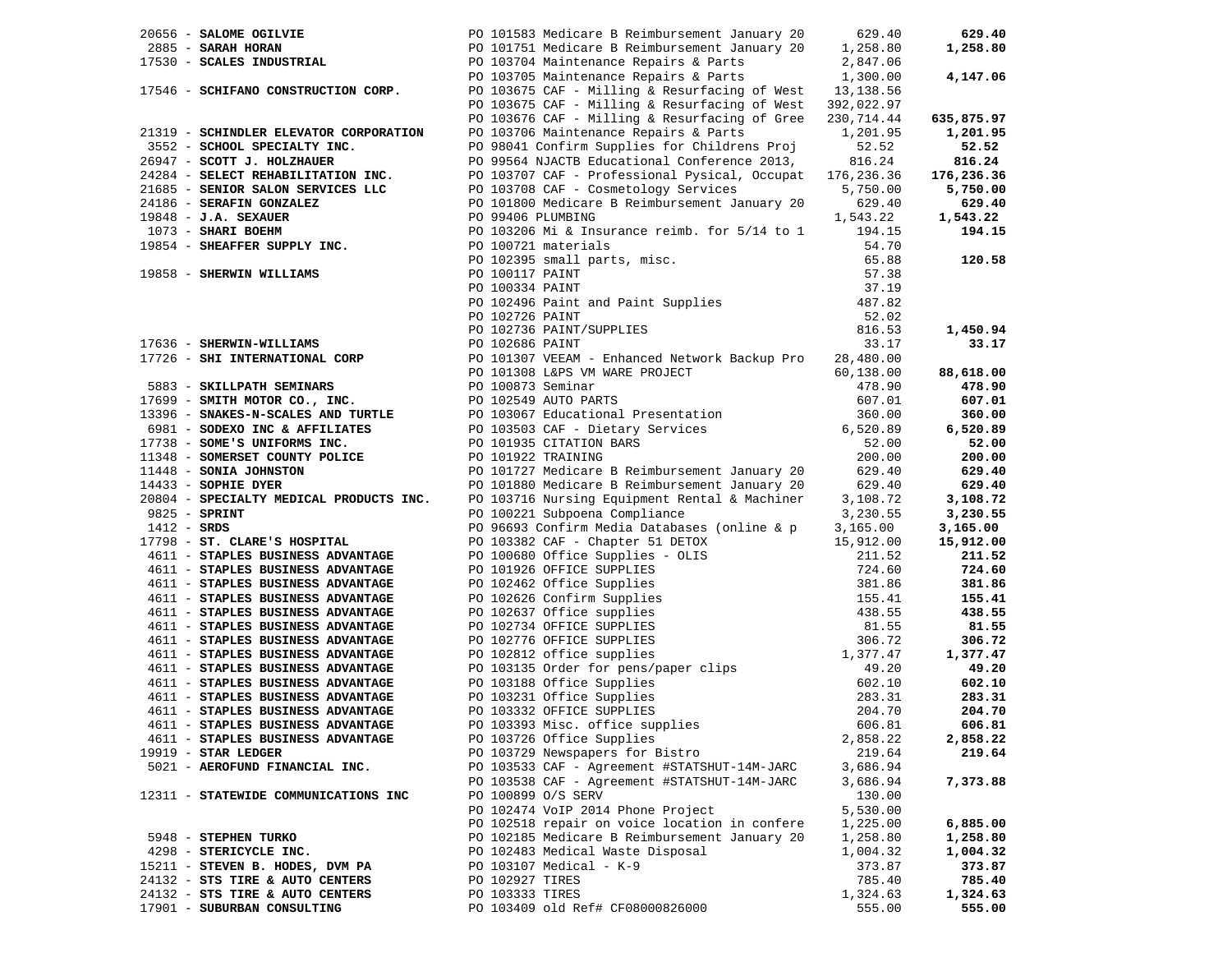|               |                                      |                 | 20056 - SALOME OGILVIE PO 101583 Medicare B Reimbursement January 20 629.40<br>2885 - SARAH HORAN PO 101751 Medicare B Reimbursement January 20 1,258.80<br>2895 - SCALES INDUSTRIAL PO 103704 Maintenance Repairs & Parts 2,847.       |          | 629.40     |
|---------------|--------------------------------------|-----------------|-----------------------------------------------------------------------------------------------------------------------------------------------------------------------------------------------------------------------------------------|----------|------------|
|               |                                      |                 |                                                                                                                                                                                                                                         |          | 1,258.80   |
|               |                                      |                 |                                                                                                                                                                                                                                         |          |            |
|               |                                      |                 |                                                                                                                                                                                                                                         |          | 4,147.06   |
|               |                                      |                 |                                                                                                                                                                                                                                         |          |            |
|               |                                      |                 |                                                                                                                                                                                                                                         |          |            |
|               |                                      |                 | PO 103675 CAF - Milling & Resurfacing of West 392,022.97<br>PO 103676 CAF - Milling & Resurfacing of Gree 230,714.44                                                                                                                    |          | 635,875.97 |
|               |                                      |                 |                                                                                                                                                                                                                                         |          | 1,201.95   |
|               |                                      |                 |                                                                                                                                                                                                                                         |          | 52.52      |
|               |                                      |                 |                                                                                                                                                                                                                                         |          | 816.24     |
|               |                                      |                 |                                                                                                                                                                                                                                         |          | 176,236.36 |
|               |                                      |                 |                                                                                                                                                                                                                                         |          | 5,750.00   |
|               |                                      |                 |                                                                                                                                                                                                                                         |          | 629.40     |
|               |                                      |                 |                                                                                                                                                                                                                                         |          | 1,543.22   |
|               |                                      |                 |                                                                                                                                                                                                                                         |          | 194.15     |
|               |                                      |                 |                                                                                                                                                                                                                                         |          |            |
|               |                                      |                 |                                                                                                                                                                                                                                         |          | 120.58     |
|               |                                      |                 |                                                                                                                                                                                                                                         |          |            |
|               |                                      |                 |                                                                                                                                                                                                                                         |          |            |
|               |                                      |                 |                                                                                                                                                                                                                                         |          |            |
|               |                                      |                 |                                                                                                                                                                                                                                         |          |            |
|               |                                      |                 |                                                                                                                                                                                                                                         |          | 1,450.94   |
|               |                                      |                 |                                                                                                                                                                                                                                         |          | 33.17      |
|               |                                      |                 |                                                                                                                                                                                                                                         |          |            |
|               |                                      |                 |                                                                                                                                                                                                                                         |          | 88,618.00  |
|               |                                      |                 |                                                                                                                                                                                                                                         |          | 478.90     |
|               |                                      |                 |                                                                                                                                                                                                                                         |          | 607.01     |
|               |                                      |                 |                                                                                                                                                                                                                                         |          | 360.00     |
|               |                                      |                 |                                                                                                                                                                                                                                         |          | 6,520.89   |
|               |                                      |                 |                                                                                                                                                                                                                                         |          | 52.00      |
|               |                                      |                 |                                                                                                                                                                                                                                         |          | 200.00     |
|               |                                      |                 |                                                                                                                                                                                                                                         |          | 629.40     |
|               |                                      |                 | 21319 - SCHEMELE MEWIND PO 103675 CAF - Willing & Resurracing of Gree 230,023,97<br>22552 - SCHOOL SPECIALITY REC.<br>22552 - SCHOOL SPECIALITY REC.<br>22552 - SCHOOL SPECIALITY REC.<br>22552 - SCHOOL SPECIALITY REC.<br>22552 - SCH |          | 629.40     |
|               |                                      |                 |                                                                                                                                                                                                                                         |          | 3,108.72   |
|               |                                      |                 |                                                                                                                                                                                                                                         |          | 3,230.55   |
| $1412 -$ SRDS |                                      |                 | 10 100221 Subpoema Compilance 3,230.55<br>PO 96693 Confirm Media Databases (online & p 3,165.00                                                                                                                                         |          | 3,165.00   |
|               | 17798 - ST. CLARE'S HOSPITAL         |                 |                                                                                                                                                                                                                                         |          | 15,912.00  |
|               |                                      |                 |                                                                                                                                                                                                                                         |          | 211.52     |
|               |                                      |                 |                                                                                                                                                                                                                                         |          | 724.60     |
|               |                                      |                 |                                                                                                                                                                                                                                         |          | 381.86     |
|               |                                      |                 |                                                                                                                                                                                                                                         |          | 155.41     |
|               |                                      |                 |                                                                                                                                                                                                                                         |          | 438.55     |
|               |                                      |                 |                                                                                                                                                                                                                                         |          | 81.55      |
|               |                                      |                 |                                                                                                                                                                                                                                         |          | 306.72     |
|               |                                      |                 |                                                                                                                                                                                                                                         |          | 1,377.47   |
|               |                                      |                 |                                                                                                                                                                                                                                         |          | 49.20      |
|               |                                      |                 |                                                                                                                                                                                                                                         |          | 602.10     |
|               |                                      |                 |                                                                                                                                                                                                                                         |          | 283.31     |
|               |                                      |                 |                                                                                                                                                                                                                                         |          | 204.70     |
|               | 4611 - STAPLES BUSINESS ADVANTAGE    |                 | PO 103393 Misc. office supplies 606.81                                                                                                                                                                                                  |          | 606.81     |
|               | 4611 - STAPLES BUSINESS ADVANTAGE    |                 | PO 103726 Office Supplies                                                                                                                                                                                                               | 2,858.22 | 2,858.22   |
|               | $19919 - STR LEDGER$                 |                 | PO 103729 Newspapers for Bistro                                                                                                                                                                                                         | 219.64   | 219.64     |
|               | 5021 - AEROFUND FINANCIAL INC.       |                 | PO 103533 CAF - Agreement #STATSHUT-14M-JARC                                                                                                                                                                                            | 3,686.94 |            |
|               |                                      |                 | PO 103538 CAF - Agreement #STATSHUT-14M-JARC                                                                                                                                                                                            | 3,686.94 | 7,373.88   |
|               | 12311 - STATEWIDE COMMUNICATIONS INC |                 | PO 100899 O/S SERV                                                                                                                                                                                                                      | 130.00   |            |
|               |                                      |                 | PO 102474 VoIP 2014 Phone Project                                                                                                                                                                                                       | 5,530.00 |            |
|               |                                      |                 | PO 102518 repair on voice location in confere                                                                                                                                                                                           | 1,225.00 | 6,885.00   |
|               | 5948 - STEPHEN TURKO                 |                 | PO 102185 Medicare B Reimbursement January 20                                                                                                                                                                                           | 1,258.80 | 1,258.80   |
|               | 4298 - STERICYCLE INC.               |                 | PO 102483 Medical Waste Disposal                                                                                                                                                                                                        | 1,004.32 | 1,004.32   |
|               | 15211 - STEVEN B. HODES, DVM PA      |                 | PO 103107 Medical - K-9                                                                                                                                                                                                                 | 373.87   | 373.87     |
|               | 24132 - STS TIRE & AUTO CENTERS      | PO 102927 TIRES |                                                                                                                                                                                                                                         | 785.40   | 785.40     |
|               | 24132 - STS TIRE & AUTO CENTERS      | PO 103333 TIRES |                                                                                                                                                                                                                                         | 1,324.63 | 1,324.63   |
|               | 17901 - SUBURBAN CONSULTING          |                 | PO 103409 old Ref# CF08000826000                                                                                                                                                                                                        | 555.00   | 555.00     |
|               |                                      |                 |                                                                                                                                                                                                                                         |          |            |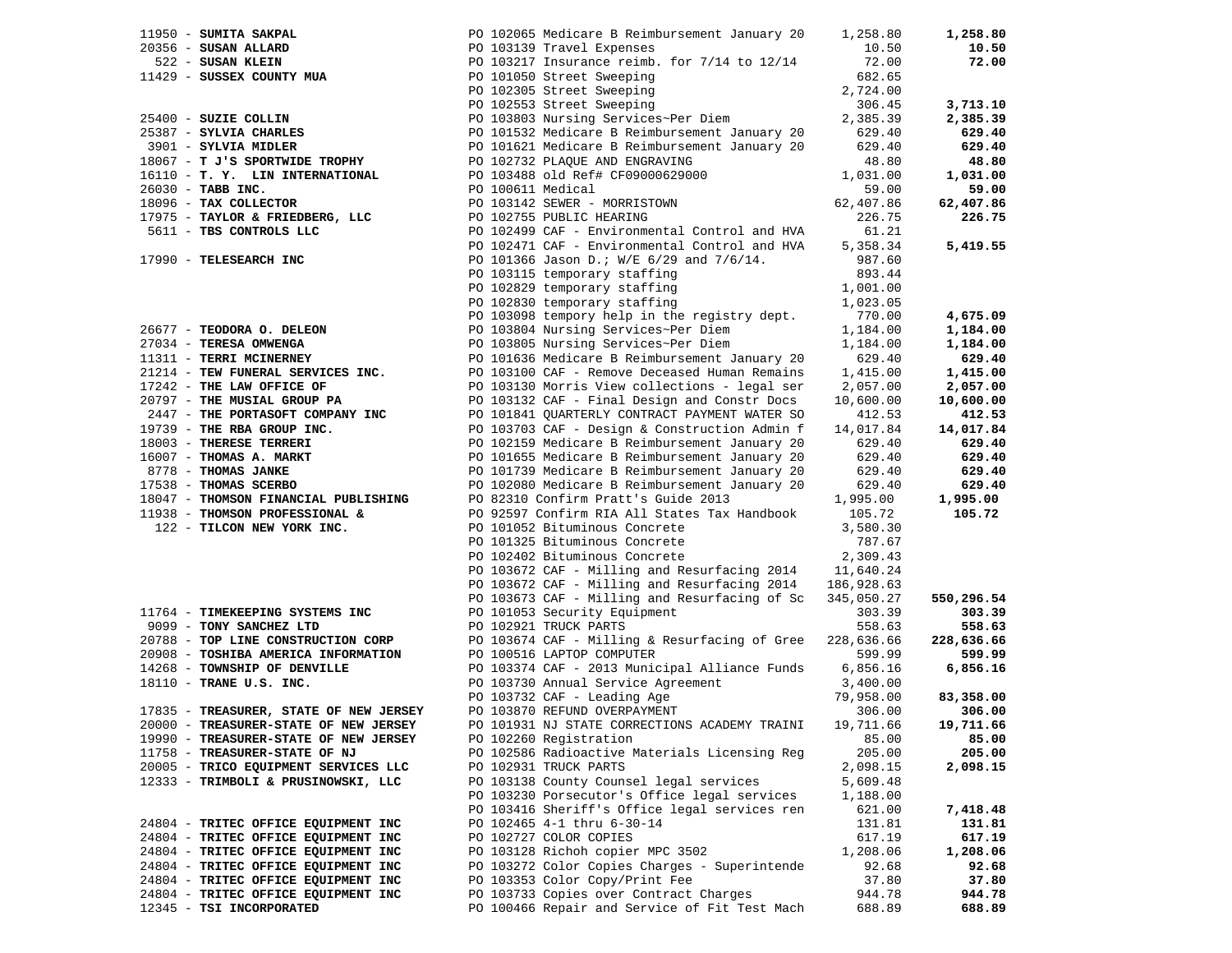|                                                                                     |                   |                                                                                                                                                                                                                                                | 1,258.80   | 1,258.80   |
|-------------------------------------------------------------------------------------|-------------------|------------------------------------------------------------------------------------------------------------------------------------------------------------------------------------------------------------------------------------------------|------------|------------|
|                                                                                     |                   |                                                                                                                                                                                                                                                | 10.50      | 10.50      |
|                                                                                     |                   |                                                                                                                                                                                                                                                | 72.00      | 72.00      |
|                                                                                     |                   |                                                                                                                                                                                                                                                | 682.65     |            |
|                                                                                     |                   |                                                                                                                                                                                                                                                | 2,724.00   |            |
|                                                                                     |                   | 90 102065 Medicare B Reimbursement January 20 1,<br>20356 - SUSAN MLLARD PO 102065 Medicare B Reimbursement January 20 1,<br>522 - SUSAN MLLARD PO 103217 Insurance reimb. for 7/14 to 12/14<br>11429 - SUSSEX COUNTY MUA PO 1013121           | 306.45     | 3,713.10   |
|                                                                                     |                   |                                                                                                                                                                                                                                                | 2,385.39   | 2,385.39   |
|                                                                                     |                   |                                                                                                                                                                                                                                                | 629.40     | 629.40     |
|                                                                                     |                   |                                                                                                                                                                                                                                                | 629.40     | 629.40     |
|                                                                                     |                   |                                                                                                                                                                                                                                                | 48.80      | 48.80      |
|                                                                                     |                   |                                                                                                                                                                                                                                                | 1,031.00   | 1,031.00   |
| 26030 - TABB INC.                                                                   | PO 100611 Medical |                                                                                                                                                                                                                                                | 59.00      | 59.00      |
| 18096 - TAX COLLECTOR                                                               |                   | PO 103142 SEWER - MORRISTOWN                                                                                                                                                                                                                   | 62,407.86  | 62,407.86  |
|                                                                                     |                   |                                                                                                                                                                                                                                                | 226.75     | 226.75     |
|                                                                                     |                   |                                                                                                                                                                                                                                                | 61.21      |            |
|                                                                                     |                   |                                                                                                                                                                                                                                                | 5,358.34   | 5,419.55   |
|                                                                                     |                   |                                                                                                                                                                                                                                                | 987.60     |            |
|                                                                                     |                   | 17975 - TAYLOR & FRIEDBERG, LLC<br>5611 - TBS CONTROLS LLC<br>17990 - TELESEARCH INC<br>17990 - TELESEARCH INC<br>17990 - TELESEARCH INC<br>17990 - TELESEARCH INC<br>17990 - TELESEARCH INC<br>17990 - TELESEARCH INC<br>17990 - TELESEARCH I |            |            |
|                                                                                     |                   |                                                                                                                                                                                                                                                |            |            |
|                                                                                     |                   |                                                                                                                                                                                                                                                |            |            |
|                                                                                     |                   |                                                                                                                                                                                                                                                |            |            |
|                                                                                     |                   |                                                                                                                                                                                                                                                |            | 4,675.09   |
|                                                                                     |                   | FOR THE CONSUMERED POSSIBING POSSIBING POSSIBING POSSIBING POSSIBING POSSIBING POSSIBING POSSIBING POSSIBING POSSIBING POSSIBING POSSIBING POSSIBING POSSIBING POSSIBING POSSIBING POSSIBING POSSIBING POSSIBING POSSIBING POS                 |            | 1,184.00   |
|                                                                                     |                   |                                                                                                                                                                                                                                                |            | 1,184.00   |
|                                                                                     |                   |                                                                                                                                                                                                                                                |            | 629.40     |
|                                                                                     |                   |                                                                                                                                                                                                                                                |            | 1,415.00   |
| 17242 - THE LAW OFFICE OF                                                           |                   | PO 103130 Morris View collections - legal ser<br>PO 103132 CAF - Final Design and Constr Docs                                                                                                                                                  | 2,057.00   | 2,057.00   |
| 20797 - THE MUSIAL GROUP PA                                                         |                   |                                                                                                                                                                                                                                                | 10,600.00  | 10,600.00  |
|                                                                                     |                   |                                                                                                                                                                                                                                                | 412.53     | 412.53     |
|                                                                                     |                   |                                                                                                                                                                                                                                                | 14,017.84  | 14,017.84  |
|                                                                                     |                   |                                                                                                                                                                                                                                                | 629.40     | 629.40     |
|                                                                                     |                   |                                                                                                                                                                                                                                                | 629.40     | 629.40     |
| 16007 - THOMAS A. MARKT<br>8778 - THOMAS JANKE<br>17538 - THOMAS SCERBO             |                   | PO 101739 Medicare B Reimbursement January 20<br>PO 102080 Medicare B Reimbursement January 20                                                                                                                                                 | 629.40     | 629.40     |
|                                                                                     |                   |                                                                                                                                                                                                                                                | 629.40     | 629.40     |
|                                                                                     |                   | 18047 - THOMSON FINANCIAL PUBLISHING PO 82310 Confirm Pratt's Guide 2013                                                                                                                                                                       | 1,995.00   | 1,995.00   |
| 11938 - THOMSON PROFESSIONAL &                                                      |                   | PO 92597 Confirm RIA All States Tax Handbook 105.72                                                                                                                                                                                            |            | 105.72     |
| 122 - TILCON NEW YORK INC.                                                          |                   |                                                                                                                                                                                                                                                | 3,580.30   |            |
|                                                                                     |                   | PO 101052 Bituminous Concrete<br>PO 101325 Bituminous Concrete<br>PO 102402 Bituminous Concrete                                                                                                                                                | 787.67     |            |
|                                                                                     |                   |                                                                                                                                                                                                                                                | 2,309.43   |            |
|                                                                                     |                   | PO 103672 CAF - Milling and Resurfacing 2014 11,640.24                                                                                                                                                                                         |            |            |
|                                                                                     |                   | PO 103672 CAF - Milling and Resurfacing 2014                                                                                                                                                                                                   | 186,928.63 |            |
|                                                                                     |                   | PO 103673 CAF - Milling and Resurfacing of Sc                                                                                                                                                                                                  | 345,050.27 | 550,296.54 |
| 11764 - TIMEKEEPING SYSTEMS INC<br>9099 - TONY SANCHEZ LTD<br>PO 102921 TRUCK PARTS |                   |                                                                                                                                                                                                                                                | 303.39     | 303.39     |
| 9099 - TONY SANCHEZ LTD                                                             |                   | PO 102921 TRUCK PARTS                                                                                                                                                                                                                          | 558.63     | 558.63     |
|                                                                                     |                   |                                                                                                                                                                                                                                                | 228,636.66 | 228,636.66 |
|                                                                                     |                   | 20788 - TOP LINE CONSTRUCTION CORP<br>20908 - TOP LINE CONSTRUCTION CORP DO 103674 CAF - Milling & Resurfacing of Gree                                                                                                                         | 599.99     | 599.99     |
|                                                                                     |                   | 14268 - TOWNSHIP OF DENVILLE <a>&gt; PO<br/> 103374 CAF - 2013 Municipal Alliance Funds <a> 6,856.16</a></a>                                                                                                                                   |            | 6,856.16   |
| 18110 - TRANE U.S. INC.                                                             |                   |                                                                                                                                                                                                                                                | 3,400.00   |            |
|                                                                                     |                   | PO 103730 Annual Service Agreement<br>PO 103732 CAF - Leading Age<br>PO 103870 REFUND OVERPAYMENT                                                                                                                                              | 79,958.00  | 83,358.00  |
| 17835 - TREASURER, STATE OF NEW JERSEY                                              |                   |                                                                                                                                                                                                                                                | 306.00     | 306.00     |
| 20000 - TREASURER-STATE OF NEW JERSEY                                               |                   | PO 101931 NJ STATE CORRECTIONS ACADEMY TRAINI                                                                                                                                                                                                  | 19,711.66  | 19,711.66  |
| 19990 - TREASURER-STATE OF NEW JERSEY                                               |                   | PO 102260 Registration                                                                                                                                                                                                                         | 85.00      | 85.00      |
| 11758 - TREASURER-STATE OF NJ                                                       |                   | PO 102586 Radioactive Materials Licensing Reg                                                                                                                                                                                                  | 205.00     | 205.00     |
| 20005 - TRICO EQUIPMENT SERVICES LLC                                                |                   | PO 102931 TRUCK PARTS                                                                                                                                                                                                                          | 2,098.15   | 2,098.15   |
| 12333 - TRIMBOLI & PRUSINOWSKI, LLC                                                 |                   | PO 103138 County Counsel legal services                                                                                                                                                                                                        | 5,609.48   |            |
|                                                                                     |                   | PO 103230 Porsecutor's Office legal services                                                                                                                                                                                                   | 1,188.00   |            |
|                                                                                     |                   | PO 103416 Sheriff's Office legal services ren                                                                                                                                                                                                  | 621.00     | 7,418.48   |
| 24804 - TRITEC OFFICE EQUIPMENT INC                                                 |                   | PO 102465 4-1 thru 6-30-14                                                                                                                                                                                                                     | 131.81     | 131.81     |
| 24804 - TRITEC OFFICE EQUIPMENT INC                                                 |                   | PO 102727 COLOR COPIES                                                                                                                                                                                                                         | 617.19     | 617.19     |
| 24804 - TRITEC OFFICE EQUIPMENT INC                                                 |                   | PO 103128 Richoh copier MPC 3502                                                                                                                                                                                                               | 1,208.06   | 1,208.06   |
| 24804 - TRITEC OFFICE EQUIPMENT INC                                                 |                   | PO 103272 Color Copies Charges - Superintende                                                                                                                                                                                                  | 92.68      | 92.68      |
| 24804 - TRITEC OFFICE EQUIPMENT INC                                                 |                   | PO 103353 Color Copy/Print Fee                                                                                                                                                                                                                 | 37.80      | 37.80      |
| 24804 - TRITEC OFFICE EQUIPMENT INC                                                 |                   | PO 103733 Copies over Contract Charges                                                                                                                                                                                                         | 944.78     | 944.78     |
| 12345 - TSI INCORPORATED                                                            |                   | PO 100466 Repair and Service of Fit Test Mach                                                                                                                                                                                                  | 688.89     | 688.89     |
|                                                                                     |                   |                                                                                                                                                                                                                                                |            |            |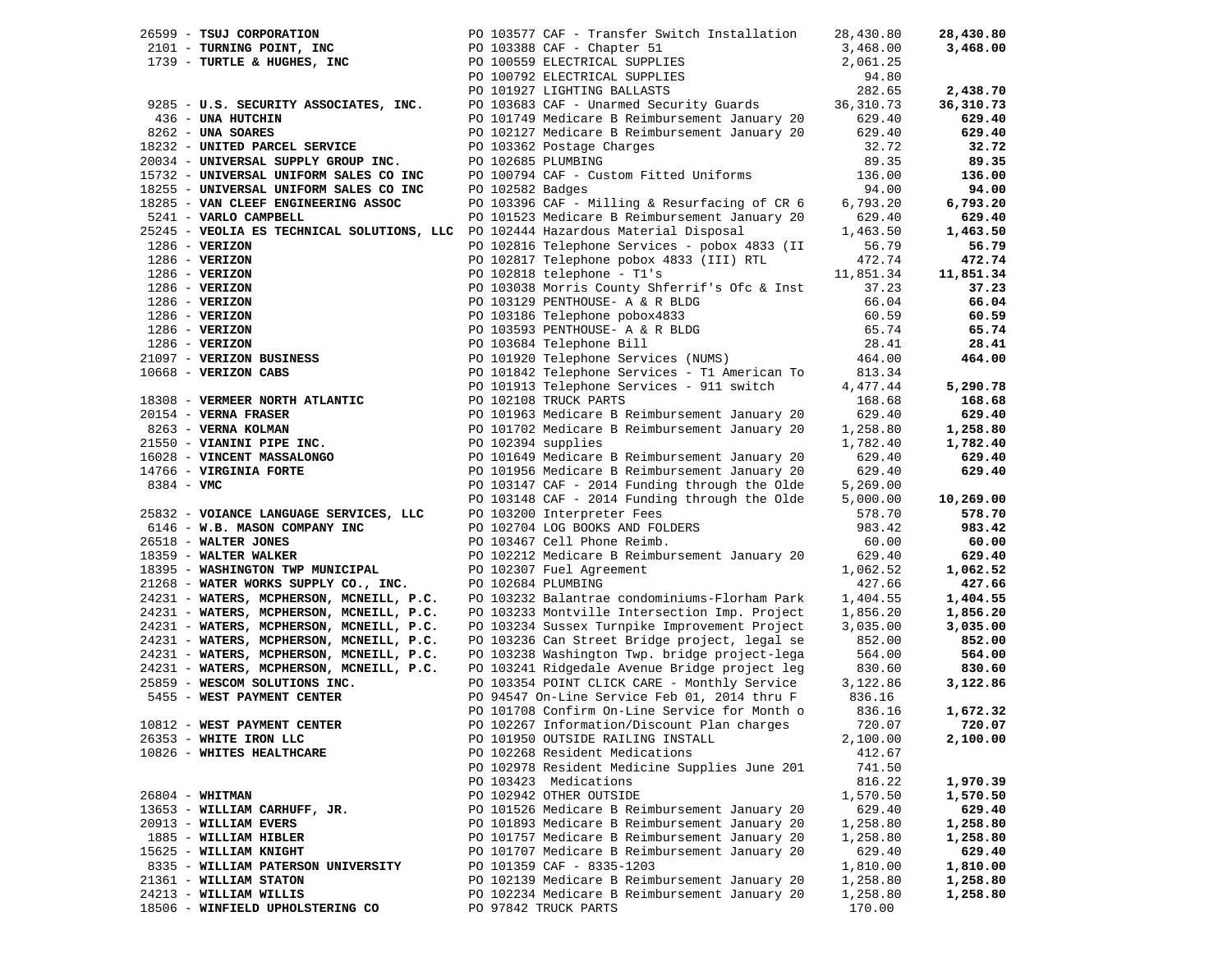|              | 26599 - TSUJ CORPORATION                                                         |                    | PO 103577 CAF - Transfer Switch Installation                     | 28,430.80 | 28,430.80 |
|--------------|----------------------------------------------------------------------------------|--------------------|------------------------------------------------------------------|-----------|-----------|
|              | 2101 - TURNING POINT, INC                                                        |                    | PO 103388 CAF - Chapter 51                                       | 3,468.00  | 3,468.00  |
|              |                                                                                  |                    | 1739 - TURTLE & HUGHES, INC PO 100559 ELECTRICAL SUPPLIES        | 2,061.25  |           |
|              |                                                                                  |                    |                                                                  | 94.80     |           |
|              |                                                                                  |                    | PO 100792 ELECTRICAL SUPPLIES<br>PO 101927 LIGHTING BALLASTS     | 282.65    | 2,438.70  |
|              | 9285 - U.S. SECURITY ASSOCIATES, INC.                                            |                    | PO 103683 CAF - Unarmed Security Guards 36,310.73                |           | 36,310.73 |
|              | 436 - UNA HUTCHIN                                                                |                    | PO 101749 Medicare B Reimbursement January 20                    | 629.40    | 629.40    |
|              | 8262 - UNA SOARES                                                                |                    | PO 102127 Medicare B Reimbursement January 20                    | 629.40    | 629.40    |
|              | 18232 - UNITED PARCEL SERVICE                                                    |                    | PO 103362 Postage Charges                                        | 32.72     | 32.72     |
|              | 20034 - UNIVERSAL SUPPLY GROUP INC.                                              | PO 102685 PLUMBING |                                                                  | 89.35     | 89.35     |
|              | 15732 - UNIVERSAL UNIFORM SALES CO INC                                           |                    | PO 100794 CAF - Custom Fitted Uniforms                           | 136.00    | 136.00    |
|              |                                                                                  | PO 102582 Badges   |                                                                  |           |           |
|              | 18255 - UNIVERSAL UNIFORM SALES CO INC                                           |                    |                                                                  | 94.00     | 94.00     |
|              | 18285 - VAN CLEEF ENGINEERING ASSOC                                              |                    | PO 103396 CAF - Milling & Resurfacing of CR 6                    | 6,793.20  | 6,793.20  |
|              | 5241 - VARLO CAMPBELL                                                            |                    | PO 101523 Medicare B Reimbursement January 20                    | 629.40    | 629.40    |
|              | 25245 - VEOLIA ES TECHNICAL SOLUTIONS, LLC PO 102444 Hazardous Material Disposal |                    |                                                                  | 1,463.50  | 1,463.50  |
|              | $1286$ - VERIZON                                                                 |                    | PO 102816 Telephone Services - pobox 4833 (II                    | 56.79     | 56.79     |
|              | $1286 - VERIZON$                                                                 |                    | PO 102817 Telephone pobox 4833 (III) RTL                         | 472.74    | 472.74    |
|              | $1286$ - VERIZON                                                                 |                    | PO 102818 telephone - T1's                                       | 11,851.34 | 11,851.34 |
|              | $1286 - VERIZON$                                                                 |                    | PO 103038 Morris County Shferrif's Ofc & Inst                    | 37.23     | 37.23     |
|              | $1286$ - VERIZON                                                                 |                    | FO 103186 PENTHOUSE- A & R BLDG<br>PO 103186 Telephone pobox4833 | 66.04     | 66.04     |
|              | $1286$ - VERIZON                                                                 |                    |                                                                  | 60.59     | 60.59     |
|              | $1286$ - VERIZON                                                                 |                    | PO 103593 PENTHOUSE- A & R BLDG<br>po 103684 Telephone Bill      | 65.74     | 65.74     |
|              | $1286$ - VERIZON                                                                 |                    | PO 103684 Telephone Bill                                         | 28.41     | 28.41     |
|              | 21097 - VERIZON BUSINESS                                                         |                    | PO 101920 Telephone Services (NUMS)                              | 464.00    | 464.00    |
|              | 10668 - VERIZON CABS                                                             |                    | PO 101842 Telephone Services - T1 American To                    | 813.34    |           |
|              |                                                                                  |                    | PO 101913 Telephone Services - 911 switch                        | 4,477.44  | 5,290.78  |
|              | 18308 - VERMEER NORTH ATLANTIC                                                   |                    | PO 102108 TRUCK PARTS                                            | 168.68    | 168.68    |
|              | $20154$ - VERNA FRASER                                                           |                    |                                                                  |           |           |
|              |                                                                                  |                    | PO 101963 Medicare B Reimbursement January 20                    | 629.40    | 629.40    |
|              | 8263 - VERNA KOLMAN                                                              |                    | PO 101702 Medicare B Reimbursement January 20                    | 1,258.80  | 1,258.80  |
|              | 21550 - VIANINI PIPE INC.                                                        | PO 102394 supplies |                                                                  | 1,782.40  | 1,782.40  |
|              | 16028 - VINCENT MASSALONGO                                                       |                    | PO 101649 Medicare B Reimbursement January 20                    | 629.40    | 629.40    |
|              | 14766 - VIRGINIA FORTE                                                           |                    | PO 101956 Medicare B Reimbursement January 20                    | 629.40    | 629.40    |
| $8384 - VMC$ |                                                                                  |                    | PO 103147 CAF - 2014 Funding through the Olde                    | 5,269.00  |           |
|              |                                                                                  |                    | PO 103148 CAF - 2014 Funding through the Olde                    | 5,000.00  | 10,269.00 |
|              | 25832 - VOIANCE LANGUAGE SERVICES, LLC                                           |                    | PO 103200 Interpreter Fees                                       | 578.70    | 578.70    |
|              | 6146 - W.B. MASON COMPANY INC                                                    |                    | PO 102704 LOG BOOKS AND FOLDERS                                  | 983.42    | 983.42    |
|              | 26518 - WALTER JONES                                                             |                    | PO 103467 Cell Phone Reimb.                                      | 60.00     | 60.00     |
|              | 18359 - WALTER WALKER                                                            |                    | PO 102212 Medicare B Reimbursement January 20                    | 629.40    | 629.40    |
|              | 18395 - WASHINGTON TWP MUNICIPAL                                                 |                    | PO 102307 Fuel Agreement                                         | 1,062.52  | 1,062.52  |
|              | 21268 - WATER WORKS SUPPLY CO., INC.                                             | PO 102684 PLUMBING |                                                                  | 427.66    | 427.66    |
|              | 24231 - WATERS, MCPHERSON, MCNEILL, P.C.                                         |                    | PO 103232 Balantrae condominiums-Florham Park                    | 1,404.55  | 1,404.55  |
|              | 24231 - WATERS, MCPHERSON, MCNEILL, P.C.                                         |                    | PO 103233 Montville Intersection Imp. Project                    | 1,856.20  | 1,856.20  |
|              | 24231 - WATERS, MCPHERSON, MCNEILL, P.C.                                         |                    | PO 103234 Sussex Turnpike Improvement Project                    | 3,035.00  | 3,035.00  |
|              | 24231 - WATERS, MCPHERSON, MCNEILL, P.C.                                         |                    | PO 103236 Can Street Bridge project, legal se                    | 852.00    | 852.00    |
|              | 24231 - WATERS, MCPHERSON, MCNEILL, P.C.                                         |                    | PO 103238 Washington Twp. bridge project-lega                    | 564.00    | 564.00    |
|              | 24231 - WATERS, MCPHERSON, MCNEILL, P.C.                                         |                    | PO 103241 Ridgedale Avenue Bridge project leg                    | 830.60    | 830.60    |
|              | 25859 - WESCOM SOLUTIONS INC.                                                    |                    | PO 103354 POINT CLICK CARE - Monthly Service                     | 3,122.86  | 3,122.86  |
|              | 5455 - WEST PAYMENT CENTER                                                       |                    | PO 94547 On-Line Service Feb 01, 2014 thru F                     | 836.16    |           |
|              |                                                                                  |                    | PO 101708 Confirm On-Line Service for Month o                    | 836.16    | 1,672.32  |
|              | 10812 - WEST PAYMENT CENTER                                                      |                    | PO 102267 Information/Discount Plan charges                      | 720.07    | 720.07    |
|              |                                                                                  |                    |                                                                  |           |           |
|              | 26353 - WHITE IRON LLC                                                           |                    | PO 101950 OUTSIDE RAILING INSTALL                                | 2,100.00  | 2,100.00  |
|              | 10826 - WHITES HEALTHCARE                                                        |                    | PO 102268 Resident Medications                                   | 412.67    |           |
|              |                                                                                  |                    | PO 102978 Resident Medicine Supplies June 201                    | 741.50    |           |
|              |                                                                                  |                    | PO 103423 Medications                                            | 816.22    | 1,970.39  |
|              | $26804 - \text{WHITMAN}$                                                         |                    | PO 102942 OTHER OUTSIDE                                          | 1,570.50  | 1,570.50  |
|              | 13653 - WILLIAM CARHUFF, JR.                                                     |                    | PO 101526 Medicare B Reimbursement January 20                    | 629.40    | 629.40    |
|              | 20913 - WILLIAM EVERS                                                            |                    | PO 101893 Medicare B Reimbursement January 20                    | 1,258.80  | 1,258.80  |
|              | 1885 - WILLIAM HIBLER                                                            |                    | PO 101757 Medicare B Reimbursement January 20                    | 1,258.80  | 1,258.80  |
|              | 15625 - WILLIAM KNIGHT                                                           |                    | PO 101707 Medicare B Reimbursement January 20                    | 629.40    | 629.40    |
|              | 8335 - WILLIAM PATERSON UNIVERSITY                                               |                    | PO 101359 CAF - 8335-1203                                        | 1,810.00  | 1,810.00  |
|              | 21361 - WILLIAM STATON                                                           |                    | PO 102139 Medicare B Reimbursement January 20                    | 1,258.80  | 1,258.80  |
|              | 24213 - WILLIAM WILLIS                                                           |                    | PO 102234 Medicare B Reimbursement January 20                    | 1,258.80  | 1,258.80  |
|              | 18506 - WINFIELD UPHOLSTERING CO                                                 |                    | PO 97842 TRUCK PARTS                                             | 170.00    |           |
|              |                                                                                  |                    |                                                                  |           |           |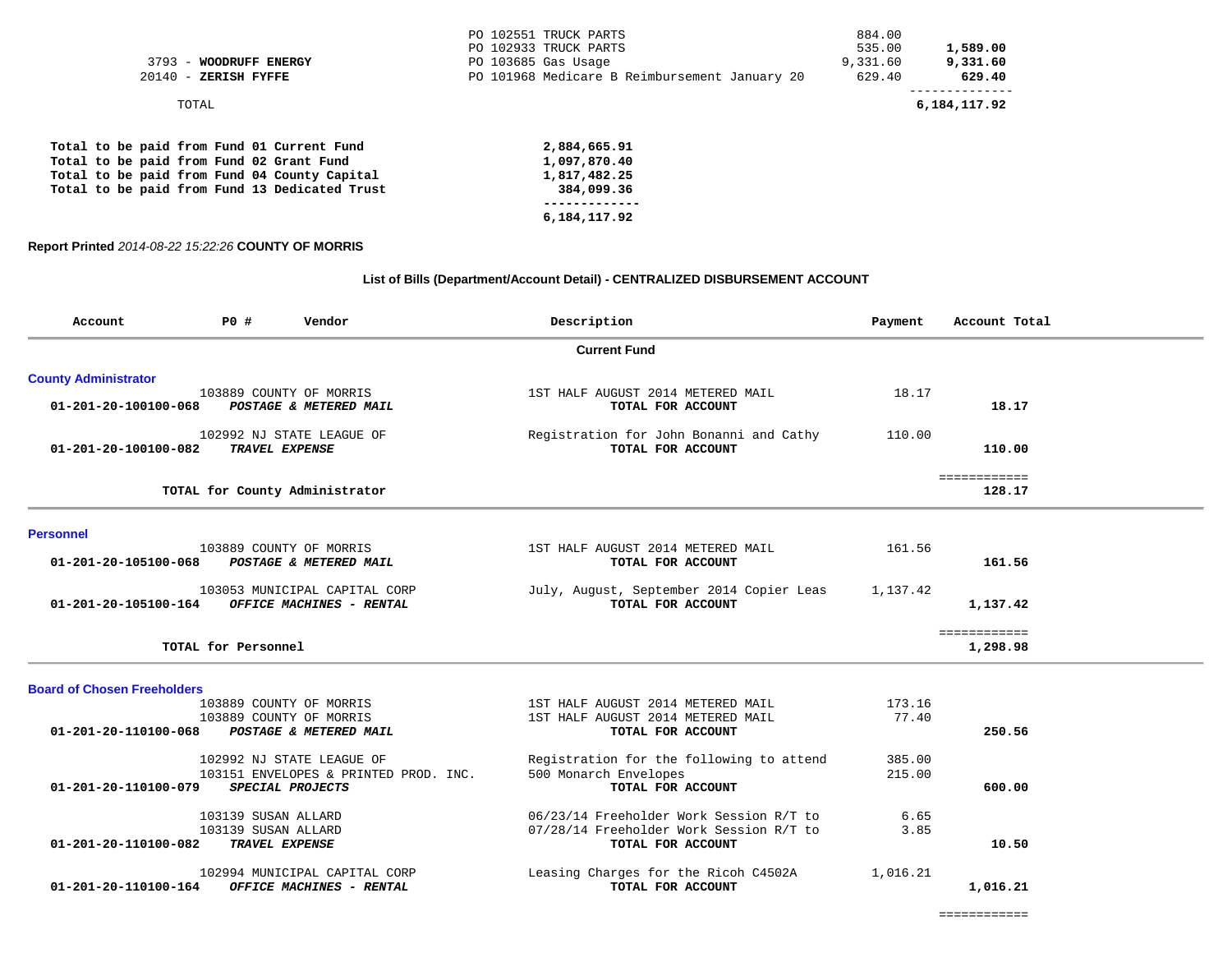|                        | PO 102551 TRUCK PARTS                         | 884.00   |              |
|------------------------|-----------------------------------------------|----------|--------------|
|                        | PO 102933 TRUCK PARTS                         | 535.00   | 1,589.00     |
| 3793 - WOODRUFF ENERGY | PO 103685 Gas Usage                           | 9,331.60 | 9,331.60     |
| $20140$ - ZERISH FYFFE | PO 101968 Medicare B Reimbursement January 20 | 629.40   | 629.40       |
|                        |                                               |          |              |
| TOTAL                  |                                               |          | 6,184,117.92 |

| Total to be paid from Fund 01 Current Fund    | 2,884,665.91 |
|-----------------------------------------------|--------------|
| Total to be paid from Fund 02 Grant Fund      | 1,097,870.40 |
| Total to be paid from Fund 04 County Capital  | 1,817,482.25 |
| Total to be paid from Fund 13 Dedicated Trust | 384,099.36   |
|                                               |              |
|                                               | 6,184,117.92 |

### **Report Printed** *2014-08-22 15:22:26* **COUNTY OF MORRIS**

# **List of Bills (Department/Account Detail) - CENTRALIZED DISBURSEMENT ACCOUNT**

| Account                                             | P0 #                                                         | Vendor                                                                                 | Description                                                                                             | Payment          | Account Total            |
|-----------------------------------------------------|--------------------------------------------------------------|----------------------------------------------------------------------------------------|---------------------------------------------------------------------------------------------------------|------------------|--------------------------|
|                                                     |                                                              |                                                                                        | <b>Current Fund</b>                                                                                     |                  |                          |
| <b>County Administrator</b><br>01-201-20-100100-068 |                                                              | 103889 COUNTY OF MORRIS<br>POSTAGE & METERED MAIL                                      | 1ST HALF AUGUST 2014 METERED MAIL<br>TOTAL FOR ACCOUNT                                                  | 18.17            | 18.17                    |
| 01-201-20-100100-082                                | TRAVEL EXPENSE                                               | 102992 NJ STATE LEAGUE OF                                                              | Registration for John Bonanni and Cathy<br>TOTAL FOR ACCOUNT                                            | 110.00           | 110.00                   |
|                                                     |                                                              | TOTAL for County Administrator                                                         |                                                                                                         |                  | ============<br>128.17   |
| <b>Personnel</b><br>01-201-20-105100-068            |                                                              | 103889 COUNTY OF MORRIS<br>POSTAGE & METERED MAIL                                      | 1ST HALF AUGUST 2014 METERED MAIL<br>TOTAL FOR ACCOUNT                                                  | 161.56           | 161.56                   |
| 01-201-20-105100-164                                |                                                              | 103053 MUNICIPAL CAPITAL CORP<br>OFFICE MACHINES - RENTAL                              | July, August, September 2014 Copier Leas<br>TOTAL FOR ACCOUNT                                           | 1,137.42         | 1,137.42                 |
|                                                     | TOTAL for Personnel                                          |                                                                                        |                                                                                                         |                  | ============<br>1,298.98 |
| <b>Board of Chosen Freeholders</b>                  |                                                              |                                                                                        |                                                                                                         |                  |                          |
| 01-201-20-110100-068                                |                                                              | 103889 COUNTY OF MORRIS<br>103889 COUNTY OF MORRIS<br>POSTAGE & METERED MAIL           | 1ST HALF AUGUST 2014 METERED MAIL<br>1ST HALF AUGUST 2014 METERED MAIL<br>TOTAL FOR ACCOUNT             | 173.16<br>77.40  | 250.56                   |
| 01-201-20-110100-079                                |                                                              | 102992 NJ STATE LEAGUE OF<br>103151 ENVELOPES & PRINTED PROD. INC.<br>SPECIAL PROJECTS | Registration for the following to attend<br>500 Monarch Envelopes<br>TOTAL FOR ACCOUNT                  | 385.00<br>215.00 | 600.00                   |
| 01-201-20-110100-082                                | 103139 SUSAN ALLARD<br>103139 SUSAN ALLARD<br>TRAVEL EXPENSE |                                                                                        | 06/23/14 Freeholder Work Session R/T to<br>07/28/14 Freeholder Work Session R/T to<br>TOTAL FOR ACCOUNT | 6.65<br>3.85     | 10.50                    |
| $01 - 201 - 20 - 110100 - 164$                      |                                                              | 102994 MUNICIPAL CAPITAL CORP<br>OFFICE MACHINES - RENTAL                              | Leasing Charges for the Ricoh C4502A<br>TOTAL FOR ACCOUNT                                               | 1,016.21         | 1,016.21                 |

============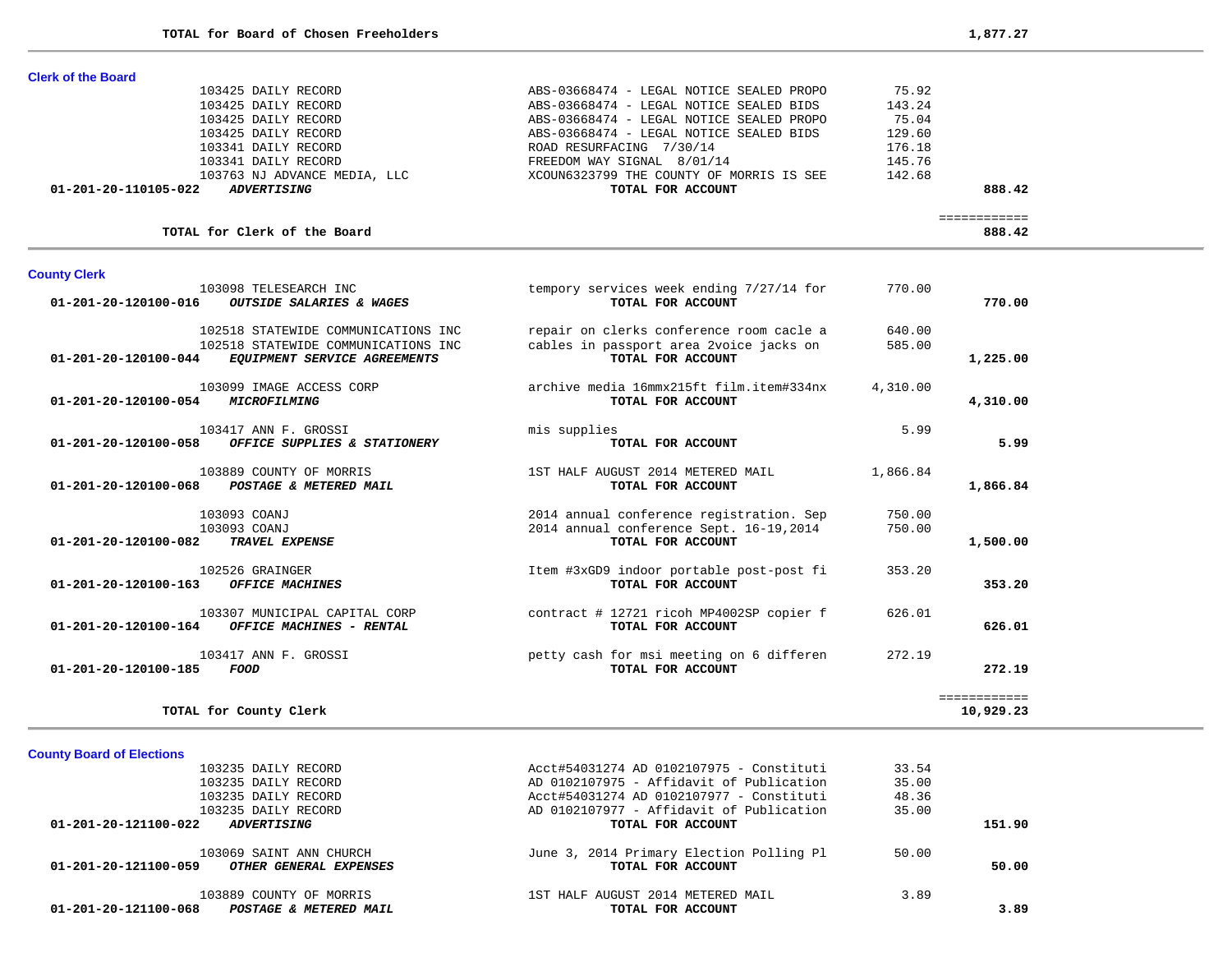#### **Clerk of the Board**

**County Clerk** 

| 01-201-20-110105-022<br><i>ADVERTISING</i> | TOTAL FOR ACCOUNT                        |        | 888.42 |
|--------------------------------------------|------------------------------------------|--------|--------|
| 103763 NJ ADVANCE MEDIA, LLC               | XCOUN6323799 THE COUNTY OF MORRIS IS SEE | 142.68 |        |
| 103341 DAILY RECORD                        | FREEDOM WAY SIGNAL 8/01/14               | 145.76 |        |
| 103341 DAILY RECORD                        | ROAD RESURFACING 7/30/14                 | 176.18 |        |
| 103425 DAILY RECORD                        | ABS-03668474 - LEGAL NOTICE SEALED BIDS  | 129.60 |        |
| 103425 DAILY RECORD                        | ABS-03668474 - LEGAL NOTICE SEALED PROPO | 75.04  |        |
| 103425 DAILY RECORD                        | ABS-03668474 - LEGAL NOTICE SEALED BIDS  | 143.24 |        |
| 103425 DAILY RECORD                        | ABS-03668474 - LEGAL NOTICE SEALED PROPO | 75.92  |        |

#### **TOTAL for Clerk of the Board 888.42**

# ============

| 103098 TELESEARCH INC<br>$01 - 201 - 20 - 120100 - 016$<br>OUTSIDE SALARIES & WAGES         | tempory services week ending 7/27/14 for<br>TOTAL FOR ACCOUNT | 770.00   | 770.00       |
|---------------------------------------------------------------------------------------------|---------------------------------------------------------------|----------|--------------|
| 102518 STATEWIDE COMMUNICATIONS INC                                                         | repair on clerks conference room cacle a                      | 640.00   |              |
| 102518 STATEWIDE COMMUNICATIONS INC<br>01-201-20-120100-044<br>EQUIPMENT SERVICE AGREEMENTS | cables in passport area 2voice jacks on<br>TOTAL FOR ACCOUNT  | 585.00   | 1,225.00     |
| 103099 IMAGE ACCESS CORP<br>01-201-20-120100-054<br>MICROFILMING                            | archive media 16mmx215ft film.item#334nx<br>TOTAL FOR ACCOUNT | 4,310.00 | 4,310.00     |
| 103417 ANN F. GROSSI<br>01-201-20-120100-058<br>OFFICE SUPPLIES & STATIONERY                | mis supplies<br>TOTAL FOR ACCOUNT                             | 5.99     | 5.99         |
| 103889 COUNTY OF MORRIS<br>$01 - 201 - 20 - 120100 - 068$<br>POSTAGE & METERED MAIL         | 1ST HALF AUGUST 2014 METERED MAIL<br>TOTAL FOR ACCOUNT        | 1,866.84 | 1,866.84     |
| 103093 COANJ                                                                                | 2014 annual conference registration. Sep                      | 750.00   |              |
| 103093 COANJ<br>01-201-20-120100-082<br>TRAVEL EXPENSE                                      | 2014 annual conference Sept. 16-19, 2014<br>TOTAL FOR ACCOUNT | 750.00   | 1,500.00     |
| 102526 GRAINGER<br><b>OFFICE MACHINES</b><br>01-201-20-120100-163                           | Item #3xGD9 indoor portable post-post fi<br>TOTAL FOR ACCOUNT | 353.20   | 353.20       |
| 103307 MUNICIPAL CAPITAL CORP<br>$01 - 201 - 20 - 120100 - 164$<br>OFFICE MACHINES - RENTAL | contract # 12721 ricoh MP4002SP copier f<br>TOTAL FOR ACCOUNT | 626.01   | 626.01       |
| 103417 ANN F. GROSSI<br>01-201-20-120100-185<br>FOOD                                        | petty cash for msi meeting on 6 differen<br>TOTAL FOR ACCOUNT | 272.19   | 272.19       |
|                                                                                             |                                                               |          | ============ |
| TOTAL for County Clerk                                                                      |                                                               |          | 10,929.23    |

## **County Board of Elections**

 $\equiv$ 

| 103235 DAILY RECORD                            | Acct#54031274 AD 0102107975 - Constituti | 33.54 |        |
|------------------------------------------------|------------------------------------------|-------|--------|
| 103235 DAILY RECORD                            | AD 0102107975 - Affidavit of Publication | 35.00 |        |
| 103235 DAILY RECORD                            | Acct#54031274 AD 0102107977 - Constituti | 48.36 |        |
| 103235 DAILY RECORD                            | AD 0102107977 - Affidavit of Publication | 35.00 |        |
| 01-201-20-121100-022<br><i>ADVERTISING</i>     | TOTAL FOR ACCOUNT                        |       | 151.90 |
| 103069 SAINT ANN CHURCH                        | June 3, 2014 Primary Election Polling Pl | 50.00 |        |
| 01-201-20-121100-059<br>OTHER GENERAL EXPENSES | TOTAL FOR ACCOUNT                        |       | 50.00  |
| 103889 COUNTY OF MORRIS                        | 1ST HALF AUGUST 2014 METERED MAIL        | 3.89  |        |
| 01-201-20-121100-068<br>POSTAGE & METERED MAIL | TOTAL FOR ACCOUNT                        |       | 3.89   |
|                                                |                                          |       |        |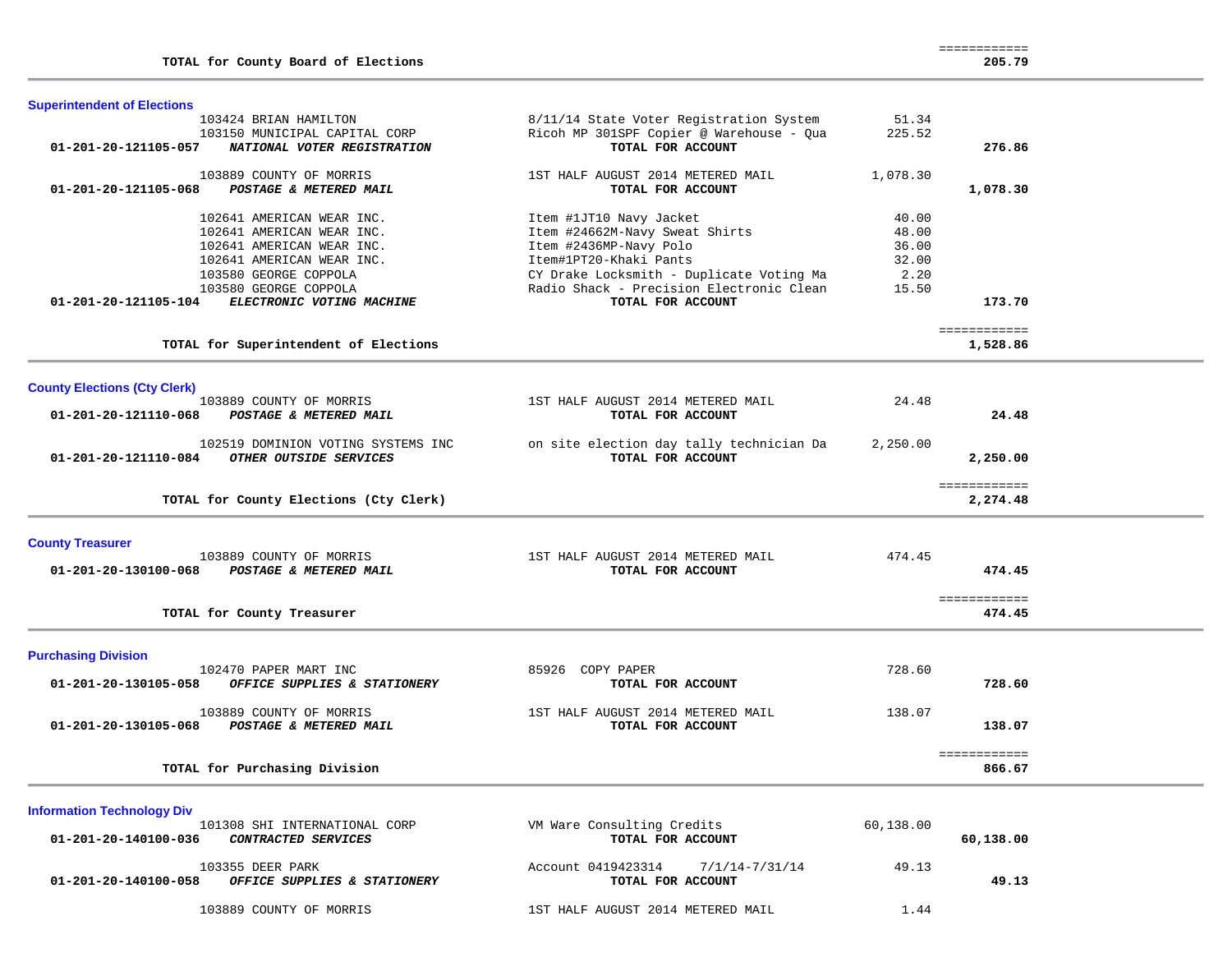| <b>Superintendent of Elections</b>                             |                                          |           |                          |  |
|----------------------------------------------------------------|------------------------------------------|-----------|--------------------------|--|
| 103424 BRIAN HAMILTON                                          | 8/11/14 State Voter Registration System  | 51.34     |                          |  |
| 103150 MUNICIPAL CAPITAL CORP                                  | Ricoh MP 301SPF Copier @ Warehouse - Qua | 225.52    |                          |  |
| 01-201-20-121105-057<br>NATIONAL VOTER REGISTRATION            | TOTAL FOR ACCOUNT                        |           | 276.86                   |  |
| 103889 COUNTY OF MORRIS                                        | 1ST HALF AUGUST 2014 METERED MAIL        | 1,078.30  |                          |  |
| 01-201-20-121105-068<br>POSTAGE & METERED MAIL                 | TOTAL FOR ACCOUNT                        |           | 1,078.30                 |  |
|                                                                |                                          |           |                          |  |
| 102641 AMERICAN WEAR INC.                                      | Item #1JT10 Navy Jacket                  | 40.00     |                          |  |
| 102641 AMERICAN WEAR INC.                                      | Item #24662M-Navy Sweat Shirts           | 48.00     |                          |  |
| 102641 AMERICAN WEAR INC.                                      | Item #2436MP-Navy Polo                   | 36.00     |                          |  |
| 102641 AMERICAN WEAR INC.                                      | Item#1PT20-Khaki Pants                   | 32.00     |                          |  |
| 103580 GEORGE COPPOLA                                          | CY Drake Locksmith - Duplicate Voting Ma | 2.20      |                          |  |
| 103580 GEORGE COPPOLA                                          | Radio Shack - Precision Electronic Clean | 15.50     |                          |  |
| ELECTRONIC VOTING MACHINE<br>01-201-20-121105-104              | TOTAL FOR ACCOUNT                        |           | 173.70                   |  |
|                                                                |                                          |           |                          |  |
| TOTAL for Superintendent of Elections                          |                                          |           | ============<br>1,528.86 |  |
|                                                                |                                          |           |                          |  |
|                                                                |                                          |           |                          |  |
| <b>County Elections (Cty Clerk)</b><br>103889 COUNTY OF MORRIS | 1ST HALF AUGUST 2014 METERED MAIL        | 24.48     |                          |  |
| 01-201-20-121110-068<br>POSTAGE & METERED MAIL                 | TOTAL FOR ACCOUNT                        |           | 24.48                    |  |
|                                                                |                                          |           |                          |  |
| 102519 DOMINION VOTING SYSTEMS INC                             | on site election day tally technician Da | 2,250.00  |                          |  |
| 01-201-20-121110-084<br>OTHER OUTSIDE SERVICES                 | TOTAL FOR ACCOUNT                        |           | 2,250.00                 |  |
|                                                                |                                          |           |                          |  |
|                                                                |                                          |           | ============             |  |
| TOTAL for County Elections (Cty Clerk)                         |                                          |           | 2,274.48                 |  |
|                                                                |                                          |           |                          |  |
| <b>County Treasurer</b>                                        |                                          |           |                          |  |
| 103889 COUNTY OF MORRIS                                        | 1ST HALF AUGUST 2014 METERED MAIL        | 474.45    |                          |  |
| POSTAGE & METERED MAIL<br>01-201-20-130100-068                 | TOTAL FOR ACCOUNT                        |           | 474.45                   |  |
|                                                                |                                          |           | ============             |  |
| TOTAL for County Treasurer                                     |                                          |           | 474.45                   |  |
|                                                                |                                          |           |                          |  |
|                                                                |                                          |           |                          |  |
| <b>Purchasing Division</b><br>102470 PAPER MART INC            | 85926 COPY PAPER                         | 728.60    |                          |  |
| 01-201-20-130105-058<br>OFFICE SUPPLIES & STATIONERY           | TOTAL FOR ACCOUNT                        |           | 728.60                   |  |
|                                                                |                                          |           |                          |  |
| 103889 COUNTY OF MORRIS                                        | 1ST HALF AUGUST 2014 METERED MAIL        | 138.07    |                          |  |
| POSTAGE & METERED MAIL<br>01-201-20-130105-068                 | TOTAL FOR ACCOUNT                        |           | 138.07                   |  |
|                                                                |                                          |           |                          |  |
|                                                                |                                          |           | ============             |  |
| TOTAL for Purchasing Division                                  |                                          |           | 866.67                   |  |
|                                                                |                                          |           |                          |  |
| <b>Information Technology Div</b>                              |                                          |           |                          |  |
| 101308 SHI INTERNATIONAL CORP                                  | VM Ware Consulting Credits               | 60,138.00 |                          |  |
| 01-201-20-140100-036<br>CONTRACTED SERVICES                    | TOTAL FOR ACCOUNT                        |           | 60,138.00                |  |
| 103355 DEER PARK                                               | Account 0419423314<br>$7/1/14 - 7/31/14$ | 49.13     |                          |  |
| 01-201-20-140100-058<br>OFFICE SUPPLIES & STATIONERY           | TOTAL FOR ACCOUNT                        |           | 49.13                    |  |
|                                                                |                                          |           |                          |  |

103889 COUNTY OF MORRIS 1.44 COUNTY 1.44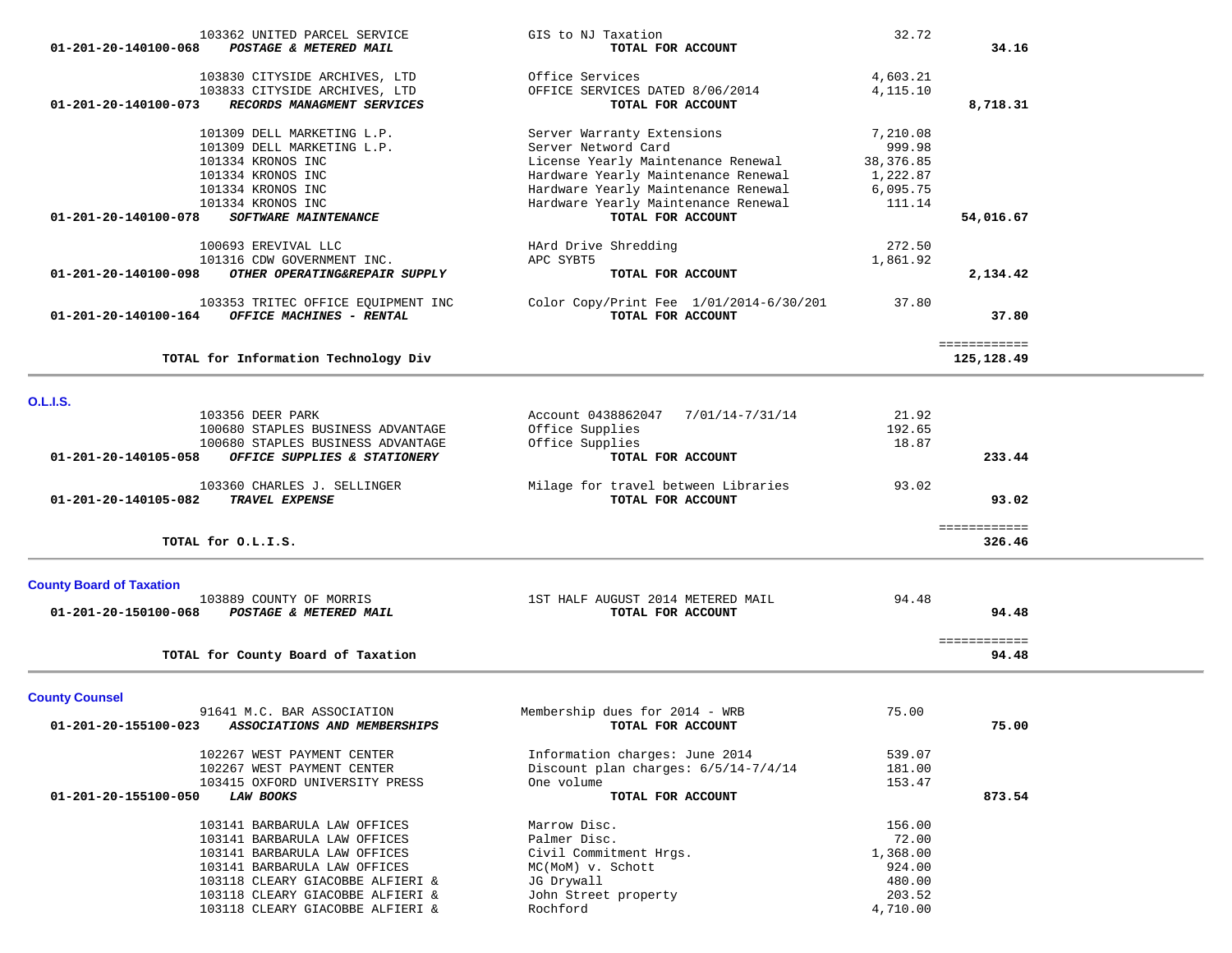| 103362 UNITED PARCEL SERVICE                          | GIS to NJ Taxation                      | 32.72     |              |  |
|-------------------------------------------------------|-----------------------------------------|-----------|--------------|--|
| POSTAGE & METERED MAIL<br>01-201-20-140100-068        | TOTAL FOR ACCOUNT                       |           | 34.16        |  |
|                                                       |                                         |           |              |  |
| 103830 CITYSIDE ARCHIVES, LTD                         | Office Services                         | 4,603.21  |              |  |
| 103833 CITYSIDE ARCHIVES, LTD                         | OFFICE SERVICES DATED 8/06/2014         | 4,115.10  |              |  |
| RECORDS MANAGMENT SERVICES<br>01-201-20-140100-073    | TOTAL FOR ACCOUNT                       |           |              |  |
|                                                       |                                         |           | 8,718.31     |  |
|                                                       |                                         |           |              |  |
| 101309 DELL MARKETING L.P.                            | Server Warranty Extensions              | 7,210.08  |              |  |
| 101309 DELL MARKETING L.P.                            | Server Netword Card                     | 999.98    |              |  |
| 101334 KRONOS INC                                     | License Yearly Maintenance Renewal      | 38,376.85 |              |  |
| 101334 KRONOS INC                                     | Hardware Yearly Maintenance Renewal     | 1,222.87  |              |  |
| 101334 KRONOS INC                                     | Hardware Yearly Maintenance Renewal     | 6,095.75  |              |  |
| 101334 KRONOS INC                                     | Hardware Yearly Maintenance Renewal     | 111.14    |              |  |
| SOFTWARE MAINTENANCE<br>01-201-20-140100-078          | TOTAL FOR ACCOUNT                       |           | 54,016.67    |  |
|                                                       |                                         |           |              |  |
| 100693 EREVIVAL LLC                                   | HArd Drive Shredding                    | 272.50    |              |  |
|                                                       |                                         |           |              |  |
| 101316 CDW GOVERNMENT INC.                            | APC SYBT5                               | 1,861.92  |              |  |
| OTHER OPERATING&REPAIR SUPPLY<br>01-201-20-140100-098 | TOTAL FOR ACCOUNT                       |           | 2,134.42     |  |
|                                                       |                                         |           |              |  |
| 103353 TRITEC OFFICE EQUIPMENT INC                    | Color Copy/Print Fee 1/01/2014-6/30/201 | 37.80     |              |  |
| OFFICE MACHINES - RENTAL<br>01-201-20-140100-164      | TOTAL FOR ACCOUNT                       |           | 37.80        |  |
|                                                       |                                         |           |              |  |
|                                                       |                                         |           | ============ |  |
| TOTAL for Information Technology Div                  |                                         |           | 125,128.49   |  |
|                                                       |                                         |           |              |  |
|                                                       |                                         |           |              |  |
| <b>O.L.I.S.</b>                                       |                                         |           |              |  |
| 103356 DEER PARK                                      | Account 0438862047<br>7/01/14-7/31/14   | 21.92     |              |  |
| 100680 STAPLES BUSINESS ADVANTAGE                     | Office Supplies                         | 192.65    |              |  |
| 100680 STAPLES BUSINESS ADVANTAGE                     | Office Supplies                         | 18.87     |              |  |
| OFFICE SUPPLIES & STATIONERY<br>01-201-20-140105-058  | TOTAL FOR ACCOUNT                       |           | 233.44       |  |
|                                                       |                                         |           |              |  |
| 103360 CHARLES J. SELLINGER                           | Milage for travel between Libraries     | 93.02     |              |  |
| 01-201-20-140105-082<br><b>TRAVEL EXPENSE</b>         | TOTAL FOR ACCOUNT                       |           | 93.02        |  |
|                                                       |                                         |           |              |  |
|                                                       |                                         |           | ============ |  |
| TOTAL for O.L.I.S.                                    |                                         |           | 326.46       |  |
|                                                       |                                         |           |              |  |
| <b>County Board of Taxation</b>                       |                                         |           |              |  |
| 103889 COUNTY OF MORRIS                               | 1ST HALF AUGUST 2014 METERED MAIL       | 94.48     |              |  |
| POSTAGE & METERED MAIL                                | TOTAL FOR ACCOUNT                       |           | 94.48        |  |
| 01-201-20-150100-068                                  |                                         |           |              |  |
|                                                       |                                         |           | ============ |  |
| TOTAL for County Board of Taxation                    |                                         |           | 94.48        |  |
|                                                       |                                         |           |              |  |
|                                                       |                                         |           |              |  |
| <b>County Counsel</b>                                 |                                         |           |              |  |
| 91641 M.C. BAR ASSOCIATION                            | Membership dues for 2014 - WRB          | 75.00     |              |  |
| 01-201-20-155100-023<br>ASSOCIATIONS AND MEMBERSHIPS  | TOTAL FOR ACCOUNT                       |           | 75.00        |  |
|                                                       |                                         |           |              |  |
| 102267 WEST PAYMENT CENTER                            | Information charges: June 2014          | 539.07    |              |  |
| 102267 WEST PAYMENT CENTER                            | Discount plan charges: $6/5/14-7/4/14$  | 181.00    |              |  |
|                                                       | One volume                              |           |              |  |
| 103415 OXFORD UNIVERSITY PRESS                        |                                         | 153.47    |              |  |
| 01-201-20-155100-050<br><b>LAW BOOKS</b>              | TOTAL FOR ACCOUNT                       |           | 873.54       |  |
|                                                       |                                         |           |              |  |
| 103141 BARBARULA LAW OFFICES                          | Marrow Disc.                            | 156.00    |              |  |
| 103141 BARBARULA LAW OFFICES                          | Palmer Disc.                            | 72.00     |              |  |
| 103141 BARBARULA LAW OFFICES                          | Civil Commitment Hrgs.                  | 1,368.00  |              |  |
| 103141 BARBARULA LAW OFFICES                          | MC(MoM) v. Schott                       | 924.00    |              |  |
| 103118 CLEARY GIACOBBE ALFIERI &                      | JG Drywall                              | 480.00    |              |  |
| 103118 CLEARY GIACOBBE ALFIERI &                      | John Street property                    | 203.52    |              |  |
|                                                       |                                         |           |              |  |

103118 CLEARY GIACOBBE ALFIERI & Rochford 1.1 (2008) 2011 103118 (4,710.00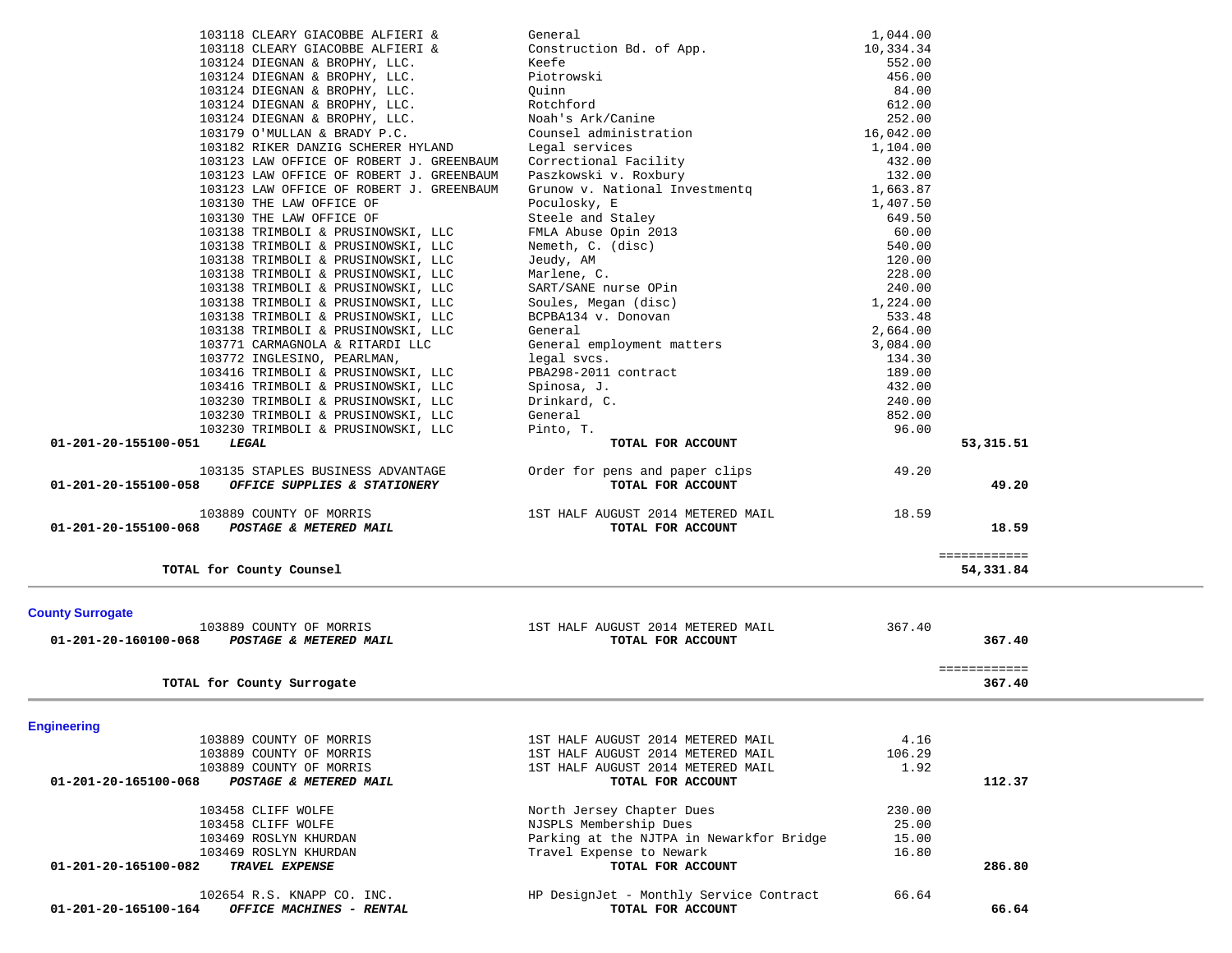|                         | $01-201-20-165100-164$ OFFICE MACHINES - RENTAL                          | TOTAL FOR ACCOUNT                                      |                  | 66.64        |  |
|-------------------------|--------------------------------------------------------------------------|--------------------------------------------------------|------------------|--------------|--|
|                         | 102654 R.S. KNAPP CO. INC.                                               | HP DesignJet - Monthly Service Contract                | 66.64            |              |  |
| 01-201-20-165100-082    | <b>TRAVEL EXPENSE</b>                                                    | TOTAL FOR ACCOUNT                                      |                  | 286.80       |  |
|                         | 103469 ROSLYN KHURDAN                                                    | Travel Expense to Newark                               | 16.80            |              |  |
|                         | 103469 ROSLYN KHURDAN                                                    | Parking at the NJTPA in Newarkfor Bridge               | 15.00            |              |  |
|                         | 103458 CLIFF WOLFE                                                       | NJSPLS Membership Dues                                 | 25.00            |              |  |
|                         | 103458 CLIFF WOLFE                                                       | North Jersey Chapter Dues                              | 230.00           |              |  |
| 01-201-20-165100-068    | POSTAGE & METERED MAIL                                                   | TOTAL FOR ACCOUNT                                      |                  | 112.37       |  |
|                         | 103889 COUNTY OF MORRIS                                                  | 1ST HALF AUGUST 2014 METERED MAIL                      | 1.92             |              |  |
|                         | 103889 COUNTY OF MORRIS                                                  | 1ST HALF AUGUST 2014 METERED MAIL                      | 106.29           |              |  |
|                         | 103889 COUNTY OF MORRIS                                                  | 1ST HALF AUGUST 2014 METERED MAIL                      | 4.16             |              |  |
| <b>Engineering</b>      |                                                                          |                                                        |                  |              |  |
|                         | TOTAL for County Surrogate                                               |                                                        |                  | 367.40       |  |
|                         |                                                                          |                                                        |                  | ============ |  |
|                         | 103889 COUNTY OF MORRIS<br>01-201-20-160100-068 POSTAGE & METERED MAIL   | 1ST HALF AUGUST 2014 METERED MAIL<br>TOTAL FOR ACCOUNT | 367.40           | 367.40       |  |
| <b>County Surrogate</b> |                                                                          |                                                        |                  |              |  |
|                         | TOTAL for County Counsel                                                 |                                                        |                  | 54,331.84    |  |
|                         |                                                                          |                                                        |                  | ============ |  |
|                         | 103889 COUNTY OF MORRIS<br>01-201-20-155100-068 POSTAGE & METERED MAIL   | 1ST HALF AUGUST 2014 METERED MAIL<br>TOTAL FOR ACCOUNT | 18.59            | 18.59        |  |
| 01-201-20-155100-058    | 103135 STAPLES BUSINESS ADVANTAGE<br>OFFICE SUPPLIES & STATIONERY        | Order for pens and paper clips<br>TOTAL FOR ACCOUNT    | 49.20            | 49.20        |  |
|                         |                                                                          |                                                        |                  |              |  |
| 01-201-20-155100-051    | LEGAL                                                                    | TOTAL FOR ACCOUNT                                      |                  | 53, 315.51   |  |
|                         | 103230 TRIMBOLI & PRUSINOWSKI, LLC                                       | Pinto, T.                                              | 96.00            |              |  |
|                         | 103230 TRIMBOLI & PRUSINOWSKI, LLC<br>103230 TRIMBOLI & PRUSINOWSKI, LLC | Drinkard, C.<br>General                                | 852.00           |              |  |
|                         | 103416 TRIMBOLI & PRUSINOWSKI, LLC                                       | Spinosa, J.                                            | 432.00<br>240.00 |              |  |
|                         | 103416 TRIMBOLI & PRUSINOWSKI, LLC                                       | PBA298-2011 contract                                   | 189.00           |              |  |
|                         | 103772 INGLESINO, PEARLMAN,                                              | legal svcs.                                            | 134.30           |              |  |
|                         | 103771 CARMAGNOLA & RITARDI LLC                                          | General employment matters                             | 3,084.00         |              |  |
|                         | 103138 TRIMBOLI & PRUSINOWSKI, LLC                                       | General                                                | 2,664.00         |              |  |
|                         | 103138 TRIMBOLI & PRUSINOWSKI, LLC                                       | BCPBA134 v. Donovan                                    | 533.48           |              |  |
|                         | 103138 TRIMBOLI & PRUSINOWSKI, LLC                                       | Soules, Megan (disc)                                   | 1,224.00         |              |  |
|                         | 103138 TRIMBOLI & PRUSINOWSKI, LLC                                       | SART/SANE nurse OPin                                   | 240.00           |              |  |
|                         | 103138 TRIMBOLI & PRUSINOWSKI, LLC                                       | Marlene, C.                                            | 228.00           |              |  |
|                         | 103138 TRIMBOLI & PRUSINOWSKI, LLC                                       | Jeudy, AM                                              | 120.00           |              |  |
|                         | 103138 TRIMBOLI & PRUSINOWSKI, LLC<br>103138 TRIMBOLI & PRUSINOWSKI, LLC | FMLA Abuse Opin 2013<br>Nemeth, C. (disc)              | 60.00<br>540.00  |              |  |
|                         | 103130 THE LAW OFFICE OF                                                 | Steele and Staley                                      | 649.50           |              |  |

103118 CLEARY GIACOBBE ALFIERI & General 1,044.00<br>103118 CLEARY GIACOBBE ALFIERI & Construction Bd. of App. 10,334.34 103118 CLEARY GIACOBBE ALFIERI & Construction Bd. of App. 10,334.34<br>103124 DIEGNAN & BROPHY, LLC. Keefe 552.00 103124 DIEGNAN & BROPHY, LLC. Keefe 552.00 103124 DIEGNAN & BROPHY, LLC. Piotrowski 456.00 103124 DIEGNAN & BROPHY, LLC. Quinn 84.00 103124 DIEGNAN & BROPHY, LLC. Rotchford 612.00 103124 DIEGNAN & BROPHY, LLC. Noah's Ark/Canine 252.00

103182 RIKER DANZIG SCHERER HYLAND Legal services 1,104.00 103123 LAW OFFICE OF ROBERT J. GREENBAUM Correctional Facility 432.00 103123 LAW OFFICE OF ROBERT J. GREENBAUM Paszkowski v. Roxbury 132.00 103123 LAW OFFICE OF ROBERT J. GREENBAUM Grunow v. National Investmentq 1.663.87<br>1.407.50 1.407.50 1.407.50 103130 THE LAW OFFICE OF Poculosky, E 1,407.50

103179 O'MULLAN & BRADY P.C. Counsel administration 16,042.00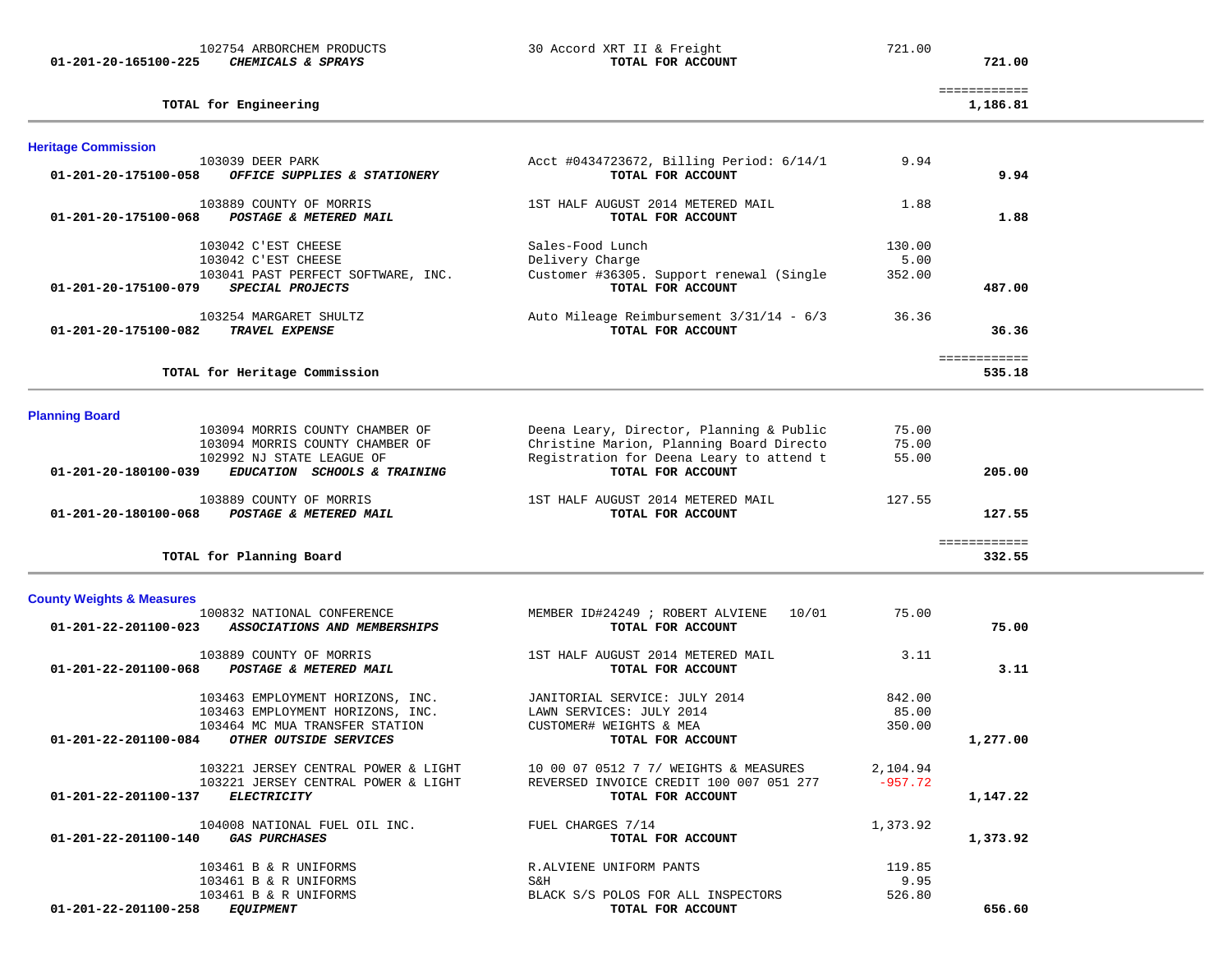| <b>Heritage Commission</b>                                                                                                                               |                                                                                                                                                       |                           |                        |  |
|----------------------------------------------------------------------------------------------------------------------------------------------------------|-------------------------------------------------------------------------------------------------------------------------------------------------------|---------------------------|------------------------|--|
| 103039 DEER PARK<br>01-201-20-175100-058<br>OFFICE SUPPLIES & STATIONERY                                                                                 | Acct #0434723672, Billing Period: 6/14/1<br>TOTAL FOR ACCOUNT                                                                                         | 9.94                      | 9.94                   |  |
| 103889 COUNTY OF MORRIS<br>01-201-20-175100-068<br>POSTAGE & METERED MAIL                                                                                | 1ST HALF AUGUST 2014 METERED MAIL<br>TOTAL FOR ACCOUNT                                                                                                | 1.88                      | 1.88                   |  |
| 103042 C'EST CHEESE<br>103042 C'EST CHEESE<br>103041 PAST PERFECT SOFTWARE, INC.<br>SPECIAL PROJECTS<br>01-201-20-175100-079                             | Sales-Food Lunch<br>Delivery Charge<br>Customer #36305. Support renewal (Single<br>TOTAL FOR ACCOUNT                                                  | 130.00<br>5.00<br>352.00  | 487.00                 |  |
| 103254 MARGARET SHULTZ<br>01-201-20-175100-082<br>TRAVEL EXPENSE                                                                                         | Auto Mileage Reimbursement 3/31/14 - 6/3<br>TOTAL FOR ACCOUNT                                                                                         | 36.36                     | 36.36                  |  |
| TOTAL for Heritage Commission                                                                                                                            |                                                                                                                                                       |                           | ============<br>535.18 |  |
| <b>Planning Board</b>                                                                                                                                    |                                                                                                                                                       |                           |                        |  |
| 103094 MORRIS COUNTY CHAMBER OF<br>103094 MORRIS COUNTY CHAMBER OF<br>102992 NJ STATE LEAGUE OF<br>EDUCATION SCHOOLS & TRAINING<br>01-201-20-180100-039  | Deena Leary, Director, Planning & Public<br>Christine Marion, Planning Board Directo<br>Registration for Deena Leary to attend t<br>TOTAL FOR ACCOUNT | 75.00<br>75.00<br>55.00   | 205.00                 |  |
| 103889 COUNTY OF MORRIS<br>POSTAGE & METERED MAIL<br>01-201-20-180100-068                                                                                | 1ST HALF AUGUST 2014 METERED MAIL<br>TOTAL FOR ACCOUNT                                                                                                | 127.55                    | 127.55                 |  |
| TOTAL for Planning Board                                                                                                                                 |                                                                                                                                                       |                           | ============<br>332.55 |  |
| <b>County Weights &amp; Measures</b>                                                                                                                     |                                                                                                                                                       |                           |                        |  |
| 100832 NATIONAL CONFERENCE<br>01-201-22-201100-023<br>ASSOCIATIONS AND MEMBERSHIPS                                                                       | MEMBER ID#24249 ; ROBERT ALVIENE<br>10/01<br>TOTAL FOR ACCOUNT                                                                                        | 75.00                     | 75.00                  |  |
| 103889 COUNTY OF MORRIS<br>01-201-22-201100-068<br>POSTAGE & METERED MAIL                                                                                | 1ST HALF AUGUST 2014 METERED MAIL<br>TOTAL FOR ACCOUNT                                                                                                | 3.11                      | 3.11                   |  |
| 103463 EMPLOYMENT HORIZONS, INC.<br>103463 EMPLOYMENT HORIZONS, INC.<br>103464 MC MUA TRANSFER STATION<br>OTHER OUTSIDE SERVICES<br>01-201-22-201100-084 | JANITORIAL SERVICE: JULY 2014<br>LAWN SERVICES: JULY 2014<br>CUSTOMER# WEIGHTS & MEA<br>TOTAL FOR ACCOUNT                                             | 842.00<br>85.00<br>350.00 | 1,277.00               |  |
| 103221 JERSEY CENTRAL POWER & LIGHT<br>103221 JERSEY CENTRAL POWER & LIGHT<br>01-201-22-201100-137<br><b>ELECTRICITY</b>                                 | 10 00 07 0512 7 7/ WEIGHTS & MEASURES<br>REVERSED INVOICE CREDIT 100 007 051 277<br>TOTAL FOR ACCOUNT                                                 | 2,104.94<br>$-957.72$     | 1,147.22               |  |
| 104008 NATIONAL FUEL OIL INC.<br>01-201-22-201100-140<br><b>GAS PURCHASES</b>                                                                            | FUEL CHARGES 7/14<br>TOTAL FOR ACCOUNT                                                                                                                | 1,373.92                  | 1,373.92               |  |
| 103461 B & R UNIFORMS<br>103461 B & R UNIFORMS<br>103461 B & R UNIFORMS<br>01-201-22-201100-258<br><i>EQUIPMENT</i>                                      | R.ALVIENE UNIFORM PANTS<br>$S\&H$<br>BLACK S/S POLOS FOR ALL INSPECTORS<br>TOTAL FOR ACCOUNT                                                          | 119.85<br>9.95<br>526.80  | 656.60                 |  |
|                                                                                                                                                          |                                                                                                                                                       |                           |                        |  |

102754 ARBORCHEM PRODUCTS 30 Accord XRT II & Freight 721.00<br> **5** CHEMICALS & SPRAYS **721.00 01-201-20-165100-225** *CHEMICALS & SPRAYS* **TOTAL FOR ACCOUNT 721.00**

**TOTAL for Engineering 1,186.81**

============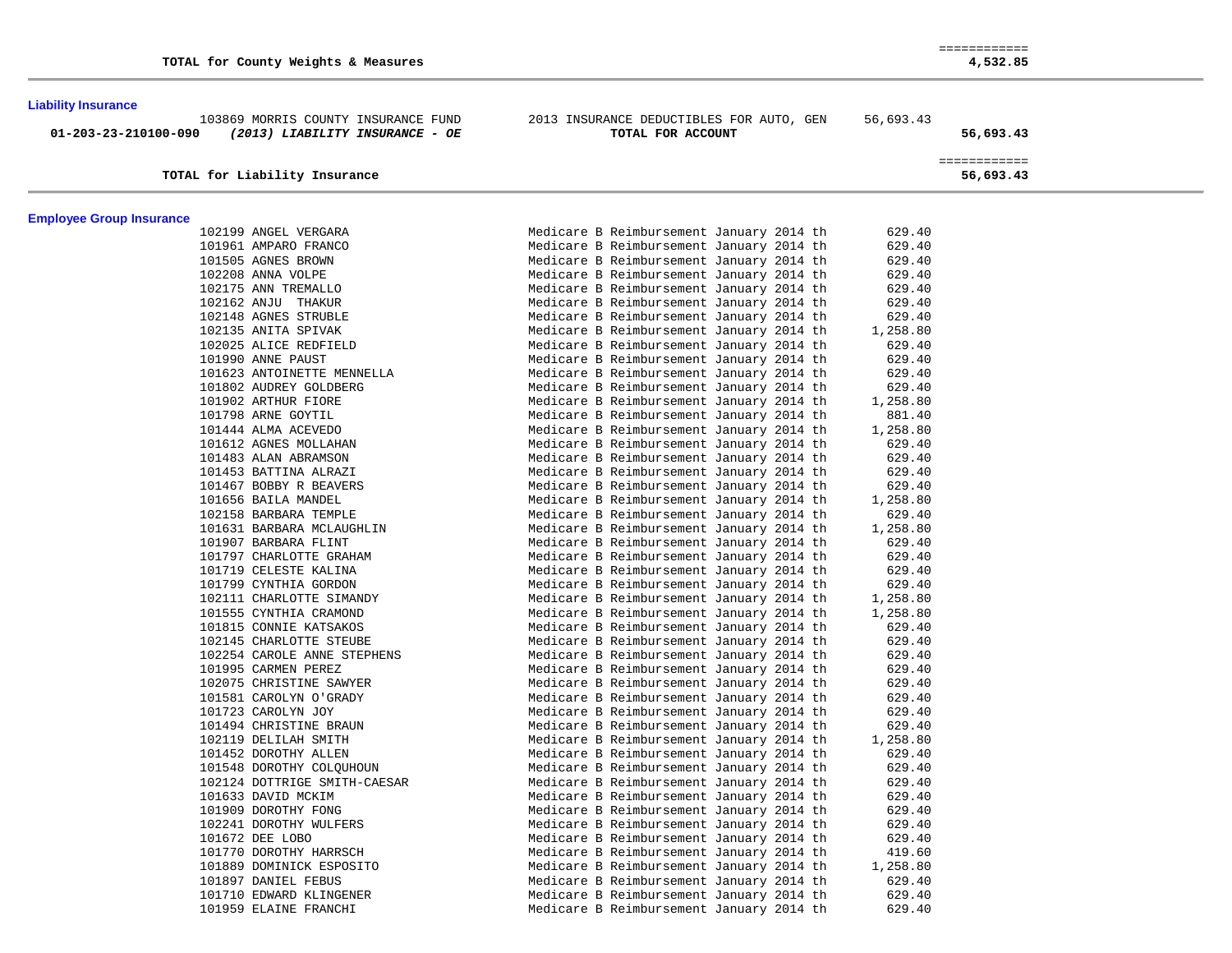## **Liability Insurance**

 **01-203-23-210100-090** *(2013) LIABILITY INSURANCE - OE* **TOTAL FOR ACCOUNT 56,693.43**

# 103869 MORRIS COUNTY INSURANCE FUND 2013 INSURANCE DEDUCTIBLES FOR AUTO, GEN 56,693.43<br>
2013 1930 12013) LIABILITY INSURANCE - OE TOTAL FOR ACCOUNT

# ============

### **TOTAL for Liability Insurance 56,693.43**

# **Employee Group Insurance**

| 102199 ANGEL VERGARA         |  | Medicare B Reimbursement January 2014 th |  | 629.40   |  |
|------------------------------|--|------------------------------------------|--|----------|--|
| 101961 AMPARO FRANCO         |  | Medicare B Reimbursement January 2014 th |  | 629.40   |  |
| 101505 AGNES BROWN           |  | Medicare B Reimbursement January 2014 th |  | 629.40   |  |
| 102208 ANNA VOLPE            |  | Medicare B Reimbursement January 2014 th |  | 629.40   |  |
| 102175 ANN TREMALLO          |  | Medicare B Reimbursement January 2014 th |  | 629.40   |  |
| 102162 ANJU THAKUR           |  | Medicare B Reimbursement January 2014 th |  | 629.40   |  |
| 102148 AGNES STRUBLE         |  | Medicare B Reimbursement January 2014 th |  | 629.40   |  |
| 102135 ANITA SPIVAK          |  | Medicare B Reimbursement January 2014 th |  | 1,258.80 |  |
| 102025 ALICE REDFIELD        |  | Medicare B Reimbursement January 2014 th |  | 629.40   |  |
| 101990 ANNE PAUST            |  | Medicare B Reimbursement January 2014 th |  | 629.40   |  |
| 101623 ANTOINETTE MENNELLA   |  | Medicare B Reimbursement January 2014 th |  | 629.40   |  |
| 101802 AUDREY GOLDBERG       |  | Medicare B Reimbursement January 2014 th |  | 629.40   |  |
| 101902 ARTHUR FIORE          |  | Medicare B Reimbursement January 2014 th |  | 1,258.80 |  |
| 101798 ARNE GOYTIL           |  | Medicare B Reimbursement January 2014 th |  | 881.40   |  |
| 101444 ALMA ACEVEDO          |  | Medicare B Reimbursement January 2014 th |  | 1,258.80 |  |
| 101612 AGNES MOLLAHAN        |  | Medicare B Reimbursement January 2014 th |  | 629.40   |  |
| 101483 ALAN ABRAMSON         |  | Medicare B Reimbursement January 2014 th |  | 629.40   |  |
| 101453 BATTINA ALRAZI        |  | Medicare B Reimbursement January 2014 th |  | 629.40   |  |
| 101467 BOBBY R BEAVERS       |  | Medicare B Reimbursement January 2014 th |  | 629.40   |  |
| 101656 BAILA MANDEL          |  | Medicare B Reimbursement January 2014 th |  | 1,258.80 |  |
| 102158 BARBARA TEMPLE        |  | Medicare B Reimbursement January 2014 th |  | 629.40   |  |
| 101631 BARBARA MCLAUGHLIN    |  | Medicare B Reimbursement January 2014 th |  | 1,258.80 |  |
| 101907 BARBARA FLINT         |  | Medicare B Reimbursement January 2014 th |  | 629.40   |  |
| 101797 CHARLOTTE GRAHAM      |  | Medicare B Reimbursement January 2014 th |  | 629.40   |  |
| 101719 CELESTE KALINA        |  | Medicare B Reimbursement January 2014 th |  | 629.40   |  |
| 101799 CYNTHIA GORDON        |  | Medicare B Reimbursement January 2014 th |  | 629.40   |  |
| 102111 CHARLOTTE SIMANDY     |  | Medicare B Reimbursement January 2014 th |  | 1,258.80 |  |
| 101555 CYNTHIA CRAMOND       |  | Medicare B Reimbursement January 2014 th |  | 1,258.80 |  |
| 101815 CONNIE KATSAKOS       |  | Medicare B Reimbursement January 2014 th |  | 629.40   |  |
| 102145 CHARLOTTE STEUBE      |  | Medicare B Reimbursement January 2014 th |  | 629.40   |  |
| 102254 CAROLE ANNE STEPHENS  |  | Medicare B Reimbursement January 2014 th |  | 629.40   |  |
| 101995 CARMEN PEREZ          |  | Medicare B Reimbursement January 2014 th |  | 629.40   |  |
| 102075 CHRISTINE SAWYER      |  | Medicare B Reimbursement January 2014 th |  | 629.40   |  |
| 101581 CAROLYN O'GRADY       |  | Medicare B Reimbursement January 2014 th |  | 629.40   |  |
| 101723 CAROLYN JOY           |  | Medicare B Reimbursement January 2014 th |  | 629.40   |  |
| 101494 CHRISTINE BRAUN       |  | Medicare B Reimbursement January 2014 th |  | 629.40   |  |
| 102119 DELILAH SMITH         |  | Medicare B Reimbursement January 2014 th |  | 1,258.80 |  |
| 101452 DOROTHY ALLEN         |  | Medicare B Reimbursement January 2014 th |  | 629.40   |  |
| 101548 DOROTHY COLQUHOUN     |  | Medicare B Reimbursement January 2014 th |  | 629.40   |  |
| 102124 DOTTRIGE SMITH-CAESAR |  | Medicare B Reimbursement January 2014 th |  | 629.40   |  |
| 101633 DAVID MCKIM           |  | Medicare B Reimbursement January 2014 th |  | 629.40   |  |
| 101909 DOROTHY FONG          |  | Medicare B Reimbursement January 2014 th |  | 629.40   |  |
| 102241 DOROTHY WULFERS       |  | Medicare B Reimbursement January 2014 th |  | 629.40   |  |
| 101672 DEE LOBO              |  | Medicare B Reimbursement January 2014 th |  | 629.40   |  |
| 101770 DOROTHY HARRSCH       |  | Medicare B Reimbursement January 2014 th |  | 419.60   |  |
| 101889 DOMINICK ESPOSITO     |  | Medicare B Reimbursement January 2014 th |  | 1,258.80 |  |
| 101897 DANIEL FEBUS          |  | Medicare B Reimbursement January 2014 th |  | 629.40   |  |
| 101710 EDWARD KLINGENER      |  | Medicare B Reimbursement January 2014 th |  | 629.40   |  |
| 101959 ELAINE FRANCHI        |  | Medicare B Reimbursement January 2014 th |  | 629.40   |  |
|                              |  |                                          |  |          |  |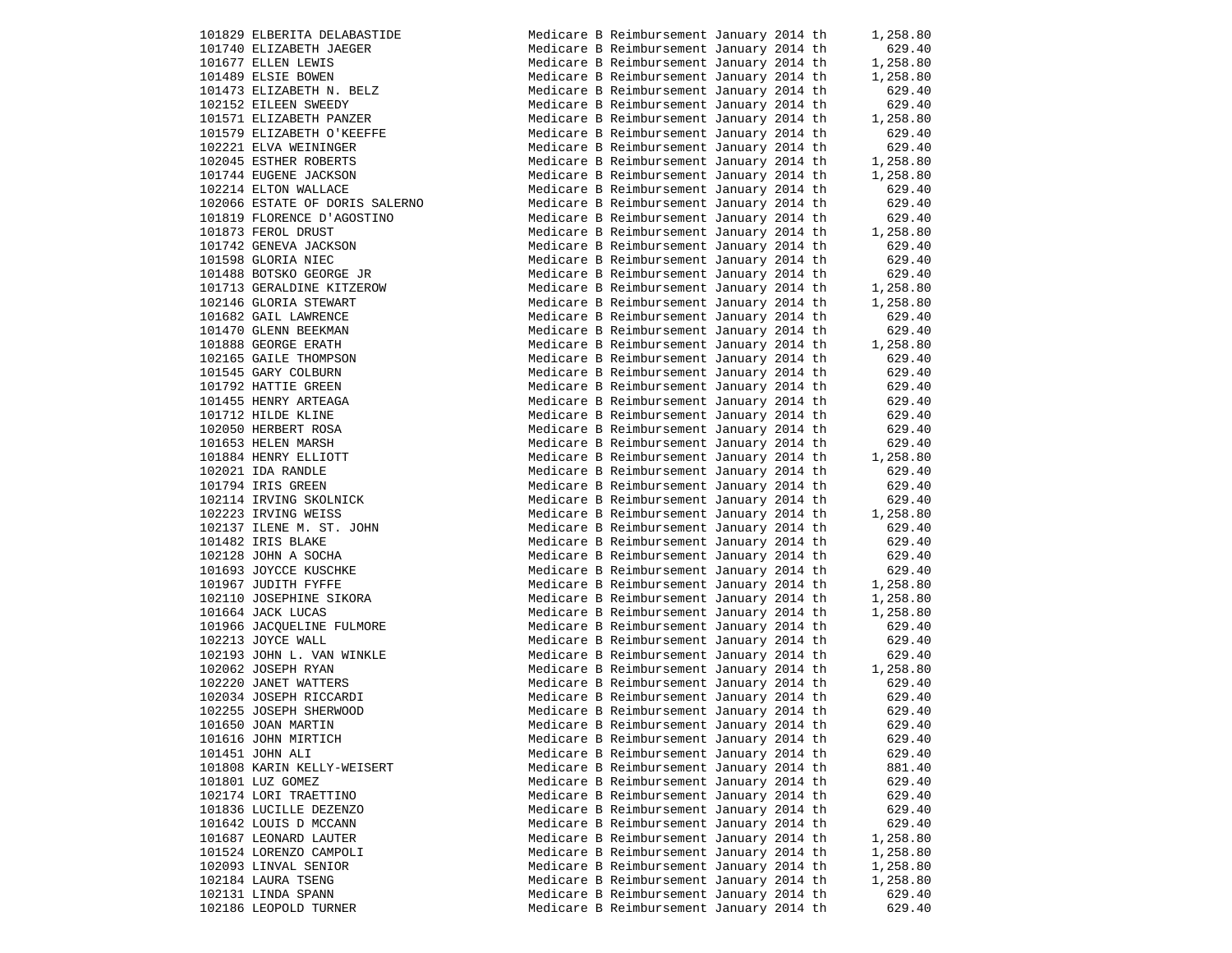| 101829 ELBERITA DELABASTIDE    | Medicare B Reimbursement January 2014 th |  | 1,258.80 |
|--------------------------------|------------------------------------------|--|----------|
| 101740 ELIZABETH JAEGER        | Medicare B Reimbursement January 2014 th |  | 629.40   |
| 101677 ELLEN LEWIS             | Medicare B Reimbursement January 2014 th |  | 1,258.80 |
| 101489 ELSIE BOWEN             | Medicare B Reimbursement January 2014 th |  | 1,258.80 |
|                                |                                          |  |          |
| 101473 ELIZABETH N. BELZ       | Medicare B Reimbursement January 2014 th |  | 629.40   |
| 102152 EILEEN SWEEDY           | Medicare B Reimbursement January 2014 th |  | 629.40   |
| 101571 ELIZABETH PANZER        | Medicare B Reimbursement January 2014 th |  | 1,258.80 |
| 101579 ELIZABETH O'KEEFFE      | Medicare B Reimbursement January 2014 th |  | 629.40   |
| 102221 ELVA WEININGER          | Medicare B Reimbursement January 2014 th |  | 629.40   |
| 102045 ESTHER ROBERTS          | Medicare B Reimbursement January 2014 th |  | 1,258.80 |
| 101744 EUGENE JACKSON          | Medicare B Reimbursement January 2014 th |  | 1,258.80 |
| 102214 ELTON WALLACE           | Medicare B Reimbursement January 2014 th |  | 629.40   |
| 102066 ESTATE OF DORIS SALERNO | Medicare B Reimbursement January 2014 th |  | 629.40   |
| 101819 FLORENCE D'AGOSTINO     | Medicare B Reimbursement January 2014 th |  | 629.40   |
|                                |                                          |  |          |
| 101873 FEROL DRUST             | Medicare B Reimbursement January 2014 th |  | 1,258.80 |
| 101742 GENEVA JACKSON          | Medicare B Reimbursement January 2014 th |  | 629.40   |
| 101598 GLORIA NIEC             | Medicare B Reimbursement January 2014 th |  | 629.40   |
| 101488 BOTSKO GEORGE JR        | Medicare B Reimbursement January 2014 th |  | 629.40   |
| 101713 GERALDINE KITZEROW      | Medicare B Reimbursement January 2014 th |  | 1,258.80 |
| 102146 GLORIA STEWART          | Medicare B Reimbursement January 2014 th |  | 1,258.80 |
| 101682 GAIL LAWRENCE           | Medicare B Reimbursement January 2014 th |  | 629.40   |
| 101470 GLENN BEEKMAN           | Medicare B Reimbursement January 2014 th |  | 629.40   |
| 101888 GEORGE ERATH            | Medicare B Reimbursement January 2014 th |  | 1,258.80 |
| 102165 GAILE THOMPSON          | Medicare B Reimbursement January 2014 th |  | 629.40   |
| 101545 GARY COLBURN            | Medicare B Reimbursement January 2014 th |  | 629.40   |
|                                |                                          |  | 629.40   |
| 101792 HATTIE GREEN            | Medicare B Reimbursement January 2014 th |  |          |
| 101455 HENRY ARTEAGA           | Medicare B Reimbursement January 2014 th |  | 629.40   |
| 101712 HILDE KLINE             | Medicare B Reimbursement January 2014 th |  | 629.40   |
| 102050 HERBERT ROSA            | Medicare B Reimbursement January 2014 th |  | 629.40   |
| 101653 HELEN MARSH             | Medicare B Reimbursement January 2014 th |  | 629.40   |
| 101884 HENRY ELLIOTT           | Medicare B Reimbursement January 2014 th |  | 1,258.80 |
| 102021 IDA RANDLE              | Medicare B Reimbursement January 2014 th |  | 629.40   |
| 101794 IRIS GREEN              | Medicare B Reimbursement January 2014 th |  | 629.40   |
| 102114 IRVING SKOLNICK         | Medicare B Reimbursement January 2014 th |  | 629.40   |
| 102223 IRVING WEISS            | Medicare B Reimbursement January 2014 th |  | 1,258.80 |
| 102137 ILENE M. ST. JOHN       | Medicare B Reimbursement January 2014 th |  | 629.40   |
| 101482 IRIS BLAKE              | Medicare B Reimbursement January 2014 th |  | 629.40   |
| 102128 JOHN A SOCHA            | Medicare B Reimbursement January 2014 th |  | 629.40   |
| 101693 JOYCCE KUSCHKE          | Medicare B Reimbursement January 2014 th |  | 629.40   |
| 101967 JUDITH FYFFE            | Medicare B Reimbursement January 2014 th |  | 1,258.80 |
| 102110 JOSEPHINE SIKORA        | Medicare B Reimbursement January 2014 th |  | 1,258.80 |
| 101664 JACK LUCAS              | Medicare B Reimbursement January 2014 th |  | 1,258.80 |
| 101966 JACQUELINE FULMORE      | Medicare B Reimbursement January 2014 th |  | 629.40   |
| 102213 JOYCE WALL              | Medicare B Reimbursement January 2014 th |  | 629.40   |
| 102193 JOHN L. VAN WINKLE      | Medicare B Reimbursement January 2014 th |  | 629.40   |
|                                |                                          |  |          |
| 102062 JOSEPH RYAN             | Medicare B Reimbursement January 2014 th |  | 1,258.80 |
| 102220 JANET WATTERS           | Medicare B Reimbursement January 2014 th |  | 629.40   |
| 102034 JOSEPH RICCARDI         | Medicare B Reimbursement January 2014 th |  | 629.40   |
| 102255 JOSEPH SHERWOOD         | Medicare B Reimbursement January 2014 th |  | 629.40   |
| 101650 JOAN MARTIN             | Medicare B Reimbursement January 2014 th |  | 629.40   |
| 101616 JOHN MIRTICH            | Medicare B Reimbursement January 2014 th |  | 629.40   |
| 101451 JOHN ALI                | Medicare B Reimbursement January 2014 th |  | 629.40   |
| 101808 KARIN KELLY-WEISERT     | Medicare B Reimbursement January 2014 th |  | 881.40   |
| 101801 LUZ GOMEZ               | Medicare B Reimbursement January 2014 th |  | 629.40   |
| 102174 LORI TRAETTINO          | Medicare B Reimbursement January 2014 th |  | 629.40   |
| 101836 LUCILLE DEZENZO         | Medicare B Reimbursement January 2014 th |  | 629.40   |
| 101642 LOUIS D MCCANN          | Medicare B Reimbursement January 2014 th |  | 629.40   |
| 101687 LEONARD LAUTER          | Medicare B Reimbursement January 2014 th |  | 1,258.80 |
| 101524 LORENZO CAMPOLI         | Medicare B Reimbursement January 2014 th |  | 1,258.80 |
| 102093 LINVAL SENIOR           | Medicare B Reimbursement January 2014 th |  | 1,258.80 |
|                                | Medicare B Reimbursement January 2014 th |  |          |
| 102184 LAURA TSENG             |                                          |  | 1,258.80 |
| 102131 LINDA SPANN             | Medicare B Reimbursement January 2014 th |  | 629.40   |
| 102186 LEOPOLD TURNER          | Medicare B Reimbursement January 2014 th |  | 629.40   |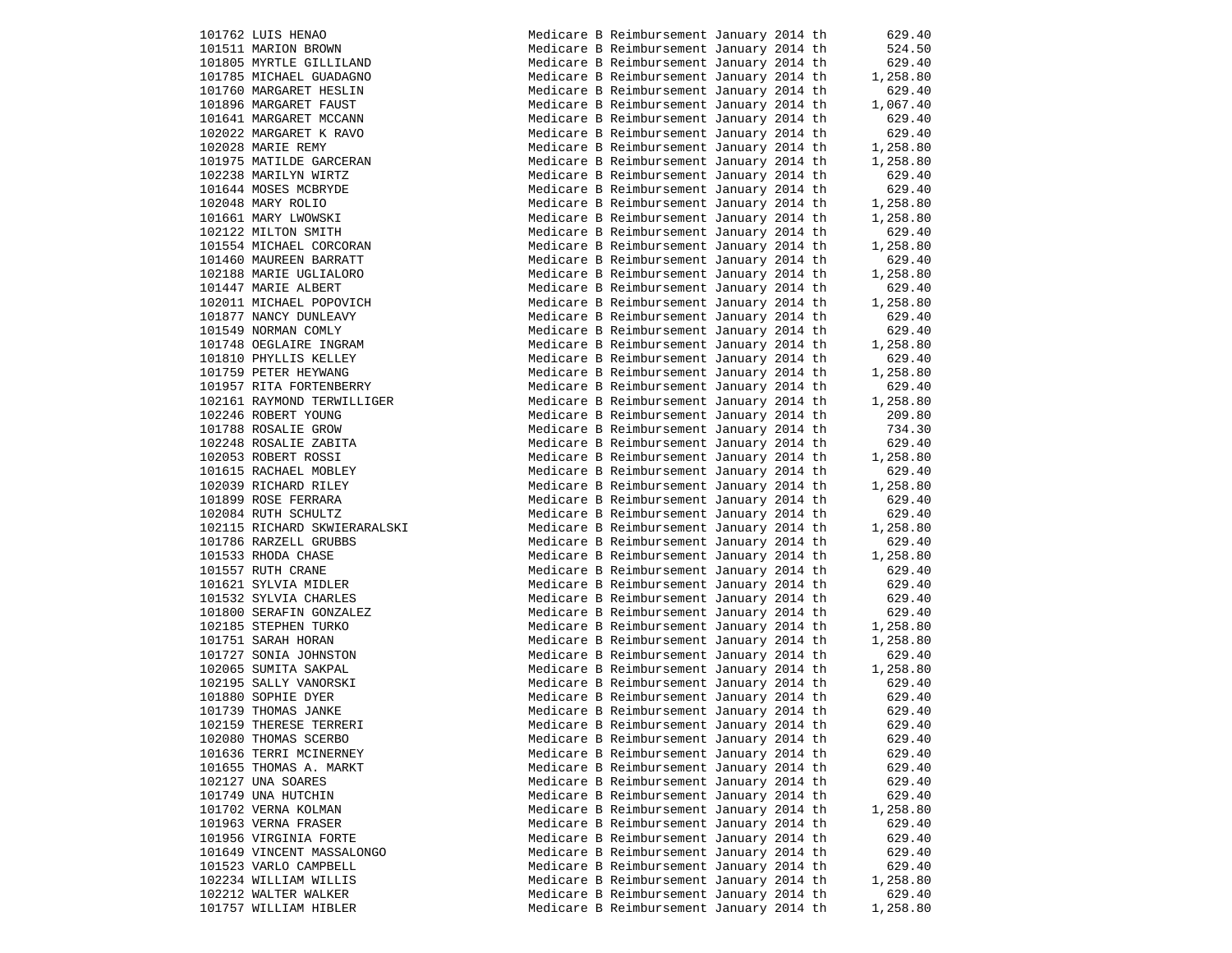| 101762 LUIS HENAO            | Medicare B Reimbursement January 2014 th |  | 629.40   |
|------------------------------|------------------------------------------|--|----------|
| 101511 MARION BROWN          | Medicare B Reimbursement January 2014 th |  | 524.50   |
| 101805 MYRTLE GILLILAND      | Medicare B Reimbursement January 2014 th |  | 629.40   |
| 101785 MICHAEL GUADAGNO      | Medicare B Reimbursement January 2014 th |  | 1,258.80 |
| 101760 MARGARET HESLIN       | Medicare B Reimbursement January 2014 th |  | 629.40   |
| 101896 MARGARET FAUST        | Medicare B Reimbursement January 2014 th |  | 1,067.40 |
| 101641 MARGARET MCCANN       | Medicare B Reimbursement January 2014 th |  | 629.40   |
| 102022 MARGARET K RAVO       | Medicare B Reimbursement January 2014 th |  | 629.40   |
| 102028 MARIE REMY            | Medicare B Reimbursement January 2014 th |  | 1,258.80 |
| 101975 MATILDE GARCERAN      | Medicare B Reimbursement January 2014 th |  | 1,258.80 |
| 102238 MARILYN WIRTZ         | Medicare B Reimbursement January 2014 th |  | 629.40   |
| 101644 MOSES MCBRYDE         | Medicare B Reimbursement January 2014 th |  | 629.40   |
| 102048 MARY ROLIO            | Medicare B Reimbursement January 2014 th |  | 1,258.80 |
| 101661 MARY LWOWSKI          | Medicare B Reimbursement January 2014 th |  | 1,258.80 |
|                              |                                          |  |          |
| 102122 MILTON SMITH          | Medicare B Reimbursement January 2014 th |  | 629.40   |
| 101554 MICHAEL CORCORAN      | Medicare B Reimbursement January 2014 th |  | 1,258.80 |
| 101460 MAUREEN BARRATT       | Medicare B Reimbursement January 2014 th |  | 629.40   |
| 102188 MARIE UGLIALORO       | Medicare B Reimbursement January 2014 th |  | 1,258.80 |
| 101447 MARIE ALBERT          | Medicare B Reimbursement January 2014 th |  | 629.40   |
| 102011 MICHAEL POPOVICH      | Medicare B Reimbursement January 2014 th |  | 1,258.80 |
| 101877 NANCY DUNLEAVY        | Medicare B Reimbursement January 2014 th |  | 629.40   |
| 101549 NORMAN COMLY          | Medicare B Reimbursement January 2014 th |  | 629.40   |
| 101748 OEGLAIRE INGRAM       | Medicare B Reimbursement January 2014 th |  | 1,258.80 |
| 101810 PHYLLIS KELLEY        | Medicare B Reimbursement January 2014 th |  | 629.40   |
| 101759 PETER HEYWANG         | Medicare B Reimbursement January 2014 th |  | 1,258.80 |
| 101957 RITA FORTENBERRY      | Medicare B Reimbursement January 2014 th |  | 629.40   |
| 102161 RAYMOND TERWILLIGER   | Medicare B Reimbursement January 2014 th |  | 1,258.80 |
| 102246 ROBERT YOUNG          | Medicare B Reimbursement January 2014 th |  | 209.80   |
| 101788 ROSALIE GROW          | Medicare B Reimbursement January 2014 th |  | 734.30   |
| 102248 ROSALIE ZABITA        | Medicare B Reimbursement January 2014 th |  | 629.40   |
| 102053 ROBERT ROSSI          | Medicare B Reimbursement January 2014 th |  | 1,258.80 |
| 101615 RACHAEL MOBLEY        | Medicare B Reimbursement January 2014 th |  | 629.40   |
| 102039 RICHARD RILEY         | Medicare B Reimbursement January 2014 th |  | 1,258.80 |
| 101899 ROSE FERRARA          | Medicare B Reimbursement January 2014 th |  | 629.40   |
| 102084 RUTH SCHULTZ          | Medicare B Reimbursement January 2014 th |  | 629.40   |
| 102115 RICHARD SKWIERARALSKI | Medicare B Reimbursement January 2014 th |  | 1,258.80 |
| 101786 RARZELL GRUBBS        | Medicare B Reimbursement January 2014 th |  | 629.40   |
| 101533 RHODA CHASE           | Medicare B Reimbursement January 2014 th |  | 1,258.80 |
| 101557 RUTH CRANE            | Medicare B Reimbursement January 2014 th |  | 629.40   |
| 101621 SYLVIA MIDLER         | Medicare B Reimbursement January 2014 th |  | 629.40   |
| 101532 SYLVIA CHARLES        | Medicare B Reimbursement January 2014 th |  | 629.40   |
|                              |                                          |  |          |
| 101800 SERAFIN GONZALEZ      | Medicare B Reimbursement January 2014 th |  | 629.40   |
| 102185 STEPHEN TURKO         | Medicare B Reimbursement January 2014 th |  | 1,258.80 |
| 101751 SARAH HORAN           | Medicare B Reimbursement January 2014 th |  | 1,258.80 |
| 101727 SONIA JOHNSTON        | Medicare B Reimbursement January 2014 th |  | 629.40   |
| 102065 SUMITA SAKPAL         | Medicare B Reimbursement January 2014 th |  | 1,258.80 |
| 102195 SALLY VANORSKI        | Medicare B Reimbursement January 2014 th |  | 629.40   |
| 101880 SOPHIE DYER           | Medicare B Reimbursement January 2014 th |  | 629.40   |
| 101739 THOMAS JANKE          | Medicare B Reimbursement January 2014 th |  | 629.40   |
| 102159 THERESE TERRERI       | Medicare B Reimbursement January 2014 th |  | 629.40   |
| 102080 THOMAS SCERBO         | Medicare B Reimbursement January 2014 th |  | 629.40   |
| 101636 TERRI MCINERNEY       | Medicare B Reimbursement January 2014 th |  | 629.40   |
| 101655 THOMAS A. MARKT       | Medicare B Reimbursement January 2014 th |  | 629.40   |
| 102127 UNA SOARES            | Medicare B Reimbursement January 2014 th |  | 629.40   |
| 101749 UNA HUTCHIN           | Medicare B Reimbursement January 2014 th |  | 629.40   |
| 101702 VERNA KOLMAN          | Medicare B Reimbursement January 2014 th |  | 1,258.80 |
| 101963 VERNA FRASER          | Medicare B Reimbursement January 2014 th |  | 629.40   |
| 101956 VIRGINIA FORTE        | Medicare B Reimbursement January 2014 th |  | 629.40   |
| 101649 VINCENT MASSALONGO    | Medicare B Reimbursement January 2014 th |  | 629.40   |
| 101523 VARLO CAMPBELL        | Medicare B Reimbursement January 2014 th |  | 629.40   |
| 102234 WILLIAM WILLIS        | Medicare B Reimbursement January 2014 th |  | 1,258.80 |
| 102212 WALTER WALKER         | Medicare B Reimbursement January 2014 th |  | 629.40   |
| 101757 WILLIAM HIBLER        | Medicare B Reimbursement January 2014 th |  | 1,258.80 |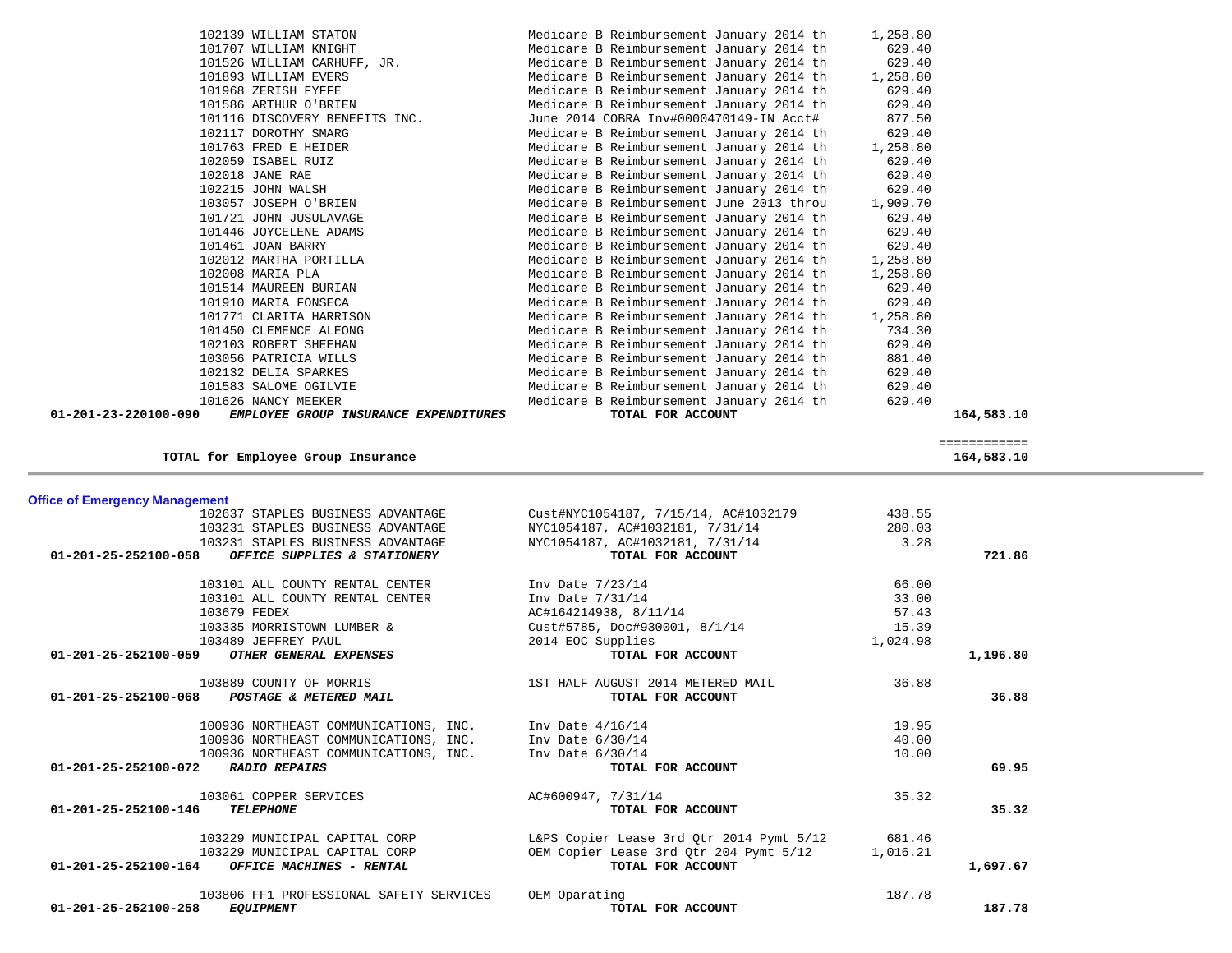| TARTHE THORD CATTAN                                           | Medicale B Reimbursement vanuary 2014 th | 029.40   |                            |  |
|---------------------------------------------------------------|------------------------------------------|----------|----------------------------|--|
| 103056 PATRICIA WILLS                                         | Medicare B Reimbursement January 2014 th | 881.40   |                            |  |
| 102132 DELIA SPARKES                                          | Medicare B Reimbursement January 2014 th | 629.40   |                            |  |
| 101583 SALOME OGILVIE                                         | Medicare B Reimbursement January 2014 th | 629.40   |                            |  |
| 101626 NANCY MEEKER                                           | Medicare B Reimbursement January 2014 th | 629.40   |                            |  |
| 01-201-23-220100-090<br>EMPLOYEE GROUP INSURANCE EXPENDITURES | TOTAL FOR ACCOUNT                        |          | 164,583.10                 |  |
|                                                               |                                          |          |                            |  |
| TOTAL for Employee Group Insurance                            |                                          |          | ============<br>164,583.10 |  |
|                                                               |                                          |          |                            |  |
| <b>Office of Emergency Management</b>                         |                                          |          |                            |  |
| 102637 STAPLES BUSINESS ADVANTAGE                             | Cust#NYC1054187, 7/15/14, AC#1032179     | 438.55   |                            |  |
| 103231 STAPLES BUSINESS ADVANTAGE                             | NYC1054187, AC#1032181, 7/31/14          | 280.03   |                            |  |
| 103231 STAPLES BUSINESS ADVANTAGE                             | NYC1054187, AC#1032181, 7/31/14          | 3.28     |                            |  |
| 01-201-25-252100-058<br>OFFICE SUPPLIES & STATIONERY          | TOTAL FOR ACCOUNT                        |          | 721.86                     |  |
|                                                               |                                          |          |                            |  |
| 103101 ALL COUNTY RENTAL CENTER                               | Inv Date 7/23/14                         | 66.00    |                            |  |
| 103101 ALL COUNTY RENTAL CENTER                               | Inv Date 7/31/14                         | 33.00    |                            |  |
| 103679 FEDEX                                                  | AC#164214938, 8/11/14                    | 57.43    |                            |  |
| 103335 MORRISTOWN LUMBER &                                    | Cust#5785, Doc#930001, 8/1/14            | 15.39    |                            |  |
| 103489 JEFFREY PAUL                                           | 2014 EOC Supplies                        | 1,024.98 |                            |  |
| OTHER GENERAL EXPENSES                                        | TOTAL FOR ACCOUNT                        |          | 1,196.80                   |  |
| 01-201-25-252100-059                                          |                                          |          |                            |  |
| 103889 COUNTY OF MORRIS                                       | 1ST HALF AUGUST 2014 METERED MAIL        | 36.88    |                            |  |
| POSTAGE & METERED MAIL<br>01-201-25-252100-068                | TOTAL FOR ACCOUNT                        |          | 36.88                      |  |
| 100936 NORTHEAST COMMUNICATIONS, INC.                         | Inv Date $4/16/14$                       | 19.95    |                            |  |
| 100936 NORTHEAST COMMUNICATIONS, INC.                         | Inv Date 6/30/14                         | 40.00    |                            |  |
| 100936 NORTHEAST COMMUNICATIONS, INC.                         | Inv Date 6/30/14                         | 10.00    |                            |  |
| <b>RADIO REPAIRS</b><br>01-201-25-252100-072                  | TOTAL FOR ACCOUNT                        |          | 69.95                      |  |
| 103061 COPPER SERVICES                                        | AC#600947, 7/31/14                       | 35.32    |                            |  |
| 01-201-25-252100-146<br><b>TELEPHONE</b>                      | TOTAL FOR ACCOUNT                        |          | 35.32                      |  |
| 103229 MUNICIPAL CAPITAL CORP                                 | L&PS Copier Lease 3rd Qtr 2014 Pymt 5/12 | 681.46   |                            |  |
| 103229 MUNICIPAL CAPITAL CORP                                 | OEM Copier Lease 3rd Qtr 204 Pymt 5/12   | 1,016.21 |                            |  |
| 01-201-25-252100-164<br>OFFICE MACHINES - RENTAL              | TOTAL FOR ACCOUNT                        |          | 1,697.67                   |  |
| 103806 FF1 PROFESSIONAL SAFETY SERVICES                       | OEM Oparating                            | 187.78   |                            |  |
| 01-201-25-252100-258<br><b>EQUIPMENT</b>                      | TOTAL FOR ACCOUNT                        |          | 187.78                     |  |
|                                                               |                                          |          |                            |  |

|                      | 102139 WILLIAM STATON                       | Medicare B Reimbursement January 2014 th          | 1,258.80  |
|----------------------|---------------------------------------------|---------------------------------------------------|-----------|
|                      | 101707 WILLIAM KNIGHT                       | Medicare B Reimbursement January 2014 th          | 629.40    |
|                      | 101526 WILLIAM CARHUFF, JR.                 | Medicare B Reimbursement January 2014 th          | 629.40    |
|                      | 101893 WILLIAM EVERS                        | Medicare B Reimbursement January 2014 th 1,258.80 |           |
|                      | 101968 ZERISH FYFFE                         | Medicare B Reimbursement January 2014 th          | 629.40    |
|                      | 101586 ARTHUR O'BRIEN                       | Medicare B Reimbursement January 2014 th          | 629.40    |
|                      | 101116 DISCOVERY BENEFITS INC.              | June 2014 COBRA Inv#0000470149-IN Acct#           | 877.50    |
|                      | 102117 DOROTHY SMARG                        | Medicare B Reimbursement January 2014 th          | 629.40    |
|                      | 101763 FRED E HEIDER                        | Medicare B Reimbursement January 2014 th          | 1,258.80  |
|                      | 102059 ISABEL RUIZ                          | Medicare B Reimbursement January 2014 th          | 629.40    |
|                      | 102018 JANE RAE                             | Medicare B Reimbursement January 2014 th          | 629.40    |
|                      | 102215 JOHN WALSH                           | Medicare B Reimbursement January 2014 th          | 629.40    |
|                      | 103057 JOSEPH O'BRIEN                       | Medicare B Reimbursement June 2013 throu 1,909.70 |           |
|                      | 101721 JOHN JUSULAVAGE                      | Medicare B Reimbursement January 2014 th          | 629.40    |
|                      | 101446 JOYCELENE ADAMS                      | Medicare B Reimbursement January 2014 th          | 629.40    |
|                      |                                             | Medicare B Reimbursement January 2014 th          | 629.40    |
|                      | 101461 JOAN BARRY<br>102012 MARTHA PORTILLA | Medicare B Reimbursement January 2014 th          | 1,258.80  |
|                      | 102008 MARIA PLA                            | Medicare B Reimbursement January 2014 th 1,258.80 |           |
|                      | 101514 MAUREEN BURIAN                       | Medicare B Reimbursement January 2014 th 629.40   |           |
|                      | 101910 MARIA FONSECA                        | Medicare B Reimbursement January 2014 th          | 629.40    |
|                      | 101771 CLARITA HARRISON                     | Medicare B Reimbursement January 2014 th 1,258.80 |           |
|                      | 101450 CLEMENCE ALEONG                      | Medicare B Reimbursement January 2014 th          | 734.30    |
|                      | 102103 ROBERT SHEEHAN                       | Medicare B Reimbursement January 2014 th          | 629.40    |
|                      | 103056 PATRICIA WILLS                       | Medicare B Reimbursement January 2014 th          | 881.40    |
|                      | 102132 DELIA SPARKES                        | Medicare B Reimbursement January 2014 th          | 629.40    |
|                      | 101583 SALOME OGILVIE                       | Medicare B Reimbursement January 2014 th          | 629.40    |
|                      | 101626 NANCY MEEKER                         | Medicare B Reimbursement January 2014 th          | 629.40    |
| 01-201-23-220100-090 | EMPLOYEE GROUP INSURANCE EXPENDITURES       | TOTAL FOR ACCOUNT                                 | 164,583.1 |
|                      |                                             |                                                   |           |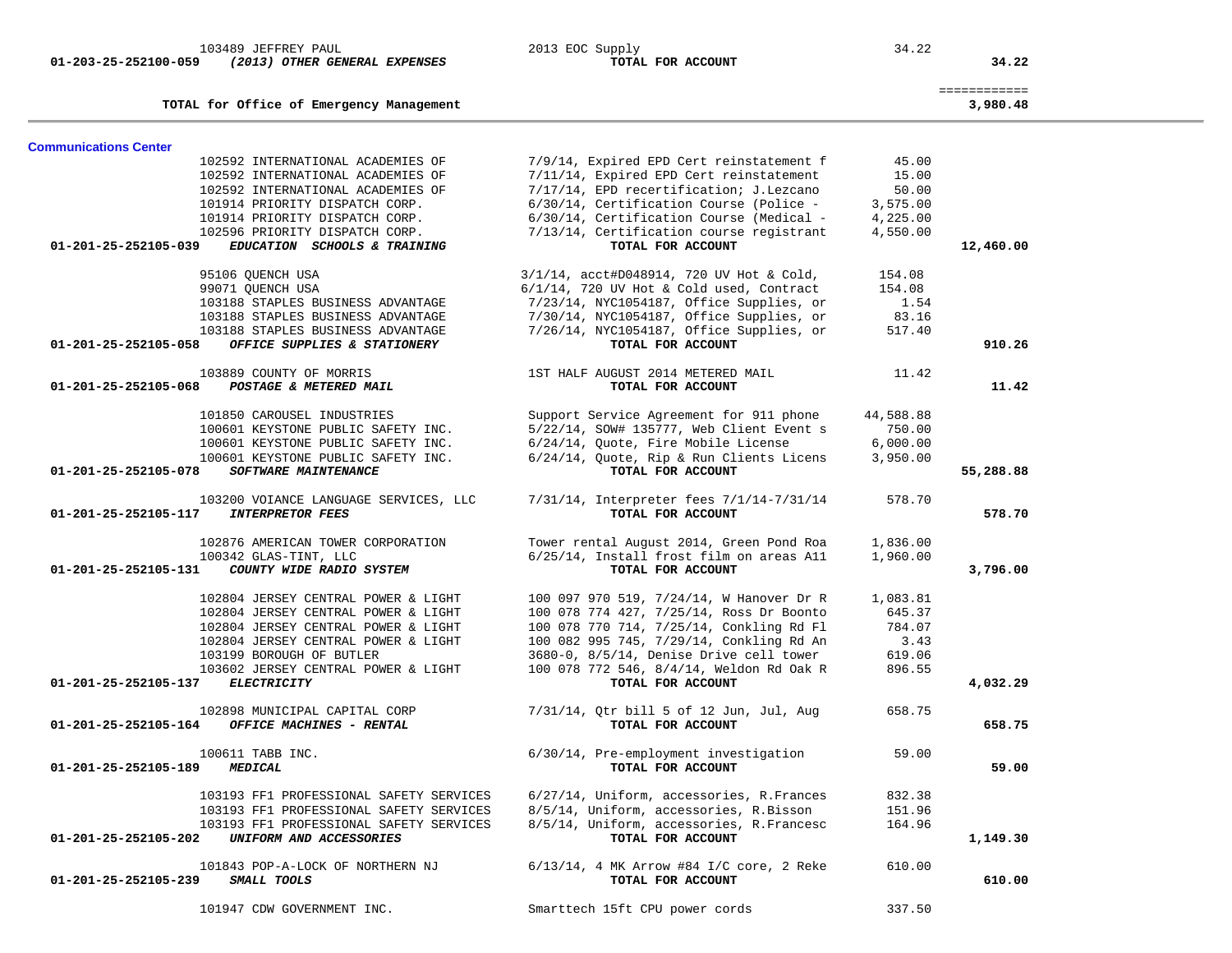| 103489 JEFFREY PAUL<br>(2013) OTHER GENERAL EXPENSES<br>01-203-25-252100-059       | 2013 EOC Supply<br>TOTAL FOR ACCOUNT                                                 | 34.22                | 34.22                    |  |
|------------------------------------------------------------------------------------|--------------------------------------------------------------------------------------|----------------------|--------------------------|--|
| TOTAL for Office of Emergency Management                                           |                                                                                      |                      | ============<br>3,980.48 |  |
| <b>Communications Center</b>                                                       |                                                                                      |                      |                          |  |
| 102592 INTERNATIONAL ACADEMIES OF                                                  | 7/9/14, Expired EPD Cert reinstatement f                                             | 45.00                |                          |  |
| 102592 INTERNATIONAL ACADEMIES OF                                                  | 7/11/14, Expired EPD Cert reinstatement                                              | 15.00                |                          |  |
| 102592 INTERNATIONAL ACADEMIES OF                                                  | 7/17/14, EPD recertification; J.Lezcano                                              | 50.00                |                          |  |
| 101914 PRIORITY DISPATCH CORP.                                                     | 6/30/14, Certification Course (Police -                                              | 3,575.00             |                          |  |
| 101914 PRIORITY DISPATCH CORP.<br>102596 PRIORITY DISPATCH CORP.                   | 6/30/14, Certification Course (Medical -<br>7/13/14, Certification course registrant | 4,225.00<br>4,550.00 |                          |  |
| 01-201-25-252105-039<br>EDUCATION SCHOOLS & TRAINING                               | TOTAL FOR ACCOUNT                                                                    |                      | 12,460.00                |  |
|                                                                                    |                                                                                      |                      |                          |  |
| 95106 QUENCH USA                                                                   | 3/1/14, acct#D048914, 720 UV Hot & Cold,                                             | 154.08               |                          |  |
| 99071 QUENCH USA                                                                   | $6/1/14$ , 720 UV Hot & Cold used, Contract                                          | 154.08               |                          |  |
| 103188 STAPLES BUSINESS ADVANTAGE                                                  | 7/23/14, NYC1054187, Office Supplies, or                                             | 1.54                 |                          |  |
| 103188 STAPLES BUSINESS ADVANTAGE                                                  | 7/30/14, NYC1054187, Office Supplies, or                                             | 83.16                |                          |  |
| 103188 STAPLES BUSINESS ADVANTAGE                                                  | 7/26/14, NYC1054187, Office Supplies, or                                             | 517.40               |                          |  |
| OFFICE SUPPLIES & STATIONERY<br>01-201-25-252105-058                               | TOTAL FOR ACCOUNT                                                                    |                      | 910.26                   |  |
| 103889 COUNTY OF MORRIS                                                            | 1ST HALF AUGUST 2014 METERED MAIL                                                    | 11.42                |                          |  |
| $01 - 201 - 25 - 252105 - 068$<br>POSTAGE & METERED MAIL                           | TOTAL FOR ACCOUNT                                                                    |                      | 11.42                    |  |
|                                                                                    |                                                                                      |                      |                          |  |
| 101850 CAROUSEL INDUSTRIES                                                         | Support Service Agreement for 911 phone                                              | 44,588.88            |                          |  |
| 100601 KEYSTONE PUBLIC SAFETY INC.                                                 | 5/22/14, SOW# 135777, Web Client Event s                                             | 750.00               |                          |  |
| 100601 KEYSTONE PUBLIC SAFETY INC.                                                 | 6/24/14, Quote, Fire Mobile License                                                  | 6,000.00             |                          |  |
| 100601 KEYSTONE PUBLIC SAFETY INC.                                                 | 6/24/14, Quote, Rip & Run Clients Licens                                             | 3,950.00             |                          |  |
| 01-201-25-252105-078<br>SOFTWARE MAINTENANCE                                       | TOTAL FOR ACCOUNT                                                                    |                      | 55,288.88                |  |
| 103200 VOIANCE LANGUAGE SERVICES, LLC                                              | 7/31/14, Interpreter fees 7/1/14-7/31/14                                             | 578.70               |                          |  |
| <b>INTERPRETOR FEES</b><br>01-201-25-252105-117                                    | TOTAL FOR ACCOUNT                                                                    |                      | 578.70                   |  |
|                                                                                    |                                                                                      |                      |                          |  |
| 102876 AMERICAN TOWER CORPORATION                                                  | Tower rental August 2014, Green Pond Roa                                             | 1,836.00             |                          |  |
| 100342 GLAS-TINT, LLC                                                              | 6/25/14, Install frost film on areas A11                                             | 1,960.00             |                          |  |
| 01-201-25-252105-131<br>COUNTY WIDE RADIO SYSTEM                                   | TOTAL FOR ACCOUNT                                                                    |                      | 3,796.00                 |  |
| 102804 JERSEY CENTRAL POWER & LIGHT                                                | 100 097 970 519, 7/24/14, W Hanover Dr R                                             | 1,083.81             |                          |  |
| 102804 JERSEY CENTRAL POWER & LIGHT                                                | 100 078 774 427, 7/25/14, Ross Dr Boonto                                             | 645.37               |                          |  |
| 102804 JERSEY CENTRAL POWER & LIGHT                                                | 100 078 770 714, 7/25/14, Conkling Rd Fl                                             | 784.07               |                          |  |
| 102804 JERSEY CENTRAL POWER & LIGHT                                                | 100 082 995 745, 7/29/14, Conkling Rd An                                             | 3.43                 |                          |  |
| 103199 BOROUGH OF BUTLER                                                           | 3680-0, 8/5/14, Denise Drive cell tower                                              | 619.06               |                          |  |
| 103602 JERSEY CENTRAL POWER & LIGHT                                                | 100 078 772 546, 8/4/14, Weldon Rd Oak R                                             | 896.55               |                          |  |
| 01-201-25-252105-137<br><b>ELECTRICITY</b>                                         | TOTAL FOR ACCOUNT                                                                    |                      | 4,032.29                 |  |
| 102898 MUNICIPAL CAPITAL CORP                                                      | 7/31/14, Qtr bill 5 of 12 Jun, Jul, Aug                                              | 658.75               |                          |  |
| 01-201-25-252105-164<br>OFFICE MACHINES - RENTAL                                   | TOTAL FOR ACCOUNT                                                                    |                      | 658.75                   |  |
|                                                                                    |                                                                                      |                      |                          |  |
| 100611 TABB INC.                                                                   | 6/30/14, Pre-employment investigation                                                | 59.00                |                          |  |
| 01-201-25-252105-189<br>MEDICAL                                                    | TOTAL FOR ACCOUNT                                                                    |                      | 59.00                    |  |
|                                                                                    |                                                                                      |                      |                          |  |
| 103193 FF1 PROFESSIONAL SAFETY SERVICES<br>103193 FF1 PROFESSIONAL SAFETY SERVICES | 6/27/14, Uniform, accessories, R.Frances<br>8/5/14, Uniform, accessories, R.Bisson   | 832.38<br>151.96     |                          |  |
| 103193 FF1 PROFESSIONAL SAFETY SERVICES                                            | 8/5/14, Uniform, accessories, R.Francesc                                             | 164.96               |                          |  |
| UNIFORM AND ACCESSORIES<br>01-201-25-252105-202                                    | TOTAL FOR ACCOUNT                                                                    |                      | 1,149.30                 |  |
|                                                                                    |                                                                                      |                      |                          |  |
| 101843 POP-A-LOCK OF NORTHERN NJ                                                   | $6/13/14$ , 4 MK Arrow #84 I/C core, 2 Reke                                          | 610.00               |                          |  |
| 01-201-25-252105-239<br>SMALL TOOLS                                                | TOTAL FOR ACCOUNT                                                                    |                      | 610.00                   |  |
|                                                                                    |                                                                                      |                      |                          |  |
| 101947 CDW GOVERNMENT INC.                                                         | Smarttech 15ft CPU power cords                                                       | 337.50               |                          |  |

 $\overline{\phantom{0}}$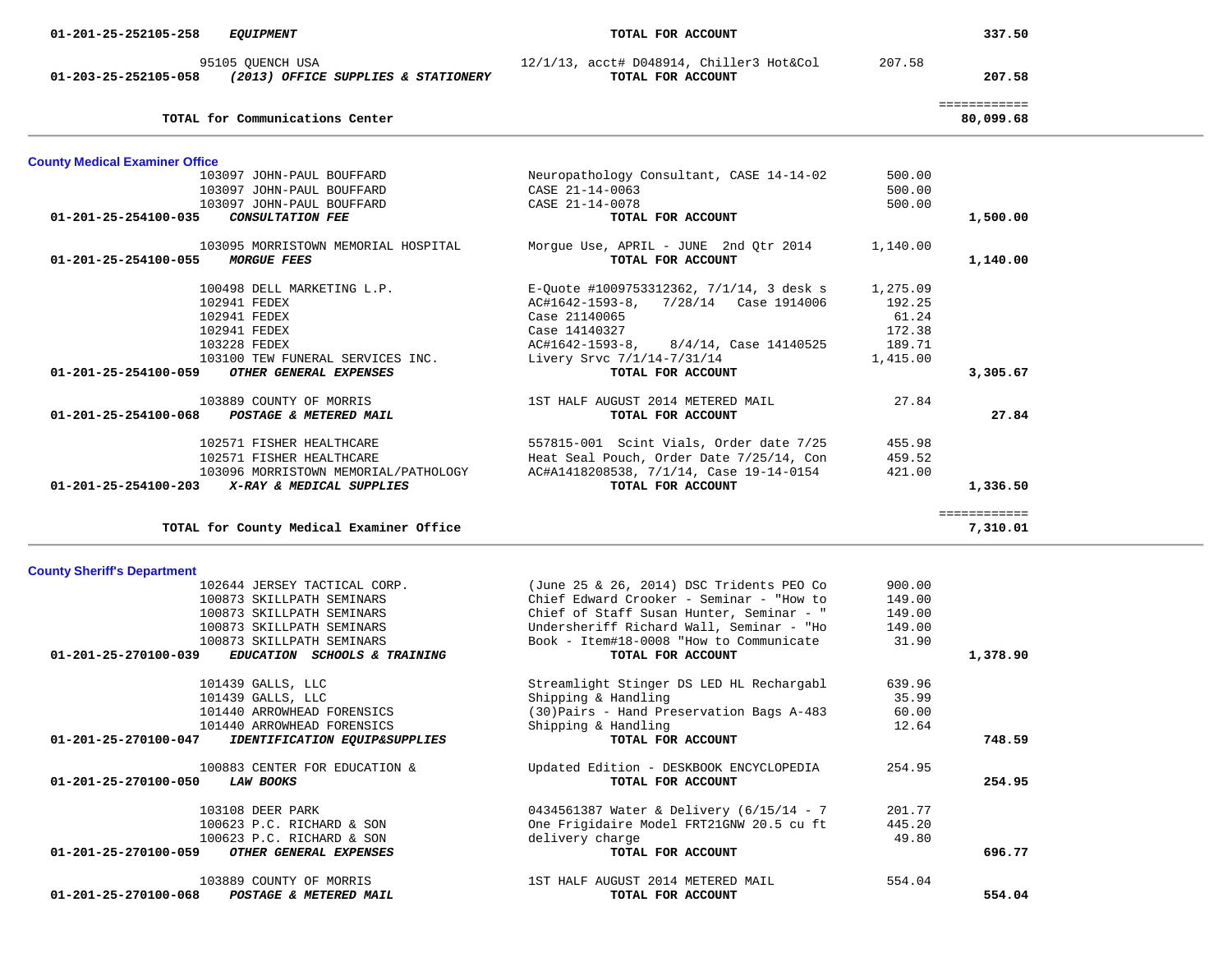|                                                                                                                                                             | TOTAL for Communications Center          |                                           |          |              |
|-------------------------------------------------------------------------------------------------------------------------------------------------------------|------------------------------------------|-------------------------------------------|----------|--------------|
|                                                                                                                                                             |                                          |                                           |          | 80,099.68    |
| <b>County Medical Examiner Office</b>                                                                                                                       |                                          |                                           |          |              |
|                                                                                                                                                             | 103097 JOHN-PAUL BOUFFARD                | Neuropathology Consultant, CASE 14-14-02  | 500.00   |              |
|                                                                                                                                                             | 103097 JOHN-PAUL BOUFFARD                | CASE 21-14-0063                           | 500.00   |              |
|                                                                                                                                                             | 103097 JOHN-PAUL BOUFFARD                | CASE 21-14-0078                           | 500.00   |              |
| 01-201-25-254100-035                                                                                                                                        | <b>CONSULTATION FEE</b>                  | TOTAL FOR ACCOUNT                         |          | 1,500.00     |
|                                                                                                                                                             | 103095 MORRISTOWN MEMORIAL HOSPITAL      | Morgue Use, APRIL - JUNE 2nd Qtr 2014     | 1,140.00 |              |
| 01-201-25-254100-055 MORGUE FEES                                                                                                                            |                                          | TOTAL FOR ACCOUNT                         |          | 1,140.00     |
|                                                                                                                                                             | 100498 DELL MARKETING L.P.               | E-Quote #1009753312362, 7/1/14, 3 desk s  | 1,275.09 |              |
|                                                                                                                                                             | 102941 FEDEX                             | AC#1642-1593-8, 7/28/14 Case 1914006      | 192.25   |              |
|                                                                                                                                                             | 102941 FEDEX                             | Case 21140065                             | 61.24    |              |
|                                                                                                                                                             | 102941 FEDEX                             | Case 14140327                             | 172.38   |              |
|                                                                                                                                                             | 103228 FEDEX                             | AC#1642-1593-8, 8/4/14, Case 14140525     | 189.71   |              |
|                                                                                                                                                             | 103100 TEW FUNERAL SERVICES INC.         | Livery Srvc 7/1/14-7/31/14                | 1,415.00 |              |
| 01-201-25-254100-059                                                                                                                                        | OTHER GENERAL EXPENSES                   | TOTAL FOR ACCOUNT                         |          | 3,305.67     |
|                                                                                                                                                             | 103889 COUNTY OF MORRIS                  | 1ST HALF AUGUST 2014 METERED MAIL         | 27.84    |              |
| 01-201-25-254100-068                                                                                                                                        | POSTAGE & METERED MAIL                   | TOTAL FOR ACCOUNT                         |          | 27.84        |
|                                                                                                                                                             | 102571 FISHER HEALTHCARE                 | 557815-001 Scint Vials, Order date 7/25   | 455.98   |              |
|                                                                                                                                                             | 102571 FISHER HEALTHCARE                 | Heat Seal Pouch, Order Date 7/25/14, Con  | 459.52   |              |
|                                                                                                                                                             | 103096 MORRISTOWN MEMORIAL/PATHOLOGY     | AC#A1418208538, 7/1/14, Case 19-14-0154   | 421.00   |              |
|                                                                                                                                                             |                                          |                                           |          |              |
|                                                                                                                                                             |                                          | TOTAL FOR ACCOUNT                         |          | 1,336.50     |
|                                                                                                                                                             |                                          |                                           |          | ============ |
|                                                                                                                                                             | TOTAL for County Medical Examiner Office |                                           |          | 7,310.01     |
|                                                                                                                                                             |                                          |                                           |          |              |
|                                                                                                                                                             |                                          |                                           |          |              |
|                                                                                                                                                             | 102644 JERSEY TACTICAL CORP.             | (June 25 & 26, 2014) DSC Tridents PEO Co  | 900.00   |              |
|                                                                                                                                                             | 100873 SKILLPATH SEMINARS                | Chief Edward Crooker - Seminar - "How to  | 149.00   |              |
|                                                                                                                                                             | 100873 SKILLPATH SEMINARS                | Chief of Staff Susan Hunter, Seminar - "  | 149.00   |              |
|                                                                                                                                                             | 100873 SKILLPATH SEMINARS                | Undersheriff Richard Wall, Seminar - "Ho  | 149.00   |              |
|                                                                                                                                                             | 100873 SKILLPATH SEMINARS                | Book - Item#18-0008 "How to Communicate   | 31.90    |              |
|                                                                                                                                                             | EDUCATION SCHOOLS & TRAINING             | TOTAL FOR ACCOUNT                         |          | 1,378.90     |
|                                                                                                                                                             | 101439 GALLS, LLC                        | Streamlight Stinger DS LED HL Rechargabl  | 639.96   |              |
|                                                                                                                                                             | 101439 GALLS, LLC                        | Shipping & Handling                       | 35.99    |              |
|                                                                                                                                                             | 101440 ARROWHEAD FORENSICS               | (30) Pairs - Hand Preservation Bags A-483 | 60.00    |              |
|                                                                                                                                                             | 101440 ARROWHEAD FORENSICS               | Shipping & Handling                       | 12.64    |              |
|                                                                                                                                                             | IDENTIFICATION EQUIP&SUPPLIES            | TOTAL FOR ACCOUNT                         |          | 748.59       |
|                                                                                                                                                             | 100883 CENTER FOR EDUCATION &            | Updated Edition - DESKBOOK ENCYCLOPEDIA   | 254.95   |              |
|                                                                                                                                                             | <b>LAW BOOKS</b>                         | TOTAL FOR ACCOUNT                         |          | 254.95       |
|                                                                                                                                                             | 103108 DEER PARK                         | 0434561387 Water & Delivery (6/15/14 - 7  | 201.77   |              |
|                                                                                                                                                             | 100623 P.C. RICHARD & SON                | One Frigidaire Model FRT21GNW 20.5 cu ft  | 445.20   |              |
|                                                                                                                                                             | 100623 P.C. RICHARD & SON                | delivery charge                           | 49.80    |              |
| 01-201-25-270100-047                                                                                                                                        | OTHER GENERAL EXPENSES                   | TOTAL FOR ACCOUNT                         |          | 696.77       |
| 01-201-25-254100-203 X-RAY & MEDICAL SUPPLIES<br><b>County Sheriff's Department</b><br>01-201-25-270100-039<br>01-201-25-270100-050<br>01-201-25-270100-059 | 103889 COUNTY OF MORRIS                  | 1ST HALF AUGUST 2014 METERED MAIL         | 554.04   |              |

95105 QUENCH USA 12/1/13, acct# D048914, Chiller3 Hot&Col 207.58<br>58 (2013) OFFICE SUPPLIES & STATIONERY TOTAL FOR ACCOUNT

-

 **01-203-25-252105-058** *(2013) OFFICE SUPPLIES & STATIONERY* **TOTAL FOR ACCOUNT 207.58**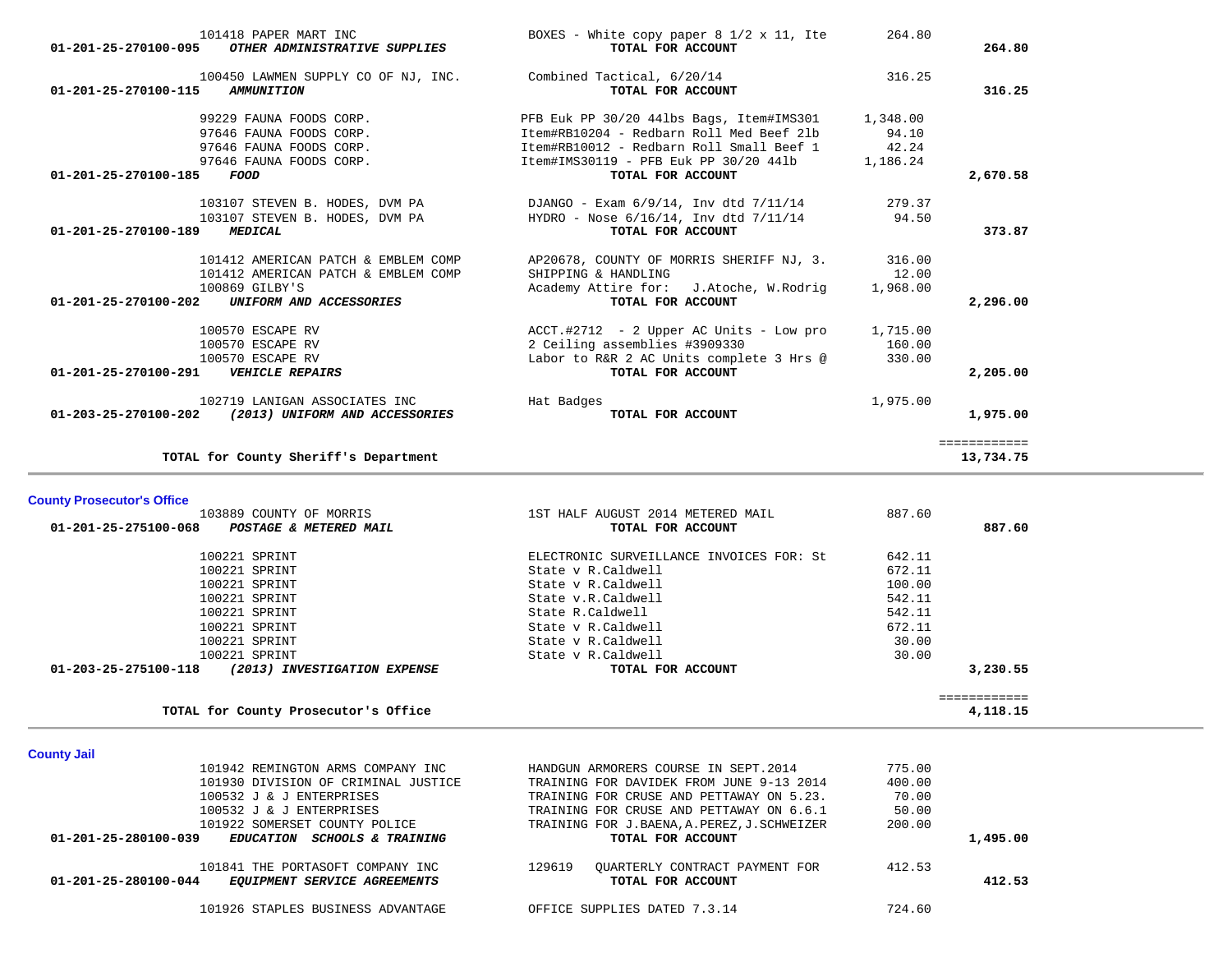| <b>County Jail</b>                                                 |                                            |        |          |
|--------------------------------------------------------------------|--------------------------------------------|--------|----------|
| 101942 REMINGTON ARMS COMPANY INC                                  | HANDGUN ARMORERS COURSE IN SEPT. 2014      | 775.00 |          |
| 101930 DIVISION OF CRIMINAL JUSTICE                                | TRAINING FOR DAVIDEK FROM JUNE 9-13 2014   | 400.00 |          |
| 100532 J & J ENTERPRISES                                           | TRAINING FOR CRUSE AND PETTAWAY ON 5.23.   | 70.00  |          |
| 100532 J & J ENTERPRISES                                           | TRAINING FOR CRUSE AND PETTAWAY ON 6.6.1   | 50.00  |          |
| 101922 SOMERSET COUNTY POLICE                                      | TRAINING FOR J.BAENA, A.PEREZ, J.SCHWEIZER | 200.00 |          |
| 01-201-25-280100-039<br><b>SCHOOLS &amp; TRAINING</b><br>EDUCATION | TOTAL FOR ACCOUNT                          |        | 1,495.00 |
| 101841 THE PORTASOFT COMPANY INC                                   | 129619<br>OUARTERLY CONTRACT PAYMENT FOR   | 412.53 |          |
| 01-201-25-280100-044<br>EQUIPMENT SERVICE AGREEMENTS               | TOTAL FOR ACCOUNT                          |        | 412.53   |
| 101926 STAPLES BUSINESS ADVANTAGE                                  | OFFICE SUPPLIES DATED 7.3.14               | 724.60 |          |

|  |  |  | <b>County Jail</b> |  |
|--|--|--|--------------------|--|
|  |  |  |                    |  |
|  |  |  |                    |  |
|  |  |  |                    |  |

| 103889 COUNTY OF MORRIS<br>01-201-25-275100-068<br>POSTAGE & METERED MAIL | 1ST HALF AUGUST 2014 METERED MAIL<br>TOTAL FOR ACCOUNT | 887.60<br>887.60 |
|---------------------------------------------------------------------------|--------------------------------------------------------|------------------|
|                                                                           |                                                        |                  |
| 100221 SPRINT                                                             | ELECTRONIC SURVEILLANCE INVOICES FOR: St               | 642.11           |
| 100221 SPRINT                                                             | State v R.Caldwell                                     | 672.11           |
| 100221 SPRINT                                                             | State v R.Caldwell                                     | 100.00           |
| 100221 SPRINT                                                             | State v.R.Caldwell                                     | 542.11           |
| 100221 SPRINT                                                             | State R.Caldwell                                       | 542.11           |
| 100221 SPRINT                                                             | State v R.Caldwell                                     | 672.11           |
| 100221 SPRINT                                                             | State v R.Caldwell                                     | 30.00            |
| 100221 SPRINT                                                             | State v R.Caldwell                                     | 30.00            |
| 01-203-25-275100-118<br>(2013) INVESTIGATION EXPENSE                      | TOTAL FOR ACCOUNT                                      | 3,230.55         |

| 101418 PAPER MART INC<br>OTHER ADMINISTRATIVE SUPPLIES<br>01-201-25-270100-095                                     | BOXES - White copy paper 8 $1/2 \times 11$ , Ite<br>TOTAL FOR ACCOUNT                      | 264.80   | 264.80       |
|--------------------------------------------------------------------------------------------------------------------|--------------------------------------------------------------------------------------------|----------|--------------|
| 100450 LAWMEN SUPPLY CO OF NJ, INC. Combined Tactical, 6/20/14<br>01-201-25-270100-115<br><i><b>AMMUNITION</b></i> | TOTAL FOR ACCOUNT                                                                          | 316.25   | 316.25       |
| 99229 FAUNA FOODS CORP.                                                                                            | PFB Euk PP $30/20$ 441bs Bags, Item#IMS301 1,348.00                                        |          |              |
| 97646 FAUNA FOODS CORP.                                                                                            | Item#RB10204 - Redbarn Roll Med Beef 21b                                                   | 94.10    |              |
| 97646 FAUNA FOODS CORP.<br>97646 FAUNA FOODS CORP.                                                                 | Item#RB10012 - Redbarn Roll Small Beef 1<br>Item#IMS30119 - PFB Euk PP 30/20 441b 1,186.24 | 42.24    |              |
| FOOD<br>01-201-25-270100-185                                                                                       | TOTAL FOR ACCOUNT                                                                          |          | 2,670.58     |
| 103107 STEVEN B. HODES, DVM PA                                                                                     | DJANGO - Exam 6/9/14, Inv dtd 7/11/14 279.37                                               |          |              |
| 103107 STEVEN B. HODES, DVM PA                                                                                     | HYDRO - Nose 6/16/14, Inv dtd 7/11/14                                                      | 94.50    |              |
| 01-201-25-270100-189<br><b>MEDICAL</b>                                                                             | TOTAL FOR ACCOUNT                                                                          |          | 373.87       |
| 101412 AMERICAN PATCH & EMBLEM COMP                                                                                | AP20678, COUNTY OF MORRIS SHERIFF NJ, 3.                                                   | 316.00   |              |
| 101412 AMERICAN PATCH & EMBLEM COMP                                                                                | SHIPPING & HANDLING                                                                        | 12.00    |              |
| 100869 GILBY'S                                                                                                     | Academy Attire for: J.Atoche, W.Rodrig                                                     | 1,968.00 |              |
| 01-201-25-270100-202<br>UNIFORM AND ACCESSORIES                                                                    | TOTAL FOR ACCOUNT                                                                          |          | 2,296.00     |
| 100570 ESCAPE RV                                                                                                   | ACCT.#2712 - 2 Upper AC Units - Low pro                                                    | 1,715.00 |              |
| 100570 ESCAPE RV                                                                                                   | 2 Ceiling assemblies #3909330                                                              | 160.00   |              |
| 100570 ESCAPE RV<br>01-201-25-270100-291<br><b>VEHICLE REPAIRS</b>                                                 | Labor to R&R 2 AC Units complete 3 Hrs @<br>TOTAL FOR ACCOUNT                              | 330.00   | 2,205,00     |
| 102719 LANIGAN ASSOCIATES INC                                                                                      | Hat Badges                                                                                 | 1,975.00 |              |
| 01-203-25-270100-202<br>(2013) UNIFORM AND ACCESSORIES                                                             | TOTAL FOR ACCOUNT                                                                          |          | 1,975.00     |
|                                                                                                                    |                                                                                            |          | ============ |
| TOTAL for County Sheriff's Department                                                                              |                                                                                            |          | 13,734.75    |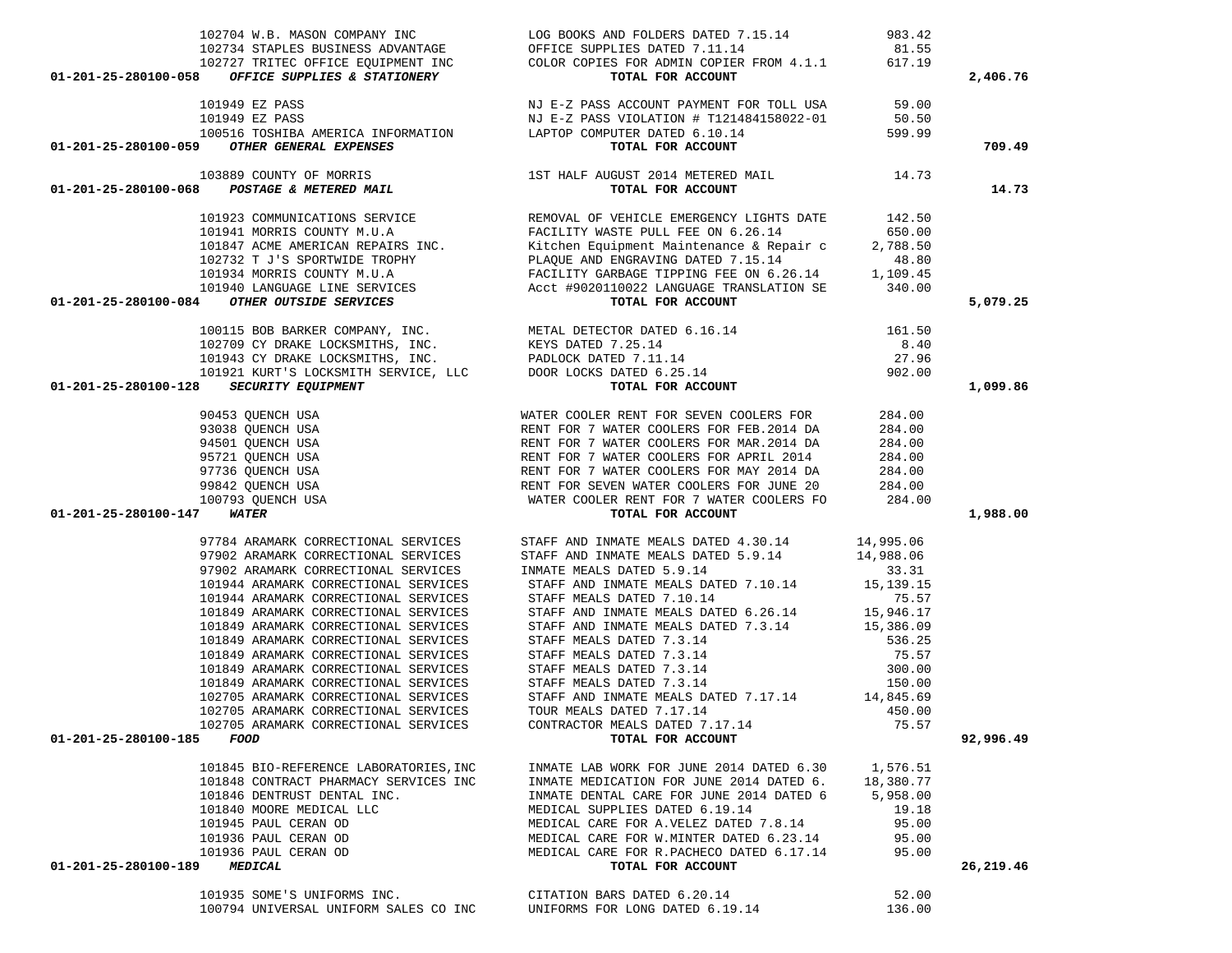|                                                                      |                                                                                                                                                                                                                                                                                                                                                                                                                                             |                       | 2,406.76  |
|----------------------------------------------------------------------|---------------------------------------------------------------------------------------------------------------------------------------------------------------------------------------------------------------------------------------------------------------------------------------------------------------------------------------------------------------------------------------------------------------------------------------------|-----------------------|-----------|
|                                                                      |                                                                                                                                                                                                                                                                                                                                                                                                                                             |                       |           |
|                                                                      |                                                                                                                                                                                                                                                                                                                                                                                                                                             |                       |           |
|                                                                      |                                                                                                                                                                                                                                                                                                                                                                                                                                             |                       |           |
|                                                                      |                                                                                                                                                                                                                                                                                                                                                                                                                                             |                       | 709.49    |
|                                                                      |                                                                                                                                                                                                                                                                                                                                                                                                                                             |                       |           |
|                                                                      |                                                                                                                                                                                                                                                                                                                                                                                                                                             |                       | 14.73     |
|                                                                      |                                                                                                                                                                                                                                                                                                                                                                                                                                             |                       |           |
|                                                                      |                                                                                                                                                                                                                                                                                                                                                                                                                                             |                       |           |
|                                                                      |                                                                                                                                                                                                                                                                                                                                                                                                                                             |                       |           |
|                                                                      |                                                                                                                                                                                                                                                                                                                                                                                                                                             |                       |           |
|                                                                      |                                                                                                                                                                                                                                                                                                                                                                                                                                             |                       |           |
|                                                                      |                                                                                                                                                                                                                                                                                                                                                                                                                                             |                       |           |
|                                                                      |                                                                                                                                                                                                                                                                                                                                                                                                                                             |                       | 5,079.25  |
|                                                                      |                                                                                                                                                                                                                                                                                                                                                                                                                                             |                       |           |
|                                                                      |                                                                                                                                                                                                                                                                                                                                                                                                                                             |                       |           |
|                                                                      |                                                                                                                                                                                                                                                                                                                                                                                                                                             |                       |           |
|                                                                      |                                                                                                                                                                                                                                                                                                                                                                                                                                             |                       |           |
|                                                                      |                                                                                                                                                                                                                                                                                                                                                                                                                                             |                       |           |
|                                                                      |                                                                                                                                                                                                                                                                                                                                                                                                                                             |                       | 1,099.86  |
|                                                                      | $\begin{tabular}{lllllllllllllllllllll} \hline 90453 & \text{QUENCH USA} & \text{WATER COOLER RENT FOR SEVEN COOLERS FOR} & 284.00 \\ \hline 93038 & \text{QUENCH USA} & \text{RENT FOR 7 WATER COOLERS FOR FEB.2014 DA} & 284.00 \\ \hline 94501 & \text{QUENCH USA} & \text{RENT FOR 7 WATER COOLERS FOR MAR.2014 DA} & 284.00 \\ \hline 95721 & \text{QUENCH USA} & \text{RENT FOR 7 WATER COOLERS FOR MAR.2014 DA} & 284.00 \\ \hline $ |                       |           |
|                                                                      |                                                                                                                                                                                                                                                                                                                                                                                                                                             |                       |           |
|                                                                      |                                                                                                                                                                                                                                                                                                                                                                                                                                             |                       |           |
|                                                                      |                                                                                                                                                                                                                                                                                                                                                                                                                                             |                       |           |
|                                                                      |                                                                                                                                                                                                                                                                                                                                                                                                                                             |                       |           |
|                                                                      |                                                                                                                                                                                                                                                                                                                                                                                                                                             |                       |           |
|                                                                      |                                                                                                                                                                                                                                                                                                                                                                                                                                             |                       |           |
| 01-201-25-280100-147                                                 |                                                                                                                                                                                                                                                                                                                                                                                                                                             |                       | 1,988.00  |
| 97784 ARAMARK CORRECTIONAL SERVICES                                  | STAFF AND INMATE MEALS DATED 4.30.14 14,995.06                                                                                                                                                                                                                                                                                                                                                                                              |                       |           |
|                                                                      |                                                                                                                                                                                                                                                                                                                                                                                                                                             |                       |           |
|                                                                      |                                                                                                                                                                                                                                                                                                                                                                                                                                             |                       |           |
|                                                                      |                                                                                                                                                                                                                                                                                                                                                                                                                                             |                       |           |
|                                                                      |                                                                                                                                                                                                                                                                                                                                                                                                                                             |                       |           |
|                                                                      |                                                                                                                                                                                                                                                                                                                                                                                                                                             |                       |           |
|                                                                      |                                                                                                                                                                                                                                                                                                                                                                                                                                             |                       |           |
|                                                                      |                                                                                                                                                                                                                                                                                                                                                                                                                                             |                       |           |
|                                                                      |                                                                                                                                                                                                                                                                                                                                                                                                                                             |                       |           |
|                                                                      |                                                                                                                                                                                                                                                                                                                                                                                                                                             |                       |           |
|                                                                      |                                                                                                                                                                                                                                                                                                                                                                                                                                             |                       |           |
|                                                                      |                                                                                                                                                                                                                                                                                                                                                                                                                                             |                       |           |
| 102705 ARAMARK CORRECTIONAL SERVICES                                 | CONTRACTOR MEALS DATED 7.17.14                                                                                                                                                                                                                                                                                                                                                                                                              | 75.57                 |           |
| 01-201-25-280100-185<br>FOOD                                         | TOTAL FOR ACCOUNT                                                                                                                                                                                                                                                                                                                                                                                                                           |                       | 92,996.49 |
|                                                                      |                                                                                                                                                                                                                                                                                                                                                                                                                                             |                       |           |
| 101845 BIO-REFERENCE LABORATORIES, INC                               | INMATE LAB WORK FOR JUNE 2014 DATED 6.30                                                                                                                                                                                                                                                                                                                                                                                                    | 1,576.51              |           |
| 101848 CONTRACT PHARMACY SERVICES INC<br>101846 DENTRUST DENTAL INC. | INMATE MEDICATION FOR JUNE 2014 DATED 6.                                                                                                                                                                                                                                                                                                                                                                                                    | 18,380.77<br>5,958.00 |           |
| 101840 MOORE MEDICAL LLC                                             | INMATE DENTAL CARE FOR JUNE 2014 DATED 6<br>MEDICAL SUPPLIES DATED 6.19.14                                                                                                                                                                                                                                                                                                                                                                  | 19.18                 |           |
| 101945 PAUL CERAN OD                                                 | MEDICAL CARE FOR A.VELEZ DATED 7.8.14                                                                                                                                                                                                                                                                                                                                                                                                       | 95.00                 |           |
| 101936 PAUL CERAN OD                                                 | MEDICAL CARE FOR W.MINTER DATED 6.23.14                                                                                                                                                                                                                                                                                                                                                                                                     | 95.00                 |           |
| 101936 PAUL CERAN OD                                                 | MEDICAL CARE FOR R. PACHECO DATED 6.17.14                                                                                                                                                                                                                                                                                                                                                                                                   | 95.00                 |           |
| 01-201-25-280100-189<br><i><b>MEDICAL</b></i>                        | TOTAL FOR ACCOUNT                                                                                                                                                                                                                                                                                                                                                                                                                           |                       | 26,219.46 |
|                                                                      |                                                                                                                                                                                                                                                                                                                                                                                                                                             |                       |           |
| 101935 SOME'S UNIFORMS INC.                                          | CITATION BARS DATED 6.20.14                                                                                                                                                                                                                                                                                                                                                                                                                 | 52.00                 |           |

100794 UNIVERSAL UNIFORM SALES CO INC UNIFORMS FOR LONG DATED 6.19.14 136.00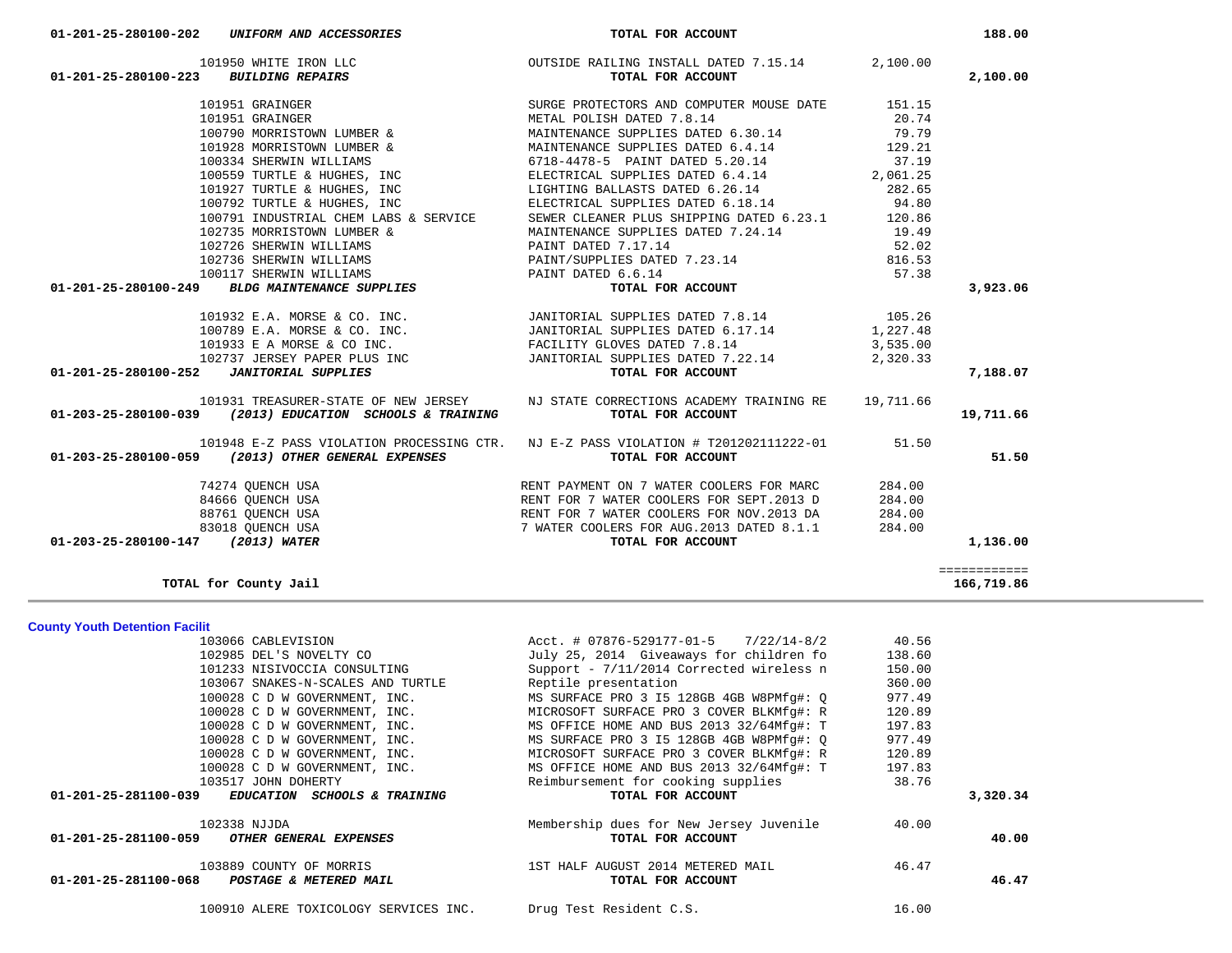| 103066 CABLEVISION                                                        | Acct. # $07876 - 529177 - 01 - 5$ 7/22/14-8/2                | 40.56  |          |
|---------------------------------------------------------------------------|--------------------------------------------------------------|--------|----------|
| 102985 DEL'S NOVELTY CO                                                   | July 25, 2014 Giveaways for children fo                      | 138.60 |          |
| 101233 NISIVOCCIA CONSULTING                                              | Support - 7/11/2014 Corrected wireless n                     | 150.00 |          |
| 103067 SNAKES-N-SCALES AND TURTLE                                         | Reptile presentation                                         | 360.00 |          |
| 100028 C D W GOVERNMENT, INC.                                             | MS SURFACE PRO 3 I5 128GB 4GB W8PMfq#: 0                     | 977.49 |          |
| 100028 C D W GOVERNMENT, INC.                                             | MICROSOFT SURFACE PRO 3 COVER BLKMfq#: R                     | 120.89 |          |
| 100028 C D W GOVERNMENT, INC.                                             | MS OFFICE HOME AND BUS 2013 32/64Mfg#: T                     | 197.83 |          |
| 100028 C D W GOVERNMENT, INC.                                             | MS SURFACE PRO 3 I5 128GB 4GB W8PMfq#: 0                     | 977.49 |          |
| 100028 C D W GOVERNMENT, INC.                                             | MICROSOFT SURFACE PRO 3 COVER BLKMfq#: R                     | 120.89 |          |
| 100028 C D W GOVERNMENT, INC.                                             | MS OFFICE HOME AND BUS 2013 32/64Mfq#: T                     | 197.83 |          |
| 103517 JOHN DOHERTY                                                       | Reimbursement for cooking supplies                           | 38.76  |          |
|                                                                           |                                                              |        |          |
| 01-201-25-281100-039<br>EDUCATION SCHOOLS & TRAINING                      | TOTAL FOR ACCOUNT                                            |        | 3,320.34 |
| 102338 NJJDA<br>01-201-25-281100-059<br>OTHER GENERAL EXPENSES            | Membership dues for New Jersey Juvenile<br>TOTAL FOR ACCOUNT | 40.00  | 40.00    |
| 103889 COUNTY OF MORRIS<br>01-201-25-281100-068<br>POSTAGE & METERED MAIL | 1ST HALF AUGUST 2014 METERED MAIL<br>TOTAL FOR ACCOUNT       | 46.47  | 46.47    |
| 100910 ALERE TOXICOLOGY SERVICES INC.                                     | Drug Test Resident C.S.                                      | 16.00  |          |

**County Youth Detention Facilit**

| 101950 WHITE IRON LLC OUTSIDE RAILING INSTALL DATED 7.15.14 2,100.00<br>01-201-25-280100-223 BUILDING REPAIRS TOTAL FOR ACCOUNT<br>100791 INDUSTRIAL CHEM LABS & SERVICE<br>SEWER CLEANER PLUS SHIPPING DATED 6.23.1 120.86<br>102735 MORRISTOWN LUMBER &<br>102735 MORRISTOWN LUMBER &<br>102735 MORRISTOWN LUMBER &<br>102736 SHERWIN WILLIAMS<br>102736 SHERWIN WILLIAMS<br>20117 SHERWIN WILLIAMS<br>20117 SHERWIN WILLIAMS<br>20117 SHERWIN WILLIAMS<br>20117 SHERWIN WI<br>$\begin{array}{lllllllllllllllll} 101932\ \text{E.A.}\ \text{MORSE}\ \text{\& CO.}\ \text{INC.} & \text{JANTORIAL SUPPLIES DATED 7.8.14} & 105.26\\ 100789\ \text{E.A.}\ \text{MORSE}\ \text{\& CO.}\ \text{INC.} & \text{JANTORIAL SUPPLIES DATED 6.17.14} & 1,227.48\\ 101933\ \text{E A MORE}\ \text{\& CO INC.} & \text{FACILITY GLOVES DATED 7.8.14} & 3,535.00\\ 102737\ \text{JERSE$<br>101931 TREASURER-STATE OF NEW JERSEY NJ STATE CORRECTIONS ACADEMY TRAINING RE 19,711.66<br>$01-203-25-280100-039$ (2013) EDUCATION SCHOOLS & TRAINING<br>TOTAL FOR ACCOUNT<br>101948 E-Z PASS VIOLATION PROCESSING CTR. NJ E-Z PASS VIOLATION # T201202111222-01 51.50<br>01-203-25-280100-059 (2013) OTHER GENERAL EXPENSES<br>TOTAL FOR ACCOUNT<br>284.00<br>284.00<br>284.00<br>284.00<br>01-203-25-280100-147 (2013) WATER | 01-201-23-280100-202 | UNIFURM AND ACCESSURIES | TOIAL FOR ACCOUNT | 100.UV                     |
|----------------------------------------------------------------------------------------------------------------------------------------------------------------------------------------------------------------------------------------------------------------------------------------------------------------------------------------------------------------------------------------------------------------------------------------------------------------------------------------------------------------------------------------------------------------------------------------------------------------------------------------------------------------------------------------------------------------------------------------------------------------------------------------------------------------------------------------------------------------------------------------------------------------------------------------------------------------------------------------------------------------------------------------------------------------------------------------------------------------------------------------------------------------------------------------------------------------------------------------------------------------------------------------------------------------|----------------------|-------------------------|-------------------|----------------------------|
|                                                                                                                                                                                                                                                                                                                                                                                                                                                                                                                                                                                                                                                                                                                                                                                                                                                                                                                                                                                                                                                                                                                                                                                                                                                                                                                |                      |                         |                   | 2,100.00                   |
|                                                                                                                                                                                                                                                                                                                                                                                                                                                                                                                                                                                                                                                                                                                                                                                                                                                                                                                                                                                                                                                                                                                                                                                                                                                                                                                |                      |                         |                   |                            |
|                                                                                                                                                                                                                                                                                                                                                                                                                                                                                                                                                                                                                                                                                                                                                                                                                                                                                                                                                                                                                                                                                                                                                                                                                                                                                                                |                      |                         |                   |                            |
|                                                                                                                                                                                                                                                                                                                                                                                                                                                                                                                                                                                                                                                                                                                                                                                                                                                                                                                                                                                                                                                                                                                                                                                                                                                                                                                |                      |                         |                   |                            |
|                                                                                                                                                                                                                                                                                                                                                                                                                                                                                                                                                                                                                                                                                                                                                                                                                                                                                                                                                                                                                                                                                                                                                                                                                                                                                                                |                      |                         |                   |                            |
|                                                                                                                                                                                                                                                                                                                                                                                                                                                                                                                                                                                                                                                                                                                                                                                                                                                                                                                                                                                                                                                                                                                                                                                                                                                                                                                |                      |                         |                   |                            |
|                                                                                                                                                                                                                                                                                                                                                                                                                                                                                                                                                                                                                                                                                                                                                                                                                                                                                                                                                                                                                                                                                                                                                                                                                                                                                                                |                      |                         |                   |                            |
|                                                                                                                                                                                                                                                                                                                                                                                                                                                                                                                                                                                                                                                                                                                                                                                                                                                                                                                                                                                                                                                                                                                                                                                                                                                                                                                |                      |                         |                   |                            |
|                                                                                                                                                                                                                                                                                                                                                                                                                                                                                                                                                                                                                                                                                                                                                                                                                                                                                                                                                                                                                                                                                                                                                                                                                                                                                                                |                      |                         |                   |                            |
|                                                                                                                                                                                                                                                                                                                                                                                                                                                                                                                                                                                                                                                                                                                                                                                                                                                                                                                                                                                                                                                                                                                                                                                                                                                                                                                |                      |                         |                   |                            |
|                                                                                                                                                                                                                                                                                                                                                                                                                                                                                                                                                                                                                                                                                                                                                                                                                                                                                                                                                                                                                                                                                                                                                                                                                                                                                                                |                      |                         |                   |                            |
|                                                                                                                                                                                                                                                                                                                                                                                                                                                                                                                                                                                                                                                                                                                                                                                                                                                                                                                                                                                                                                                                                                                                                                                                                                                                                                                |                      |                         |                   |                            |
|                                                                                                                                                                                                                                                                                                                                                                                                                                                                                                                                                                                                                                                                                                                                                                                                                                                                                                                                                                                                                                                                                                                                                                                                                                                                                                                |                      |                         |                   |                            |
|                                                                                                                                                                                                                                                                                                                                                                                                                                                                                                                                                                                                                                                                                                                                                                                                                                                                                                                                                                                                                                                                                                                                                                                                                                                                                                                |                      |                         |                   |                            |
|                                                                                                                                                                                                                                                                                                                                                                                                                                                                                                                                                                                                                                                                                                                                                                                                                                                                                                                                                                                                                                                                                                                                                                                                                                                                                                                |                      |                         |                   | 3,923.06                   |
|                                                                                                                                                                                                                                                                                                                                                                                                                                                                                                                                                                                                                                                                                                                                                                                                                                                                                                                                                                                                                                                                                                                                                                                                                                                                                                                |                      |                         |                   |                            |
|                                                                                                                                                                                                                                                                                                                                                                                                                                                                                                                                                                                                                                                                                                                                                                                                                                                                                                                                                                                                                                                                                                                                                                                                                                                                                                                |                      |                         |                   |                            |
|                                                                                                                                                                                                                                                                                                                                                                                                                                                                                                                                                                                                                                                                                                                                                                                                                                                                                                                                                                                                                                                                                                                                                                                                                                                                                                                |                      |                         |                   |                            |
|                                                                                                                                                                                                                                                                                                                                                                                                                                                                                                                                                                                                                                                                                                                                                                                                                                                                                                                                                                                                                                                                                                                                                                                                                                                                                                                |                      |                         |                   |                            |
|                                                                                                                                                                                                                                                                                                                                                                                                                                                                                                                                                                                                                                                                                                                                                                                                                                                                                                                                                                                                                                                                                                                                                                                                                                                                                                                |                      |                         |                   | 7,188.07                   |
|                                                                                                                                                                                                                                                                                                                                                                                                                                                                                                                                                                                                                                                                                                                                                                                                                                                                                                                                                                                                                                                                                                                                                                                                                                                                                                                |                      |                         |                   | 19,711.66                  |
|                                                                                                                                                                                                                                                                                                                                                                                                                                                                                                                                                                                                                                                                                                                                                                                                                                                                                                                                                                                                                                                                                                                                                                                                                                                                                                                |                      |                         |                   | 51.50                      |
|                                                                                                                                                                                                                                                                                                                                                                                                                                                                                                                                                                                                                                                                                                                                                                                                                                                                                                                                                                                                                                                                                                                                                                                                                                                                                                                |                      |                         |                   |                            |
|                                                                                                                                                                                                                                                                                                                                                                                                                                                                                                                                                                                                                                                                                                                                                                                                                                                                                                                                                                                                                                                                                                                                                                                                                                                                                                                |                      |                         |                   |                            |
|                                                                                                                                                                                                                                                                                                                                                                                                                                                                                                                                                                                                                                                                                                                                                                                                                                                                                                                                                                                                                                                                                                                                                                                                                                                                                                                |                      |                         |                   |                            |
|                                                                                                                                                                                                                                                                                                                                                                                                                                                                                                                                                                                                                                                                                                                                                                                                                                                                                                                                                                                                                                                                                                                                                                                                                                                                                                                |                      |                         |                   |                            |
|                                                                                                                                                                                                                                                                                                                                                                                                                                                                                                                                                                                                                                                                                                                                                                                                                                                                                                                                                                                                                                                                                                                                                                                                                                                                                                                |                      |                         |                   | 1,136.00                   |
|                                                                                                                                                                                                                                                                                                                                                                                                                                                                                                                                                                                                                                                                                                                                                                                                                                                                                                                                                                                                                                                                                                                                                                                                                                                                                                                |                      |                         |                   |                            |
| TOTAL for County Jail                                                                                                                                                                                                                                                                                                                                                                                                                                                                                                                                                                                                                                                                                                                                                                                                                                                                                                                                                                                                                                                                                                                                                                                                                                                                                          |                      |                         |                   | ============<br>166,719.86 |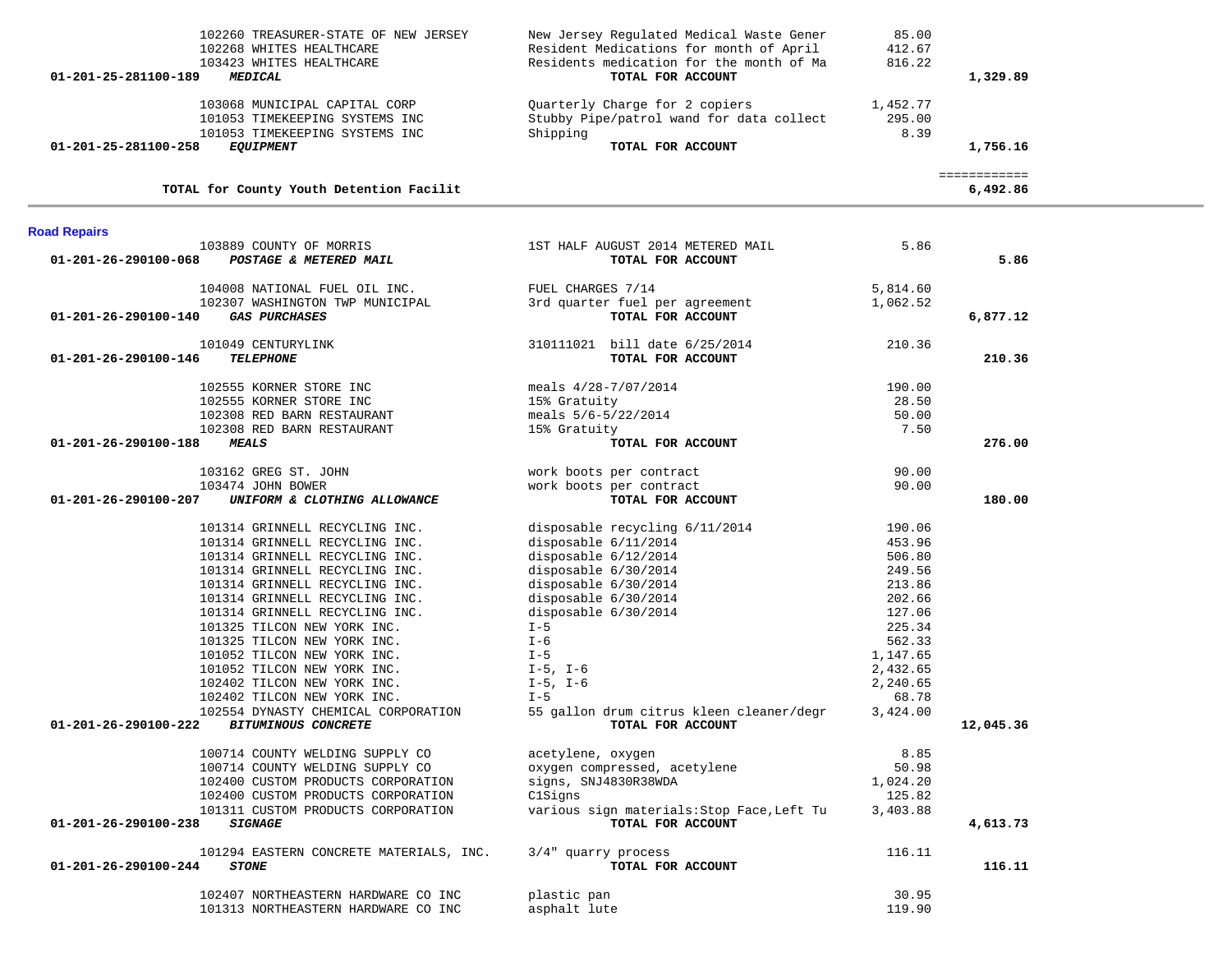| 103068 MUNICIPAL CAPITAL CORP<br>101053 TIMEKEEPING SYSTEMS INC<br>101053 TIMEKEEPING SYSTEMS INC                                                                                                                                                                                                                                                                                                                                                                                                                                                                                                                                                                                                                                                                   | Quarterly Charge for 2 copiers<br>Stubby Pipe/patrol wand for data collect<br>Shipping                                                                                                                                                                                                                                                                                                                                                                                                             | 1,452.77<br>295.00<br>8.39                                                                                                                                                                         |                          |  |
|---------------------------------------------------------------------------------------------------------------------------------------------------------------------------------------------------------------------------------------------------------------------------------------------------------------------------------------------------------------------------------------------------------------------------------------------------------------------------------------------------------------------------------------------------------------------------------------------------------------------------------------------------------------------------------------------------------------------------------------------------------------------|----------------------------------------------------------------------------------------------------------------------------------------------------------------------------------------------------------------------------------------------------------------------------------------------------------------------------------------------------------------------------------------------------------------------------------------------------------------------------------------------------|----------------------------------------------------------------------------------------------------------------------------------------------------------------------------------------------------|--------------------------|--|
| 01-201-25-281100-258<br><b>EQUIPMENT</b>                                                                                                                                                                                                                                                                                                                                                                                                                                                                                                                                                                                                                                                                                                                            | TOTAL FOR ACCOUNT                                                                                                                                                                                                                                                                                                                                                                                                                                                                                  |                                                                                                                                                                                                    | 1,756.16                 |  |
| TOTAL for County Youth Detention Facilit                                                                                                                                                                                                                                                                                                                                                                                                                                                                                                                                                                                                                                                                                                                            |                                                                                                                                                                                                                                                                                                                                                                                                                                                                                                    |                                                                                                                                                                                                    | ============<br>6,492.86 |  |
| <b>Road Repairs</b>                                                                                                                                                                                                                                                                                                                                                                                                                                                                                                                                                                                                                                                                                                                                                 |                                                                                                                                                                                                                                                                                                                                                                                                                                                                                                    |                                                                                                                                                                                                    |                          |  |
| 103889 COUNTY OF MORRIS<br>01-201-26-290100-068<br>POSTAGE & METERED MAIL                                                                                                                                                                                                                                                                                                                                                                                                                                                                                                                                                                                                                                                                                           | 1ST HALF AUGUST 2014 METERED MAIL<br>TOTAL FOR ACCOUNT                                                                                                                                                                                                                                                                                                                                                                                                                                             | 5.86                                                                                                                                                                                               | 5.86                     |  |
| 104008 NATIONAL FUEL OIL INC.<br>102307 WASHINGTON TWP MUNICIPAL                                                                                                                                                                                                                                                                                                                                                                                                                                                                                                                                                                                                                                                                                                    | FUEL CHARGES 7/14<br>3rd quarter fuel per agreement                                                                                                                                                                                                                                                                                                                                                                                                                                                | 5,814.60<br>1,062.52                                                                                                                                                                               |                          |  |
| 01-201-26-290100-140<br><b>GAS PURCHASES</b>                                                                                                                                                                                                                                                                                                                                                                                                                                                                                                                                                                                                                                                                                                                        | TOTAL FOR ACCOUNT                                                                                                                                                                                                                                                                                                                                                                                                                                                                                  |                                                                                                                                                                                                    | 6,877.12                 |  |
| 101049 CENTURYLINK<br>01-201-26-290100-146<br><b>TELEPHONE</b>                                                                                                                                                                                                                                                                                                                                                                                                                                                                                                                                                                                                                                                                                                      | 310111021 bill date 6/25/2014<br>TOTAL FOR ACCOUNT                                                                                                                                                                                                                                                                                                                                                                                                                                                 | 210.36                                                                                                                                                                                             | 210.36                   |  |
| 102555 KORNER STORE INC<br>102555 KORNER STORE INC<br>102308 RED BARN RESTAURANT<br>102308 RED BARN RESTAURANT                                                                                                                                                                                                                                                                                                                                                                                                                                                                                                                                                                                                                                                      | meals 4/28-7/07/2014<br>15% Gratuity<br>meals $5/6 - 5/22/2014$<br>15% Gratuity                                                                                                                                                                                                                                                                                                                                                                                                                    | 190.00<br>28.50<br>50.00<br>7.50                                                                                                                                                                   |                          |  |
| 01-201-26-290100-188<br><b>MEALS</b>                                                                                                                                                                                                                                                                                                                                                                                                                                                                                                                                                                                                                                                                                                                                | TOTAL FOR ACCOUNT                                                                                                                                                                                                                                                                                                                                                                                                                                                                                  |                                                                                                                                                                                                    | 276.00                   |  |
| 103162 GREG ST. JOHN<br>103474 JOHN BOWER<br>01-201-26-290100-207<br>UNIFORM & CLOTHING ALLOWANCE                                                                                                                                                                                                                                                                                                                                                                                                                                                                                                                                                                                                                                                                   | work boots per contract<br>work boots per contract<br>TOTAL FOR ACCOUNT                                                                                                                                                                                                                                                                                                                                                                                                                            | 90.00<br>90.00                                                                                                                                                                                     | 180.00                   |  |
| 101314 GRINNELL RECYCLING INC.<br>101314 GRINNELL RECYCLING INC.<br>101314 GRINNELL RECYCLING INC.<br>101314 GRINNELL RECYCLING INC.<br>101314 GRINNELL RECYCLING INC.<br>101314 GRINNELL RECYCLING INC.<br>101314 GRINNELL RECYCLING INC.<br>101325 TILCON NEW YORK INC.<br>101325 TILCON NEW YORK INC.<br>101052 TILCON NEW YORK INC.<br>101052 TILCON NEW YORK INC.<br>102402 TILCON NEW YORK INC.<br>102402 TILCON NEW YORK INC.<br>102554 DYNASTY CHEMICAL CORPORATION<br><b>BITUMINOUS CONCRETE</b><br>01-201-26-290100-222<br>100714 COUNTY WELDING SUPPLY CO<br>100714 COUNTY WELDING SUPPLY CO<br>102400 CUSTOM PRODUCTS CORPORATION<br>102400 CUSTOM PRODUCTS CORPORATION<br>101311 CUSTOM PRODUCTS CORPORATION<br>01-201-26-290100-238<br><b>SIGNAGE</b> | disposable recycling 6/11/2014<br>disposable $6/11/2014$<br>disposable $6/12/2014$<br>disposable $6/30/2014$<br>disposable $6/30/2014$<br>disposable $6/30/2014$<br>disposable 6/30/2014<br>$I - 5$<br>$I - 6$<br>$I - 5$<br>$I-5$ , $I-6$<br>$I-5$ , $I-6$<br>$I - 5$<br>55 gallon drum citrus kleen cleaner/degr<br>TOTAL FOR ACCOUNT<br>acetylene, oxygen<br>oxygen compressed, acetylene<br>signs, SNJ4830R38WDA<br>ClSigns<br>various sign materials: Stop Face, Left Tu<br>TOTAL FOR ACCOUNT | 190.06<br>453.96<br>506.80<br>249.56<br>213.86<br>202.66<br>127.06<br>225.34<br>562.33<br>1,147.65<br>2,432.65<br>2,240.65<br>68.78<br>3,424.00<br>8.85<br>50.98<br>1,024.20<br>125.82<br>3,403.88 | 12,045.36<br>4,613.73    |  |
| 101294 EASTERN CONCRETE MATERIALS, INC.<br>01-201-26-290100-244<br><b>STONE</b>                                                                                                                                                                                                                                                                                                                                                                                                                                                                                                                                                                                                                                                                                     | $3/4"$ quarry process<br>TOTAL FOR ACCOUNT                                                                                                                                                                                                                                                                                                                                                                                                                                                         | 116.11                                                                                                                                                                                             | 116.11                   |  |
| 102407 NORTHEASTERN HARDWARE CO INC<br>101313 NORTHEASTERN HARDWARE CO INC                                                                                                                                                                                                                                                                                                                                                                                                                                                                                                                                                                                                                                                                                          | plastic pan<br>asphalt lute                                                                                                                                                                                                                                                                                                                                                                                                                                                                        | 30.95<br>119.90                                                                                                                                                                                    |                          |  |

 102260 TREASURER-STATE OF NEW JERSEY New Jersey Regulated Medical Waste Gener 85.00 102268 WHITES HEALTHCARE Resident Medications for month of April 412.67

103423 WHITES HEALTHCARE **Residents medication for the month of Ma** 816.22<br>**9 MEDICAL RESIDENT TOTAL FOR ACCOUNT 01-201-25-281100-189** *MEDICAL* **TOTAL FOR ACCOUNT 1,329.89**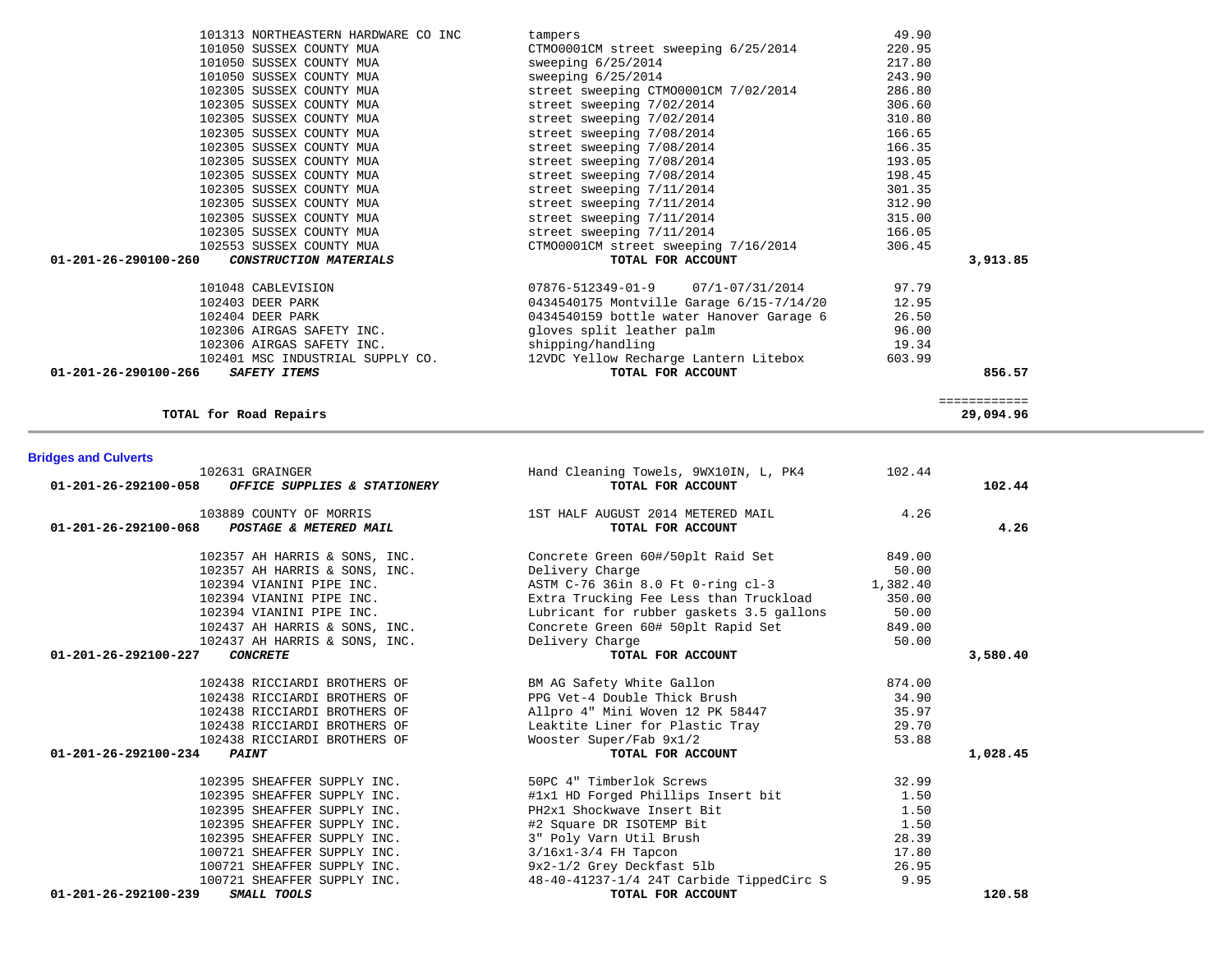| 01-201-26-292100-058 OFFICE SUPPLIES & STATIONERY | TOTAL FOR ACCOUNT                              |        | 102.44   |
|---------------------------------------------------|------------------------------------------------|--------|----------|
| 103889 COUNTY OF MORRIS                           | 1ST HALF AUGUST 2014 METERED MAIL              | 4.26   |          |
| 01-201-26-292100-068<br>POSTAGE & METERED MAIL    | TOTAL FOR ACCOUNT                              |        | 4.26     |
| 102357 AH HARRIS & SONS, INC.                     | Concrete Green 60#/50plt Raid Set              | 849.00 |          |
| 102357 AH HARRIS & SONS, INC.                     | Delivery Charge                                | 50.00  |          |
| 102394 VIANINI PIPE INC.                          | ASTM C-76 36in 8.0 Ft 0-ring cl-3 1,382.40     |        |          |
| 102394 VIANINI PIPE INC.                          | Extra Trucking Fee Less than Truckload         | 350.00 |          |
| 102394 VIANINI PIPE INC.                          | Lubricant for rubber gaskets 3.5 gallons 50.00 |        |          |
| 102437 AH HARRIS & SONS, INC.                     | Concrete Green 60# 50plt Rapid Set 849.00      |        |          |
| 102437 AH HARRIS & SONS, INC.                     | Delivery Charge                                | 50.00  |          |
| $01 - 201 - 26 - 292100 - 227$<br><b>CONCRETE</b> | TOTAL FOR ACCOUNT                              |        | 3,580.40 |
| 102438 RICCIARDI BROTHERS OF                      | BM AG Safety White Gallon                      | 874.00 |          |
| 102438 RICCIARDI BROTHERS OF                      | PPG Vet-4 Double Thick Brush                   | 34.90  |          |
| 102438 RICCIARDI BROTHERS OF                      | Allpro 4" Mini Woven 12 PK 58447               | 35.97  |          |
| 102438 RICCIARDI BROTHERS OF                      | Leaktite Liner for Plastic Tray                | 29.70  |          |
| 102438 RICCIARDI BROTHERS OF                      | Wooster Super/Fab 9x1/2                        | 53.88  |          |
| $01 - 201 - 26 - 292100 - 234$<br><b>PAINT</b>    | TOTAL FOR ACCOUNT                              |        | 1,028.45 |
| 102395 SHEAFFER SUPPLY INC.                       | 50PC 4" Timberlok Screws                       | 32.99  |          |
| 102395 SHEAFFER SUPPLY INC.                       | #1x1 HD Forged Phillips Insert bit             | 1.50   |          |
| 102395 SHEAFFER SUPPLY INC.                       | PH2x1 Shockwave Insert Bit                     | 1.50   |          |
| 102395 SHEAFFER SUPPLY INC.                       | #2 Square DR ISOTEMP Bit                       | 1.50   |          |
| 102395 SHEAFFER SUPPLY INC.                       | 3" Poly Varn Util Brush                        | 28.39  |          |
| 100721 SHEAFFER SUPPLY INC.                       | $3/16x1-3/4$ FH Tapcon                         | 17.80  |          |
| 100721 SHEAFFER SUPPLY INC.                       | 9x2-1/2 Grey Deckfast 51b                      | 26.95  |          |
| 100721 SHEAFFER SUPPLY INC.                       | $48-40-41237-1/4$ 24T Carbide TippedCirc S     | 9.95   |          |
| 01-201-26-292100-239<br>SMALL TOOLS               | TOTAL FOR ACCOUNT                              |        | 120.58   |

## 102305 SUSSEX COUNTY MUA street sweeping 7/02/2014 306.60 102305 SUSSEX COUNTY MUA street sweeping 7/02/2014 310.80 102305 SUSSEX COUNTY MUA street sweeping 7/08/2014 166.65 102305 SUSSEX COUNTY MUA street sweeping 7/08/2014 166.35 102305 SUSSEX COUNTY MUA street sweeping 7/08/2014 193.05 102305 SUSSEX COUNTY MUA street sweeping 7/08/2014 198.45 102305 SUSSEX COUNTY MUA street sweeping 7/11/2014 301.35 102305 SUSSEX COUNTY MUA street sweeping 7/11/2014 312.90 102305 SUSSEX COUNTY MUA street sweeping 7/11/2014 315.00 102305 SUSSEX COUNTY MUA street sweeping 7/11/2014 166.05 102553 SUSSEX COUNTY MUA **CTMO0001CM street sweeping 7/16/2014** 306.45<br>**3,913.85 3,913.85 70TAL FOR ACCOUNT** 3,913.85 101048 CABLEVISION 07876-512349-01-9 07/1-07/31/2014 97.79 102403 DEER PARK 102403 OASASSER PARK 102403 OEER PARK 102404 DEER PARK 12.95 102404 DEER PARK 0434540159 bottle water Hanover Garage 6 26.50 102306 AIRGAS SAFETY INC. gloves split leather palm 96.00 102306 AIRGAS SAFETY INC. Shipping/handling 19.34 102401 MSC INDUSTRIAL SUPPLY CO. 12VDC Yellow Recharge Lantern Litebox 603.99  **01-201-26-290100-266** *SAFETY ITEMS* **TOTAL FOR ACCOUNT 856.57** ============ **TOTAL for Road Repairs 29,094.96**

102631 GRAINGER Hand Cleaning Towels, 9WX10IN, L, PK4 102.44

**Bridges and Culverts** 

101313 NORTHEASTERN HARDWARE CO INC tampers the tampers 49.90<br>101050 SUSSEX COUNTY MUA (TMO0001CM street sweeping 6/25/2014 220.95

101050 SUSSEX COUNTY MUA sweeping 6/25/2014 217.80 101050 SUSSEX COUNTY MUA sweeping 6/25/2014 243.90 102305 SUSSEX COUNTY MUA street sweeping CTMO0001CM 7/02/2014 286.80

0000010M street sweeping 6/25/2014 220.95<br>sweeping 6/25/2014 217.80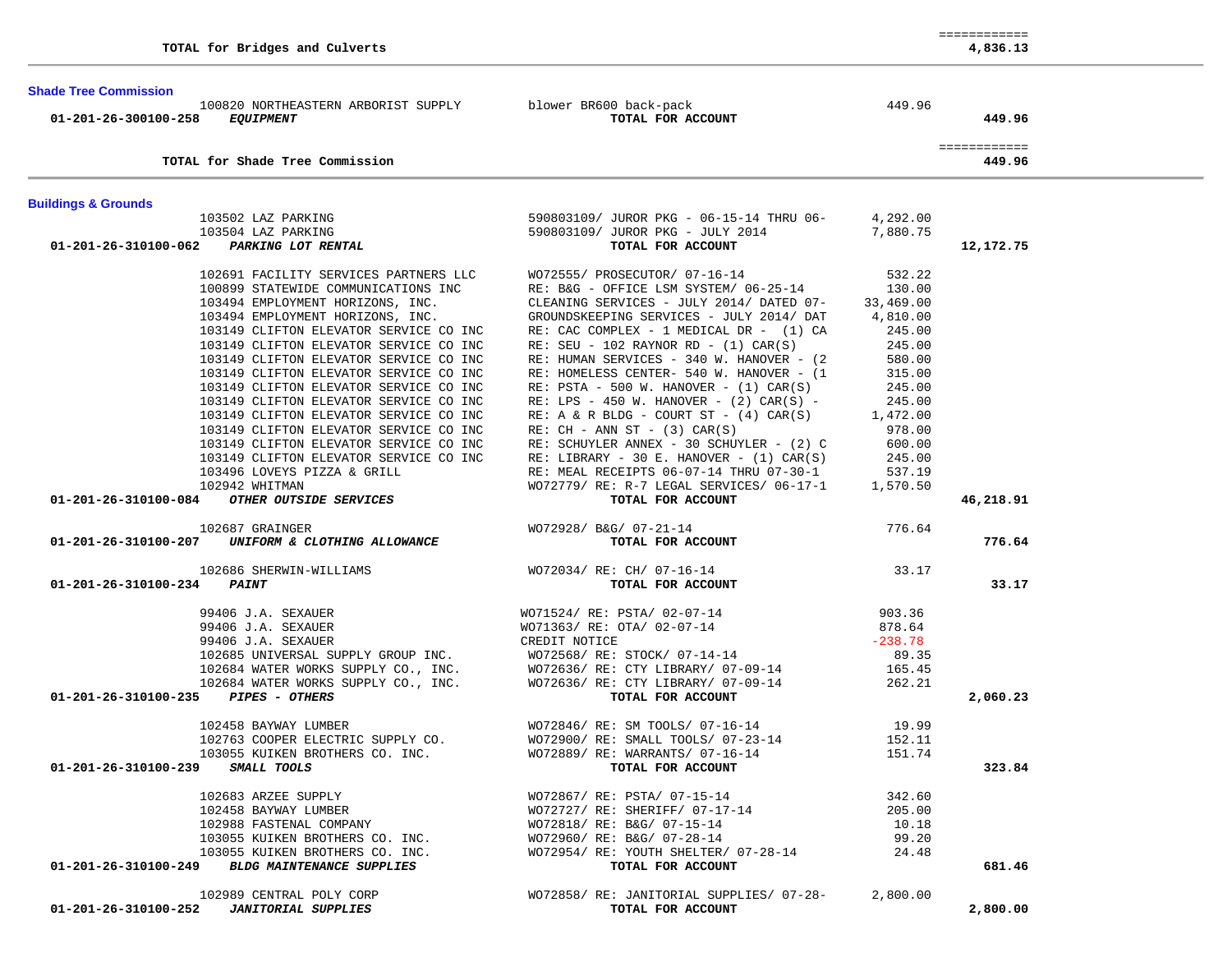| TOTAL for Bridges and Culverts                                                                         |                                                                                                                                                |                | 4,836.13     |  |
|--------------------------------------------------------------------------------------------------------|------------------------------------------------------------------------------------------------------------------------------------------------|----------------|--------------|--|
| <b>Shade Tree Commission</b>                                                                           |                                                                                                                                                |                |              |  |
| 100820 NORTHEASTERN ARBORIST SUPPLY blower BR600 back-pack<br>01-201-26-300100-258<br><i>EQUIPMENT</i> | TOTAL FOR ACCOUNT                                                                                                                              | 449.96         | 449.96       |  |
|                                                                                                        |                                                                                                                                                |                | ============ |  |
| TOTAL for Shade Tree Commission                                                                        |                                                                                                                                                |                | 449.96       |  |
| <b>Buildings &amp; Grounds</b>                                                                         |                                                                                                                                                |                |              |  |
| 103502 LAZ PARKING                                                                                     | 590803109/ JUROR PKG - 06-15-14 THRU 06-                                                                                                       | 4,292.00       |              |  |
| 103504 LAZ PARKING                                                                                     | 590803109/ JUROR PKG - JULY 2014                                                                                                               | 7,880.75       |              |  |
| 01-201-26-310100-062 PARKING LOT RENTAL                                                                | TOTAL FOR ACCOUNT                                                                                                                              |                | 12,172.75    |  |
| 102691 FACILITY SERVICES PARTNERS LLC                                                                  | WO72555/ PROSECUTOR/ 07-16-14                                                                                                                  | 532.22         |              |  |
| 100899 STATEWIDE COMMUNICATIONS INC                                                                    | RE: B&G - OFFICE LSM SYSTEM/ 06-25-14                                                                                                          | 130.00         |              |  |
| 103494 EMPLOYMENT HORIZONS, INC.                                                                       | CLEANING SERVICES - JULY 2014/ DATED 07-                                                                                                       | 33,469.00      |              |  |
| 103494 EMPLOYMENT HORIZONS, INC.                                                                       | GROUNDSKEEPING SERVICES - JULY 2014/ DAT                                                                                                       | 4,810.00       |              |  |
| 103149 CLIFTON ELEVATOR SERVICE CO INC                                                                 | RE: CAC COMPLEX - 1 MEDICAL DR - (1) CA                                                                                                        | 245.00         |              |  |
| 103149 CLIFTON ELEVATOR SERVICE CO INC                                                                 | RE: SEU - 102 RAYNOR RD - $(1)$ CAR $(S)$                                                                                                      | 245.00         |              |  |
| 103149 CLIFTON ELEVATOR SERVICE CO INC                                                                 | RE: HUMAN SERVICES - 340 W. HANOVER - (2)                                                                                                      | 580.00         |              |  |
| 103149 CLIFTON ELEVATOR SERVICE CO INC                                                                 | RE: HOMELESS CENTER- 540 W. HANOVER - (1                                                                                                       | 315.00         |              |  |
| 103149 CLIFTON ELEVATOR SERVICE CO INC                                                                 | RE: $PSTA - 500 W$ . HANOVER - (1) $CAR(S)$                                                                                                    | 245.00         |              |  |
| 103149 CLIFTON ELEVATOR SERVICE CO INC                                                                 | RE: LPS - 450 W. HANOVER - $(2)$ CAR $(S)$ -                                                                                                   | 245.00         |              |  |
| 103149 CLIFTON ELEVATOR SERVICE CO INC                                                                 | RE: A & R BLDG - COURT ST - $(4)$ CAR $(S)$                                                                                                    | 1,472.00       |              |  |
| 103149 CLIFTON ELEVATOR SERVICE CO INC                                                                 | $RE: CH - ANN ST - (3) CAR(S)$                                                                                                                 | 978.00         |              |  |
| 103149 CLIFTON ELEVATOR SERVICE CO INC                                                                 | RE: SCHUYLER ANNEX - 30 SCHUYLER - (2) C                                                                                                       | 600.00         |              |  |
| 103149 CLIFTON ELEVATOR SERVICE CO INC                                                                 | RE: LIBRARY - 30 E. HANOVER - $(1)$ CAR $(S)$                                                                                                  | 245.00         |              |  |
| 103496 LOVEYS PIZZA & GRILL                                                                            | RE: MEAL RECEIPTS 06-07-14 THRU 07-30-1                                                                                                        | 537.19         |              |  |
| 102942 WHITMAN                                                                                         | WO72779/ RE: R-7 LEGAL SERVICES/ 06-17-1                                                                                                       | 1,570.50       |              |  |
| 01-201-26-310100-084 OTHER OUTSIDE SERVICES                                                            | TOTAL FOR ACCOUNT                                                                                                                              |                | 46,218.91    |  |
| 102687 GRAINGER                                                                                        | WO72928/ B&G/ 07-21-14                                                                                                                         | 776.64         |              |  |
| 01-201-26-310100-207 UNIFORM & CLOTHING ALLOWANCE                                                      | TOTAL FOR ACCOUNT                                                                                                                              |                | 776.64       |  |
| 102686 SHERWIN-WILLIAMS                                                                                | WO72034/ RE: CH/ 07-16-14                                                                                                                      | 33.17          |              |  |
| <i><b>PAINT</b></i><br>01-201-26-310100-234                                                            | TOTAL FOR ACCOUNT                                                                                                                              |                | 33.17        |  |
| 99406 J.A. SEXAUER                                                                                     | WO71524/ RE: PSTA/ 02-07-14                                                                                                                    | 903.36         |              |  |
| 99406 J.A. SEXAUER                                                                                     | WO71363/ RE: OTA/ 02-07-14                                                                                                                     | 878.64         |              |  |
| 99406 J.A. SEXAUER                                                                                     | CREDIT NOTICE                                                                                                                                  | $-238.78$      |              |  |
| 102685 UNIVERSAL SUPPLY GROUP INC.                                                                     | WO72568/ RE: STOCK/ 07-14-14                                                                                                                   | 89.35          |              |  |
|                                                                                                        |                                                                                                                                                | 165.45         |              |  |
|                                                                                                        | 102684 WATER WORKS SUPPLY CO., INC. WO72636/RE: CTY LIBRARY/ 07-09-14<br>102684 WATER WORKS SUPPLY CO., INC. WO72636/RE: CTY LIBRARY/ 07-09-14 | 262.21         |              |  |
| 01-201-26-310100-235 PIPES - OTHERS                                                                    | TOTAL FOR ACCOUNT                                                                                                                              |                | 2,060.23     |  |
| 102458 BAYWAY LUMBER                                                                                   | WO72846/ RE: SM TOOLS/ 07-16-14                                                                                                                | 19.99          |              |  |
| 102763 COOPER ELECTRIC SUPPLY CO.                                                                      | WO72900/ RE: SMALL TOOLS/ 07-23-14                                                                                                             | 152.11         |              |  |
| 103055 KUIKEN BROTHERS CO. INC.                                                                        | WO72889/ RE: WARRANTS/ 07-16-14                                                                                                                | 151.74         |              |  |
| 01-201-26-310100-239 SMALL TOOLS                                                                       | TOTAL FOR ACCOUNT                                                                                                                              |                | 323.84       |  |
|                                                                                                        |                                                                                                                                                |                |              |  |
| 102683 ARZEE SUPPLY                                                                                    | WO72867/ RE: PSTA/ 07-15-14                                                                                                                    | 342.60         |              |  |
| 102458 BAYWAY LUMBER                                                                                   | WO72727/ RE: SHERIFF/ 07-17-14                                                                                                                 | 205.00         |              |  |
| 102988 FASTENAL COMPANY                                                                                | WO72818/ RE: B&G/ 07-15-14<br>WO72960/RE: B&G/07-28-14                                                                                         | 10.18<br>99.20 |              |  |
| 103055 KUIKEN BROTHERS CO. INC.<br>103055 KUIKEN BROTHERS CO. INC.                                     | WO72954/ RE: YOUTH SHELTER/ 07-28-14                                                                                                           | 24.48          |              |  |
| 01-201-26-310100-249 BLDG MAINTENANCE SUPPLIES                                                         | TOTAL FOR ACCOUNT                                                                                                                              |                | 681.46       |  |
|                                                                                                        |                                                                                                                                                |                |              |  |
| 102989 CENTRAL POLY CORP                                                                               | WO72858/RE: JANITORIAL SUPPLIES/07-28-                                                                                                         | 2,800.00       |              |  |
| <b>JANITORIAL SUPPLIES</b><br>01-201-26-310100-252                                                     | TOTAL FOR ACCOUNT                                                                                                                              |                | 2,800.00     |  |

============

-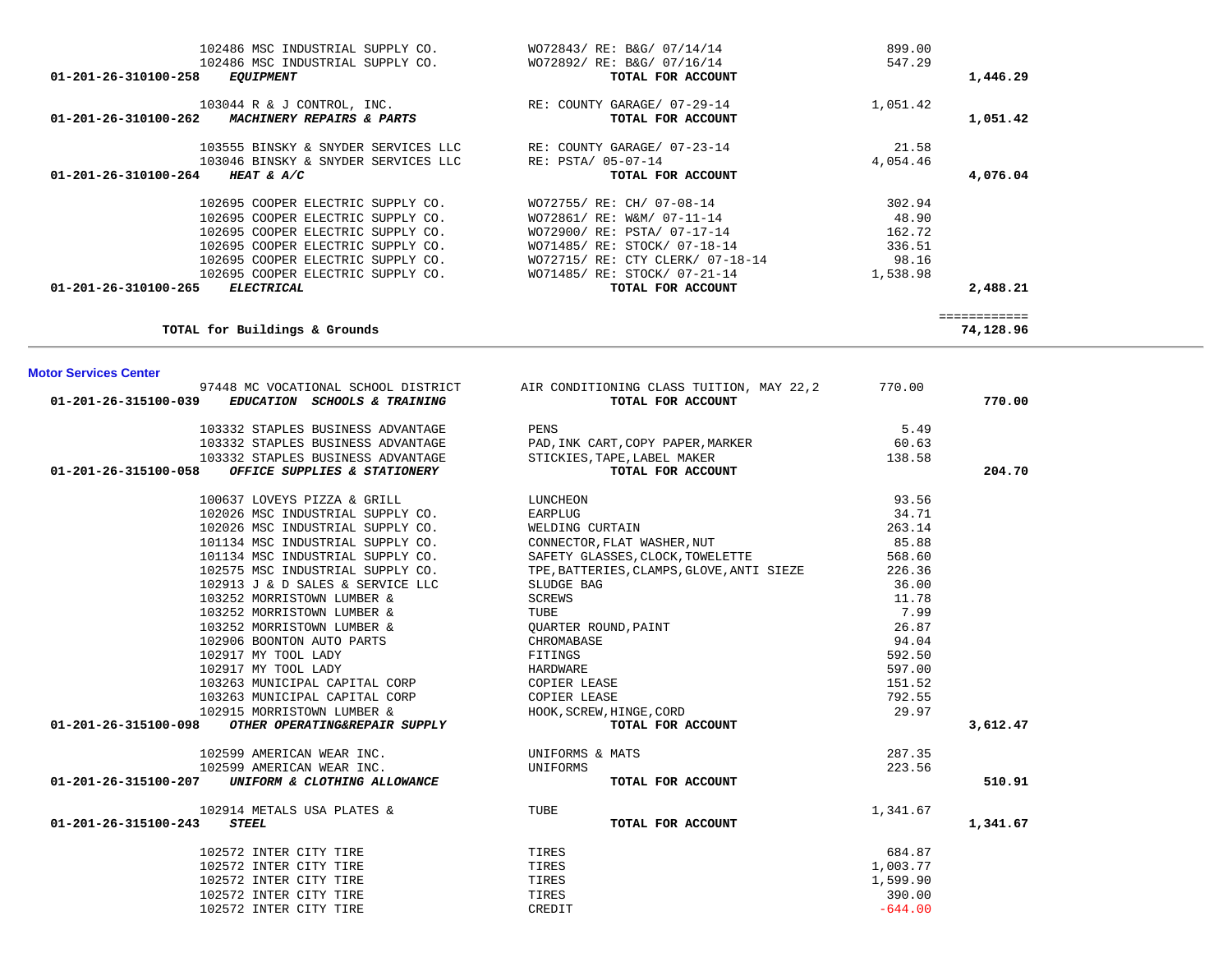| 01-201-26-315100-039 EDUCATION SCHOOLS & TRAINING                                                                                                                                                                                                                                                                                                                                                                                       | 97448 MC VOCATIONAL SCHOOL DISTRICT AIR CONDITIONING CLASS TUITION, MAY 22,2 770.00<br>TOTAL FOR ACCOUNT                                                                                                                                             |           | 770.00   |
|-----------------------------------------------------------------------------------------------------------------------------------------------------------------------------------------------------------------------------------------------------------------------------------------------------------------------------------------------------------------------------------------------------------------------------------------|------------------------------------------------------------------------------------------------------------------------------------------------------------------------------------------------------------------------------------------------------|-----------|----------|
| ${\tt 103332} \hbox{ STAPLES BUSINESS ADVANTAGE} {\tt PENS}$                                                                                                                                                                                                                                                                                                                                                                            |                                                                                                                                                                                                                                                      |           |          |
|                                                                                                                                                                                                                                                                                                                                                                                                                                         |                                                                                                                                                                                                                                                      |           |          |
|                                                                                                                                                                                                                                                                                                                                                                                                                                         |                                                                                                                                                                                                                                                      |           |          |
| $\begin{array}{cccc} & 103332 & STAPLES & BUSINES & ADVANTAGE & & PENS & & & & 5.49 \\ & 103332 & STAPLES & BUSINES & ADVANTAGE & & PAD, INK & CART, COPY PAPER, MARKER & & & 60.63 \\ & 103332 & STAPLES & BUSINES & ADVANTAGE & & & STICKIES, TAPE, LABEL MAKER & & & 138.58 \\ & & & & & & & & & & \\ \textbf{01-201-26-315100-058} & \textbf{OFFICE SUPPLIES & STATIONER} & & & & & \textbf{TOTAL FOR ACCOUNT} & & & & \end{array}$ |                                                                                                                                                                                                                                                      |           | 204.70   |
| 100637 LOVEYS PIZZA & GRILL LUNCHEON                                                                                                                                                                                                                                                                                                                                                                                                    | EARPLUG<br>WELDING CURTAIN<br>CONNECTOR, FLAT WASHER, NUT<br>SAFETY GLASSES, CLOCK, TOWELETTE<br>TPE, BATTERIES, CLAMPS, GLOVE, ANTI SIEZE<br>SAFETY GLASSES, CLOCK, TOWELETTE<br>568.60<br>SLUDGE BAG<br>SLUDGE BAG<br>SCREWS<br>TUBE<br>QUARTER RO |           |          |
| 102026 MSC INDUSTRIAL SUPPLY CO.<br>102026 MSC INDUSTRIAL SUPPLY CO.<br>101134 MSC INDUSTRIAL SUPPLY CO.                                                                                                                                                                                                                                                                                                                                |                                                                                                                                                                                                                                                      |           |          |
|                                                                                                                                                                                                                                                                                                                                                                                                                                         |                                                                                                                                                                                                                                                      |           |          |
|                                                                                                                                                                                                                                                                                                                                                                                                                                         |                                                                                                                                                                                                                                                      |           |          |
| 101134 MSC INDUSTRIAL SUPPLY CO.                                                                                                                                                                                                                                                                                                                                                                                                        |                                                                                                                                                                                                                                                      |           |          |
| 102575 MSC INDUSTRIAL SUPPLY CO.                                                                                                                                                                                                                                                                                                                                                                                                        |                                                                                                                                                                                                                                                      |           |          |
| 102913 J & D SALES & SERVICE LLC<br>103252 MORRISTOWN LUMBER &                                                                                                                                                                                                                                                                                                                                                                          |                                                                                                                                                                                                                                                      |           |          |
|                                                                                                                                                                                                                                                                                                                                                                                                                                         |                                                                                                                                                                                                                                                      |           |          |
|                                                                                                                                                                                                                                                                                                                                                                                                                                         |                                                                                                                                                                                                                                                      |           |          |
|                                                                                                                                                                                                                                                                                                                                                                                                                                         |                                                                                                                                                                                                                                                      |           |          |
|                                                                                                                                                                                                                                                                                                                                                                                                                                         |                                                                                                                                                                                                                                                      |           |          |
|                                                                                                                                                                                                                                                                                                                                                                                                                                         |                                                                                                                                                                                                                                                      |           |          |
|                                                                                                                                                                                                                                                                                                                                                                                                                                         |                                                                                                                                                                                                                                                      |           |          |
|                                                                                                                                                                                                                                                                                                                                                                                                                                         |                                                                                                                                                                                                                                                      |           |          |
|                                                                                                                                                                                                                                                                                                                                                                                                                                         |                                                                                                                                                                                                                                                      |           |          |
|                                                                                                                                                                                                                                                                                                                                                                                                                                         |                                                                                                                                                                                                                                                      |           |          |
| 01-201-26-315100-098 OTHER OPERATING&REPAIR SUPPLY                                                                                                                                                                                                                                                                                                                                                                                      | 103252 MORRISTOWN LUMBER & SCREWS<br>103252 MORRISTOWN LUMBER & TUBE<br>103252 MORRISTOWN LUMBER & TUBE<br>103252 MORRISTOWN LUMBER & TUBE<br>102906 BOONTON AUTO PARTS<br>102906 BOONTON AUTO PARTS<br>102917 MY TOOL LADY<br>103263 MUNICI         |           | 3,612.47 |
| 102599 AMERICAN WEAR INC. WILFORMS & MATS UNIFORMS AMERICAN WEAR INC. WILFORMS                                                                                                                                                                                                                                                                                                                                                          |                                                                                                                                                                                                                                                      | 287.35    |          |
|                                                                                                                                                                                                                                                                                                                                                                                                                                         |                                                                                                                                                                                                                                                      | 223.56    |          |
| 01-201-26-315100-207 UNIFORM & CLOTHING ALLOWANCE                                                                                                                                                                                                                                                                                                                                                                                       | TOTAL FOR ACCOUNT                                                                                                                                                                                                                                    |           | 510.91   |
| $102914$ METALS USA PLATES &                                                                                                                                                                                                                                                                                                                                                                                                            | TUBE                                                                                                                                                                                                                                                 | 1,341.67  |          |
| STEEL<br>01-201-26-315100-243                                                                                                                                                                                                                                                                                                                                                                                                           | TOTAL FOR ACCOUNT                                                                                                                                                                                                                                    |           | 1,341.67 |
| 102572 INTER CITY TIRE<br>102572 INTER CITY TIRE<br>102572 INTER CITY TIRE<br>102572 INTER CITY TIRE                                                                                                                                                                                                                                                                                                                                    | TIRES                                                                                                                                                                                                                                                | 684.87    |          |
|                                                                                                                                                                                                                                                                                                                                                                                                                                         | TIRES                                                                                                                                                                                                                                                | 1,003.77  |          |
|                                                                                                                                                                                                                                                                                                                                                                                                                                         | TIRES                                                                                                                                                                                                                                                | 1,599.90  |          |
| 102572 INTER CITY TIRE                                                                                                                                                                                                                                                                                                                                                                                                                  | TIRES                                                                                                                                                                                                                                                | 390.00    |          |
| 102572 INTER CITY TIRE                                                                                                                                                                                                                                                                                                                                                                                                                  | CREDIT                                                                                                                                                                                                                                               | $-644.00$ |          |

# **TOTAL for Buildings & Grounds 74,128.96**

**Motor Services Center** 

| 102486 MSC INDUSTRIAL SUPPLY CO.                   | WO72843/ RE: B&G/ 07/14/14       | 899.00   |          |
|----------------------------------------------------|----------------------------------|----------|----------|
| 102486 MSC INDUSTRIAL SUPPLY CO.                   | WO72892/ RE: B&G/ 07/16/14       | 547.29   |          |
| $01 - 201 - 26 - 310100 - 258$<br><i>EQUIPMENT</i> | TOTAL FOR ACCOUNT                |          | 1,446.29 |
| 103044 R & J CONTROL, INC.                         | RE: COUNTY GARAGE/ 07-29-14      | 1,051.42 |          |
| 01-201-26-310100-262 MACHINERY REPAIRS & PARTS     | TOTAL FOR ACCOUNT                |          | 1,051.42 |
| 103555 BINSKY & SNYDER SERVICES LLC                | RE: COUNTY GARAGE/ 07-23-14      | 21.58    |          |
| 103046 BINSKY & SNYDER SERVICES LLC                | RE: PSTA/ 05-07-14               | 4,054.46 |          |
| $01 - 201 - 26 - 310100 - 264$<br>HEAT & $A/C$     | TOTAL FOR ACCOUNT                |          | 4,076.04 |
| 102695 COOPER ELECTRIC SUPPLY CO.                  | WO72755/ RE: CH/ 07-08-14        | 302.94   |          |
| 102695 COOPER ELECTRIC SUPPLY CO.                  | WO72861/ RE: W&M/ 07-11-14       | 48.90    |          |
| 102695 COOPER ELECTRIC SUPPLY CO.                  | WO72900/ RE: PSTA/ 07-17-14      | 162.72   |          |
| 102695 COOPER ELECTRIC SUPPLY CO.                  | WO71485/ RE: STOCK/ 07-18-14     | 336.51   |          |
| 102695 COOPER ELECTRIC SUPPLY CO.                  | WO72715/ RE: CTY CLERK/ 07-18-14 | 98.16    |          |
|                                                    |                                  |          |          |
| 102695 COOPER ELECTRIC SUPPLY CO.                  | WO71485/ RE: STOCK/ 07-21-14     | 1,538.98 |          |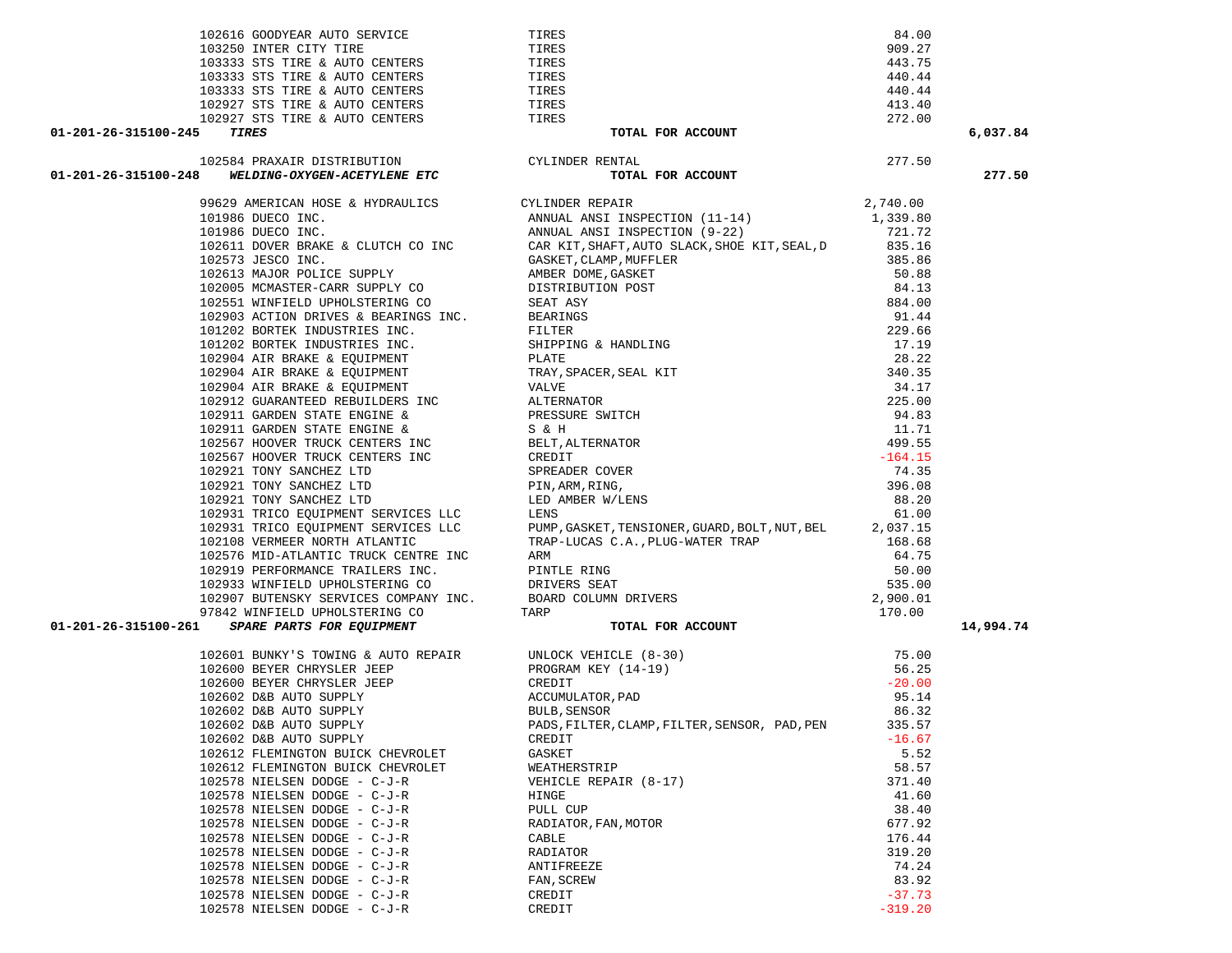|                                                                                                                                                                                                                                                                                    |                                                                                                                 | 84.00    |           |
|------------------------------------------------------------------------------------------------------------------------------------------------------------------------------------------------------------------------------------------------------------------------------------|-----------------------------------------------------------------------------------------------------------------|----------|-----------|
|                                                                                                                                                                                                                                                                                    |                                                                                                                 | 909.27   |           |
|                                                                                                                                                                                                                                                                                    |                                                                                                                 | 443.75   |           |
|                                                                                                                                                                                                                                                                                    |                                                                                                                 | 440.44   |           |
|                                                                                                                                                                                                                                                                                    |                                                                                                                 | 440.44   |           |
|                                                                                                                                                                                                                                                                                    |                                                                                                                 | 413.40   |           |
|                                                                                                                                                                                                                                                                                    |                                                                                                                 | 272.00   |           |
| 01-201-26-315100-245 TIRES                                                                                                                                                                                                                                                         |                                                                                                                 |          | 6,037.84  |
| 102616 GOODTER CITY TIRE<br>103250 INTER CITY TIRE<br>103333 STS TIRE & AUTO CENTERS<br>103333 STS TIRE & AUTO CENTERS<br>103333 STS TIRE & AUTO CENTERS<br>102927 STS TIRE & AUTO CENTERS<br>102927 STS TIRE & AUTO CENTERS<br>145 TIRES                                          | $\begin{array}{c} 84.00 \\ 909.2 \\ 443.7 \\ 440.4 \\ 440.4 \\ 413.4 \\ 272.0 \\ \end{array}$ TOTAL FOR ACCOUNT |          |           |
|                                                                                                                                                                                                                                                                                    |                                                                                                                 |          |           |
|                                                                                                                                                                                                                                                                                    |                                                                                                                 |          | 277.50    |
|                                                                                                                                                                                                                                                                                    |                                                                                                                 |          |           |
|                                                                                                                                                                                                                                                                                    |                                                                                                                 |          |           |
|                                                                                                                                                                                                                                                                                    |                                                                                                                 |          |           |
|                                                                                                                                                                                                                                                                                    |                                                                                                                 |          |           |
|                                                                                                                                                                                                                                                                                    |                                                                                                                 |          |           |
|                                                                                                                                                                                                                                                                                    |                                                                                                                 |          |           |
|                                                                                                                                                                                                                                                                                    |                                                                                                                 |          |           |
|                                                                                                                                                                                                                                                                                    |                                                                                                                 |          |           |
|                                                                                                                                                                                                                                                                                    |                                                                                                                 |          |           |
|                                                                                                                                                                                                                                                                                    |                                                                                                                 |          |           |
|                                                                                                                                                                                                                                                                                    |                                                                                                                 |          |           |
|                                                                                                                                                                                                                                                                                    |                                                                                                                 |          |           |
|                                                                                                                                                                                                                                                                                    |                                                                                                                 |          |           |
|                                                                                                                                                                                                                                                                                    |                                                                                                                 |          |           |
|                                                                                                                                                                                                                                                                                    |                                                                                                                 |          |           |
|                                                                                                                                                                                                                                                                                    |                                                                                                                 |          |           |
|                                                                                                                                                                                                                                                                                    |                                                                                                                 |          |           |
|                                                                                                                                                                                                                                                                                    |                                                                                                                 |          |           |
|                                                                                                                                                                                                                                                                                    |                                                                                                                 |          |           |
|                                                                                                                                                                                                                                                                                    |                                                                                                                 |          |           |
|                                                                                                                                                                                                                                                                                    |                                                                                                                 |          |           |
|                                                                                                                                                                                                                                                                                    |                                                                                                                 |          |           |
|                                                                                                                                                                                                                                                                                    |                                                                                                                 |          |           |
|                                                                                                                                                                                                                                                                                    |                                                                                                                 |          |           |
|                                                                                                                                                                                                                                                                                    |                                                                                                                 |          |           |
|                                                                                                                                                                                                                                                                                    |                                                                                                                 |          |           |
|                                                                                                                                                                                                                                                                                    |                                                                                                                 |          |           |
|                                                                                                                                                                                                                                                                                    |                                                                                                                 |          |           |
|                                                                                                                                                                                                                                                                                    |                                                                                                                 |          |           |
|                                                                                                                                                                                                                                                                                    |                                                                                                                 |          |           |
|                                                                                                                                                                                                                                                                                    |                                                                                                                 |          |           |
|                                                                                                                                                                                                                                                                                    |                                                                                                                 |          |           |
|                                                                                                                                                                                                                                                                                    |                                                                                                                 |          |           |
|                                                                                                                                                                                                                                                                                    |                                                                                                                 |          |           |
|                                                                                                                                                                                                                                                                                    |                                                                                                                 |          | 14,994.74 |
|                                                                                                                                                                                                                                                                                    |                                                                                                                 |          |           |
|                                                                                                                                                                                                                                                                                    |                                                                                                                 |          |           |
|                                                                                                                                                                                                                                                                                    |                                                                                                                 |          |           |
|                                                                                                                                                                                                                                                                                    |                                                                                                                 |          |           |
|                                                                                                                                                                                                                                                                                    |                                                                                                                 |          |           |
|                                                                                                                                                                                                                                                                                    |                                                                                                                 |          |           |
|                                                                                                                                                                                                                                                                                    |                                                                                                                 |          |           |
| 102602 D&B AUTO SUPPLY                                                                                                                                                                                                                                                             | CREDIT                                                                                                          | $-16.67$ |           |
| 102612 FLEMINGTON BUICK CHEVROLET                                                                                                                                                                                                                                                  | GASKET                                                                                                          | 5.52     |           |
| 01-201-26-13100-245 2772.00<br>01-201-26-13100-245 2772.00<br>01-201-26-13100-245 2772.00<br>01-201-26-13100-245 2772.00<br>01-201-26-13100-245 2772.00<br>01-201-26-13100-245 2772.00<br>2010-245 2772.00<br>2010-245 2772.00<br>2010-245 27<br>102612 FLEMINGTON BUICK CHEVROLET | WEATHERSTRIP                                                                                                    | 58.57    |           |
| 102578 NIELSEN DODGE - C-J-R                                                                                                                                                                                                                                                       | VEHICLE REPAIR (8-17)                                                                                           | 371.40   |           |
| 102578 NIELSEN DODGE - C-J-R                                                                                                                                                                                                                                                       | HINGE                                                                                                           | 41.60    |           |
| 102578 NIELSEN DODGE - C-J-R                                                                                                                                                                                                                                                       | PULL CUP                                                                                                        | 38.40    |           |
| 102578 NIELSEN DODGE - C-J-R                                                                                                                                                                                                                                                       | RADIATOR, FAN, MOTOR                                                                                            | 677.92   |           |
| 102578 NIELSEN DODGE - C-J-R                                                                                                                                                                                                                                                       | CABLE                                                                                                           | 176.44   |           |
| 102578 NIELSEN DODGE - C-J-R                                                                                                                                                                                                                                                       | RADIATOR                                                                                                        | 319.20   |           |
| 102578 NIELSEN DODGE - C-J-R                                                                                                                                                                                                                                                       | ANTIFREEZE                                                                                                      | 74.24    |           |
| 102578 NIELSEN DODGE - C-J-R                                                                                                                                                                                                                                                       | FAN, SCREW                                                                                                      | 83.92    |           |
| 102578 NIELSEN DODGE - C-J-R                                                                                                                                                                                                                                                       | CREDIT                                                                                                          | $-37.73$ |           |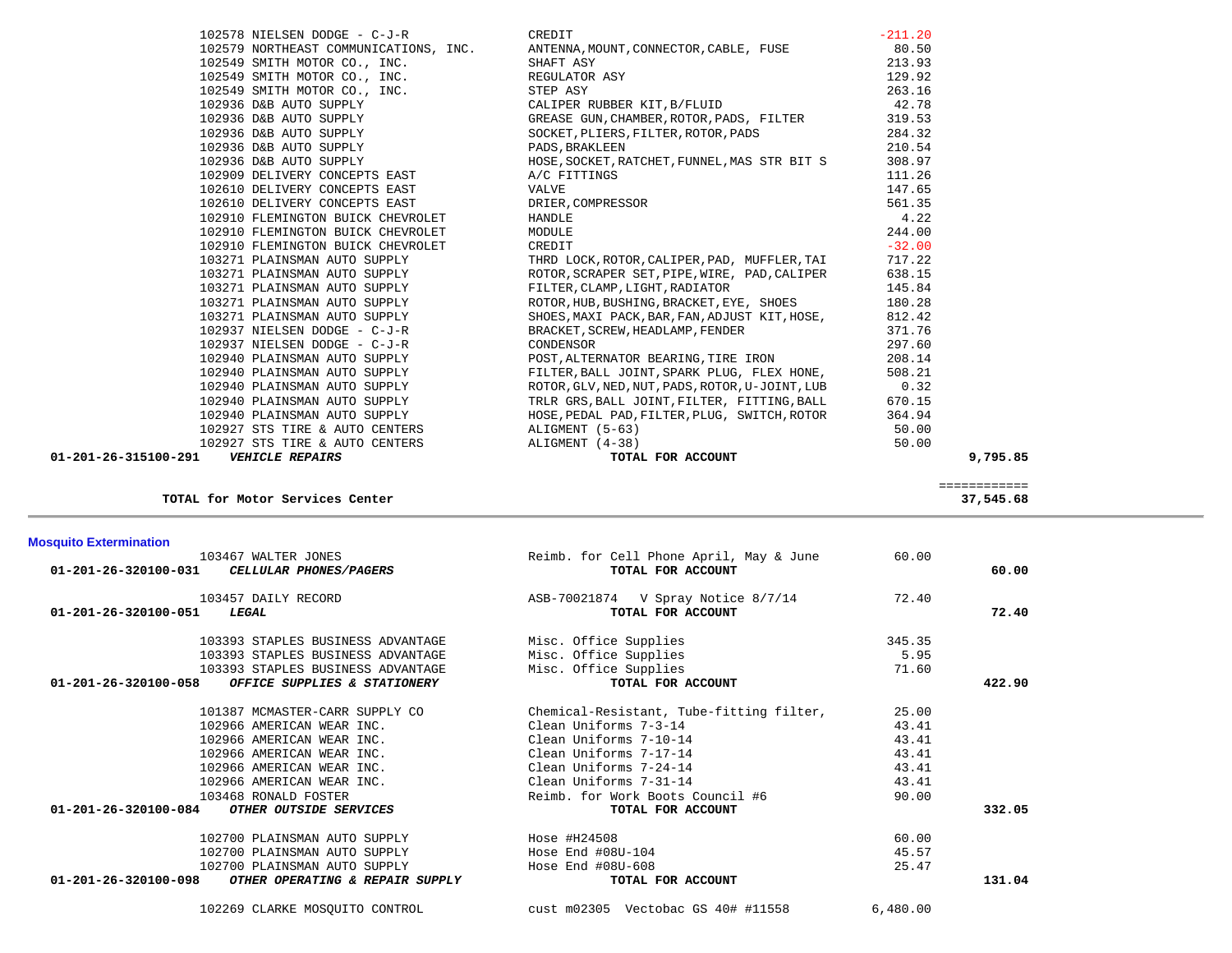| <b>Mosquito Extermination</b>                        |                                          |          |        |
|------------------------------------------------------|------------------------------------------|----------|--------|
| 103467 WALTER JONES                                  | Reimb. for Cell Phone April, May & June  | 60.00    |        |
| 01-201-26-320100-031 CELLULAR PHONES/PAGERS          | TOTAL FOR ACCOUNT                        |          | 60.00  |
| 103457 DAILY RECORD                                  | ASB-70021874 V Spray Notice 8/7/14       | 72.40    |        |
| 01-201-26-320100-051<br>LEGAL                        | TOTAL FOR ACCOUNT                        |          | 72.40  |
| 103393 STAPLES BUSINESS ADVANTAGE                    | Misc. Office Supplies                    | 345.35   |        |
| 103393 STAPLES BUSINESS ADVANTAGE                    | Misc. Office Supplies                    | 5.95     |        |
| 103393 STAPLES BUSINESS ADVANTAGE                    | Misc. Office Supplies                    | 71.60    |        |
| 01-201-26-320100-058<br>OFFICE SUPPLIES & STATIONERY | TOTAL FOR ACCOUNT                        |          | 422.90 |
| 101387 MCMASTER-CARR SUPPLY CO                       | Chemical-Resistant, Tube-fitting filter, | 25.00    |        |
| 102966 AMERICAN WEAR INC.                            | Clean Uniforms 7-3-14                    | 43.41    |        |
| 102966 AMERICAN WEAR INC.                            | Clean Uniforms 7-10-14                   | 43.41    |        |
| 102966 AMERICAN WEAR INC.                            | Clean Uniforms 7-17-14                   | 43.41    |        |
| 102966 AMERICAN WEAR INC.                            | Clean Uniforms 7-24-14                   | 43.41    |        |
| 102966 AMERICAN WEAR INC.                            | Clean Uniforms 7-31-14                   | 43.41    |        |
| 103468 RONALD FOSTER                                 | Reimb. for Work Boots Council #6         | 90.00    |        |
| 01-201-26-320100-084<br>OTHER OUTSIDE SERVICES       | TOTAL FOR ACCOUNT                        |          | 332.05 |
| 102700 PLAINSMAN AUTO SUPPLY                         | Hose #H24508                             | 60.00    |        |
| 102700 PLAINSMAN AUTO SUPPLY                         | Hose End $\#08U-104$                     | 45.57    |        |
| 102700 PLAINSMAN AUTO SUPPLY                         | Hose End #08U-608                        | 25.47    |        |
| 01-201-26-320100-098 OTHER OPERATING & REPAIR SUPPLY | TOTAL FOR ACCOUNT                        |          | 131.04 |
| 102269 CLARKE MOSOUITO CONTROL                       | cust m02305 Vectobac GS 40# #11558       | 6,480.00 |        |

 ============ **TOTAL for Motor Services Center 37,545.68**

102578 NIELSEN DODGE - C-J-R<br>102579 NORTHEAST COMMUNICATIONS. INC. ANTENNA.MOUNT.CONNECTOR.CABLE. FUSE 80.50 1025.08 ANTENNA, MOUNT, CONNECTOR, CABLE, FUSE 80.50<br>113.93 SHAFT ASY 102549 SMITH MOTOR CO., INC.<br>102549 SMITH MOTOR CO., INC. SHAFT ASY STRING ASY 213.93 102549 SMITH MOTOR CO., INC.<br>
102549 SMITH MOTOR CO., INC.<br>
STEP ASY STEP ASY 169 100 263.16 102549 SMITH MOTOR CO., INC.<br>102936 D&B AUTO SUPPLY 12.78 CALIPER RUBBER KIT.B/FLUID 102936 D&B AUTO 302.78 102936 D&B AUTO SUPPLY CALIPER RUBBER KIT, B/FLUID 42.78<br>102936 D&B AUTO SUPPLY CREASE GUN, CHAMBER, ROTOR, PADS, FILTER 319.53 102936 D&B AUTO SUPPLY GREASE GUN,CHAMBER,ROTOR,PADS, FILTER 319.53 1020 SOCKET, PLIERS, FILTER, ROTOR, PADS<br>102936 PADS, BRAKLEEN 102936 D&B AUTO SUPPLY PADS,BRAKLEEN 210.54 10SE,SOCKET,RATCHET,FUNNEL,MAS STR BIT S 308.97<br>4/C FITTINGS 308.97 102909 DELIVERY CONCEPTS EAST A/C FITTINGS 111.26 102610 DELIVERY CONCEPTS EAST VALVE 147.65 102610 DELIVERY CONCEPTS EAST DRIER,COMPRESSOR 561.35 102910 FLEMINGTON BUICK CHEVROLET HANDLE HANDLE AND A 22 FLEMINGTON BUICK CHEVROLET A MODULE AND LET A 22 FLEMINGTON BUICK CHEVROLET 102910 FLEMINGTON BUICK CHEVROLET MODULE MODULE 244.00<br>102910 FLEMINGTON BUICK CHEVROLET CEEDIT CERDIT 102910 FLEMINGTON BUICK CHEVROLET CREDIT<br>103271 PLAINSMAN AUTO SUPPLY THRD LOCK, ROTOR, CALIPER, PAD, MUFFLER, TAI 717.22 103271 PLAINSMAN AUTO SUPPLY THRD LOCK,ROTOR,CALIPER,PAD, MUFFLER,TAI 717.22 103271 PLAINSMAN AUTO SUPPLY THE ROTOR, SCRAPER SET, PIPE, WIRE, PAD, CALIPER 638.15<br>103271 PLAINSMAN AUTO SUPPLY FILTER.CLAMP.LIGHT.RADIATOR 145.84 103271 PLAINSMAN AUTO SUPPLY FILTER,CLAMP,LIGHT,RADIATOR 195.84<br>103271 PLAINSMAN AUTO SUPPLY FROTOR,HUB,BUSHING,BRACKET,EYE, SHOES 103271 PLAINSMAN AUTO SUPPLY ROTOR,HUB,BUSHING,BRACKET,EYE, SHOES 180.28 103271 PLAINSMAN AUTO SUPPLY SHOES, MAXI PACK, BAR, FAN, ADJUST KIT, HOSE, 812.42<br>102937 NIELSEN DODGE - C-J-R BRACKET, SCREW, HEADLAMP, FENDER 371.76 102937 BRACKET, SCREW, HEADLAMP, FENDER<br>10297 CONDENSOR 102937 NIELSEN DODGE - C-J-R CONDENSOR 297.60 102940 PLAINSMAN AUTO SUPPLY POST,ALTERNATOR BEARING,TIRE IRON 208.14 102940 PLAINSMAN AUTO SUPPLY FILTER,BALL JOINT,SPARK PLUG, FLEX HONE, 508.21<br>102940 PLAINSMAN AUTO SUPPLY ROTOR.GLV.NED.NUT.PADS.ROTOR.U-JOINT.LUB 102940 PLAINSMAN AUTO SUPPLY ROTOR,GLV,NED,NUT,PADS,ROTOR,U-JOINT,LUB 0.32 102940 PLAINSMAN AUTO SUPPLY TRLR GRS,BALL JOINT,FILTER, FITTING,BALL 670.15<br>102940 PLAINSMAN AUTO SUPPLY HOSE.PEDAL PAD.FILTER.PLUG. SWITCH.ROTOR 164.94 102940 PLAINSMAN AUTO SUPPLY HOSE,PEDAL PAD,FILTER,PLUG, SWITCH,ROTOR 364.94 102927 STS TIRE & AUTO CENTERS ALIGMENT (5-63) 50.00 102927 STS TIRE & AUTO CENTERS **ALIGMENT** (4-38) **102927 STS TIRE & AUTO CENTERS ALIGMENT** (4-38)  **01-201-26-315100-291** *VEHICLE REPAIRS* **TOTAL FOR ACCOUNT 9,795.85**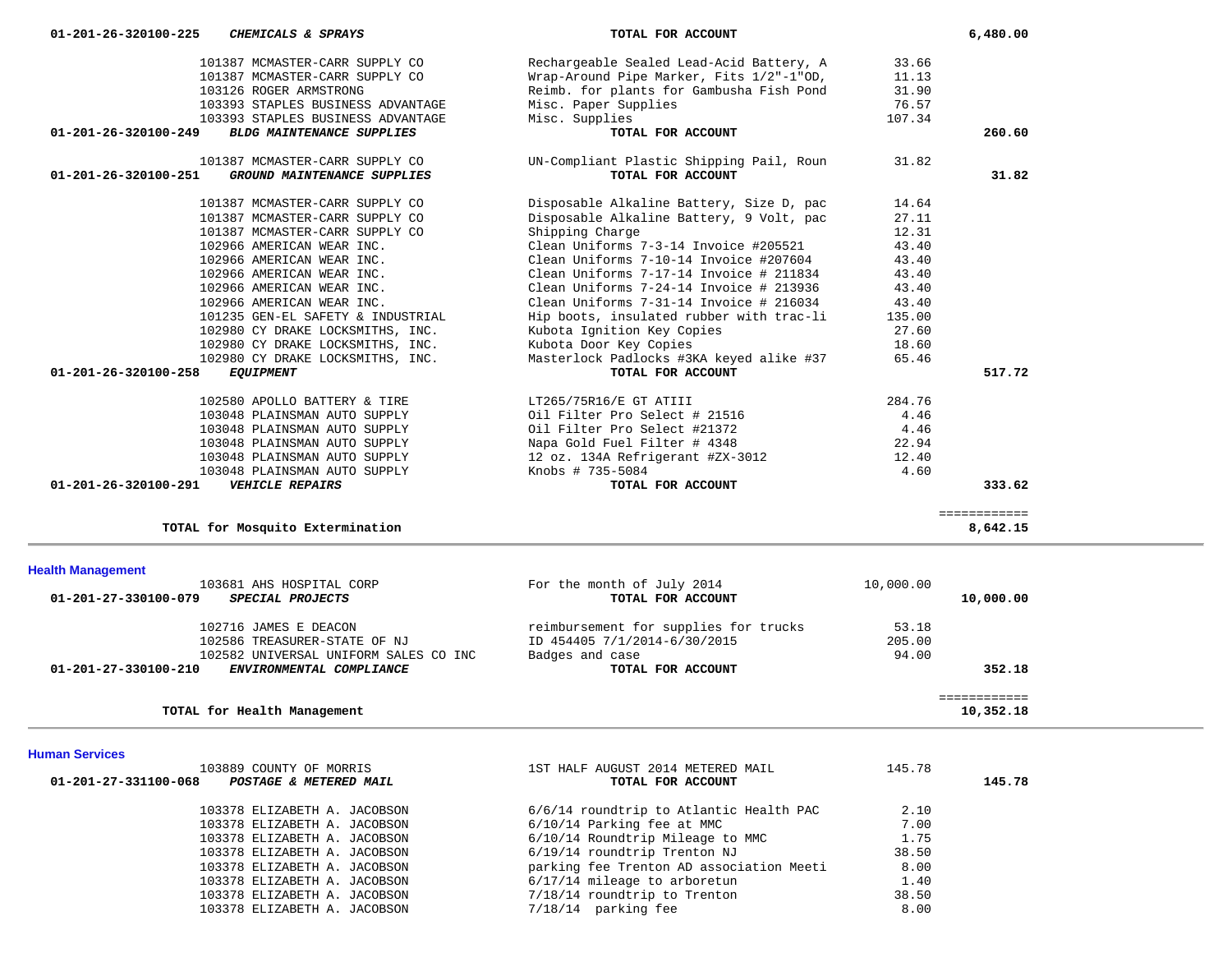|                          | 101387 MCMASTER-CARR SUPPLY CO<br>101387 MCMASTER-CARR SUPPLY CO<br>103126 ROGER ARMSTRONG | Rechargeable Sealed Lead-Acid Battery, A<br>Wrap-Around Pipe Marker, Fits 1/2"-1"OD,<br>Reimb. for plants for Gambusha Fish Pond | 33.66<br>11.13<br>31.90 |              |  |
|--------------------------|--------------------------------------------------------------------------------------------|----------------------------------------------------------------------------------------------------------------------------------|-------------------------|--------------|--|
|                          | 103393 STAPLES BUSINESS ADVANTAGE                                                          | Misc. Paper Supplies                                                                                                             | 76.57                   |              |  |
| 01-201-26-320100-249     | 103393 STAPLES BUSINESS ADVANTAGE<br><b>BLDG MAINTENANCE SUPPLIES</b>                      | Misc. Supplies<br>TOTAL FOR ACCOUNT                                                                                              | 107.34                  | 260.60       |  |
|                          |                                                                                            |                                                                                                                                  |                         |              |  |
|                          | 101387 MCMASTER-CARR SUPPLY CO                                                             | UN-Compliant Plastic Shipping Pail, Roun                                                                                         | 31.82                   |              |  |
| 01-201-26-320100-251     | GROUND MAINTENANCE SUPPLIES                                                                | TOTAL FOR ACCOUNT                                                                                                                |                         | 31.82        |  |
|                          | 101387 MCMASTER-CARR SUPPLY CO                                                             | Disposable Alkaline Battery, Size D, pac                                                                                         | 14.64                   |              |  |
|                          | 101387 MCMASTER-CARR SUPPLY CO                                                             | Disposable Alkaline Battery, 9 Volt, pac                                                                                         | 27.11                   |              |  |
|                          | 101387 MCMASTER-CARR SUPPLY CO                                                             | Shipping Charge                                                                                                                  | 12.31                   |              |  |
|                          | 102966 AMERICAN WEAR INC.                                                                  | Clean Uniforms 7-3-14 Invoice #205521                                                                                            | 43.40                   |              |  |
|                          | 102966 AMERICAN WEAR INC.                                                                  | Clean Uniforms 7-10-14 Invoice #207604                                                                                           | 43.40                   |              |  |
|                          | 102966 AMERICAN WEAR INC.                                                                  | Clean Uniforms 7-17-14 Invoice # 211834                                                                                          | 43.40                   |              |  |
|                          | 102966 AMERICAN WEAR INC.                                                                  | Clean Uniforms 7-24-14 Invoice # 213936                                                                                          | 43.40                   |              |  |
|                          | 102966 AMERICAN WEAR INC.                                                                  | Clean Uniforms 7-31-14 Invoice # 216034                                                                                          | 43.40                   |              |  |
|                          | 101235 GEN-EL SAFETY & INDUSTRIAL                                                          | Hip boots, insulated rubber with trac-li                                                                                         | 135.00                  |              |  |
|                          | 102980 CY DRAKE LOCKSMITHS, INC.                                                           | Kubota Ignition Key Copies                                                                                                       | 27.60                   |              |  |
|                          | 102980 CY DRAKE LOCKSMITHS, INC.                                                           | Kubota Door Key Copies                                                                                                           | 18.60                   |              |  |
|                          | 102980 CY DRAKE LOCKSMITHS, INC.                                                           | Masterlock Padlocks #3KA keyed alike #37                                                                                         | 65.46                   |              |  |
| 01-201-26-320100-258     | <b>EQUIPMENT</b>                                                                           | TOTAL FOR ACCOUNT                                                                                                                |                         | 517.72       |  |
|                          | 102580 APOLLO BATTERY & TIRE                                                               | LT265/75R16/E GT ATIII                                                                                                           | 284.76                  |              |  |
|                          | 103048 PLAINSMAN AUTO SUPPLY                                                               | Oil Filter Pro Select # 21516                                                                                                    | 4.46                    |              |  |
|                          | 103048 PLAINSMAN AUTO SUPPLY                                                               | Oil Filter Pro Select #21372                                                                                                     | 4.46                    |              |  |
|                          | 103048 PLAINSMAN AUTO SUPPLY                                                               | Napa Gold Fuel Filter # 4348                                                                                                     | 22.94                   |              |  |
|                          | 103048 PLAINSMAN AUTO SUPPLY                                                               | 12 oz. 134A Refrigerant #ZX-3012                                                                                                 | 12.40                   |              |  |
|                          | 103048 PLAINSMAN AUTO SUPPLY                                                               | Knobs # 735-5084                                                                                                                 | 4.60                    |              |  |
| 01-201-26-320100-291     | <b>VEHICLE REPAIRS</b>                                                                     | TOTAL FOR ACCOUNT                                                                                                                |                         | 333.62       |  |
|                          |                                                                                            |                                                                                                                                  |                         |              |  |
|                          | TOTAL for Mosquito Extermination                                                           |                                                                                                                                  |                         | ============ |  |
|                          |                                                                                            |                                                                                                                                  |                         | 8,642.15     |  |
|                          |                                                                                            |                                                                                                                                  |                         |              |  |
| <b>Health Management</b> | 103681 AHS HOSPITAL CORP                                                                   | For the month of July 2014                                                                                                       | 10,000.00               |              |  |
| 01-201-27-330100-079     | SPECIAL PROJECTS                                                                           | TOTAL FOR ACCOUNT                                                                                                                |                         | 10,000.00    |  |
|                          |                                                                                            |                                                                                                                                  |                         |              |  |
|                          | 102716 JAMES E DEACON                                                                      | reimbursement for supplies for trucks                                                                                            | 53.18                   |              |  |
|                          | 102586 TREASURER-STATE OF NJ                                                               | ID 454405 7/1/2014-6/30/2015                                                                                                     | 205.00                  |              |  |
|                          | 102582 UNIVERSAL UNIFORM SALES CO INC                                                      | Badges and case                                                                                                                  | 94.00                   |              |  |
| 01-201-27-330100-210     | ENVIRONMENTAL COMPLIANCE                                                                   | TOTAL FOR ACCOUNT                                                                                                                |                         | 352.18       |  |
|                          |                                                                                            |                                                                                                                                  |                         | ============ |  |
|                          | TOTAL for Health Management                                                                |                                                                                                                                  |                         | 10,352.18    |  |
|                          |                                                                                            |                                                                                                                                  |                         |              |  |
| <b>Human Services</b>    | 103888 COUNTY OF MOPPIC                                                                    | $1$ CT UNLE AUCUICT $2014$ METERED MATI                                                                                          | 145,79                  |              |  |
|                          |                                                                                            |                                                                                                                                  |                         |              |  |

-

 **01-201-26-320100-225** *CHEMICALS & SPRAYS* **TOTAL FOR ACCOUNT 6,480.00**

| 103889 COUNTY OF MORRIS                        | 1ST HALF AUGUST 2014 METERED MAIL        | 145.78 |        |
|------------------------------------------------|------------------------------------------|--------|--------|
| 01-201-27-331100-068<br>POSTAGE & METERED MAIL | TOTAL FOR ACCOUNT                        |        | 145.78 |
| 103378 ELIZABETH A. JACOBSON                   | 6/6/14 roundtrip to Atlantic Health PAC  | 2.10   |        |
| 103378 ELIZABETH A. JACOBSON                   | $6/10/14$ Parking fee at MMC             | 7.00   |        |
| 103378 ELIZABETH A. JACOBSON                   | 6/10/14 Roundtrip Mileage to MMC         | 1.75   |        |
| 103378 ELIZABETH A. JACOBSON                   | 6/19/14 roundtrip Trenton NJ             | 38.50  |        |
| 103378 ELIZABETH A. JACOBSON                   | parking fee Trenton AD association Meeti | 8.00   |        |
| 103378 ELIZABETH A. JACOBSON                   | $6/17/14$ mileage to arboretun           | 1.40   |        |
| 103378 ELIZABETH A. JACOBSON                   | 7/18/14 roundtrip to Trenton             | 38.50  |        |
| 103378 ELIZABETH A. JACOBSON                   | $7/18/14$ parking fee                    | 8.00   |        |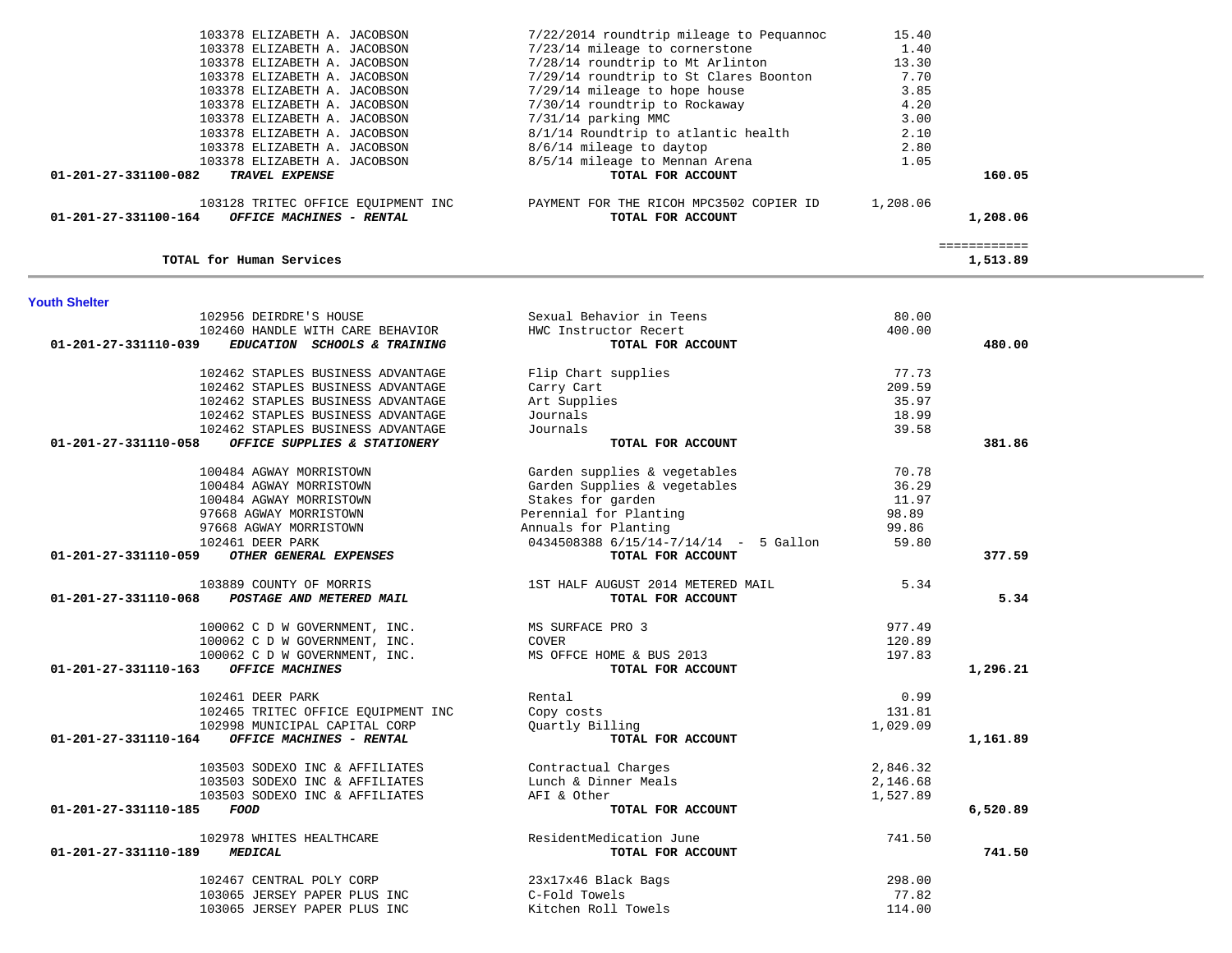| TOTAL for Human Services                                   |                                         |          | <b>BEBBBBBBBBBB</b><br>1,513.89 |
|------------------------------------------------------------|-----------------------------------------|----------|---------------------------------|
| <b>Youth Shelter</b>                                       |                                         |          |                                 |
| 102956 DEIRDRE'S HOUSE                                     | Sexual Behavior in Teens                | 80.00    |                                 |
| 102460 HANDLE WITH CARE BEHAVIOR                           | HWC Instructor Recert                   | 400.00   |                                 |
| 01-201-27-331110-039<br>EDUCATION SCHOOLS & TRAINING       | TOTAL FOR ACCOUNT                       |          | 480.00                          |
| 102462 STAPLES BUSINESS ADVANTAGE                          | Flip Chart supplies                     | 77.73    |                                 |
| 102462 STAPLES BUSINESS ADVANTAGE                          | Carry Cart                              | 209.59   |                                 |
| 102462 STAPLES BUSINESS ADVANTAGE                          | Art Supplies                            | 35.97    |                                 |
| 102462 STAPLES BUSINESS ADVANTAGE                          | Journals                                | 18.99    |                                 |
| 102462 STAPLES BUSINESS ADVANTAGE                          | Journals                                | 39.58    |                                 |
| 01-201-27-331110-058<br>OFFICE SUPPLIES & STATIONERY       | TOTAL FOR ACCOUNT                       |          | 381.86                          |
| 100484 AGWAY MORRISTOWN                                    | Garden supplies & vegetables            | 70.78    |                                 |
| 100484 AGWAY MORRISTOWN                                    | Garden Supplies & vegetables            | 36.29    |                                 |
| 100484 AGWAY MORRISTOWN                                    | Stakes for garden                       | 11.97    |                                 |
| 97668 AGWAY MORRISTOWN                                     | Perennial for Planting                  | 98.89    |                                 |
| 97668 AGWAY MORRISTOWN                                     | Annuals for Planting                    | 99.86    |                                 |
| 102461 DEER PARK                                           | $0434508388$ 6/15/14-7/14/14 - 5 Gallon | 59.80    |                                 |
| OTHER GENERAL EXPENSES<br>01-201-27-331110-059             | TOTAL FOR ACCOUNT                       |          | 377.59                          |
| 103889 COUNTY OF MORRIS                                    | 1ST HALF AUGUST 2014 METERED MAIL       | 5.34     |                                 |
| $01 - 201 - 27 - 331110 - 068$<br>POSTAGE AND METERED MAIL | TOTAL FOR ACCOUNT                       |          | 5.34                            |
| 100062 C D W GOVERNMENT, INC.                              | MS SURFACE PRO 3                        | 977.49   |                                 |
| 100062 C D W GOVERNMENT, INC.                              | <b>COVER</b>                            | 120.89   |                                 |
| 100062 C D W GOVERNMENT, INC.                              | MS OFFCE HOME & BUS 2013                | 197.83   |                                 |
| $01 - 201 - 27 - 331110 - 163$<br>OFFICE MACHINES          | TOTAL FOR ACCOUNT                       |          | 1,296.21                        |
| 102461 DEER PARK                                           | Rental                                  | 0.99     |                                 |
| 102465 TRITEC OFFICE EQUIPMENT INC                         | Copy costs                              | 131.81   |                                 |
| 102998 MUNICIPAL CAPITAL CORP                              | Quartly Billing                         | 1,029.09 |                                 |
| 01-201-27-331110-164<br>OFFICE MACHINES - RENTAL           | TOTAL FOR ACCOUNT                       |          | 1,161.89                        |
| 103503 SODEXO INC & AFFILIATES                             | Contractual Charges                     | 2,846.32 |                                 |
| 103503 SODEXO INC & AFFILIATES                             | Lunch & Dinner Meals                    | 2,146.68 |                                 |
| 103503 SODEXO INC & AFFILIATES                             | AFI & Other                             | 1,527.89 |                                 |
| 01-201-27-331110-185<br><b>FOOD</b>                        | TOTAL FOR ACCOUNT                       |          | 6,520.89                        |
| 102978 WHITES HEALTHCARE                                   | ResidentMedication June                 | 741.50   |                                 |
| 01-201-27-331110-189<br><b>MEDICAL</b>                     | TOTAL FOR ACCOUNT                       |          | 741.50                          |
| 102467 CENTRAL POLY CORP                                   | 23x17x46 Black Bags                     | 298.00   |                                 |
| 103065 JERSEY PAPER PLUS INC                               | C-Fold Towels                           | 77.82    |                                 |
| 103065 JERSEY PAPER PLUS INC                               | Kitchen Roll Towels                     | 114.00   |                                 |
|                                                            |                                         |          |                                 |

| 103378 ELIZABETH A. JACOBSON                               | 7/22/2014 roundtrip mileage to Pequannoc | 15.40    |          |
|------------------------------------------------------------|------------------------------------------|----------|----------|
| 103378 ELIZABETH A. JACOBSON                               | 7/23/14 mileage to cornerstone           | 1.40     |          |
| 103378 ELIZABETH A. JACOBSON                               | 7/28/14 roundtrip to Mt Arlinton         | 13.30    |          |
| 103378 ELIZABETH A. JACOBSON                               | 7/29/14 roundtrip to St Clares Boonton   | 7.70     |          |
| 103378 ELIZABETH A. JACOBSON                               | 7/29/14 mileage to hope house            | 3.85     |          |
| 103378 ELIZABETH A. JACOBSON                               | 7/30/14 roundtrip to Rockaway            | 4.20     |          |
| 103378 ELIZABETH A. JACOBSON                               | 7/31/14 parking MMC                      | 3.00     |          |
| 103378 ELIZABETH A. JACOBSON                               | 8/1/14 Roundtrip to atlantic health      | 2.10     |          |
| 103378 ELIZABETH A. JACOBSON                               | 8/6/14 mileage to daytop                 | 2.80     |          |
| 103378 ELIZABETH A. JACOBSON                               | 8/5/14 mileage to Mennan Arena           | 1.05     |          |
| 01-201-27-331100-082<br><b>TRAVEL EXPENSE</b>              | TOTAL FOR ACCOUNT                        |          | 160.05   |
| 103128 TRITEC OFFICE EQUIPMENT INC                         | PAYMENT FOR THE RICOH MPC3502 COPIER ID  | 1,208.06 |          |
| $01 - 201 - 27 - 331100 - 164$<br>OFFICE MACHINES - RENTAL | TOTAL FOR ACCOUNT                        |          | 1,208.06 |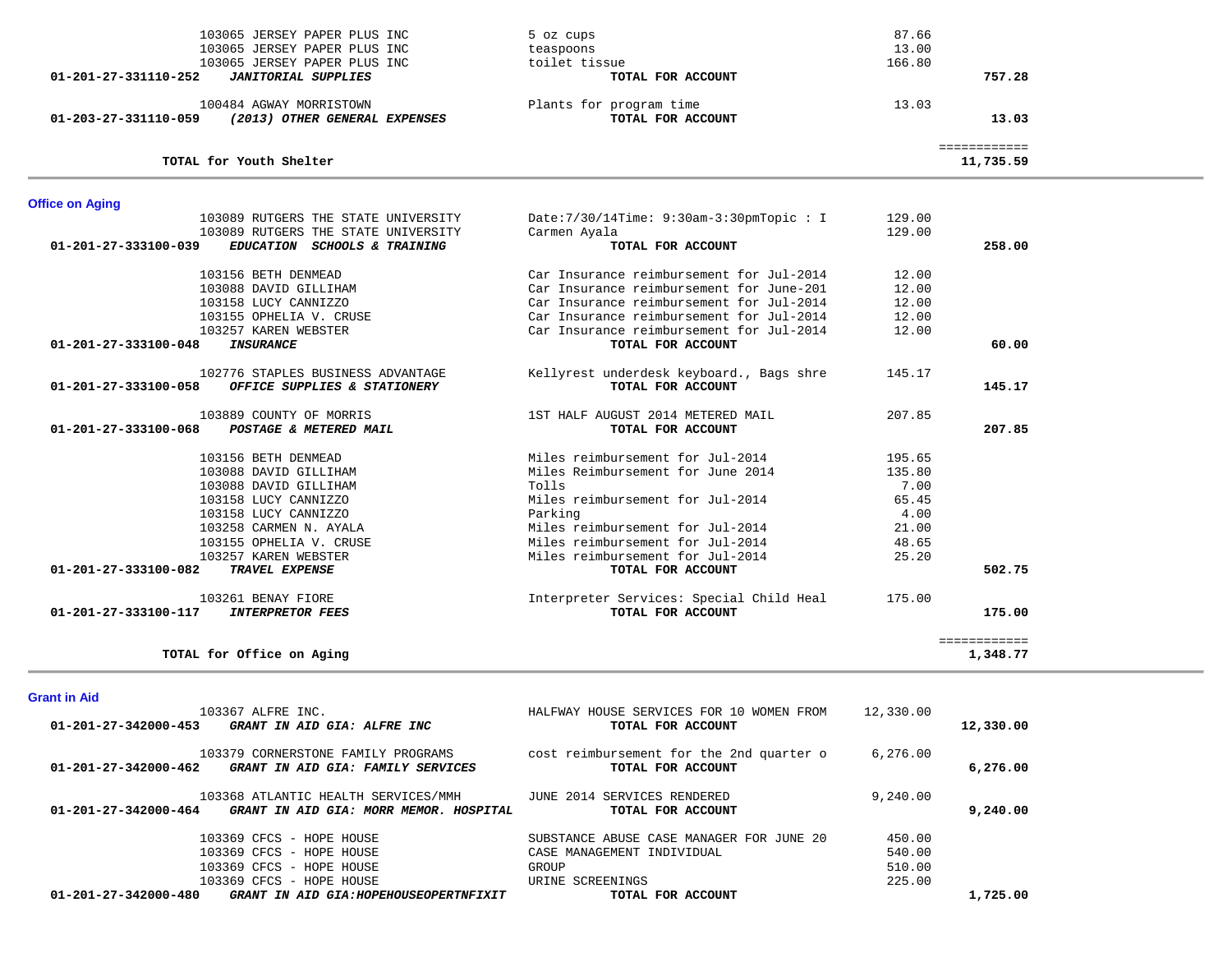|                        | 103065 JERSEY PAPER PLUS INC                                      | 5 oz cups                                                     | 87.66     |                           |  |
|------------------------|-------------------------------------------------------------------|---------------------------------------------------------------|-----------|---------------------------|--|
|                        | 103065 JERSEY PAPER PLUS INC                                      | teaspoons                                                     | 13.00     |                           |  |
|                        | 103065 JERSEY PAPER PLUS INC                                      | toilet tissue                                                 | 166.80    |                           |  |
| 01-201-27-331110-252   | <b>JANITORIAL SUPPLIES</b>                                        | TOTAL FOR ACCOUNT                                             |           | 757.28                    |  |
|                        |                                                                   |                                                               |           |                           |  |
|                        | 100484 AGWAY MORRISTOWN                                           | Plants for program time                                       | 13.03     |                           |  |
| 01-203-27-331110-059   | (2013) OTHER GENERAL EXPENSES                                     | TOTAL FOR ACCOUNT                                             |           | 13.03                     |  |
|                        | TOTAL for Youth Shelter                                           |                                                               |           | ============<br>11,735.59 |  |
|                        |                                                                   |                                                               |           |                           |  |
| <b>Office on Aging</b> |                                                                   |                                                               |           |                           |  |
|                        | 103089 RUTGERS THE STATE UNIVERSITY                               | Date: 7/30/14Time: 9:30am-3:30pmTopic : I                     | 129.00    |                           |  |
|                        | 103089 RUTGERS THE STATE UNIVERSITY                               | Carmen Ayala                                                  | 129.00    |                           |  |
| 01-201-27-333100-039   | EDUCATION SCHOOLS & TRAINING                                      | TOTAL FOR ACCOUNT                                             |           | 258.00                    |  |
|                        |                                                                   |                                                               |           |                           |  |
|                        | 103156 BETH DENMEAD                                               | Car Insurance reimbursement for Jul-2014                      | 12.00     |                           |  |
|                        | 103088 DAVID GILLIHAM                                             | Car Insurance reimbursement for June-201                      | 12.00     |                           |  |
|                        | 103158 LUCY CANNIZZO                                              | Car Insurance reimbursement for Jul-2014                      | 12.00     |                           |  |
|                        | 103155 OPHELIA V. CRUSE                                           | Car Insurance reimbursement for Jul-2014                      | 12.00     |                           |  |
|                        | 103257 KAREN WEBSTER                                              | Car Insurance reimbursement for Jul-2014                      | 12.00     |                           |  |
| 01-201-27-333100-048   | <b>INSURANCE</b>                                                  | TOTAL FOR ACCOUNT                                             |           | 60.00                     |  |
|                        |                                                                   |                                                               |           |                           |  |
|                        | 102776 STAPLES BUSINESS ADVANTAGE<br>OFFICE SUPPLIES & STATIONERY | Kellyrest underdesk keyboard., Bags shre                      | 145.17    |                           |  |
| 01-201-27-333100-058   |                                                                   | TOTAL FOR ACCOUNT                                             |           | 145.17                    |  |
|                        | 103889 COUNTY OF MORRIS                                           | 1ST HALF AUGUST 2014 METERED MAIL                             | 207.85    |                           |  |
| 01-201-27-333100-068   | POSTAGE & METERED MAIL                                            | TOTAL FOR ACCOUNT                                             |           | 207.85                    |  |
|                        |                                                                   |                                                               |           |                           |  |
|                        | 103156 BETH DENMEAD                                               | Miles reimbursement for Jul-2014                              | 195.65    |                           |  |
|                        | 103088 DAVID GILLIHAM                                             | Miles Reimbursement for June 2014                             | 135.80    |                           |  |
|                        | 103088 DAVID GILLIHAM                                             | Tolls                                                         | 7.00      |                           |  |
|                        | 103158 LUCY CANNIZZO                                              | Miles reimbursement for Jul-2014                              | 65.45     |                           |  |
|                        | 103158 LUCY CANNIZZO                                              | Parking                                                       | 4.00      |                           |  |
|                        | 103258 CARMEN N. AYALA                                            | Miles reimbursement for Jul-2014                              | 21.00     |                           |  |
|                        | 103155 OPHELIA V. CRUSE                                           | Miles reimbursement for Jul-2014                              | 48.65     |                           |  |
|                        | 103257 KAREN WEBSTER                                              | Miles reimbursement for Jul-2014                              | 25.20     |                           |  |
| 01-201-27-333100-082   | TRAVEL EXPENSE                                                    | TOTAL FOR ACCOUNT                                             |           | 502.75                    |  |
|                        |                                                                   |                                                               |           |                           |  |
| 01-201-27-333100-117   | 103261 BENAY FIORE<br><b>INTERPRETOR FEES</b>                     | Interpreter Services: Special Child Heal<br>TOTAL FOR ACCOUNT | 175.00    | 175.00                    |  |
|                        |                                                                   |                                                               |           |                           |  |
|                        |                                                                   |                                                               |           | ============              |  |
|                        | TOTAL for Office on Aging                                         |                                                               |           | 1,348.77                  |  |
|                        |                                                                   |                                                               |           |                           |  |
| <b>Grant in Aid</b>    | 103367 ALFRE INC.                                                 |                                                               |           |                           |  |
|                        | 01-201-27-342000-453 GRANT IN AID GIA: ALFRE INC                  | HALFWAY HOUSE SERVICES FOR 10 WOMEN FROM                      | 12,330.00 | 12,330.00                 |  |
|                        |                                                                   | TOTAL FOR ACCOUNT                                             |           |                           |  |
|                        | 103379 CORNERSTONE FAMILY PROGRAMS                                | cost reimbursement for the 2nd quarter o                      | 6,276.00  |                           |  |
| 01-201-27-342000-462   | GRANT IN AID GIA: FAMILY SERVICES                                 | TOTAL FOR ACCOUNT                                             |           | 6,276.00                  |  |
|                        |                                                                   |                                                               |           |                           |  |
|                        | 103368 ATLANTIC HEALTH SERVICES/MMH                               | JUNE 2014 SERVICES RENDERED                                   | 9,240.00  |                           |  |
| 01-201-27-342000-464   | GRANT IN AID GIA: MORR MEMOR. HOSPITAL                            | TOTAL FOR ACCOUNT                                             |           | 9,240.00                  |  |
|                        |                                                                   |                                                               |           |                           |  |
|                        | 103369 CFCS - HOPE HOUSE                                          | SUBSTANCE ABUSE CASE MANAGER FOR JUNE 20                      | 450.00    |                           |  |
|                        | 103369 CFCS - HOPE HOUSE                                          | CASE MANAGEMENT INDIVIDUAL                                    | 540.00    |                           |  |
|                        | 103369 CFCS - HOPE HOUSE                                          | GROUP                                                         | 510.00    |                           |  |
|                        | 103369 CFCS - HOPE HOUSE                                          | URINE SCREENINGS                                              | 225.00    |                           |  |
| 01-201-27-342000-480   | GRANT IN AID GIA:HOPEHOUSEOPERTNFIXIT                             | TOTAL FOR ACCOUNT                                             |           | 1,725.00                  |  |
|                        |                                                                   |                                                               |           |                           |  |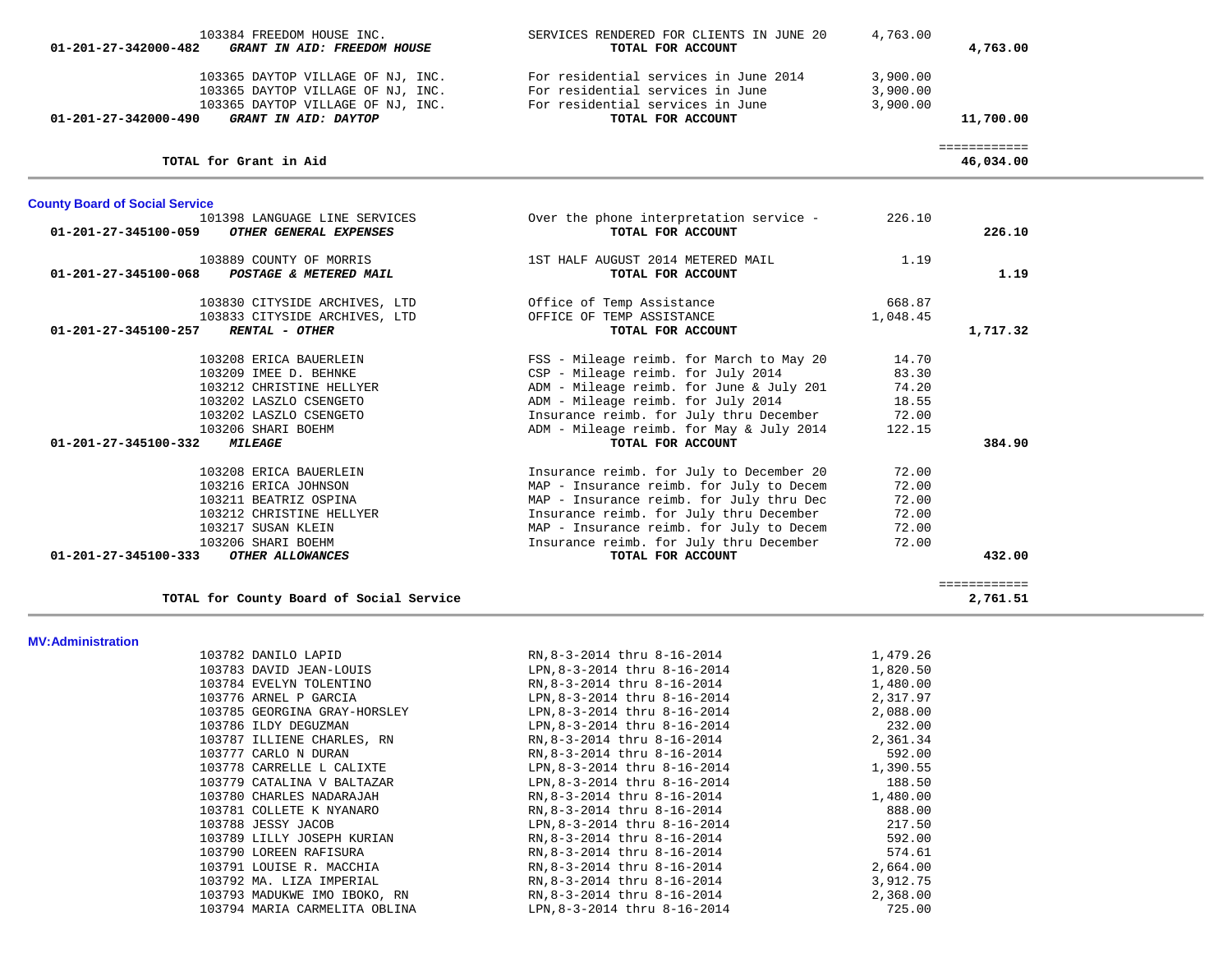| 103384 FREEDOM HOUSE INC.<br>01-201-27-342000-482<br>GRANT IN AID: FREEDOM HOUSE | SERVICES RENDERED FOR CLIENTS IN JUNE 20<br>TOTAL FOR ACCOUNT                  | 4,763.00           | 4,763.00                  |  |
|----------------------------------------------------------------------------------|--------------------------------------------------------------------------------|--------------------|---------------------------|--|
| 103365 DAYTOP VILLAGE OF NJ, INC.                                                | For residential services in June 2014                                          | 3,900.00           |                           |  |
| 103365 DAYTOP VILLAGE OF NJ, INC.                                                | For residential services in June                                               | 3,900.00           |                           |  |
| 103365 DAYTOP VILLAGE OF NJ, INC.                                                | For residential services in June                                               | 3,900.00           |                           |  |
| 01-201-27-342000-490<br>GRANT IN AID: DAYTOP                                     | TOTAL FOR ACCOUNT                                                              |                    | 11,700.00                 |  |
| TOTAL for Grant in Aid                                                           |                                                                                |                    | ============<br>46,034.00 |  |
| <b>County Board of Social Service</b>                                            |                                                                                |                    |                           |  |
| 101398 LANGUAGE LINE SERVICES<br>01-201-27-345100-059<br>OTHER GENERAL EXPENSES  | Over the phone interpretation service -<br>TOTAL FOR ACCOUNT                   | 226.10             | 226.10                    |  |
| 103889 COUNTY OF MORRIS<br>01-201-27-345100-068<br>POSTAGE & METERED MAIL        | 1ST HALF AUGUST 2014 METERED MAIL<br>TOTAL FOR ACCOUNT                         | 1.19               | 1.19                      |  |
|                                                                                  |                                                                                |                    |                           |  |
| 103830 CITYSIDE ARCHIVES, LTD<br>103833 CITYSIDE ARCHIVES, LTD                   | Office of Temp Assistance<br>OFFICE OF TEMP ASSISTANCE                         | 668.87<br>1,048.45 |                           |  |
| 01-201-27-345100-257<br><b>RENTAL - OTHER</b>                                    | TOTAL FOR ACCOUNT                                                              |                    | 1,717.32                  |  |
|                                                                                  |                                                                                |                    |                           |  |
| 103208 ERICA BAUERLEIN                                                           | FSS - Mileage reimb. for March to May 20<br>CSP - Mileage reimb. for July 2014 | 14.70              |                           |  |
| 103209 IMEE D. BEHNKE<br>103212 CHRISTINE HELLYER                                | ADM - Mileage reimb. for June & July 201                                       | 83.30<br>74.20     |                           |  |
| 103202 LASZLO CSENGETO                                                           | ADM - Mileage reimb. for July 2014                                             | 18.55              |                           |  |
| 103202 LASZLO CSENGETO                                                           | Insurance reimb. for July thru December                                        | 72.00              |                           |  |
| 103206 SHARI BOEHM                                                               | ADM - Mileage reimb. for May & July 2014                                       | 122.15             |                           |  |
| 01-201-27-345100-332<br><b>MILEAGE</b>                                           | TOTAL FOR ACCOUNT                                                              |                    | 384.90                    |  |
| 103208 ERICA BAUERLEIN                                                           | Insurance reimb. for July to December 20                                       | 72.00              |                           |  |
| 103216 ERICA JOHNSON                                                             | MAP - Insurance reimb. for July to Decem                                       | 72.00              |                           |  |
| 103211 BEATRIZ OSPINA                                                            | MAP - Insurance reimb. for July thru Dec                                       | 72.00              |                           |  |
| 103212 CHRISTINE HELLYER                                                         | Insurance reimb. for July thru December                                        | 72.00              |                           |  |
| 103217 SUSAN KLEIN                                                               | MAP - Insurance reimb. for July to Decem                                       | 72.00              |                           |  |
| 103206 SHARI BOEHM                                                               | Insurance reimb. for July thru December                                        | 72.00              |                           |  |
| 01-201-27-345100-333<br>OTHER ALLOWANCES                                         | TOTAL FOR ACCOUNT                                                              |                    | 432.00                    |  |
| TOTAL for County Board of Social Service                                         |                                                                                |                    | ============<br>2,761.51  |  |
|                                                                                  |                                                                                |                    |                           |  |

**MV:Administration** 

| 103782 DANILO LAPID           | RN,8-3-2014 thru 8-16-2014   | 1,479.26 |
|-------------------------------|------------------------------|----------|
| 103783 DAVID JEAN-LOUIS       | LPN, 8-3-2014 thru 8-16-2014 | 1,820.50 |
| 103784 EVELYN TOLENTINO       | RN,8-3-2014 thru 8-16-2014   | 1,480.00 |
| 103776 ARNEL P GARCIA         | LPN,8-3-2014 thru 8-16-2014  | 2,317.97 |
| 103785 GEORGINA GRAY-HORSLEY  | LPN, 8-3-2014 thru 8-16-2014 | 2,088.00 |
| 103786 ILDY DEGUZMAN          | LPN, 8-3-2014 thru 8-16-2014 | 232.00   |
| 103787 ILLIENE CHARLES, RN    | RN,8-3-2014 thru 8-16-2014   | 2,361.34 |
| 103777 CARLO N DURAN          | RN,8-3-2014 thru 8-16-2014   | 592.00   |
| 103778 CARRELLE L CALIXTE     | LPN,8-3-2014 thru 8-16-2014  | 1,390.55 |
| 103779 CATALINA V BALTAZAR    | LPN.8-3-2014 thru 8-16-2014  | 188.50   |
| 103780 CHARLES NADARAJAH      | RN,8-3-2014 thru 8-16-2014   | 1,480.00 |
| 103781 COLLETE K NYANARO      | RN,8-3-2014 thru 8-16-2014   | 888.00   |
| 103788 JESSY JACOB            | LPN,8-3-2014 thru 8-16-2014  | 217.50   |
| 103789 LILLY JOSEPH KURIAN    | RN,8-3-2014 thru 8-16-2014   | 592.00   |
| 103790 LOREEN RAFISURA        | RN,8-3-2014 thru 8-16-2014   | 574.61   |
| 103791 LOUISE R. MACCHIA      | RN,8-3-2014 thru 8-16-2014   | 2,664.00 |
| 103792 MA. LIZA IMPERIAL      | RN, 8-3-2014 thru 8-16-2014  | 3,912.75 |
| 103793 MADUKWE IMO IBOKO, RN  | RN,8-3-2014 thru 8-16-2014   | 2,368.00 |
| 103794 MARIA CARMELITA OBLINA | LPN, 8-3-2014 thru 8-16-2014 | 725.00   |
|                               |                              |          |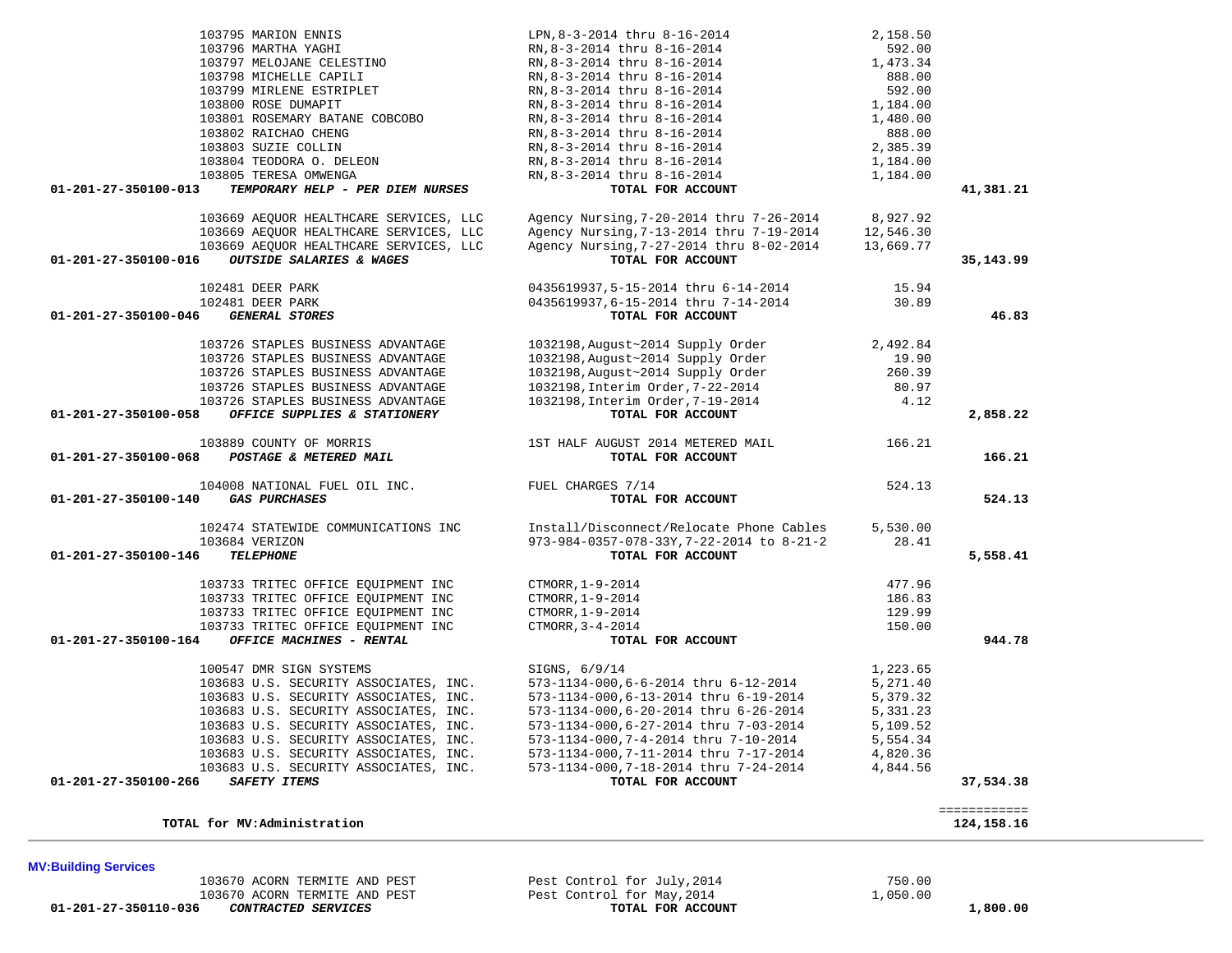**MV:Building Services 01-201-27-350110-036** *CONTRACTED SERVICES* **TOTAL FOR ACCOUNT 1,800.00**

103670 ACORN TERMITE AND PEST Pest Control for July,2014 750.00<br>103670 ACORN TERMITE AND PEST Pest Control for May,2014 750.00 103670 ACORN TERMITE AND PEST Pest Control for May,2014 1,050.00

| 103797 MELOJANE CELESTINO                                | RN, 8-3-2014 thru 8-16-2014               | 1,473.34  |              |
|----------------------------------------------------------|-------------------------------------------|-----------|--------------|
| 103798 MICHELLE CAPILI                                   | RN, 8-3-2014 thru 8-16-2014               | 888.00    |              |
| 103799 MIRLENE ESTRIPLET                                 | RN, 8-3-2014 thru 8-16-2014               | 592.00    |              |
| 103800 ROSE DUMAPIT                                      | RN, 8-3-2014 thru 8-16-2014               | 1,184.00  |              |
| 103801 ROSEMARY BATANE COBCOBO                           | RN, 8-3-2014 thru 8-16-2014               | 1,480.00  |              |
| 103802 RAICHAO CHENG                                     | RN, 8-3-2014 thru 8-16-2014               | 888.00    |              |
| 103803 SUZIE COLLIN                                      | RN, 8-3-2014 thru 8-16-2014               | 2,385.39  |              |
| 103804 TEODORA O. DELEON                                 | RN, 8-3-2014 thru 8-16-2014               | 1,184.00  |              |
| 103805 TERESA OMWENGA                                    | RN, 8-3-2014 thru 8-16-2014               | 1,184.00  |              |
| 01-201-27-350100-013<br>TEMPORARY HELP - PER DIEM NURSES | TOTAL FOR ACCOUNT                         |           | 41,381.21    |
| 103669 AEQUOR HEALTHCARE SERVICES, LLC                   | Agency Nursing, 7-20-2014 thru 7-26-2014  | 8,927.92  |              |
| 103669 AEQUOR HEALTHCARE SERVICES, LLC                   | Agency Nursing, 7-13-2014 thru 7-19-2014  | 12,546.30 |              |
| 103669 AEQUOR HEALTHCARE SERVICES, LLC                   | Agency Nursing, 7-27-2014 thru 8-02-2014  | 13,669.77 |              |
| OUTSIDE SALARIES & WAGES<br>01-201-27-350100-016         | TOTAL FOR ACCOUNT                         |           | 35, 143.99   |
| 102481 DEER PARK                                         | 0435619937,5-15-2014 thru 6-14-2014       | 15.94     |              |
| 102481 DEER PARK                                         | 0435619937,6-15-2014 thru 7-14-2014       | 30.89     |              |
| <b>GENERAL STORES</b><br>01-201-27-350100-046            | TOTAL FOR ACCOUNT                         |           | 46.83        |
| 103726 STAPLES BUSINESS ADVANTAGE                        | 1032198, August~2014 Supply Order         | 2,492.84  |              |
| 103726 STAPLES BUSINESS ADVANTAGE                        | 1032198, August~2014 Supply Order         | 19.90     |              |
| 103726 STAPLES BUSINESS ADVANTAGE                        | 1032198, August~2014 Supply Order         | 260.39    |              |
| 103726 STAPLES BUSINESS ADVANTAGE                        | 1032198, Interim Order, 7-22-2014         | 80.97     |              |
| 103726 STAPLES BUSINESS ADVANTAGE                        | 1032198, Interim Order, 7-19-2014         | 4.12      |              |
| OFFICE SUPPLIES & STATIONERY<br>01-201-27-350100-058     | TOTAL FOR ACCOUNT                         |           | 2,858.22     |
| 103889 COUNTY OF MORRIS                                  | 1ST HALF AUGUST 2014 METERED MAIL         | 166.21    |              |
| 01-201-27-350100-068<br>POSTAGE & METERED MAIL           | TOTAL FOR ACCOUNT                         |           | 166.21       |
| 104008 NATIONAL FUEL OIL INC.                            | FUEL CHARGES 7/14                         | 524.13    |              |
| <b>GAS PURCHASES</b><br>01-201-27-350100-140             | TOTAL FOR ACCOUNT                         |           | 524.13       |
| 102474 STATEWIDE COMMUNICATIONS INC                      | Install/Disconnect/Relocate Phone Cables  | 5,530.00  |              |
| 103684 VERIZON                                           | 973-984-0357-078-33Y, 7-22-2014 to 8-21-2 | 28.41     |              |
| 01-201-27-350100-146<br><b>TELEPHONE</b>                 | TOTAL FOR ACCOUNT                         |           | 5,558.41     |
| 103733 TRITEC OFFICE EQUIPMENT INC                       | CTMORR, 1-9-2014                          | 477.96    |              |
| 103733 TRITEC OFFICE EQUIPMENT INC                       | CTMORR, 1-9-2014                          | 186.83    |              |
| 103733 TRITEC OFFICE EQUIPMENT INC                       | CTMORR, 1-9-2014                          | 129.99    |              |
| 103733 TRITEC OFFICE EQUIPMENT INC                       | CTMORR, 3-4-2014                          | 150.00    |              |
| 01-201-27-350100-164<br>OFFICE MACHINES - RENTAL         | TOTAL FOR ACCOUNT                         |           | 944.78       |
| 100547 DMR SIGN SYSTEMS                                  | SIGNS, 6/9/14                             | 1,223.65  |              |
| 103683 U.S. SECURITY ASSOCIATES, INC.                    | 573-1134-000,6-6-2014 thru 6-12-2014      | 5,271.40  |              |
| 103683 U.S. SECURITY ASSOCIATES, INC.                    | 573-1134-000,6-13-2014 thru 6-19-2014     | 5,379.32  |              |
| 103683 U.S. SECURITY ASSOCIATES, INC.                    | 573-1134-000,6-20-2014 thru 6-26-2014     | 5,331.23  |              |
| 103683 U.S. SECURITY ASSOCIATES, INC.                    | 573-1134-000,6-27-2014 thru 7-03-2014     | 5,109.52  |              |
| 103683 U.S. SECURITY ASSOCIATES, INC.                    | 573-1134-000,7-4-2014 thru 7-10-2014      | 5,554.34  |              |
| 103683 U.S. SECURITY ASSOCIATES, INC.                    | 573-1134-000,7-11-2014 thru 7-17-2014     | 4,820.36  |              |
| 103683 U.S. SECURITY ASSOCIATES, INC.                    | 573-1134-000, 7-18-2014 thru 7-24-2014    | 4,844.56  |              |
| 01-201-27-350100-266<br><b>SAFETY ITEMS</b>              | TOTAL FOR ACCOUNT                         |           | 37,534.38    |
|                                                          |                                           |           | ============ |
| TOTAL for MV:Administration                              |                                           |           | 124, 158. 16 |

 103795 MARION ENNIS LPN,8-3-2014 thru 8-16-2014 2,158.50 103796 MARTHA YAGHI RN,8-3-2014 thru 8-16-2014 592.00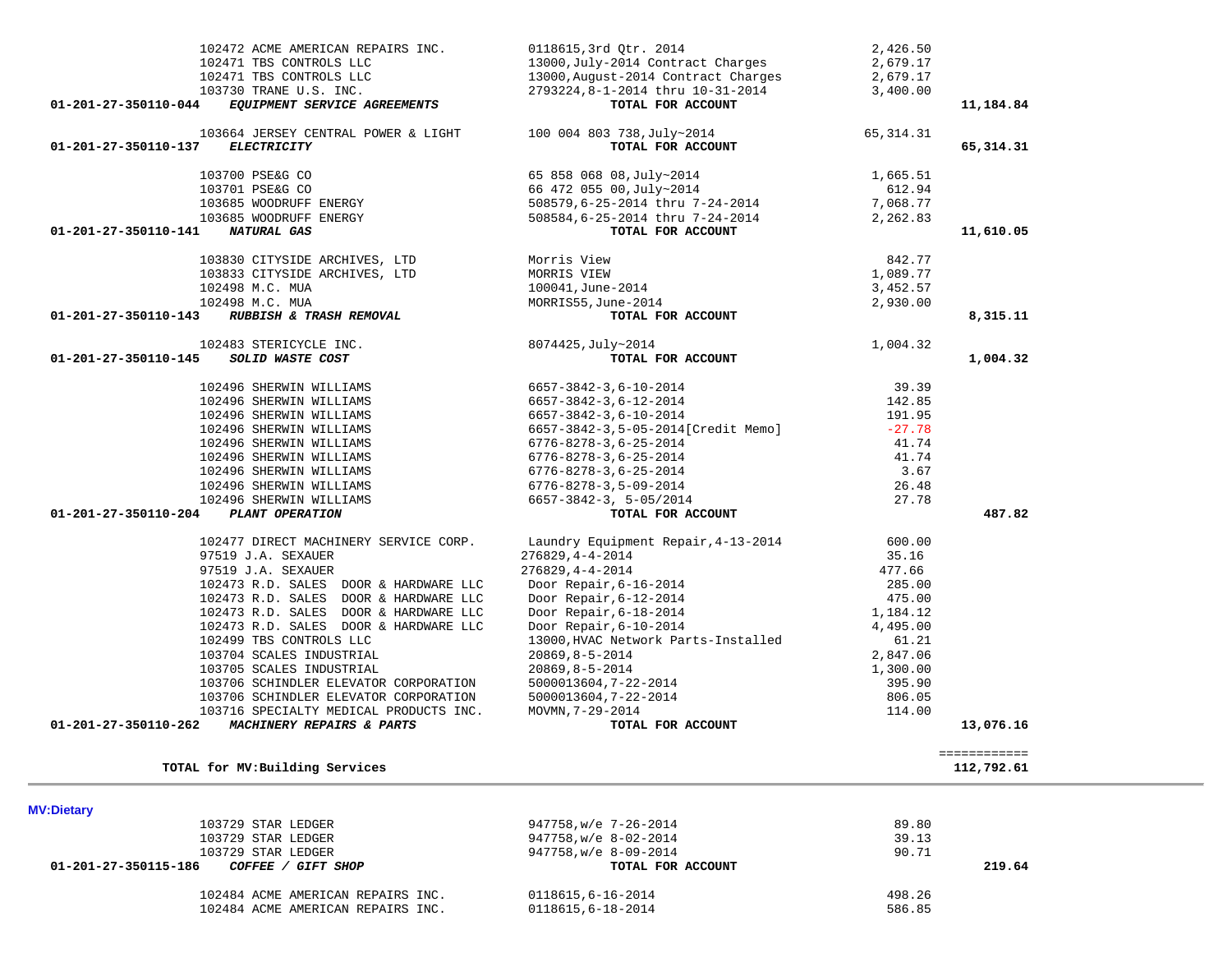| 102471 TBS CONTROLS LLC                                          | 13000, August-2014 Contract Charges        | 2,679.17   |                            |
|------------------------------------------------------------------|--------------------------------------------|------------|----------------------------|
| 103730 TRANE U.S. INC.                                           | 2793224,8-1-2014 thru 10-31-2014           | 3,400.00   |                            |
| EQUIPMENT SERVICE AGREEMENTS<br>01-201-27-350110-044             | TOTAL FOR ACCOUNT                          |            | 11,184.84                  |
| 103664 JERSEY CENTRAL POWER & LIGHT                              | 100 004 803 738, July~2014                 | 65, 314.31 |                            |
| <b>ELECTRICITY</b><br>01-201-27-350110-137                       | TOTAL FOR ACCOUNT                          |            | 65, 314.31                 |
| 103700 PSE&G CO                                                  | 65 858 068 08, July~2014                   | 1,665.51   |                            |
| 103701 PSE&G CO                                                  | 66 472 055 00, July~2014                   | 612.94     |                            |
| 103685 WOODRUFF ENERGY                                           | 508579,6-25-2014 thru 7-24-2014            | 7,068.77   |                            |
| 103685 WOODRUFF ENERGY                                           | 508584,6-25-2014 thru 7-24-2014            | 2,262.83   |                            |
| 01-201-27-350110-141<br><b>NATURAL GAS</b>                       | TOTAL FOR ACCOUNT                          |            | 11,610.05                  |
| 103830 CITYSIDE ARCHIVES, LTD                                    | Morris View                                | 842.77     |                            |
| 103833 CITYSIDE ARCHIVES, LTD                                    | MORRIS VIEW                                | 1,089.77   |                            |
| 102498 M.C. MUA                                                  | 100041, June-2014                          | 3,452.57   |                            |
| 102498 M.C. MUA                                                  | MORRIS55, June-2014                        | 2,930.00   |                            |
| RUBBISH & TRASH REMOVAL<br>01-201-27-350110-143                  | TOTAL FOR ACCOUNT                          |            | 8,315.11                   |
| 102483 STERICYCLE INC.                                           | 8074425, July~2014                         | 1,004.32   |                            |
| 01-201-27-350110-145<br>SOLID WASTE COST                         | TOTAL FOR ACCOUNT                          |            | 1,004.32                   |
| 102496 SHERWIN WILLIAMS                                          | 6657-3842-3,6-10-2014                      | 39.39      |                            |
| 102496 SHERWIN WILLIAMS                                          | 6657-3842-3,6-12-2014                      | 142.85     |                            |
| 102496 SHERWIN WILLIAMS                                          | 6657-3842-3,6-10-2014                      | 191.95     |                            |
| 102496 SHERWIN WILLIAMS                                          | 6657-3842-3,5-05-2014[Credit Memo]         | $-27.78$   |                            |
| 102496 SHERWIN WILLIAMS                                          | $6776 - 8278 - 3, 6 - 25 - 2014$           | 41.74      |                            |
| 102496 SHERWIN WILLIAMS                                          | $6776 - 8278 - 3, 6 - 25 - 2014$           | 41.74      |                            |
| 102496 SHERWIN WILLIAMS                                          | $6776 - 8278 - 3, 6 - 25 - 2014$           | 3.67       |                            |
| 102496 SHERWIN WILLIAMS                                          | $6776 - 8278 - 3, 5 - 09 - 2014$           | 26.48      |                            |
| 102496 SHERWIN WILLIAMS                                          | $6657 - 3842 - 3, 5 - 05/2014$             | 27.78      |                            |
| 01-201-27-350110-204<br>PLANT OPERATION                          | TOTAL FOR ACCOUNT                          |            | 487.82                     |
| 102477 DIRECT MACHINERY SERVICE CORP.                            | Laundry Equipment Repair, 4-13-2014        | 600.00     |                            |
| 97519 J.A. SEXAUER                                               | $276829, 4 - 4 - 2014$                     | 35.16      |                            |
| 97519 J.A. SEXAUER                                               | $276829, 4 - 4 - 2014$                     | 477.66     |                            |
| 102473 R.D. SALES DOOR & HARDWARE LLC                            | Door Repair, 6-16-2014                     | 285.00     |                            |
| 102473 R.D. SALES DOOR & HARDWARE LLC                            | Door Repair, 6-12-2014                     | 475.00     |                            |
|                                                                  |                                            |            |                            |
| 102473 R.D. SALES DOOR & HARDWARE LLC                            | Door Repair, $6-18-2014$                   | 1,184.12   |                            |
| 102473 R.D. SALES DOOR & HARDWARE LLC                            | Door Repair, 6-10-2014                     | 4,495.00   |                            |
| 102499 TBS CONTROLS LLC                                          | 13000, HVAC Network Parts-Installed        | 61.21      |                            |
| 103704 SCALES INDUSTRIAL                                         | 20869,8-5-2014                             | 2,847.06   |                            |
| 103705 SCALES INDUSTRIAL                                         | $20869, 8 - 5 - 2014$                      | 1,300.00   |                            |
| 103706 SCHINDLER ELEVATOR CORPORATION                            | 5000013604, 7-22-2014                      | 395.90     |                            |
| 103706 SCHINDLER ELEVATOR CORPORATION                            | 5000013604, 7-22-2014                      | 806.05     |                            |
| 103716 SPECIALTY MEDICAL PRODUCTS INC.                           | MOVMN, 7-29-2014                           | 114.00     |                            |
| MACHINERY REPAIRS & PARTS<br>01-201-27-350110-262                | TOTAL FOR ACCOUNT                          |            | 13,076.16                  |
| TOTAL for MV: Building Services                                  |                                            |            | ============<br>112,792.61 |
|                                                                  |                                            |            |                            |
| <b>MV:Dietary</b>                                                |                                            |            |                            |
| 103729 STAR LEDGER                                               | 947758, w/e 7-26-2014                      | 89.80      |                            |
| 103729 STAR LEDGER                                               | 947758, w/e 8-02-2014                      | 39.13      |                            |
|                                                                  |                                            |            |                            |
| 103729 STAR LEDGER<br>01-201-27-350115-186<br>COFFEE / GIFT SHOP | 947758, w/e 8-09-2014<br>TOTAL FOR ACCOUNT | 90.71      | 219.64                     |

102472 ACME AMERICAN REPAIRS INC. <br>102471 TBS CONTROLS LLC 13000, July-2014 Contract Charges 2,679.17

11000,July-2014 Contract Charges

| 102484 ACME AMERICAN REPAIRS INC. | 0118615,6-16-2014 | 498.26 |
|-----------------------------------|-------------------|--------|
| 102484 ACME AMERICAN REPAIRS INC. | 0118615,6-18-2014 | 586.85 |

۰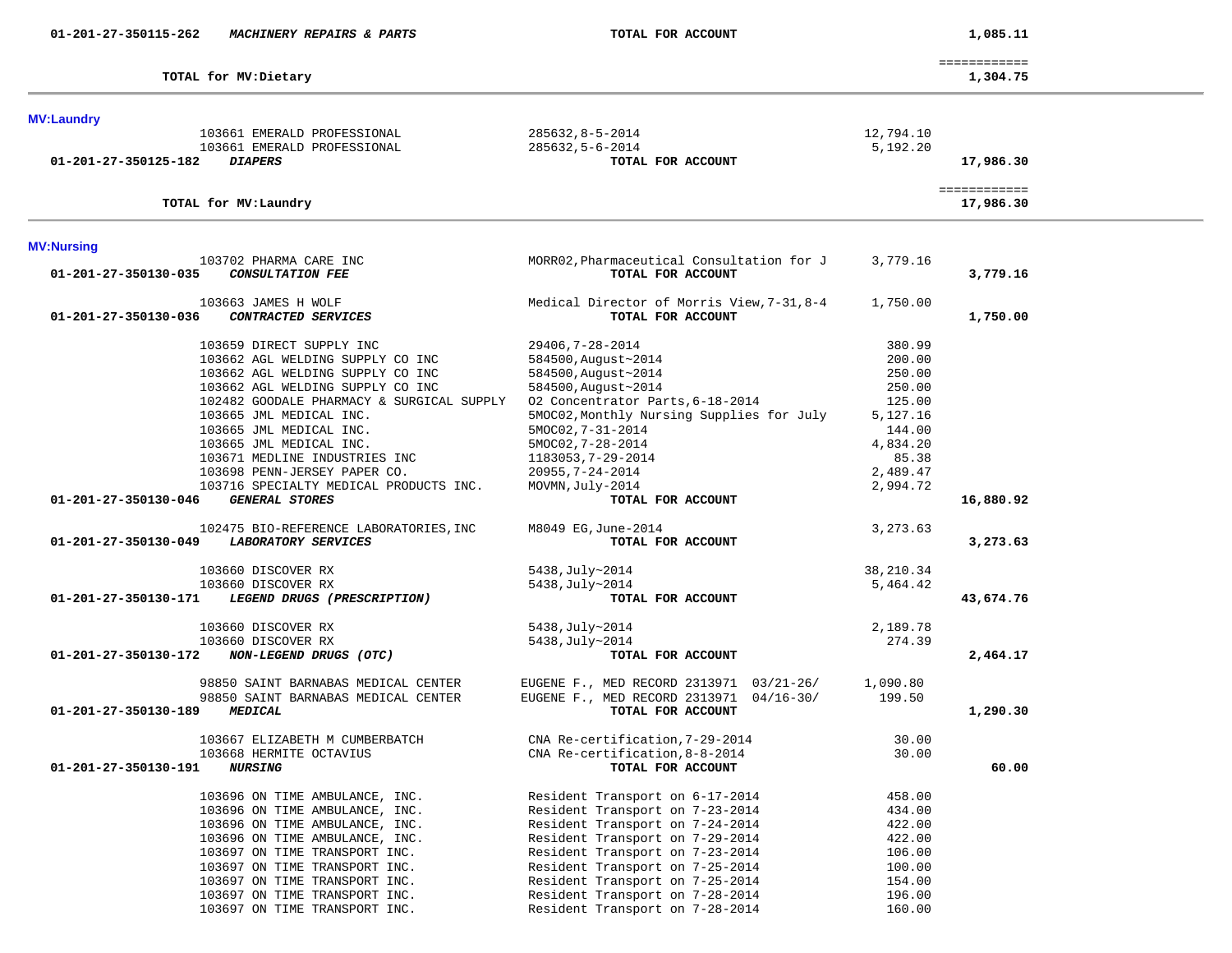| 01-201-27-350115-262 | MACHINERY REPAIRS & PARTS                             | TOTAL FOR ACCOUNT                                              |                    | 1,085.11                  |  |
|----------------------|-------------------------------------------------------|----------------------------------------------------------------|--------------------|---------------------------|--|
|                      | TOTAL for MV: Dietary                                 |                                                                |                    | ============<br>1,304.75  |  |
|                      |                                                       |                                                                |                    |                           |  |
| <b>MV:Laundry</b>    | 103661 EMERALD PROFESSIONAL                           | 285632, 8-5-2014                                               | 12,794.10          |                           |  |
|                      | 103661 EMERALD PROFESSIONAL                           | 285632,5-6-2014                                                | 5,192.20           |                           |  |
| 01-201-27-350125-182 | <b>DIAPERS</b>                                        | TOTAL FOR ACCOUNT                                              |                    | 17,986.30                 |  |
|                      | TOTAL for MV: Laundry                                 |                                                                |                    | ============<br>17,986.30 |  |
| <b>MV:Nursing</b>    |                                                       |                                                                |                    |                           |  |
|                      | 103702 PHARMA CARE INC                                | MORR02, Pharmaceutical Consultation for J                      | 3,779.16           |                           |  |
| 01-201-27-350130-035 | <b>CONSULTATION FEE</b>                               | TOTAL FOR ACCOUNT                                              |                    | 3,779.16                  |  |
|                      | 103663 JAMES H WOLF                                   | Medical Director of Morris View, 7-31, 8-4                     | 1,750.00           |                           |  |
| 01-201-27-350130-036 | CONTRACTED SERVICES                                   | TOTAL FOR ACCOUNT                                              |                    | 1,750.00                  |  |
|                      |                                                       |                                                                |                    |                           |  |
|                      | 103659 DIRECT SUPPLY INC                              | 29406, 7-28-2014                                               | 380.99             |                           |  |
|                      | 103662 AGL WELDING SUPPLY CO INC                      | 584500, August~2014                                            | 200.00             |                           |  |
|                      | 103662 AGL WELDING SUPPLY CO INC                      | 584500, August~2014                                            | 250.00             |                           |  |
|                      | 103662 AGL WELDING SUPPLY CO INC                      | 584500, August~2014                                            | 250.00             |                           |  |
|                      | 102482 GOODALE PHARMACY & SURGICAL SUPPLY             | 02 Concentrator Parts, 6-18-2014                               | 125.00             |                           |  |
|                      | 103665 JML MEDICAL INC.<br>103665 JML MEDICAL INC.    | 5MOC02, Monthly Nursing Supplies for July<br>5MOC02, 7-31-2014 | 5,127.16<br>144.00 |                           |  |
|                      | 103665 JML MEDICAL INC.                               | 5MOC02, 7-28-2014                                              | 4,834.20           |                           |  |
|                      | 103671 MEDLINE INDUSTRIES INC                         | 1183053, 7-29-2014                                             | 85.38              |                           |  |
|                      | 103698 PENN-JERSEY PAPER CO.                          | 20955, 7-24-2014                                               | 2,489.47           |                           |  |
|                      | 103716 SPECIALTY MEDICAL PRODUCTS INC.                | MOVMN, July-2014                                               | 2,994.72           |                           |  |
| 01-201-27-350130-046 | <b>GENERAL STORES</b>                                 | TOTAL FOR ACCOUNT                                              |                    | 16,880.92                 |  |
|                      |                                                       |                                                                |                    |                           |  |
|                      | 102475 BIO-REFERENCE LABORATORIES, INC                | M8049 EG, June-2014                                            | 3, 273.63          |                           |  |
| 01-201-27-350130-049 | LABORATORY SERVICES                                   | TOTAL FOR ACCOUNT                                              |                    | 3,273.63                  |  |
|                      | 103660 DISCOVER RX                                    | 5438, July~2014                                                | 38,210.34          |                           |  |
|                      | 103660 DISCOVER RX                                    | 5438, July~2014                                                | 5,464.42           |                           |  |
| 01-201-27-350130-171 | LEGEND DRUGS (PRESCRIPTION)                           | TOTAL FOR ACCOUNT                                              |                    | 43,674.76                 |  |
|                      |                                                       |                                                                |                    |                           |  |
|                      | 103660 DISCOVER RX                                    | 5438, July~2014                                                | 2,189.78           |                           |  |
|                      | 103660 DISCOVER RX                                    | 5438, July~2014                                                | 274.39             |                           |  |
| 01-201-27-350130-172 | NON-LEGEND DRUGS (OTC)                                | TOTAL FOR ACCOUNT                                              |                    | 2,464.17                  |  |
|                      |                                                       |                                                                |                    |                           |  |
|                      | 98850 SAINT BARNABAS MEDICAL CENTER                   | EUGENE F., MED RECORD 2313971 03/21-26/                        | 1,090.80           |                           |  |
|                      | 98850 SAINT BARNABAS MEDICAL CENTER<br><b>MEDICAL</b> | EUGENE F., MED RECORD 2313971 04/16-30/                        | 199.50             |                           |  |
| 01-201-27-350130-189 |                                                       | TOTAL FOR ACCOUNT                                              |                    | 1,290.30                  |  |
|                      | 103667 ELIZABETH M CUMBERBATCH                        | CNA Re-certification, 7-29-2014                                | 30.00              |                           |  |
|                      | 103668 HERMITE OCTAVIUS                               | CNA Re-certification, 8-8-2014                                 | 30.00              |                           |  |
| 01-201-27-350130-191 | <i><b>NURSING</b></i>                                 | TOTAL FOR ACCOUNT                                              |                    | 60.00                     |  |
|                      |                                                       |                                                                |                    |                           |  |
|                      | 103696 ON TIME AMBULANCE, INC.                        | Resident Transport on 6-17-2014                                | 458.00             |                           |  |
|                      | 103696 ON TIME AMBULANCE, INC.                        | Resident Transport on 7-23-2014                                | 434.00             |                           |  |
|                      | 103696 ON TIME AMBULANCE, INC.                        | Resident Transport on 7-24-2014                                | 422.00             |                           |  |
|                      | 103696 ON TIME AMBULANCE, INC.                        | Resident Transport on 7-29-2014                                | 422.00             |                           |  |
|                      | 103697 ON TIME TRANSPORT INC.                         | Resident Transport on 7-23-2014                                | 106.00             |                           |  |
|                      | 103697 ON TIME TRANSPORT INC.                         | Resident Transport on 7-25-2014                                | 100.00             |                           |  |
|                      | 103697 ON TIME TRANSPORT INC.                         | Resident Transport on 7-25-2014                                | 154.00             |                           |  |
|                      | 103697 ON TIME TRANSPORT INC.                         | Resident Transport on 7-28-2014                                | 196.00             |                           |  |
|                      | 103697 ON TIME TRANSPORT INC.                         | Resident Transport on 7-28-2014                                | 160.00             |                           |  |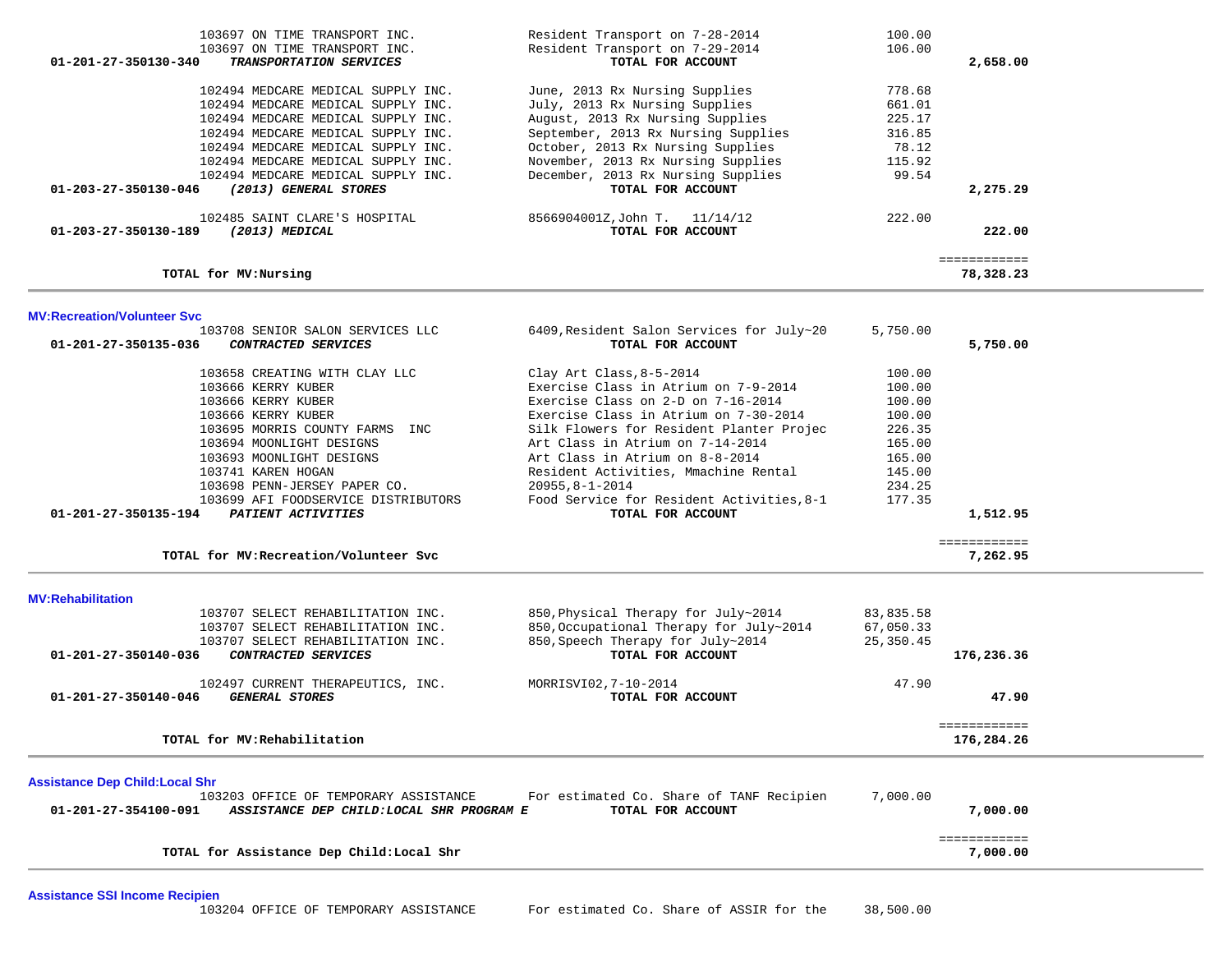| 103697 ON TIME TRANSPORT INC.                          | Resident Transport on 7-29-2014           | 106.00   |              |  |
|--------------------------------------------------------|-------------------------------------------|----------|--------------|--|
| 01-201-27-350130-340<br><b>TRANSPORTATION SERVICES</b> | TOTAL FOR ACCOUNT                         |          | 2,658.00     |  |
| 102494 MEDCARE MEDICAL SUPPLY INC.                     | June, 2013 Rx Nursing Supplies            | 778.68   |              |  |
| 102494 MEDCARE MEDICAL SUPPLY INC.                     | July, 2013 Rx Nursing Supplies            | 661.01   |              |  |
| 102494 MEDCARE MEDICAL SUPPLY INC.                     | August, 2013 Rx Nursing Supplies          | 225.17   |              |  |
| 102494 MEDCARE MEDICAL SUPPLY INC.                     | September, 2013 Rx Nursing Supplies       | 316.85   |              |  |
| 102494 MEDCARE MEDICAL SUPPLY INC.                     | October, 2013 Rx Nursing Supplies         | 78.12    |              |  |
| 102494 MEDCARE MEDICAL SUPPLY INC.                     | November, 2013 Rx Nursing Supplies        | 115.92   |              |  |
| 102494 MEDCARE MEDICAL SUPPLY INC.                     | December, 2013 Rx Nursing Supplies        | 99.54    |              |  |
| 01-203-27-350130-046<br>(2013) GENERAL STORES          | TOTAL FOR ACCOUNT                         |          | 2,275.29     |  |
| 102485 SAINT CLARE'S HOSPITAL                          | 8566904001Z, John T. 11/14/12             | 222.00   |              |  |
| 01-203-27-350130-189<br>(2013) MEDICAL                 | TOTAL FOR ACCOUNT                         |          | 222.00       |  |
|                                                        |                                           |          | ============ |  |
| TOTAL for MV: Nursing                                  |                                           |          | 78,328.23    |  |
|                                                        |                                           |          |              |  |
| <b>MV:Recreation/Volunteer Svc</b>                     |                                           |          |              |  |
| 103708 SENIOR SALON SERVICES LLC                       | 6409, Resident Salon Services for July~20 | 5,750.00 |              |  |
| 01-201-27-350135-036<br>CONTRACTED SERVICES            | TOTAL FOR ACCOUNT                         |          | 5,750.00     |  |
| 103658 CREATING WITH CLAY LLC                          | Clay Art Class, 8-5-2014                  | 100.00   |              |  |

| TOTAL for MV: Recreation/Volunteer Svc        |                                         | 7,262.95   |
|-----------------------------------------------|-----------------------------------------|------------|
| <b>MV:Rehabilitation</b>                      |                                         |            |
| 103707 SELECT REHABILITATION INC.             | 850, Physical Therapy for July~2014     | 83,835.58  |
| 103707 SELECT REHABILITATION INC.             | 850, Occupational Therapy for July~2014 | 67,050.33  |
| 103707 SELECT REHABILITATION INC.             | 850, Speech Therapy for July~2014       | 25,350.45  |
| 01-201-27-350140-036<br>CONTRACTED SERVICES   | TOTAL FOR ACCOUNT                       | 176,236.36 |
| 102497 CURRENT THERAPEUTICS, INC.             | MORRISVI02, 7-10-2014                   | 47.90      |
| 01-201-27-350140-046<br><b>GENERAL STORES</b> | TOTAL FOR ACCOUNT                       | 47.90      |
|                                               |                                         |            |
| TOTAL for MV: Rehabilitation                  |                                         | 176,284.26 |

103666 KERRY KUBER Exercise Class on 2-D on 7-16-2014 100.00 103666 KERRY KUBER Exercise Class in Atrium on 7-30-2014 100.00 103695 MORRIS COUNTY FARMS INC Silk Flowers for Resident Planter Projec 226.35<br>103694 MOONLIGHT DESIGNS Art Class in Atrium on 7-14-2014 165.00 103694 MOONLIGHT DESIGNS Art Class in Atrium on 7-14-2014 165.00 103693 MOONLIGHT DESIGNS Art Class in Atrium on 8-8-2014 165.00

103698 PENN-JERSEY PAPER CO. 20955,8-1-2014<br>103699 AFI FOODSERVICE DISTRIBUTORS Food Service for Resident Activities,8-1 177.35

 **01-201-27-350135-194** *PATIENT ACTIVITIES* **TOTAL FOR ACCOUNT 1,512.95**

Resident Activities, Mmachine Rental 145.00<br>20955.8-1-2014 234.25

 $\sim$ 

Food Service for Resident Activities, 8-1<br> **TOTAL FOR ACCOUNT** 

**Assistance Dep Child:Local Shr**

| Assistance Dep Onnu.Local Onl                                    |                                          |          |  |
|------------------------------------------------------------------|------------------------------------------|----------|--|
| 103203 OFFICE OF TEMPORARY ASSISTANCE                            | For estimated Co. Share of TANF Recipien | 7,000.00 |  |
| 01-201-27-354100-091<br>ASSISTANCE DEP CHILD:LOCAL SHR PROGRAM E | TOTAL FOR ACCOUNT                        | ,000.00  |  |
|                                                                  |                                          |          |  |
|                                                                  |                                          |          |  |
| TOTAL for Assistance Dep Child:Local Shr                         |                                          | 7,000.00 |  |
|                                                                  |                                          |          |  |

**Assistance SSI Income Recipien**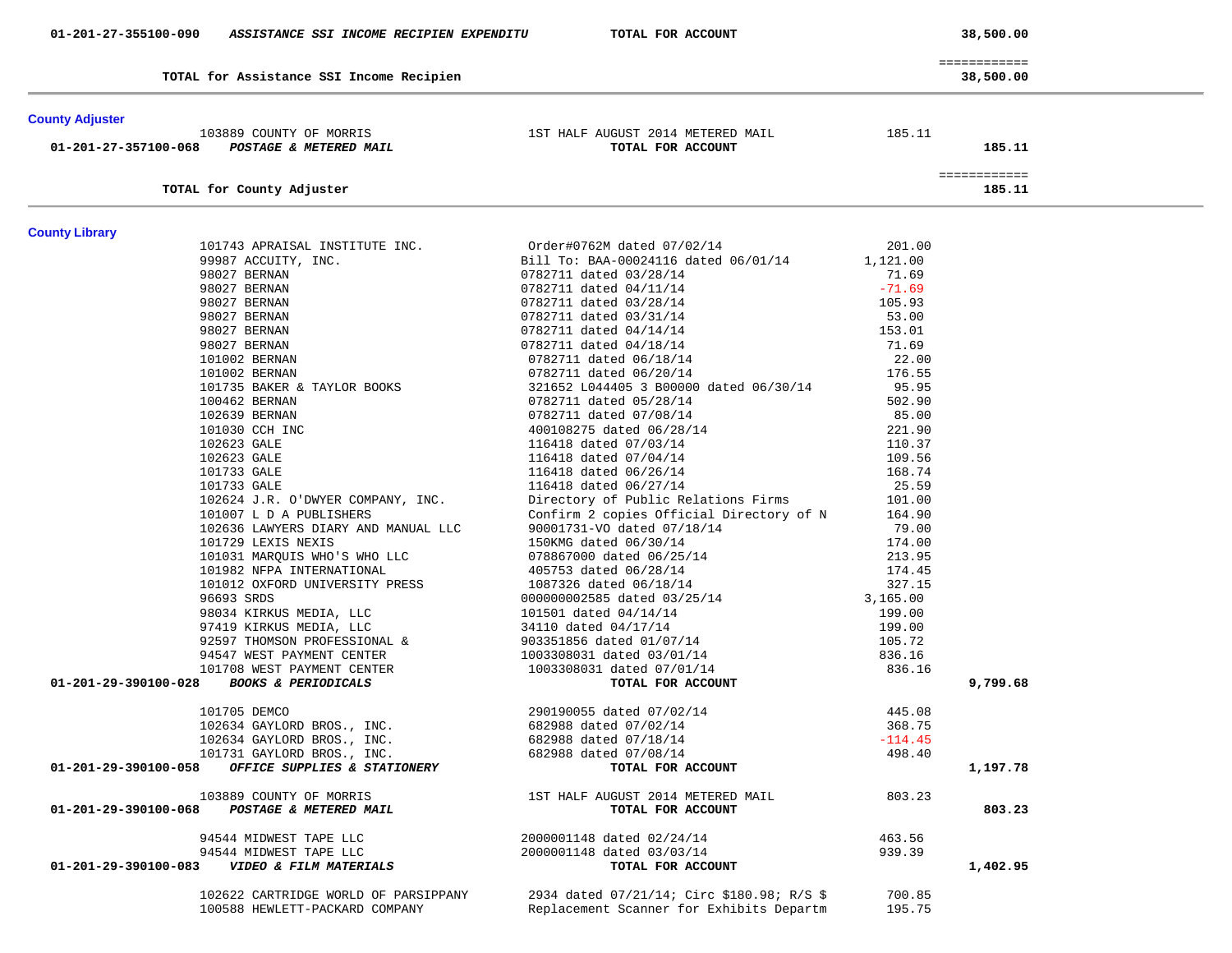| 01-201-27-355100-090<br>ASSISTANCE SSI INCOME RECIPIEN EXPENDITU          | TOTAL FOR ACCOUNT                                      |           | 38,500.00    |
|---------------------------------------------------------------------------|--------------------------------------------------------|-----------|--------------|
|                                                                           |                                                        |           | ============ |
| TOTAL for Assistance SSI Income Recipien                                  |                                                        |           | 38,500.00    |
| <b>County Adjuster</b>                                                    |                                                        |           |              |
| 103889 COUNTY OF MORRIS<br>POSTAGE & METERED MAIL<br>01-201-27-357100-068 | 1ST HALF AUGUST 2014 METERED MAIL<br>TOTAL FOR ACCOUNT | 185.11    | 185.11       |
|                                                                           |                                                        |           | ============ |
| TOTAL for County Adjuster                                                 |                                                        |           | 185.11       |
| <b>County Library</b>                                                     |                                                        |           |              |
| 101743 APRAISAL INSTITUTE INC.                                            | Order#0762M dated 07/02/14                             | 201.00    |              |
| 99987 ACCUITY, INC.                                                       | Bill To: BAA-00024116 dated 06/01/14                   | 1,121.00  |              |
| 98027 BERNAN                                                              | 0782711 dated 03/28/14                                 | 71.69     |              |
| 98027 BERNAN                                                              | 0782711 dated 04/11/14                                 | $-71.69$  |              |
| 98027 BERNAN                                                              | 0782711 dated 03/28/14                                 | 105.93    |              |
| 98027 BERNAN                                                              | 0782711 dated 03/31/14                                 | 53.00     |              |
| 98027 BERNAN                                                              | 0782711 dated 04/14/14                                 | 153.01    |              |
| 98027 BERNAN                                                              | 0782711 dated 04/18/14                                 | 71.69     |              |
| 101002 BERNAN                                                             | 0782711 dated 06/18/14                                 | 22.00     |              |
| 101002 BERNAN                                                             | 0782711 dated 06/20/14                                 | 176.55    |              |
| 101735 BAKER & TAYLOR BOOKS                                               | 321652 L044405 3 B00000 dated 06/30/14                 | 95.95     |              |
| 100462 BERNAN                                                             | 0782711 dated 05/28/14                                 | 502.90    |              |
| 102639 BERNAN                                                             | 0782711 dated 07/08/14                                 | 85.00     |              |
| 101030 CCH INC                                                            | 400108275 dated 06/28/14                               | 221.90    |              |
| 102623 GALE                                                               | 116418 dated 07/03/14                                  | 110.37    |              |
| 102623 GALE                                                               | 116418 dated 07/04/14                                  | 109.56    |              |
| 101733 GALE                                                               | 116418 dated 06/26/14                                  | 168.74    |              |
| 101733 GALE                                                               | 116418 dated 06/27/14                                  | 25.59     |              |
| 102624 J.R. O'DWYER COMPANY, INC.                                         | Directory of Public Relations Firms                    | 101.00    |              |
| 101007 L D A PUBLISHERS                                                   | Confirm 2 copies Official Directory of N               | 164.90    |              |
| 102636 LAWYERS DIARY AND MANUAL LLC                                       | 90001731-VO dated 07/18/14                             | 79.00     |              |
| 101729 LEXIS NEXIS                                                        | 150KMG dated 06/30/14                                  | 174.00    |              |
| 101031 MARQUIS WHO'S WHO LLC                                              | 078867000 dated 06/25/14                               | 213.95    |              |
| 101982 NFPA INTERNATIONAL                                                 | 405753 dated 06/28/14                                  | 174.45    |              |
| 101012 OXFORD UNIVERSITY PRESS                                            | 1087326 dated 06/18/14                                 | 327.15    |              |
| 96693 SRDS                                                                | 000000002585 dated 03/25/14                            | 3,165.00  |              |
| 98034 KIRKUS MEDIA, LLC                                                   | 101501 dated 04/14/14                                  | 199.00    |              |
| 97419 KIRKUS MEDIA, LLC                                                   | 34110 dated 04/17/14                                   | 199.00    |              |
| 92597 THOMSON PROFESSIONAL &                                              | 903351856 dated 01/07/14                               | 105.72    |              |
| 94547 WEST PAYMENT CENTER                                                 | 1003308031 dated 03/01/14                              | 836.16    |              |
| 101708 WEST PAYMENT CENTER                                                | 1003308031 dated 07/01/14                              | 836.16    |              |
| 01-201-29-390100-028<br><b>BOOKS &amp; PERIODICALS</b>                    | TOTAL FOR ACCOUNT                                      |           | 9,799.68     |
| 101705 DEMCO                                                              | 290190055 dated 07/02/14                               | 445.08    |              |
| 102634 GAYLORD BROS., INC.                                                | 682988 dated 07/02/14                                  | 368.75    |              |
| 102634 GAYLORD BROS., INC.                                                | 682988 dated 07/18/14                                  | $-114.45$ |              |
| 101731 GAYLORD BROS., INC.                                                | 682988 dated 07/08/14                                  | 498.40    |              |
| OFFICE SUPPLIES & STATIONERY<br>01-201-29-390100-058                      | TOTAL FOR ACCOUNT                                      |           | 1,197.78     |
| 103889 COUNTY OF MORRIS                                                   | 1ST HALF AUGUST 2014 METERED MAIL                      | 803.23    |              |
| <b>POSTAGE &amp; METERED MAIL</b><br>01-201-29-390100-068                 | TOTAL FOR ACCOUNT                                      |           | 803.23       |
| 94544 MIDWEST TAPE LLC                                                    | 2000001148 dated 02/24/14                              | 463.56    |              |
| 94544 MIDWEST TAPE LLC                                                    | 2000001148 dated 03/03/14                              | 939.39    |              |
| 01-201-29-390100-083<br><i><b>VIDEO &amp; FILM MATERIALS</b></i>          | TOTAL FOR ACCOUNT                                      |           | 1,402.95     |
| 102622 CARTRIDGE WORLD OF PARSIPPANY                                      | 2934 dated 07/21/14; Circ \$180.98; R/S \$             | 700.85    |              |
| 100588 HEWLETT-PACKARD COMPANY                                            | Replacement Scanner for Exhibits Departm               | 195.75    |              |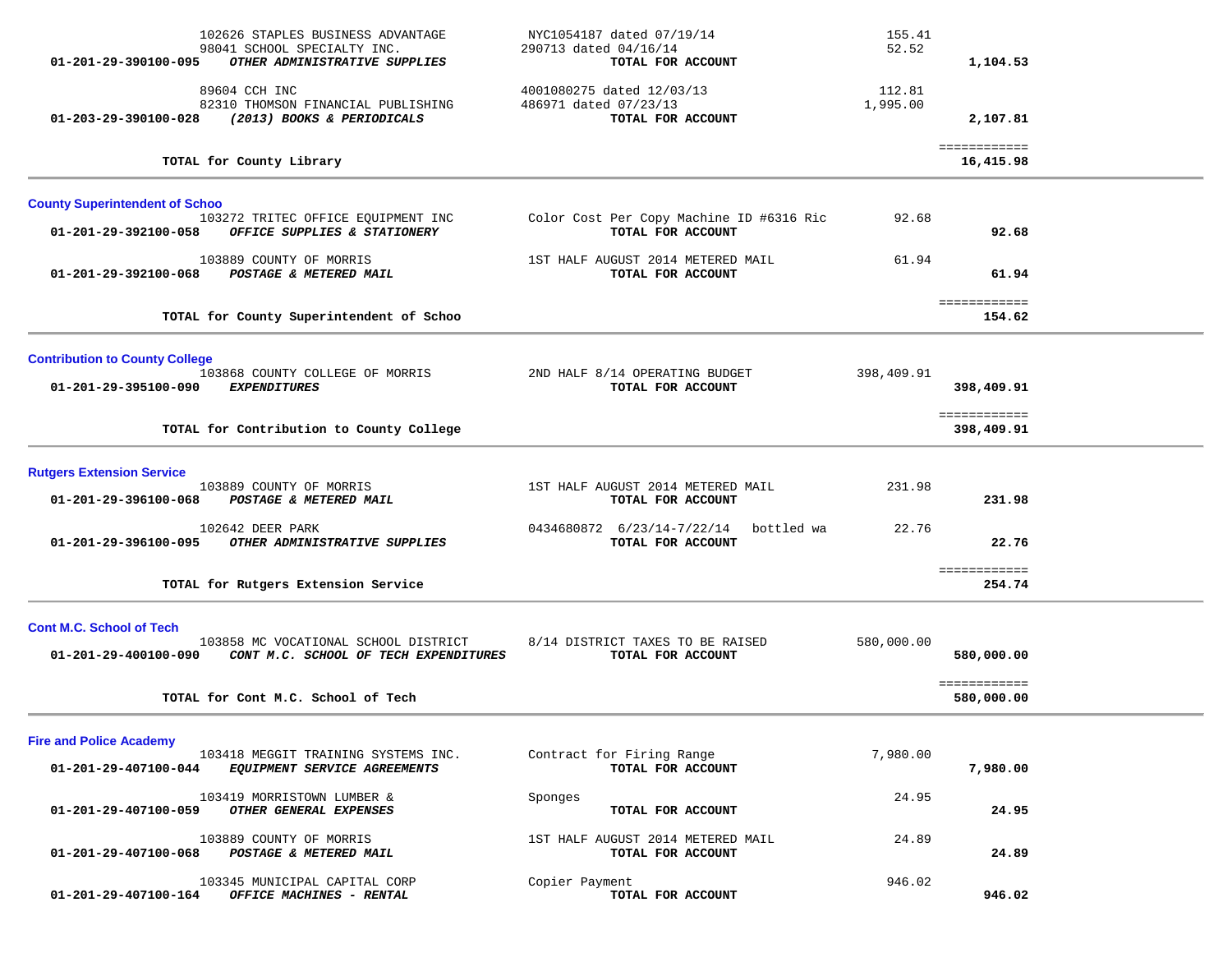| 102626 STAPLES BUSINESS ADVANTAGE<br>98041 SCHOOL SPECIALTY INC.<br>OTHER ADMINISTRATIVE SUPPLIES<br>01-201-29-390100-095                | NYC1054187 dated 07/19/14<br>290713 dated 04/16/14<br>TOTAL FOR ACCOUNT | 155.41<br>52.52    | 1,104.53                   |  |
|------------------------------------------------------------------------------------------------------------------------------------------|-------------------------------------------------------------------------|--------------------|----------------------------|--|
| 89604 CCH INC<br>82310 THOMSON FINANCIAL PUBLISHING<br>(2013) BOOKS & PERIODICALS<br>01-203-29-390100-028                                | 4001080275 dated 12/03/13<br>486971 dated 07/23/13<br>TOTAL FOR ACCOUNT | 112.81<br>1,995.00 | 2,107.81                   |  |
| TOTAL for County Library                                                                                                                 |                                                                         |                    | ============<br>16,415.98  |  |
| <b>County Superintendent of Schoo</b>                                                                                                    |                                                                         |                    |                            |  |
| 103272 TRITEC OFFICE EQUIPMENT INC<br>01-201-29-392100-058<br>OFFICE SUPPLIES & STATIONERY                                               | Color Cost Per Copy Machine ID #6316 Ric<br>TOTAL FOR ACCOUNT           | 92.68              | 92.68                      |  |
| 103889 COUNTY OF MORRIS<br>01-201-29-392100-068<br>POSTAGE & METERED MAIL                                                                | 1ST HALF AUGUST 2014 METERED MAIL<br>TOTAL FOR ACCOUNT                  | 61.94              | 61.94                      |  |
| TOTAL for County Superintendent of Schoo                                                                                                 |                                                                         |                    | ============<br>154.62     |  |
| <b>Contribution to County College</b><br>103868 COUNTY COLLEGE OF MORRIS<br>EXPENDITURES<br>01-201-29-395100-090                         | 2ND HALF 8/14 OPERATING BUDGET<br>TOTAL FOR ACCOUNT                     | 398,409.91         | 398,409.91                 |  |
| TOTAL for Contribution to County College                                                                                                 |                                                                         |                    | ============<br>398,409.91 |  |
| <b>Rutgers Extension Service</b><br>103889 COUNTY OF MORRIS<br>01-201-29-396100-068<br>POSTAGE & METERED MAIL                            | 1ST HALF AUGUST 2014 METERED MAIL<br>TOTAL FOR ACCOUNT                  | 231.98             | 231.98                     |  |
| 102642 DEER PARK<br>OTHER ADMINISTRATIVE SUPPLIES<br>01-201-29-396100-095                                                                | 0434680872 6/23/14-7/22/14<br>bottled wa<br>TOTAL FOR ACCOUNT           | 22.76              | 22.76                      |  |
| TOTAL for Rutgers Extension Service                                                                                                      |                                                                         |                    | ============<br>254.74     |  |
| <b>Cont M.C. School of Tech</b><br>103858 MC VOCATIONAL SCHOOL DISTRICT<br>01-201-29-400100-090<br>CONT M.C. SCHOOL OF TECH EXPENDITURES | 8/14 DISTRICT TAXES TO BE RAISED<br>TOTAL FOR ACCOUNT                   | 580,000.00         | 580,000.00                 |  |
| TOTAL for Cont M.C. School of Tech                                                                                                       |                                                                         |                    | ============<br>580,000.00 |  |
| <b>Fire and Police Academy</b><br>103418 MEGGIT TRAINING SYSTEMS INC.<br>EQUIPMENT SERVICE AGREEMENTS<br>01-201-29-407100-044            | Contract for Firing Range<br>TOTAL FOR ACCOUNT                          | 7,980.00           | 7,980.00                   |  |
| 103419 MORRISTOWN LUMBER &<br>01-201-29-407100-059<br>OTHER GENERAL EXPENSES                                                             | Sponges<br>TOTAL FOR ACCOUNT                                            | 24.95              | 24.95                      |  |
| 103889 COUNTY OF MORRIS<br>01-201-29-407100-068<br>POSTAGE & METERED MAIL                                                                | 1ST HALF AUGUST 2014 METERED MAIL<br>TOTAL FOR ACCOUNT                  | 24.89              | 24.89                      |  |
| 103345 MUNICIPAL CAPITAL CORP<br>OFFICE MACHINES - RENTAL<br>01-201-29-407100-164                                                        | Copier Payment<br>TOTAL FOR ACCOUNT                                     | 946.02             | 946.02                     |  |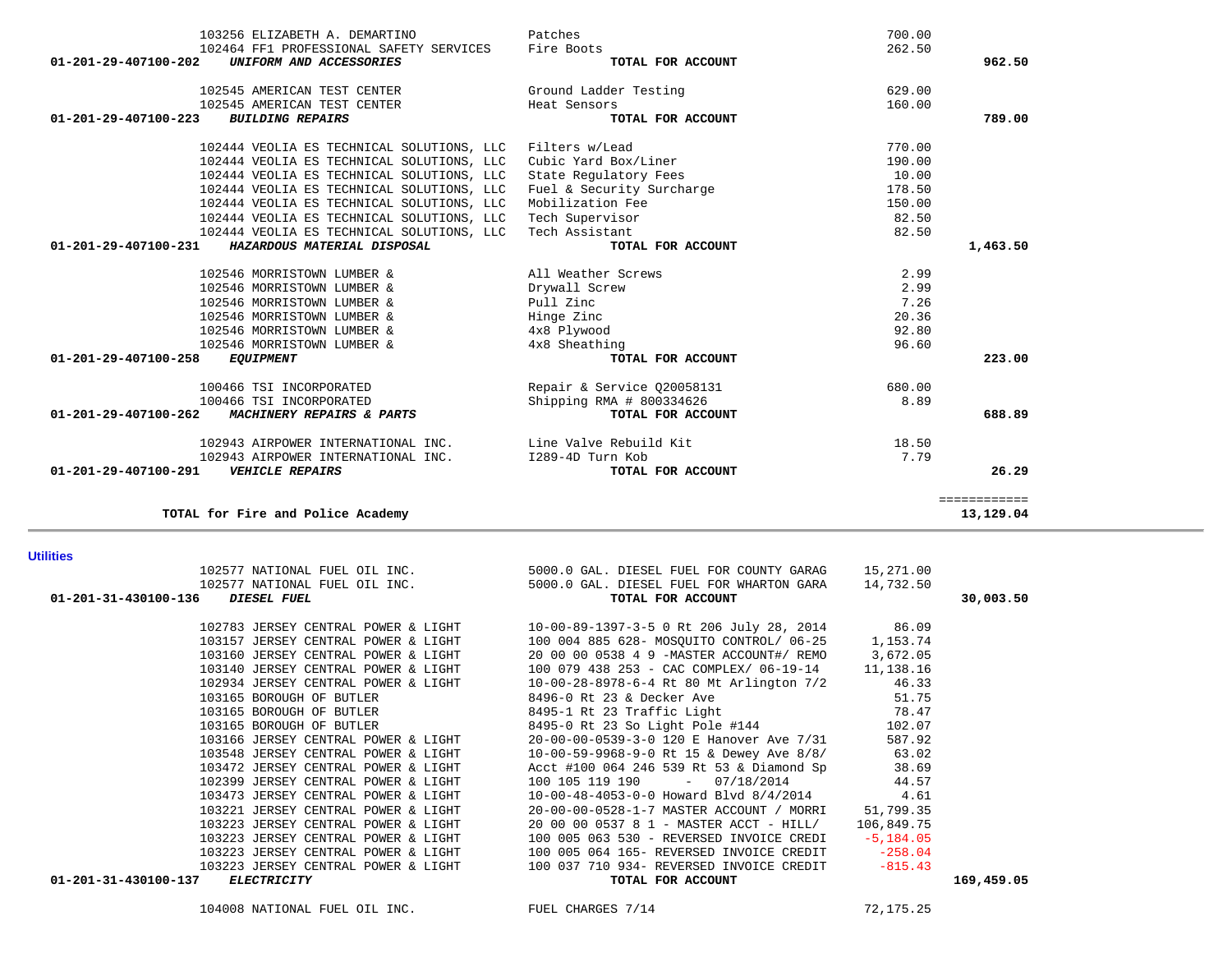|                      |                          | 102783 JERSEY CENTRAL POWER & LIGHT |                                     |                           | 10-00-89-1397-3-5 0 Rt 206 July 28, 2014 | 86.09       |            |
|----------------------|--------------------------|-------------------------------------|-------------------------------------|---------------------------|------------------------------------------|-------------|------------|
|                      |                          | 103157 JERSEY CENTRAL POWER & LIGHT |                                     |                           | 100 004 885 628- MOSOUITO CONTROL/ 06-25 | 1,153.74    |            |
|                      |                          | 103160 JERSEY CENTRAL POWER & LIGHT |                                     |                           | 20 00 00 0538 4 9 -MASTER ACCOUNT#/ REMO | 3,672.05    |            |
|                      |                          | 103140 JERSEY CENTRAL POWER & LIGHT |                                     |                           | 100 079 438 253 - CAC COMPLEX/ 06-19-14  | 11,138.16   |            |
|                      |                          |                                     | 102934 JERSEY CENTRAL POWER & LIGHT |                           | 10-00-28-8978-6-4 Rt 80 Mt Arlington 7/2 | 46.33       |            |
|                      | 103165 BOROUGH OF BUTLER |                                     |                                     | 8496-0 Rt 23 & Decker Ave |                                          | 51.75       |            |
|                      | 103165 BOROUGH OF BUTLER |                                     |                                     |                           | 8495-1 Rt 23 Traffic Light               | 78.47       |            |
|                      | 103165 BOROUGH OF BUTLER |                                     |                                     |                           | 8495-0 Rt 23 So Light Pole #144          | 102.07      |            |
|                      |                          | 103166 JERSEY CENTRAL POWER & LIGHT |                                     |                           | 20-00-00-0539-3-0 120 E Hanover Ave 7/31 | 587.92      |            |
|                      |                          | 103548 JERSEY CENTRAL POWER & LIGHT |                                     |                           | 10-00-59-9968-9-0 Rt 15 & Dewey Ave 8/8/ | 63.02       |            |
|                      |                          | 103472 JERSEY CENTRAL POWER & LIGHT |                                     |                           | Acct #100 064 246 539 Rt 53 & Diamond Sp | 38.69       |            |
|                      |                          | 102399 JERSEY CENTRAL POWER & LIGHT |                                     | 100 105 119 190           | $-07/18/2014$                            | 44.57       |            |
|                      |                          | 103473 JERSEY CENTRAL POWER & LIGHT |                                     |                           | 10-00-48-4053-0-0 Howard Blvd 8/4/2014   | 4.61        |            |
|                      |                          | 103221 JERSEY CENTRAL POWER & LIGHT |                                     |                           | 20-00-00-0528-1-7 MASTER ACCOUNT / MORRI | 51,799.35   |            |
|                      |                          | 103223 JERSEY CENTRAL POWER & LIGHT |                                     |                           | 20 00 00 0537 8 1 - MASTER ACCT - HILL/  | 106,849.75  |            |
|                      |                          | 103223 JERSEY CENTRAL POWER & LIGHT |                                     |                           | 100 005 063 530 - REVERSED INVOICE CREDI | $-5,184.05$ |            |
|                      |                          | 103223 JERSEY CENTRAL POWER & LIGHT |                                     |                           | 100 005 064 165- REVERSED INVOICE CREDIT | $-258.04$   |            |
|                      |                          | 103223 JERSEY CENTRAL POWER & LIGHT |                                     |                           | 100 037 710 934- REVERSED INVOICE CREDIT | $-815.43$   |            |
| 01-201-31-430100-137 | <b>ELECTRICITY</b>       |                                     |                                     |                           | TOTAL FOR ACCOUNT                        |             | 169,459.05 |
|                      |                          |                                     |                                     |                           |                                          |             |            |

| 01-201-31-430100-136<br>DIESEL FUEL | TOTAL FOR ACCOUNT                                                                      | 30,003.50 |
|-------------------------------------|----------------------------------------------------------------------------------------|-----------|
|                                     | 102783 JERSEY CENTRAL POWER & LIGHT 10-00-89-1397-3-5 0 Rt 206 July 28, 2014 86.09     |           |
| 103157 JERSEY CENTRAL POWER & LIGHT | 100 004 885 628- MOSQUITO CONTROL/ 06-25 1,153.74                                      |           |
|                                     | 103160 JERSEY CENTRAL POWER & LIGHT 420 00 00 0538 4 9 -MASTER ACCOUNT#/ REMO 3,672.05 |           |
| 103140 JERSEY CENTRAL POWER & LIGHT | 100 079 438 253 - CAC COMPLEX/ 06-19-14                                                | 11,138.16 |
| 102934 JERSEY CENTRAL POWER & LIGHT | 10-00-28-8978-6-4 Rt 80 Mt Arlington 7/2                                               | 46.33     |
| 103165 BOROUGH OF BUTLER            | 8496-0 Rt 23 & Decker Ave                                                              | 51.75     |
| 103165 BOROUGH OF BUTLER            | 8495-1 Rt 23 Traffic Light 78.47                                                       |           |
| 103165 BOROUGH OF BUTLER            | 8495-0 Rt 23 So Light Pole #144                                                        | 102.07    |
|                                     | 103166 JERSEY CENTRAL POWER & LIGHT 20-00-00-0539-3-0 120 E Hanover Ave 7/31           | 587.92    |
|                                     | 103548 JERSEY CENTRAL POWER & LIGHT 10-00-59-9968-9-0 Rt 15 & Dewey Ave 8/8/ 63.02     |           |
|                                     | 103472 JERSEY CENTRAL POWER & LIGHT Acct #100 064 246 539 Rt 53 & Diamond Sp           | 38.69     |
| 102399 JERSEY CENTRAL POWER & LIGHT | $100 105 119 190 - 07/18/2014$                                                         | 44.57     |
| 103473 JERSEY CENTRAL POWER & LIGHT | $10-00-48-4053-0-0$ Howard Blvd $8/4/2014$ 4.61                                        |           |
| 103221 JERSEY CENTRAL POWER & LIGHT | 20-00-00-0528-1-7 MASTER ACCOUNT / MORRI                                               | 51,799.35 |
| 103223 JERSEY CENTRAL POWER & LIGHT | 20 00 00 0537 8 1 - MASTER ACCT - HILL/ 106,849.75                                     |           |
| 103223 JERSEY CENTRAL POWER & LIGHT | 100 005 063 530 - REVERSED INVOICE CREDI $-5,184.05$                                   |           |
| 103223 JERSEY CENTRAL POWER & LIGHT | 100 005 064 165- REVERSED INVOICE CREDIT -258.04                                       |           |
| 103223 JERSEY CENTRAL POWER & LIGHT | 100 037 710 934- REVERSED INVOICE CREDIT -815.43                                       |           |

**Utilities** 

| 103256 ELIZABETH A. DEMARTINO                             | Patches                    | 700.00 |              |
|-----------------------------------------------------------|----------------------------|--------|--------------|
| 102464 FF1 PROFESSIONAL SAFETY SERVICES                   | Fire Boots                 | 262.50 |              |
| $01 - 201 - 29 - 407100 - 202$<br>UNIFORM AND ACCESSORIES | TOTAL FOR ACCOUNT          |        | 962.50       |
| 102545 AMERICAN TEST CENTER                               | Ground Ladder Testing      | 629.00 |              |
| 102545 AMERICAN TEST CENTER                               | Heat Sensors               | 160.00 |              |
| 01-201-29-407100-223<br><b>BUILDING REPAIRS</b>           | TOTAL FOR ACCOUNT          |        | 789.00       |
| 102444 VEOLIA ES TECHNICAL SOLUTIONS, LLC                 | Filters w/Lead             | 770.00 |              |
| 102444 VEOLIA ES TECHNICAL SOLUTIONS, LLC                 | Cubic Yard Box/Liner       | 190.00 |              |
| 102444 VEOLIA ES TECHNICAL SOLUTIONS, LLC                 | State Regulatory Fees      | 10.00  |              |
| 102444 VEOLIA ES TECHNICAL SOLUTIONS, LLC                 | Fuel & Security Surcharge  | 178.50 |              |
| 102444 VEOLIA ES TECHNICAL SOLUTIONS, LLC                 | Mobilization Fee           | 150.00 |              |
| 102444 VEOLIA ES TECHNICAL SOLUTIONS, LLC                 | Tech Supervisor            | 82.50  |              |
| 102444 VEOLIA ES TECHNICAL SOLUTIONS, LLC                 | Tech Assistant             | 82.50  |              |
| HAZARDOUS MATERIAL DISPOSAL<br>01-201-29-407100-231       | TOTAL FOR ACCOUNT          |        | 1,463.50     |
| 102546 MORRISTOWN LUMBER &                                | All Weather Screws         | 2.99   |              |
| 102546 MORRISTOWN LUMBER &                                | Drywall Screw              | 2.99   |              |
| 102546 MORRISTOWN LUMBER &                                | Pull Zinc                  | 7.26   |              |
| 102546 MORRISTOWN LUMBER &                                | Hinge Zinc                 | 20.36  |              |
| 102546 MORRISTOWN LUMBER &                                | 4x8 Plywood                | 92.80  |              |
| 102546 MORRISTOWN LUMBER &                                | 4x8 Sheathing              | 96.60  |              |
| 01-201-29-407100-258<br><b>EQUIPMENT</b>                  | TOTAL FOR ACCOUNT          |        | 223.00       |
| 100466 TSI INCORPORATED                                   | Repair & Service Q20058131 | 680.00 |              |
| 100466 TSI INCORPORATED                                   | Shipping RMA # 800334626   | 8.89   |              |
| MACHINERY REPAIRS & PARTS<br>01-201-29-407100-262         | TOTAL FOR ACCOUNT          |        | 688.89       |
| 102943 AIRPOWER INTERNATIONAL INC.                        | Line Valve Rebuild Kit     | 18.50  |              |
| 102943 AIRPOWER INTERNATIONAL INC.                        | I289-4D Turn Kob           | 7.79   |              |
| 01-201-29-407100-291<br><b>VEHICLE REPAIRS</b>            | TOTAL FOR ACCOUNT          |        | 26.29        |
|                                                           |                            |        | ============ |
| TOTAL for Fire and Police Academy                         |                            |        | 13,129.04    |

102577 NATIONAL FUEL OIL INC. 5000.0 GAL. DIESEL FUEL FOR WHARTON GARA 14,732.50

102577 NATIONAL FUEL OIL INC. 5000.0 GAL. DIESEL FUEL FOR COUNTY GARAG 15,271.00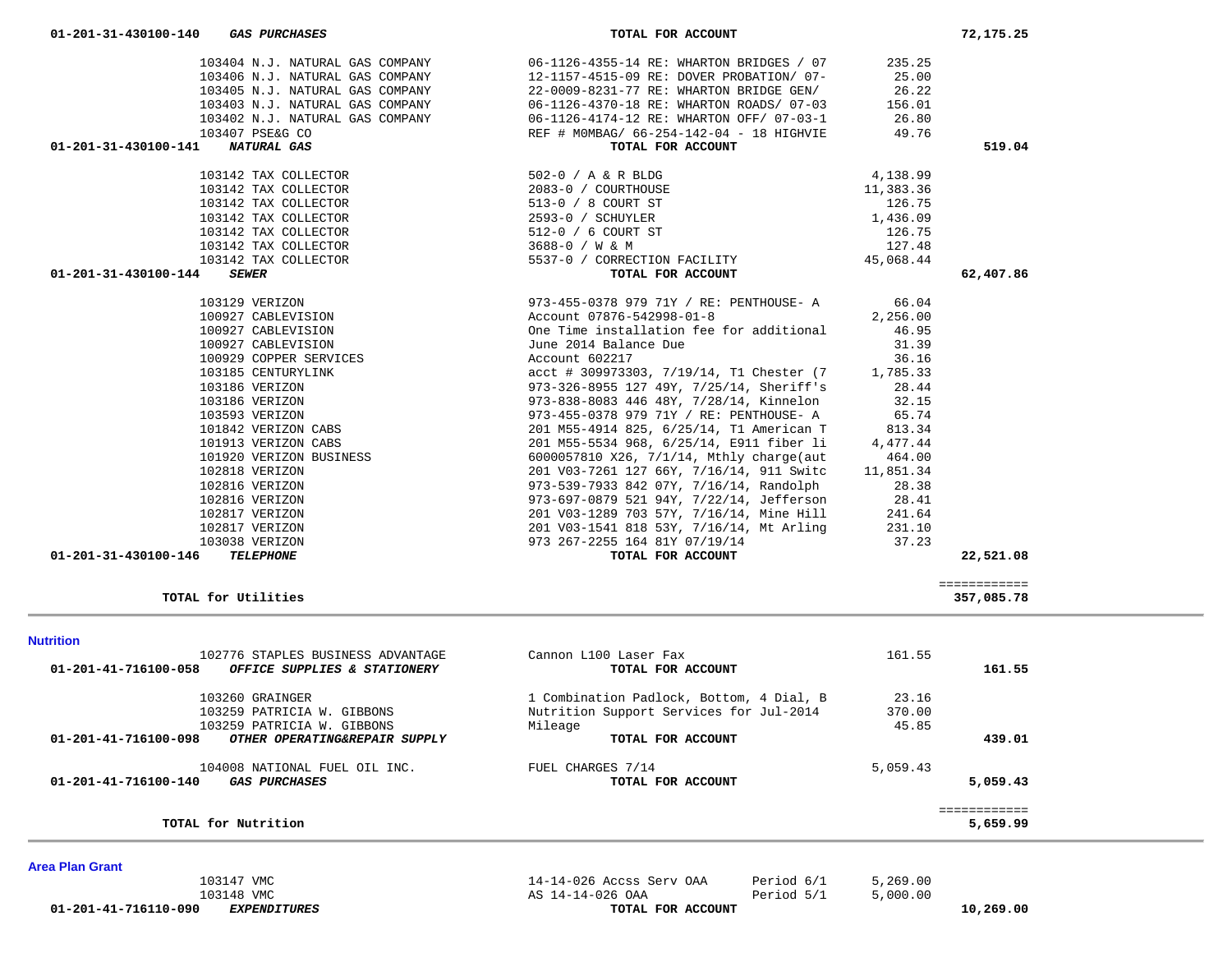| 01-201-31-430100-140<br><b>GAS PURCHASES</b>          | TOTAL FOR ACCOUNT                        |           | 72,175.25    |
|-------------------------------------------------------|------------------------------------------|-----------|--------------|
| 103404 N.J. NATURAL GAS COMPANY                       | 06-1126-4355-14 RE: WHARTON BRIDGES / 07 | 235.25    |              |
| 103406 N.J. NATURAL GAS COMPANY                       | 12-1157-4515-09 RE: DOVER PROBATION/ 07- | 25.00     |              |
| 103405 N.J. NATURAL GAS COMPANY                       | 22-0009-8231-77 RE: WHARTON BRIDGE GEN/  | 26.22     |              |
| 103403 N.J. NATURAL GAS COMPANY                       | 06-1126-4370-18 RE: WHARTON ROADS/ 07-03 | 156.01    |              |
| 103402 N.J. NATURAL GAS COMPANY                       | 06-1126-4174-12 RE: WHARTON OFF/ 07-03-1 | 26.80     |              |
| 103407 PSE&G CO                                       | REF # MOMBAG/ 66-254-142-04 - 18 HIGHVIE | 49.76     |              |
| 01-201-31-430100-141<br>NATURAL GAS                   | TOTAL FOR ACCOUNT                        |           | 519.04       |
|                                                       |                                          |           |              |
| 103142 TAX COLLECTOR                                  | 502-0 / A & R BLDG                       | 4,138.99  |              |
| 103142 TAX COLLECTOR                                  | 2083-0 / COURTHOUSE                      | 11,383.36 |              |
| 103142 TAX COLLECTOR                                  | 513-0 / 8 COURT ST                       | 126.75    |              |
| 103142 TAX COLLECTOR                                  | 2593-0 / SCHUYLER                        | 1,436.09  |              |
| 103142 TAX COLLECTOR                                  | 512-0 / 6 COURT ST                       | 126.75    |              |
| 103142 TAX COLLECTOR                                  | 3688-0 / W & M                           | 127.48    |              |
| 103142 TAX COLLECTOR                                  | 5537-0 / CORRECTION FACILITY             | 45,068.44 |              |
| 01-201-31-430100-144<br><b>SEWER</b>                  | TOTAL FOR ACCOUNT                        |           | 62,407.86    |
|                                                       |                                          |           |              |
| 103129 VERIZON                                        | 973-455-0378 979 71Y / RE: PENTHOUSE- A  | 66.04     |              |
| 100927 CABLEVISION                                    | Account 07876-542998-01-8                | 2,256.00  |              |
| 100927 CABLEVISION                                    | One Time installation fee for additional | 46.95     |              |
| 100927 CABLEVISION                                    | June 2014 Balance Due                    | 31.39     |              |
| 100929 COPPER SERVICES                                | Account 602217                           | 36.16     |              |
| 103185 CENTURYLINK                                    | acct # 309973303, 7/19/14, T1 Chester (7 | 1,785.33  |              |
| 103186 VERIZON                                        | 973-326-8955 127 49Y, 7/25/14, Sheriff's | 28.44     |              |
| 103186 VERIZON                                        | 973-838-8083 446 48Y, 7/28/14, Kinnelon  | 32.15     |              |
| 103593 VERIZON                                        | 973-455-0378 979 71Y / RE: PENTHOUSE- A  | 65.74     |              |
| 101842 VERIZON CABS                                   | 201 M55-4914 825, 6/25/14, T1 American T | 813.34    |              |
| 101913 VERIZON CABS                                   | 201 M55-5534 968, 6/25/14, E911 fiber li | 4,477.44  |              |
| 101920 VERIZON BUSINESS                               | 6000057810 X26, 7/1/14, Mthly charge(aut | 464.00    |              |
| 102818 VERIZON                                        | 201 V03-7261 127 66Y, 7/16/14, 911 Switc | 11,851.34 |              |
| 102816 VERIZON                                        | 973-539-7933 842 07Y, 7/16/14, Randolph  | 28.38     |              |
| 102816 VERIZON                                        | 973-697-0879 521 94Y, 7/22/14, Jefferson | 28.41     |              |
| 102817 VERIZON                                        | 201 V03-1289 703 57Y, 7/16/14, Mine Hill | 241.64    |              |
| 102817 VERIZON                                        | 201 V03-1541 818 53Y, 7/16/14, Mt Arling | 231.10    |              |
| 103038 VERIZON                                        | 973 267-2255 164 81Y 07/19/14            | 37.23     |              |
| 01-201-31-430100-146<br><b>TELEPHONE</b>              | TOTAL FOR ACCOUNT                        |           | 22,521.08    |
|                                                       |                                          |           | ============ |
| TOTAL for Utilities                                   |                                          |           | 357,085.78   |
|                                                       |                                          |           |              |
| <b>Nutrition</b>                                      |                                          |           |              |
| 102776 STAPLES BUSINESS ADVANTAGE                     | Cannon L100 Laser Fax                    | 161.55    |              |
| 01-201-41-716100-058<br>OFFICE SUPPLIES & STATIONERY  | TOTAL FOR ACCOUNT                        |           | 161.55       |
| 103260 GRAINGER                                       | 1 Combination Padlock, Bottom, 4 Dial, B | 23.16     |              |
| 103259 PATRICIA W. GIBBONS                            | Nutrition Support Services for Jul-2014  | 370.00    |              |
| 103259 PATRICIA W. GIBBONS                            | Mileage                                  | 45.85     |              |
| 01-201-41-716100-098<br>OTHER OPERATING&REPAIR SUPPLY | TOTAL FOR ACCOUNT                        |           | 439.01       |
|                                                       |                                          |           |              |
| 104008 NATIONAL FUEL OIL INC.                         | FUEL CHARGES 7/14                        | 5,059.43  |              |
| 01-201-41-716100-140<br><b>GAS PURCHASES</b>          | TOTAL FOR ACCOUNT                        |           | 5,059.43     |

 ============ **TOTAL for Nutrition 5,659.99**

#### **Area Plan Grant**

 103147 VMC 14-14-026 Accss Serv OAA Period 6/1 5,269.00 AS  $14-14-026$  OAA<br>**TOTAL FOR ACCOUNT**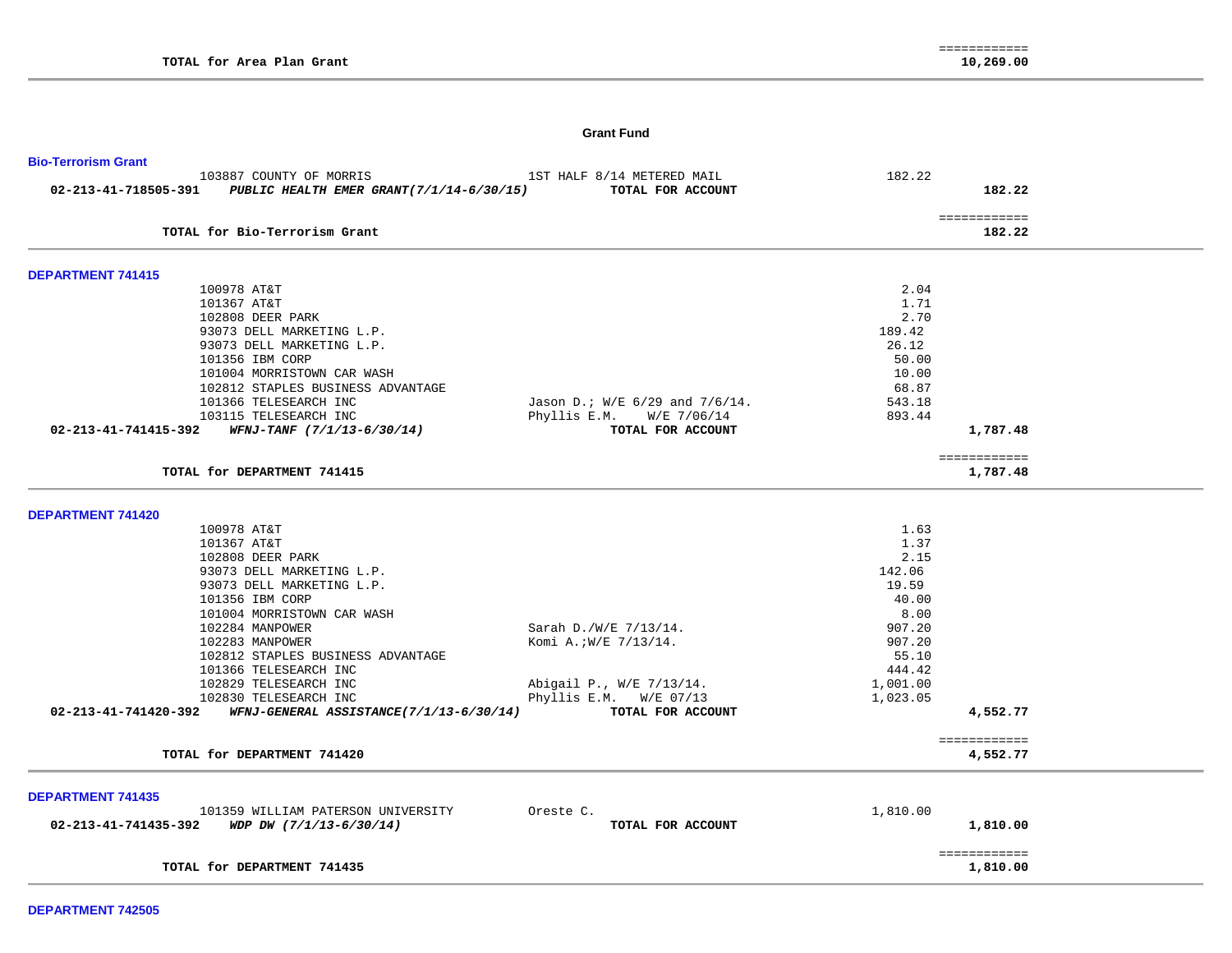#### **Grant Fund**

| <b>Bio-Terrorism Grant</b>                     |                                                                                          |                                                 |                 |                          |
|------------------------------------------------|------------------------------------------------------------------------------------------|-------------------------------------------------|-----------------|--------------------------|
|                                                | 103887 COUNTY OF MORRIS<br>02-213-41-718505-391 PUBLIC HEALTH EMER GRANT(7/1/14-6/30/15) | 1ST HALF 8/14 METERED MAIL<br>TOTAL FOR ACCOUNT | 182.22          | 182.22                   |
|                                                |                                                                                          |                                                 |                 |                          |
|                                                |                                                                                          |                                                 |                 | ============             |
|                                                | TOTAL for Bio-Terrorism Grant                                                            |                                                 |                 | 182.22                   |
| <b>DEPARTMENT 741415</b>                       |                                                                                          |                                                 |                 |                          |
|                                                | 100978 AT&T                                                                              |                                                 | 2.04            |                          |
|                                                | 101367 AT&T                                                                              |                                                 | 1.71            |                          |
|                                                | 102808 DEER PARK                                                                         |                                                 | 2.70            |                          |
|                                                | 93073 DELL MARKETING L.P.                                                                |                                                 | 189.42          |                          |
|                                                | 93073 DELL MARKETING L.P.                                                                |                                                 | 26.12           |                          |
|                                                | 101356 IBM CORP                                                                          |                                                 | 50.00           |                          |
|                                                | 101004 MORRISTOWN CAR WASH                                                               |                                                 | 10.00           |                          |
|                                                | 102812 STAPLES BUSINESS ADVANTAGE                                                        |                                                 | 68.87           |                          |
|                                                | 101366 TELESEARCH INC                                                                    | Jason D.; $W/E$ 6/29 and 7/6/14.                | 543.18          |                          |
|                                                | 103115 TELESEARCH INC                                                                    | Phyllis E.M. $W/E$ 7/06/14                      | 893.44          |                          |
| 02-213-41-741415-392                           | WFNJ-TANF (7/1/13-6/30/14)                                                               | TOTAL FOR ACCOUNT                               |                 | 1,787.48                 |
|                                                |                                                                                          |                                                 |                 | ============             |
|                                                | TOTAL for DEPARTMENT 741415                                                              |                                                 |                 | 1,787.48                 |
|                                                |                                                                                          |                                                 |                 |                          |
| <b>DEPARTMENT 741420</b>                       |                                                                                          |                                                 |                 |                          |
|                                                | 100978 AT&T                                                                              |                                                 | 1.63            |                          |
|                                                | 101367 AT&T                                                                              |                                                 | 1.37            |                          |
|                                                | 102808 DEER PARK                                                                         |                                                 | 2.15            |                          |
|                                                | 93073 DELL MARKETING L.P.                                                                |                                                 | 142.06<br>19.59 |                          |
|                                                | 93073 DELL MARKETING L.P.                                                                |                                                 | 40.00           |                          |
|                                                | 101356 IBM CORP<br>101004 MORRISTOWN CAR WASH                                            |                                                 | 8.00            |                          |
|                                                | 102284 MANPOWER                                                                          | Sarah D./W/E 7/13/14.                           | 907.20          |                          |
|                                                | 102283 MANPOWER                                                                          | Komi A.; W/E 7/13/14.                           | 907.20          |                          |
|                                                | 102812 STAPLES BUSINESS ADVANTAGE                                                        |                                                 | 55.10           |                          |
|                                                | 101366 TELESEARCH INC                                                                    |                                                 | 444.42          |                          |
|                                                | 102829 TELESEARCH INC                                                                    | Abigail P., W/E 7/13/14.                        | 1,001.00        |                          |
|                                                | 102830 TELESEARCH INC                                                                    | Phyllis E.M. $W/E$ 07/13                        | 1,023.05        |                          |
|                                                | 02-213-41-741420-392 WFNJ-GENERAL ASSISTANCE(7/1/13-6/30/14) TOTAL FOR ACCOUNT           |                                                 |                 | 4,552.77                 |
|                                                |                                                                                          |                                                 |                 | ============             |
|                                                | TOTAL for DEPARTMENT 741420                                                              |                                                 |                 | 4,552.77                 |
|                                                |                                                                                          |                                                 |                 |                          |
| <b>DEPARTMENT 741435</b>                       | 101359 WILLIAM PATERSON UNIVERSITY                                                       | Oreste C.                                       | 1,810.00        |                          |
| 02-213-41-741435-392 WDP DW $(7/1/13-6/30/14)$ |                                                                                          | TOTAL FOR ACCOUNT                               |                 | 1,810.00                 |
|                                                |                                                                                          |                                                 |                 |                          |
|                                                | TOTAL for DEPARTMENT 741435                                                              |                                                 |                 | ============<br>1,810.00 |
|                                                |                                                                                          |                                                 |                 |                          |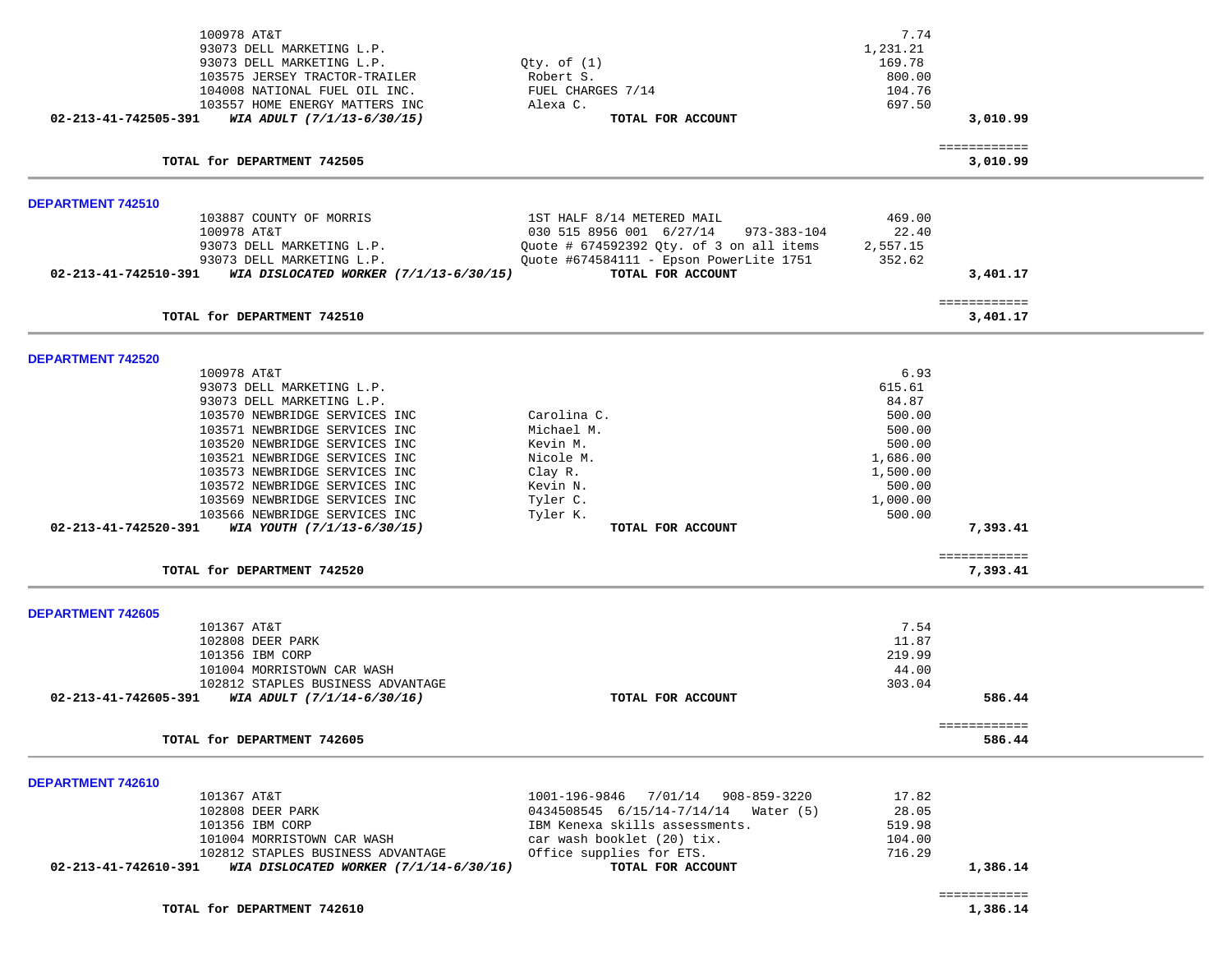| 100978 AT&T                                                    |                                             | 7.74     |                          |
|----------------------------------------------------------------|---------------------------------------------|----------|--------------------------|
| 93073 DELL MARKETING L.P.                                      |                                             | 1,231.21 |                          |
| 93073 DELL MARKETING L.P.                                      | Qty. of $(1)$                               | 169.78   |                          |
| 103575 JERSEY TRACTOR-TRAILER                                  | Robert S.                                   | 800.00   |                          |
| 104008 NATIONAL FUEL OIL INC.                                  | FUEL CHARGES 7/14                           | 104.76   |                          |
| 103557 HOME ENERGY MATTERS INC                                 | Alexa C.                                    | 697.50   |                          |
| 02-213-41-742505-391 WIA ADULT (7/1/13-6/30/15)                | TOTAL FOR ACCOUNT                           |          | 3,010.99                 |
|                                                                |                                             |          |                          |
| TOTAL for DEPARTMENT 742505                                    |                                             |          | ============<br>3,010.99 |
|                                                                |                                             |          |                          |
| DEPARTMENT 742510                                              |                                             |          |                          |
| 103887 COUNTY OF MORRIS                                        | 1ST HALF 8/14 METERED MAIL                  | 469.00   |                          |
| 100978 AT&T                                                    | 030 515 8956 001 6/27/14 973-383-104        | 22.40    |                          |
| 93073 DELL MARKETING L.P.                                      | Ouote $\#$ 674592392 Oty. of 3 on all items | 2,557.15 |                          |
| 93073 DELL MARKETING L.P.                                      | Quote #674584111 - Epson PowerLite 1751     | 352.62   |                          |
| 02-213-41-742510-391 WIA DISLOCATED WORKER (7/1/13-6/30/15)    | TOTAL FOR ACCOUNT                           |          | 3,401.17                 |
|                                                                |                                             |          | ============             |
| TOTAL for DEPARTMENT 742510                                    |                                             |          | 3,401.17                 |
|                                                                |                                             |          |                          |
| <b>DEPARTMENT 742520</b>                                       |                                             |          |                          |
| 100978 AT&T                                                    |                                             | 6.93     |                          |
| 93073 DELL MARKETING L.P.                                      |                                             | 615.61   |                          |
| 93073 DELL MARKETING L.P.                                      |                                             | 84.87    |                          |
| 103570 NEWBRIDGE SERVICES INC                                  | Carolina C.                                 | 500.00   |                          |
| 103571 NEWBRIDGE SERVICES INC                                  | Michael M.                                  | 500.00   |                          |
| 103520 NEWBRIDGE SERVICES INC                                  | Kevin M.                                    | 500.00   |                          |
| 103521 NEWBRIDGE SERVICES INC                                  | Nicole M.                                   | 1,686.00 |                          |
| 103573 NEWBRIDGE SERVICES INC                                  | Clay R.                                     | 1,500.00 |                          |
| 103572 NEWBRIDGE SERVICES INC                                  | Kevin N.                                    | 500.00   |                          |
| 103569 NEWBRIDGE SERVICES INC                                  | Tyler C.                                    | 1,000.00 |                          |
| 103566 NEWBRIDGE SERVICES INC                                  | Tyler K.                                    | 500.00   |                          |
| 02-213-41-742520-391 WIA YOUTH (7/1/13-6/30/15)                | TOTAL FOR ACCOUNT                           |          | 7,393.41                 |
|                                                                |                                             |          | ============             |
| TOTAL for DEPARTMENT 742520                                    |                                             |          | 7,393.41                 |
| <b>DEPARTMENT 742605</b>                                       |                                             |          |                          |
| 101367 AT&T                                                    |                                             | 7.54     |                          |
| 102808 DEER PARK                                               |                                             | 11.87    |                          |
| 101356 IBM CORP                                                |                                             | 219.99   |                          |
| 101004 MORRISTOWN CAR WASH                                     |                                             | 44.00    |                          |
| 102812 STAPLES BUSINESS ADVANTAGE                              |                                             | 303.04   |                          |
| 02-213-41-742605-391 WIA ADULT (7/1/14-6/30/16)                |                                             |          | 586.44                   |
|                                                                | TOTAL FOR ACCOUNT                           |          |                          |
| TOTAL for DEPARTMENT 742605                                    |                                             |          | 586.44                   |
|                                                                |                                             |          |                          |
| DEPARTMENT 742610                                              |                                             |          |                          |
| 101367 AT&T                                                    | 1001-196-9846 7/01/14 908-859-3220          | 17.82    |                          |
| 102808 DEER PARK                                               | 0434508545 6/15/14-7/14/14 Water (5)        | 28.05    |                          |
| 101356 IBM CORP                                                | IBM Kenexa skills assessments.              | 519.98   |                          |
| 101004 MORRISTOWN CAR WASH                                     | car wash booklet (20) tix.                  | 104.00   |                          |
| 102812 STAPLES BUSINESS ADVANTAGE                              | Office supplies for ETS.                    | 716.29   |                          |
| 02-213-41-742610-391<br>WIA DISLOCATED WORKER (7/1/14-6/30/16) | TOTAL FOR ACCOUNT                           |          | 1,386.14                 |
|                                                                |                                             |          |                          |

**TOTAL for DEPARTMENT 742610 1,386.14**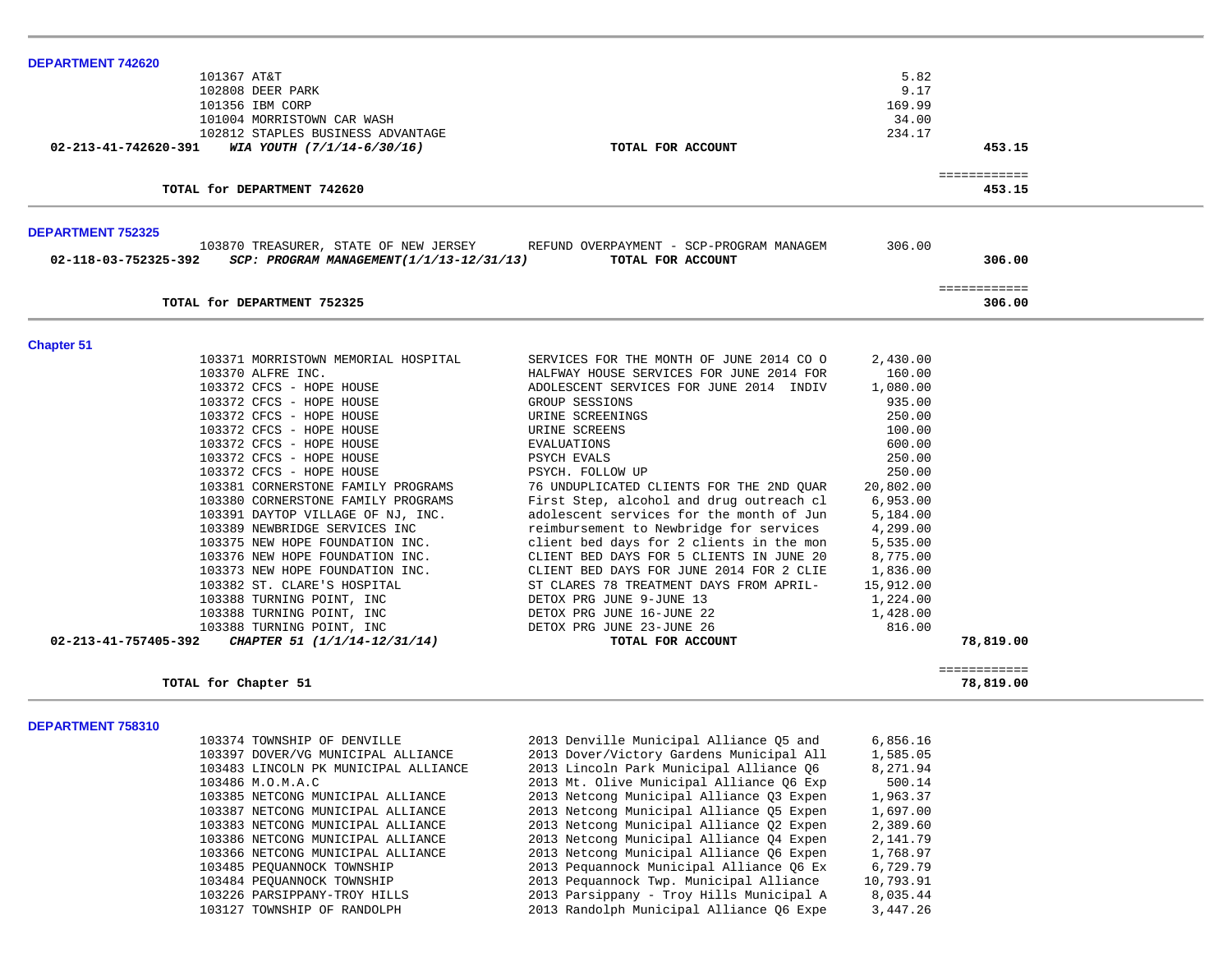| DEPARTMENT 742620        |                                                                                   |                                                               |                  |                        |  |
|--------------------------|-----------------------------------------------------------------------------------|---------------------------------------------------------------|------------------|------------------------|--|
|                          | 101367 AT&T                                                                       |                                                               | 5.82             |                        |  |
|                          | 102808 DEER PARK                                                                  |                                                               | 9.17             |                        |  |
|                          | 101356 IBM CORP                                                                   |                                                               | 169.99           |                        |  |
|                          | 101004 MORRISTOWN CAR WASH                                                        |                                                               | 34.00            |                        |  |
|                          | 102812 STAPLES BUSINESS ADVANTAGE                                                 |                                                               | 234.17           |                        |  |
| 02-213-41-742620-391     | WIA YOUTH (7/1/14-6/30/16)                                                        | TOTAL FOR ACCOUNT                                             |                  | 453.15                 |  |
|                          | TOTAL for DEPARTMENT 742620                                                       |                                                               |                  | ============<br>453.15 |  |
|                          |                                                                                   |                                                               |                  |                        |  |
| <b>DEPARTMENT 752325</b> |                                                                                   |                                                               |                  |                        |  |
| 02-118-03-752325-392     | 103870 TREASURER, STATE OF NEW JERSEY<br>SCP: PROGRAM MANAGEMENT(1/1/13-12/31/13) | REFUND OVERPAYMENT - SCP-PROGRAM MANAGEM<br>TOTAL FOR ACCOUNT | 306.00           | 306.00                 |  |
|                          |                                                                                   |                                                               |                  |                        |  |
|                          | TOTAL for DEPARTMENT 752325                                                       |                                                               |                  | ============<br>306.00 |  |
|                          |                                                                                   |                                                               |                  |                        |  |
| <b>Chapter 51</b>        |                                                                                   |                                                               |                  |                        |  |
|                          | 103371 MORRISTOWN MEMORIAL HOSPITAL                                               | SERVICES FOR THE MONTH OF JUNE 2014 CO O                      | 2,430.00         |                        |  |
|                          | 103370 ALFRE INC.                                                                 | HALFWAY HOUSE SERVICES FOR JUNE 2014 FOR                      | 160.00           |                        |  |
|                          | 103372 CFCS - HOPE HOUSE                                                          | ADOLESCENT SERVICES FOR JUNE 2014 INDIV                       | 1,080.00         |                        |  |
|                          | 103372 CFCS - HOPE HOUSE                                                          | GROUP SESSIONS                                                | 935.00           |                        |  |
|                          | 103372 CFCS - HOPE HOUSE                                                          | URINE SCREENINGS                                              | 250.00           |                        |  |
|                          | 103372 CFCS - HOPE HOUSE                                                          | URINE SCREENS                                                 | 100.00           |                        |  |
|                          | 103372 CFCS - HOPE HOUSE<br>103372 CFCS - HOPE HOUSE                              | <b>EVALUATIONS</b><br>PSYCH EVALS                             | 600.00<br>250.00 |                        |  |
|                          | 103372 CFCS - HOPE HOUSE                                                          | PSYCH. FOLLOW UP                                              | 250.00           |                        |  |
|                          | 103381 CORNERSTONE FAMILY PROGRAMS                                                | 76 UNDUPLICATED CLIENTS FOR THE 2ND QUAR                      | 20,802.00        |                        |  |
|                          | 103380 CORNERSTONE FAMILY PROGRAMS                                                | First Step, alcohol and drug outreach cl                      | 6,953.00         |                        |  |
|                          | 103391 DAYTOP VILLAGE OF NJ, INC.                                                 | adolescent services for the month of Jun                      | 5,184.00         |                        |  |
|                          | 103389 NEWBRIDGE SERVICES INC                                                     | reimbursement to Newbridge for services                       | 4,299.00         |                        |  |
|                          | 103375 NEW HOPE FOUNDATION INC.                                                   | client bed days for 2 clients in the mon                      | 5,535.00         |                        |  |
|                          | 103376 NEW HOPE FOUNDATION INC.                                                   | CLIENT BED DAYS FOR 5 CLIENTS IN JUNE 20                      | 8,775.00         |                        |  |
|                          | 103373 NEW HOPE FOUNDATION INC.                                                   | CLIENT BED DAYS FOR JUNE 2014 FOR 2 CLIE                      | 1,836.00         |                        |  |
|                          | 103382 ST. CLARE'S HOSPITAL                                                       | ST CLARES 78 TREATMENT DAYS FROM APRIL-                       | 15,912.00        |                        |  |
|                          | 103388 TURNING POINT, INC                                                         | DETOX PRG JUNE 9-JUNE 13                                      | 1,224.00         |                        |  |
|                          | 103388 TURNING POINT, INC                                                         | DETOX PRG JUNE 16-JUNE 22                                     | 1,428.00         |                        |  |
| 02-213-41-757405-392     | 103388 TURNING POINT, INC<br>CHAPTER 51 (1/1/14-12/31/14)                         | DETOX PRG JUNE 23-JUNE 26<br>TOTAL FOR ACCOUNT                | 816.00           | 78,819.00              |  |
|                          |                                                                                   |                                                               |                  | ============           |  |
|                          | TOTAL for Chapter 51                                                              |                                                               |                  | 78,819.00              |  |
|                          |                                                                                   |                                                               |                  |                        |  |
| DEPARTMENT 758310        | 103374 TOWNSHIP OF DENVILLE                                                       | 2013 Denville Municipal Alliance Q5 and                       | 6,856.16         |                        |  |
|                          | 103397 DOVER/VG MUNICIPAL ALLIANCE                                                | 2013 Dover/Victory Gardens Municipal All                      | 1,585.05         |                        |  |
|                          | 103483 LINCOLN PK MUNICIPAL ALLIANCE                                              | 2013 Lincoln Park Municipal Alliance Q6                       | 8,271.94         |                        |  |
|                          | 103486 M.O.M.A.C                                                                  | 2013 Mt. Olive Municipal Alliance Q6 Exp                      | 500.14           |                        |  |
|                          | 103385 NETCONG MUNICIPAL ALLIANCE                                                 | 2013 Netcong Municipal Alliance Q3 Expen                      | 1,963.37         |                        |  |
|                          | 103387 NETCONG MUNICIPAL ALLIANCE                                                 | 2013 Netcong Municipal Alliance Q5 Expen                      | 1,697.00         |                        |  |
|                          | 103383 NETCONG MUNICIPAL ALLIANCE                                                 | 2013 Netcong Municipal Alliance Q2 Expen                      | 2,389.60         |                        |  |
|                          | 103386 NETCONG MUNICIPAL ALLIANCE                                                 | 2013 Netcong Municipal Alliance Q4 Expen                      | 2,141.79         |                        |  |

103366 NETCONG MUNICIPAL ALLIANCE 2013 Netcong Municipal Alliance Q6 Expen 1,768.97<br>103485 PEQUANNOCK TOWNSHIP 2013 Pequannock Municipal Alliance Q6 Ex 6,729.79 103485 PEQUANNOCK TOWNSHIP 2013 Pequannock Municipal Alliance Q6 Ex 6,729.79<br>103484 PEQUANNOCK TOWNSHIP 2013 Pequannock Twp. Municipal Alliance 10,793.91 103484 PEQUANNOCK TOWNSHIP 2013 Pequannock Twp. Municipal Alliance 10,793.91 103226 PARSIPPANY-TROY HILLS 2013 Parsippany - Troy Hills Municipal A 8,035.44<br>2013 Randolph Municipal Alliance Q6 Expe 3,447.26 2013 Randolph Municipal Alliance Q6 Expe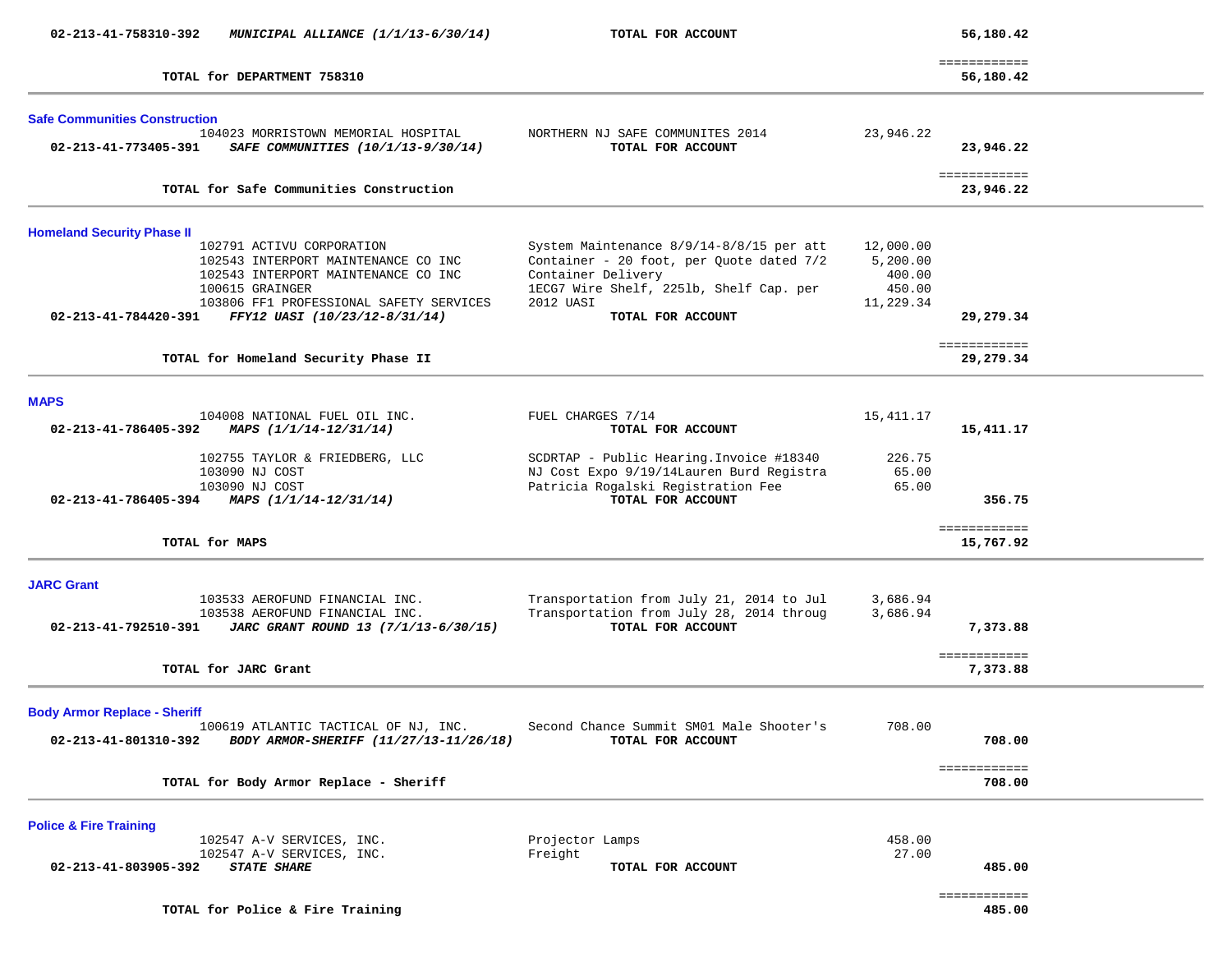| 02-213-41-758310-392<br>MUNICIPAL ALLIANCE (1/1/13-6/30/14)                                                                                                           | TOTAL FOR ACCOUNT                                                                                                                                                  |                                                        | 56,180.42                 |  |
|-----------------------------------------------------------------------------------------------------------------------------------------------------------------------|--------------------------------------------------------------------------------------------------------------------------------------------------------------------|--------------------------------------------------------|---------------------------|--|
| TOTAL for DEPARTMENT 758310                                                                                                                                           |                                                                                                                                                                    |                                                        | ============<br>56,180.42 |  |
| <b>Safe Communities Construction</b><br>104023 MORRISTOWN MEMORIAL HOSPITAL<br>02-213-41-773405-391<br>SAFE COMMUNITIES (10/1/13-9/30/14)                             | NORTHERN NJ SAFE COMMUNITES 2014<br>TOTAL FOR ACCOUNT                                                                                                              | 23,946.22                                              | 23,946.22                 |  |
| TOTAL for Safe Communities Construction                                                                                                                               |                                                                                                                                                                    |                                                        | ============<br>23,946.22 |  |
| <b>Homeland Security Phase II</b>                                                                                                                                     |                                                                                                                                                                    |                                                        |                           |  |
| 102791 ACTIVU CORPORATION<br>102543 INTERPORT MAINTENANCE CO INC<br>102543 INTERPORT MAINTENANCE CO INC<br>100615 GRAINGER<br>103806 FF1 PROFESSIONAL SAFETY SERVICES | System Maintenance 8/9/14-8/8/15 per att<br>Container - 20 foot, per Quote dated 7/2<br>Container Delivery<br>1ECG7 Wire Shelf, 2251b, Shelf Cap. per<br>2012 UASI | 12,000.00<br>5,200.00<br>400.00<br>450.00<br>11,229.34 |                           |  |
| 02-213-41-784420-391 FFY12 UASI (10/23/12-8/31/14)                                                                                                                    | TOTAL FOR ACCOUNT                                                                                                                                                  |                                                        | 29,279.34                 |  |
| TOTAL for Homeland Security Phase II                                                                                                                                  |                                                                                                                                                                    |                                                        | ============<br>29,279.34 |  |
| <b>MAPS</b>                                                                                                                                                           |                                                                                                                                                                    |                                                        |                           |  |
| 104008 NATIONAL FUEL OIL INC.<br>$02 - 213 - 41 - 786405 - 392$<br>MAPS (1/1/14-12/31/14)                                                                             | FUEL CHARGES 7/14<br>TOTAL FOR ACCOUNT                                                                                                                             | 15,411.17                                              | 15,411.17                 |  |
| 102755 TAYLOR & FRIEDBERG, LLC<br>103090 NJ COST<br>103090 NJ COST                                                                                                    | SCDRTAP - Public Hearing. Invoice #18340<br>NJ Cost Expo 9/19/14Lauren Burd Registra<br>Patricia Rogalski Registration Fee                                         | 226.75<br>65.00<br>65.00                               |                           |  |
| 02-213-41-786405-394 MAPS $(1/1/14-12/31/14)$                                                                                                                         | TOTAL FOR ACCOUNT                                                                                                                                                  |                                                        | 356.75                    |  |
| TOTAL for MAPS                                                                                                                                                        |                                                                                                                                                                    |                                                        | ============<br>15,767.92 |  |
| <b>JARC Grant</b>                                                                                                                                                     |                                                                                                                                                                    |                                                        |                           |  |
| 103533 AEROFUND FINANCIAL INC.<br>103538 AEROFUND FINANCIAL INC.<br>02-213-41-792510-391<br>JARC GRANT ROUND 13 (7/1/13-6/30/15)                                      | Transportation from July 21, 2014 to Jul<br>Transportation from July 28, 2014 throug<br>TOTAL FOR ACCOUNT                                                          | 3,686.94<br>3,686.94                                   | 7,373.88                  |  |
| TOTAL for JARC Grant                                                                                                                                                  |                                                                                                                                                                    |                                                        | ============<br>7,373.88  |  |
| <b>Body Armor Replace - Sheriff</b><br>100619 ATLANTIC TACTICAL OF NJ, INC.<br>BODY ARMOR-SHERIFF (11/27/13-11/26/18)<br>02-213-41-801310-392                         | Second Chance Summit SM01 Male Shooter's<br>TOTAL FOR ACCOUNT                                                                                                      | 708.00                                                 | 708.00                    |  |
| TOTAL for Body Armor Replace - Sheriff                                                                                                                                |                                                                                                                                                                    |                                                        | ============<br>708.00    |  |
| <b>Police &amp; Fire Training</b>                                                                                                                                     |                                                                                                                                                                    |                                                        |                           |  |
| 102547 A-V SERVICES, INC.<br>102547 A-V SERVICES, INC.<br>02-213-41-803905-392<br><b>STATE SHARE</b>                                                                  | Projector Lamps<br>Freight<br>TOTAL FOR ACCOUNT                                                                                                                    | 458.00<br>27.00                                        | 485.00                    |  |
| TOTAL for Police & Fire Training                                                                                                                                      |                                                                                                                                                                    |                                                        | ============<br>485.00    |  |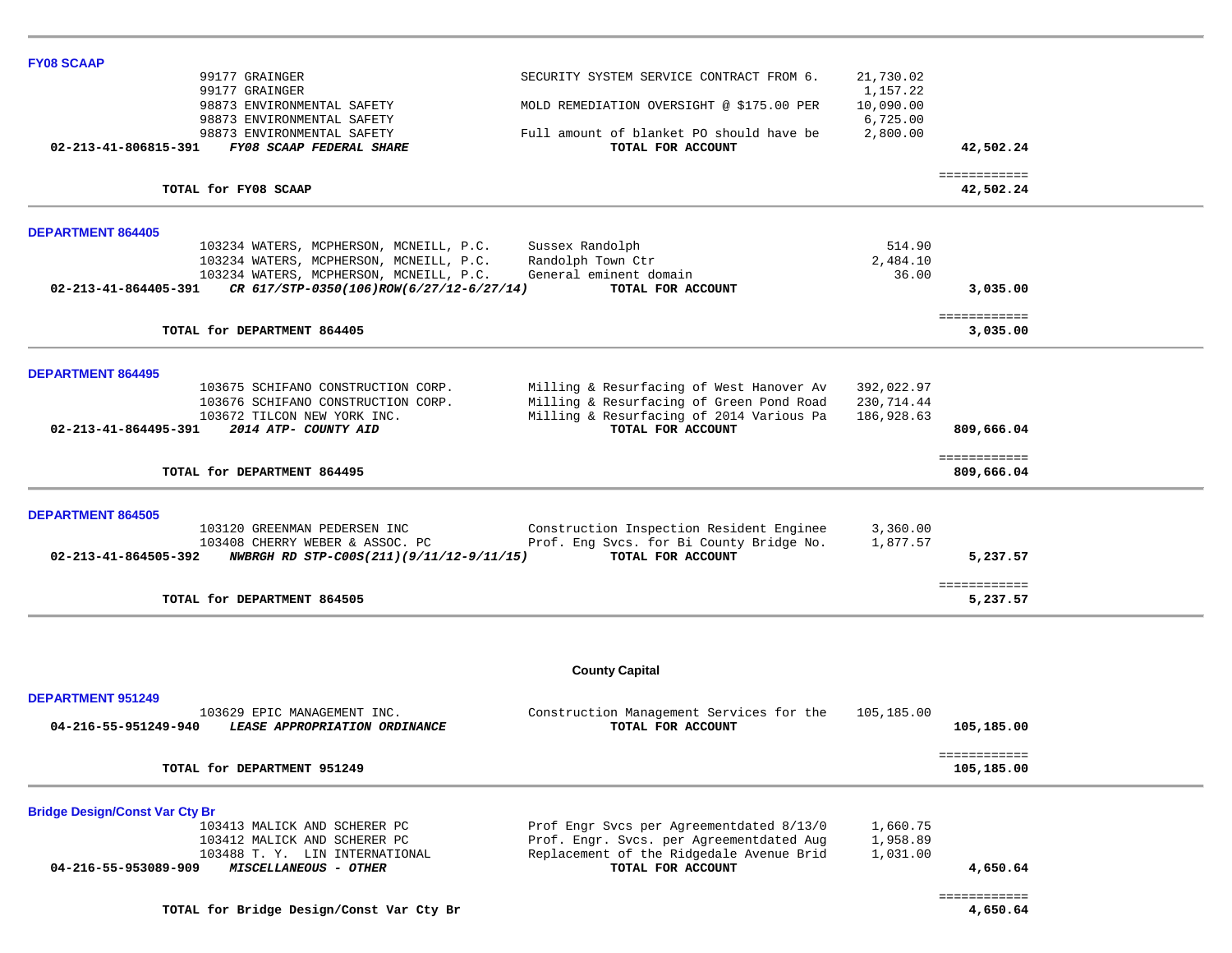| <b>FY08 SCAAP</b>                     |                                                                                    |                                                                                      |                          |                            |  |
|---------------------------------------|------------------------------------------------------------------------------------|--------------------------------------------------------------------------------------|--------------------------|----------------------------|--|
|                                       | 99177 GRAINGER                                                                     | SECURITY SYSTEM SERVICE CONTRACT FROM 6.                                             | 21,730.02                |                            |  |
|                                       | 99177 GRAINGER<br>98873 ENVIRONMENTAL SAFETY                                       | MOLD REMEDIATION OVERSIGHT @ \$175.00 PER                                            | 1,157.22<br>10,090.00    |                            |  |
|                                       | 98873 ENVIRONMENTAL SAFETY                                                         |                                                                                      | 6,725.00                 |                            |  |
| 02-213-41-806815-391                  | 98873 ENVIRONMENTAL SAFETY<br>FY08 SCAAP FEDERAL SHARE                             | Full amount of blanket PO should have be<br>TOTAL FOR ACCOUNT                        | 2,800.00                 | 42,502.24                  |  |
|                                       |                                                                                    |                                                                                      |                          |                            |  |
|                                       | TOTAL for FY08 SCAAP                                                               |                                                                                      |                          | ============<br>42,502.24  |  |
| <b>DEPARTMENT 864405</b>              |                                                                                    |                                                                                      |                          |                            |  |
|                                       | 103234 WATERS, MCPHERSON, MCNEILL, P.C.<br>103234 WATERS, MCPHERSON, MCNEILL, P.C. | Sussex Randolph<br>Randolph Town Ctr                                                 | 514.90<br>2,484.10       |                            |  |
|                                       | 103234 WATERS, MCPHERSON, MCNEILL, P.C.                                            | General eminent domain                                                               | 36.00                    |                            |  |
| 02-213-41-864405-391                  | CR 617/STP-0350(106)ROW(6/27/12-6/27/14)                                           | TOTAL FOR ACCOUNT                                                                    |                          | 3,035.00                   |  |
|                                       | TOTAL for DEPARTMENT 864405                                                        |                                                                                      |                          | ============<br>3,035.00   |  |
|                                       |                                                                                    |                                                                                      |                          |                            |  |
| <b>DEPARTMENT 864495</b>              |                                                                                    |                                                                                      |                          |                            |  |
|                                       | 103675 SCHIFANO CONSTRUCTION CORP.<br>103676 SCHIFANO CONSTRUCTION CORP.           | Milling & Resurfacing of West Hanover Av<br>Milling & Resurfacing of Green Pond Road | 392,022.97<br>230,714.44 |                            |  |
|                                       | 103672 TILCON NEW YORK INC.                                                        | Milling & Resurfacing of 2014 Various Pa                                             | 186,928.63               |                            |  |
| 02-213-41-864495-391                  | 2014 ATP- COUNTY AID                                                               | TOTAL FOR ACCOUNT                                                                    |                          | 809,666.04                 |  |
|                                       | TOTAL for DEPARTMENT 864495                                                        |                                                                                      |                          | ============<br>809,666.04 |  |
| <b>DEPARTMENT 864505</b>              |                                                                                    |                                                                                      |                          |                            |  |
|                                       | 103120 GREENMAN PEDERSEN INC                                                       | Construction Inspection Resident Enginee                                             | 3,360.00                 |                            |  |
| 02-213-41-864505-392                  | 103408 CHERRY WEBER & ASSOC. PC<br>NWBRGH RD STP-C00S(211)(9/11/12-9/11/15)        | Prof. Eng Svcs. for Bi County Bridge No.<br>TOTAL FOR ACCOUNT                        | 1,877.57                 | 5,237.57                   |  |
|                                       |                                                                                    |                                                                                      |                          |                            |  |
|                                       | TOTAL for DEPARTMENT 864505                                                        |                                                                                      |                          | ============<br>5,237.57   |  |
|                                       |                                                                                    |                                                                                      |                          |                            |  |
|                                       |                                                                                    | <b>County Capital</b>                                                                |                          |                            |  |
| <b>DEPARTMENT 951249</b>              |                                                                                    |                                                                                      |                          |                            |  |
|                                       | 103629 EPIC MANAGEMENT INC.                                                        | Construction Management Services for the                                             | 105,185.00               |                            |  |
| 04-216-55-951249-940                  | LEASE APPROPRIATION ORDINANCE                                                      | TOTAL FOR ACCOUNT                                                                    |                          | 105,185.00                 |  |
|                                       | TOTAL for DEPARTMENT 951249                                                        |                                                                                      |                          | ============<br>105,185.00 |  |
|                                       |                                                                                    |                                                                                      |                          |                            |  |
| <b>Bridge Design/Const Var Cty Br</b> |                                                                                    |                                                                                      |                          |                            |  |
|                                       | 103413 MALICK AND SCHERER PC<br>103412 MALICK AND SCHERER PC                       | Prof Engr Svcs per Agreementdated 8/13/0<br>Prof. Engr. Svcs. per Agreementdated Aug | 1,660.75<br>1,958.89     |                            |  |
|                                       | 103488 T. Y. LIN INTERNATIONAL                                                     | Replacement of the Ridgedale Avenue Brid                                             | 1,031.00                 |                            |  |
| 04-216-55-953089-909                  | MISCELLANEOUS - OTHER                                                              | TOTAL FOR ACCOUNT                                                                    |                          | 4,650.64                   |  |
|                                       |                                                                                    |                                                                                      |                          | ============               |  |
|                                       | TOTAL for Bridge Design/Const Var Cty Br                                           |                                                                                      |                          | 4,650.64                   |  |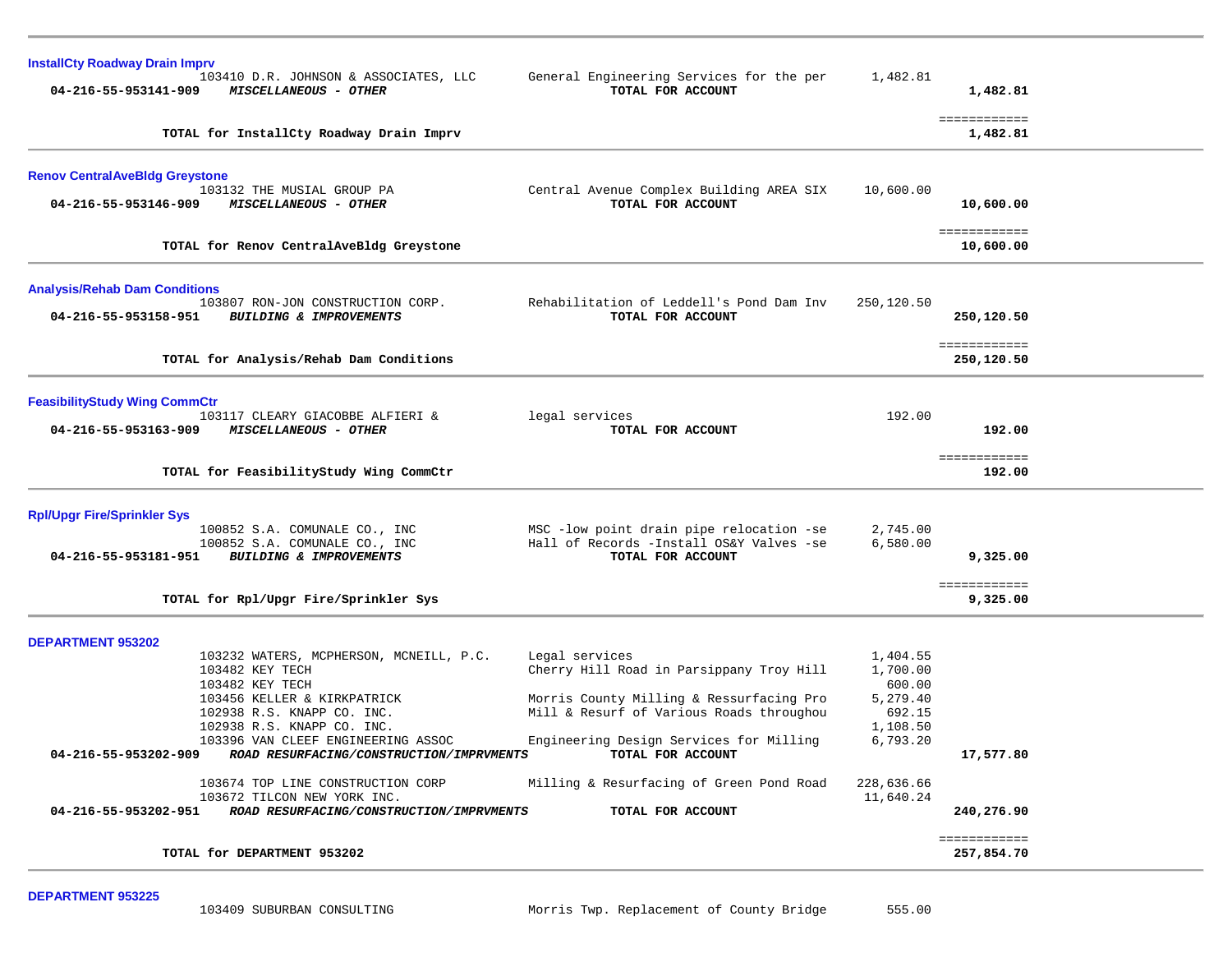| <b>InstallCty Roadway Drain Imprv</b>                                                                             |                                                                                                           |                                |                            |  |
|-------------------------------------------------------------------------------------------------------------------|-----------------------------------------------------------------------------------------------------------|--------------------------------|----------------------------|--|
| 103410 D.R. JOHNSON & ASSOCIATES, LLC<br>04-216-55-953141-909<br>MISCELLANEOUS - OTHER                            | General Engineering Services for the per<br>TOTAL FOR ACCOUNT                                             | 1,482.81                       | 1,482.81                   |  |
| TOTAL for InstallCty Roadway Drain Imprv                                                                          |                                                                                                           |                                | ============<br>1,482.81   |  |
| <b>Renov CentralAveBldg Greystone</b>                                                                             |                                                                                                           |                                |                            |  |
| 103132 THE MUSIAL GROUP PA<br>04-216-55-953146-909<br>MISCELLANEOUS - OTHER                                       | Central Avenue Complex Building AREA SIX<br>TOTAL FOR ACCOUNT                                             | 10,600.00                      | 10,600.00                  |  |
| TOTAL for Renov CentralAveBldg Greystone                                                                          |                                                                                                           |                                | ============<br>10,600.00  |  |
| <b>Analysis/Rehab Dam Conditions</b>                                                                              |                                                                                                           |                                |                            |  |
| 103807 RON-JON CONSTRUCTION CORP.<br>04-216-55-953158-951<br><b>BUILDING &amp; IMPROVEMENTS</b>                   | Rehabilitation of Leddell's Pond Dam Inv<br>TOTAL FOR ACCOUNT                                             | 250,120.50                     | 250,120.50                 |  |
| TOTAL for Analysis/Rehab Dam Conditions                                                                           |                                                                                                           |                                | ============<br>250,120.50 |  |
| <b>FeasibilityStudy Wing CommCtr</b>                                                                              |                                                                                                           |                                |                            |  |
| 103117 CLEARY GIACOBBE ALFIERI &<br>MISCELLANEOUS - OTHER<br>04-216-55-953163-909                                 | legal services<br>TOTAL FOR ACCOUNT                                                                       | 192.00                         | 192.00                     |  |
| TOTAL for FeasibilityStudy Wing CommCtr                                                                           |                                                                                                           |                                | ============<br>192.00     |  |
| <b>Rpl/Upgr Fire/Sprinkler Sys</b>                                                                                |                                                                                                           |                                |                            |  |
| 100852 S.A. COMUNALE CO., INC<br>100852 S.A. COMUNALE CO., INC<br>BUILDING & IMPROVEMENTS<br>04-216-55-953181-951 | MSC -low point drain pipe relocation -se<br>Hall of Records -Install OS&Y Valves -se<br>TOTAL FOR ACCOUNT | 2,745.00<br>6,580.00           | 9,325.00                   |  |
| TOTAL for Rpl/Upgr Fire/Sprinkler Sys                                                                             |                                                                                                           |                                | ============<br>9,325.00   |  |
| DEPARTMENT 953202                                                                                                 |                                                                                                           |                                |                            |  |
| 103232 WATERS, MCPHERSON, MCNEILL, P.C.<br>103482 KEY TECH<br>103482 KEY TECH                                     | Legal services<br>Cherry Hill Road in Parsippany Troy Hill                                                | 1,404.55<br>1,700.00<br>600.00 |                            |  |
| 103456 KELLER & KIRKPATRICK                                                                                       | Morris County Milling & Ressurfacing Pro                                                                  | 5,279.40                       |                            |  |
| 102938 R.S. KNAPP CO. INC.<br>102938 R.S. KNAPP CO. INC.                                                          | Mill & Resurf of Various Roads throughou                                                                  | 692.15<br>1,108.50             |                            |  |
| 103396 VAN CLEEF ENGINEERING ASSOC<br>04-216-55-953202-909<br>ROAD RESURFACING/CONSTRUCTION/IMPRVMENTS            | Engineering Design Services for Milling<br>TOTAL FOR ACCOUNT                                              | 6,793.20                       | 17,577.80                  |  |
| 103674 TOP LINE CONSTRUCTION CORP<br>103672 TILCON NEW YORK INC.                                                  | Milling & Resurfacing of Green Pond Road                                                                  | 228,636.66<br>11,640.24        |                            |  |
| 04-216-55-953202-951<br>ROAD RESURFACING/CONSTRUCTION/IMPRVMENTS                                                  | TOTAL FOR ACCOUNT                                                                                         |                                | 240,276.90                 |  |
| TOTAL for DEPARTMENT 953202                                                                                       |                                                                                                           |                                | ============<br>257,854.70 |  |

**DEPARTMENT 953225**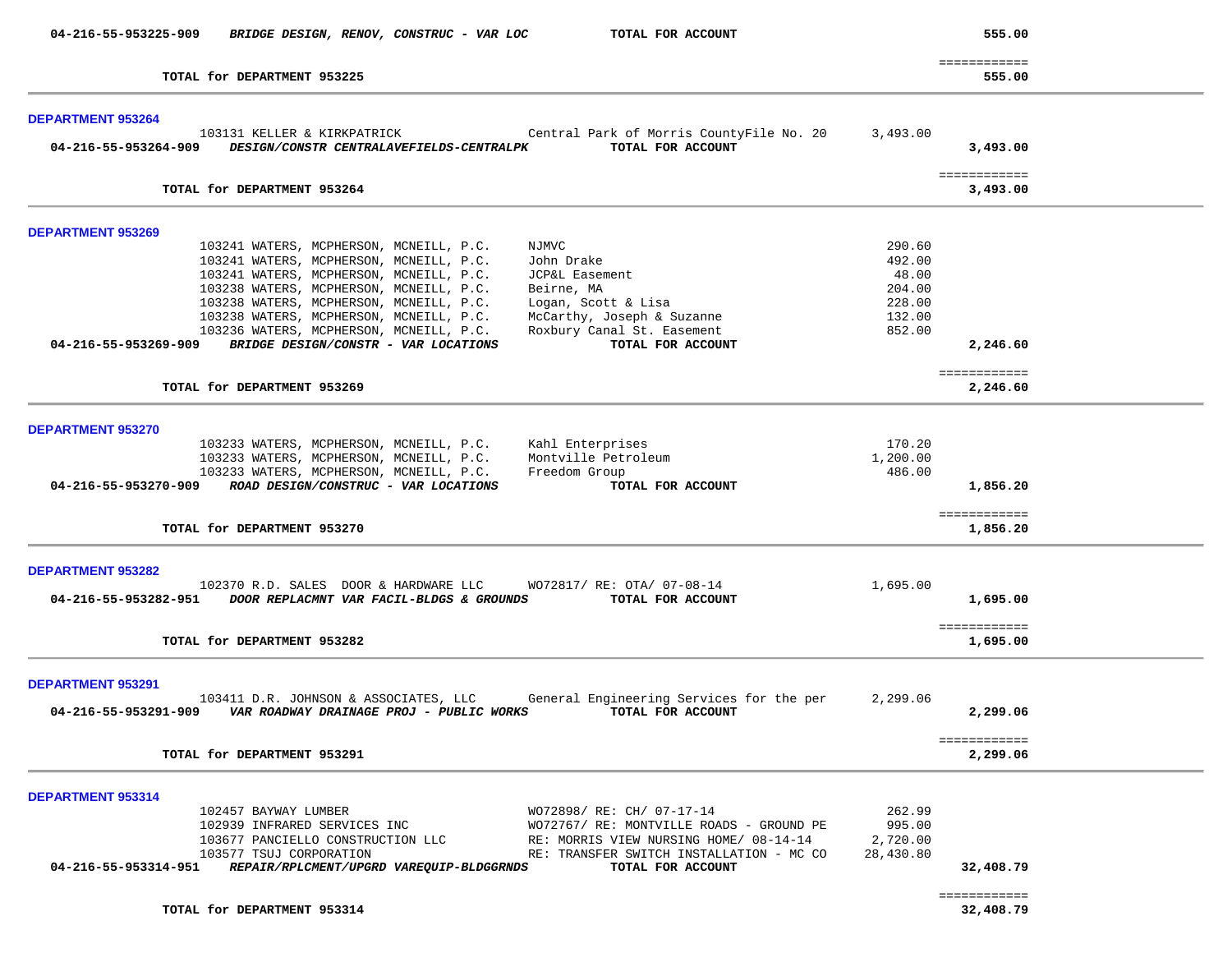| 04-216-55-953225-909<br>BRIDGE DESIGN, RENOV, CONSTRUC - VAR LOC<br>TOTAL FOR ACCOUNT                                                                                                                                                                                                                                                                                                                                                                                                                                                 |                                                                   | 555.00                    |  |
|---------------------------------------------------------------------------------------------------------------------------------------------------------------------------------------------------------------------------------------------------------------------------------------------------------------------------------------------------------------------------------------------------------------------------------------------------------------------------------------------------------------------------------------|-------------------------------------------------------------------|---------------------------|--|
| TOTAL for DEPARTMENT 953225                                                                                                                                                                                                                                                                                                                                                                                                                                                                                                           |                                                                   | ============<br>555.00    |  |
| DEPARTMENT 953264                                                                                                                                                                                                                                                                                                                                                                                                                                                                                                                     |                                                                   |                           |  |
| 103131 KELLER & KIRKPATRICK<br>Central Park of Morris CountyFile No. 20<br>TOTAL FOR ACCOUNT<br>04-216-55-953264-909<br>DESIGN/CONSTR CENTRALAVEFIELDS-CENTRALPK                                                                                                                                                                                                                                                                                                                                                                      | 3,493.00                                                          | 3,493.00                  |  |
| TOTAL for DEPARTMENT 953264                                                                                                                                                                                                                                                                                                                                                                                                                                                                                                           |                                                                   | ============<br>3,493.00  |  |
| DEPARTMENT 953269                                                                                                                                                                                                                                                                                                                                                                                                                                                                                                                     |                                                                   |                           |  |
| 103241 WATERS, MCPHERSON, MCNEILL, P.C.<br>NJMVC<br>103241 WATERS, MCPHERSON, MCNEILL, P.C.<br>John Drake<br>103241 WATERS, MCPHERSON, MCNEILL, P.C.<br>JCP&L Easement<br>103238 WATERS, MCPHERSON, MCNEILL, P.C.<br>Beirne, MA<br>103238 WATERS, MCPHERSON, MCNEILL, P.C.<br>Logan, Scott & Lisa<br>103238 WATERS, MCPHERSON, MCNEILL, P.C.<br>McCarthy, Joseph & Suzanne<br>Roxbury Canal St. Easement<br>103236 WATERS, MCPHERSON, MCNEILL, P.C.<br>04-216-55-953269-909 BRIDGE DESIGN/CONSTR - VAR LOCATIONS<br>TOTAL FOR ACCOUNT | 290.60<br>492.00<br>48.00<br>204.00<br>228.00<br>132.00<br>852.00 | 2,246.60                  |  |
| TOTAL for DEPARTMENT 953269                                                                                                                                                                                                                                                                                                                                                                                                                                                                                                           |                                                                   | ============<br>2,246.60  |  |
|                                                                                                                                                                                                                                                                                                                                                                                                                                                                                                                                       |                                                                   |                           |  |
| <b>DEPARTMENT 953270</b><br>103233 WATERS, MCPHERSON, MCNEILL, P.C.<br>Kahl Enterprises<br>103233 WATERS, MCPHERSON, MCNEILL, P.C.<br>Montville Petroleum<br>103233 WATERS, MCPHERSON, MCNEILL, P.C.<br>Freedom Group<br>ROAD DESIGN/CONSTRUC - VAR LOCATIONS<br>04-216-55-953270-909<br>TOTAL FOR ACCOUNT                                                                                                                                                                                                                            | 170.20<br>1,200.00<br>486.00                                      | 1,856.20<br>============  |  |
| TOTAL for DEPARTMENT 953270                                                                                                                                                                                                                                                                                                                                                                                                                                                                                                           |                                                                   | 1,856.20                  |  |
| <b>DEPARTMENT 953282</b><br>102370 R.D. SALES DOOR & HARDWARE LLC<br>WO72817/ RE: OTA/ 07-08-14<br>04-216-55-953282-951 DOOR REPLACMNT VAR FACIL-BLDGS & GROUNDS<br>TOTAL FOR ACCOUNT                                                                                                                                                                                                                                                                                                                                                 | 1,695.00                                                          | 1,695.00<br>============  |  |
| TOTAL for DEPARTMENT 953282                                                                                                                                                                                                                                                                                                                                                                                                                                                                                                           |                                                                   | 1,695.00                  |  |
| <b>DEPARTMENT 953291</b><br>General Engineering Services for the per<br>103411 D.R. JOHNSON & ASSOCIATES, LLC<br>TOTAL FOR ACCOUNT<br>04-216-55-953291-909<br>VAR ROADWAY DRAINAGE PROJ - PUBLIC WORKS                                                                                                                                                                                                                                                                                                                                | 2,299.06                                                          | 2,299.06                  |  |
| TOTAL for DEPARTMENT 953291                                                                                                                                                                                                                                                                                                                                                                                                                                                                                                           |                                                                   | ============<br>2,299.06  |  |
| <b>DEPARTMENT 953314</b><br>102457 BAYWAY LUMBER<br>WO72898/ RE: CH/ 07-17-14<br>102939 INFRARED SERVICES INC<br>WO72767/ RE: MONTVILLE ROADS - GROUND PE<br>103677 PANCIELLO CONSTRUCTION LLC<br>RE: MORRIS VIEW NURSING HOME/ 08-14-14<br>103577 TSUJ CORPORATION<br>RE: TRANSFER SWITCH INSTALLATION - MC CO<br>TOTAL FOR ACCOUNT<br>04-216-55-953314-951 REPAIR/RPLCMENT/UPGRD VAREQUIP-BLDGGRNDS                                                                                                                                 | 262.99<br>995.00<br>2,720.00<br>28,430.80                         | 32,408.79                 |  |
| TOTAL for DEPARTMENT 953314                                                                                                                                                                                                                                                                                                                                                                                                                                                                                                           |                                                                   | ============<br>32,408.79 |  |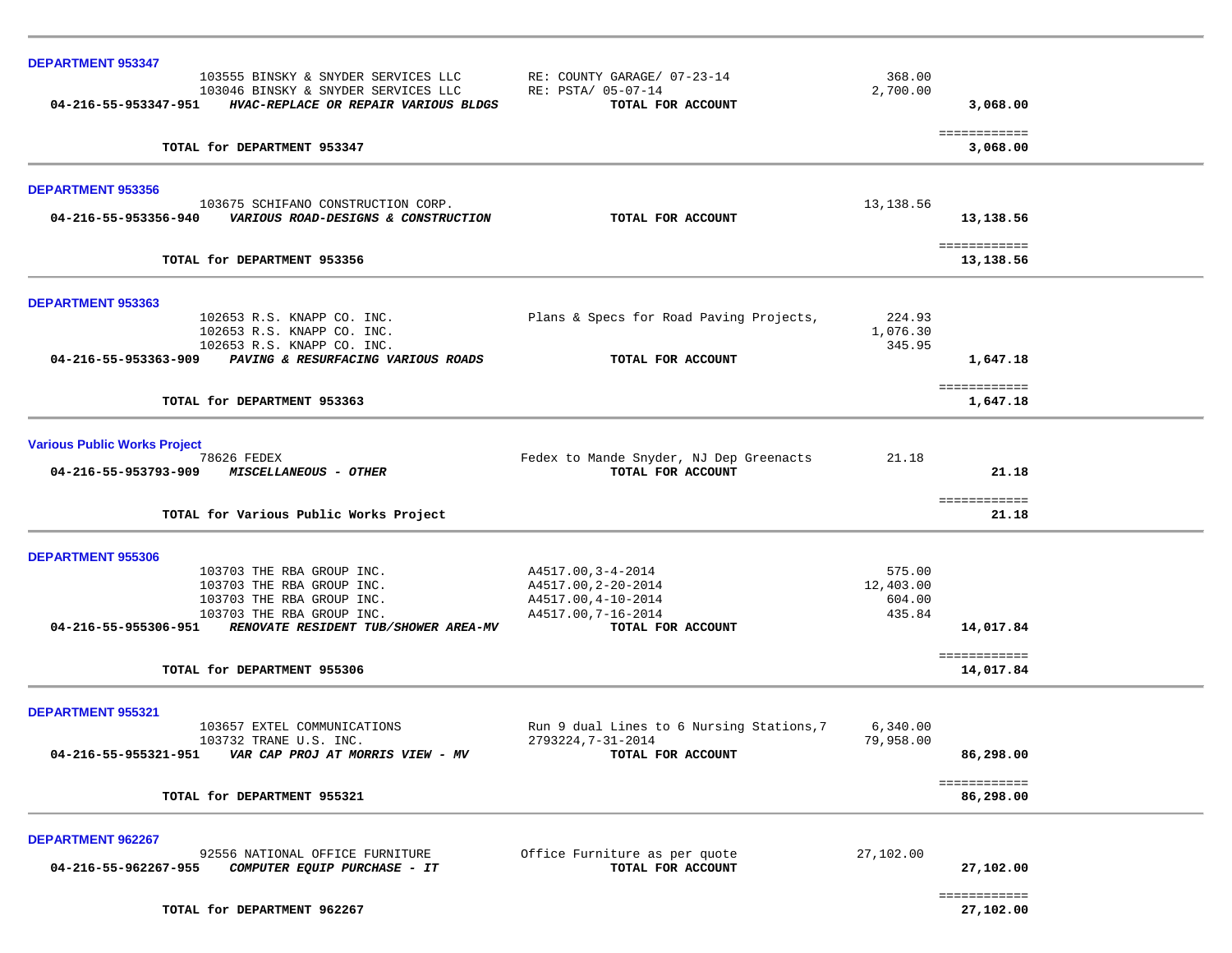| <b>DEPARTMENT 953347</b>                                                                         |                                                              |           |                           |  |
|--------------------------------------------------------------------------------------------------|--------------------------------------------------------------|-----------|---------------------------|--|
| 103555 BINSKY & SNYDER SERVICES LLC                                                              | RE: COUNTY GARAGE/ 07-23-14                                  | 368.00    |                           |  |
| 103046 BINSKY & SNYDER SERVICES LLC<br>04-216-55-953347-951 HVAC-REPLACE OR REPAIR VARIOUS BLDGS | RE: PSTA/ 05-07-14<br>TOTAL FOR ACCOUNT                      | 2,700.00  | 3,068.00                  |  |
|                                                                                                  |                                                              |           |                           |  |
| TOTAL for DEPARTMENT 953347                                                                      |                                                              |           | ============<br>3,068.00  |  |
|                                                                                                  |                                                              |           |                           |  |
| <b>DEPARTMENT 953356</b>                                                                         |                                                              |           |                           |  |
| 103675 SCHIFANO CONSTRUCTION CORP.                                                               |                                                              | 13,138.56 |                           |  |
| 04-216-55-953356-940 VARIOUS ROAD-DESIGNS & CONSTRUCTION                                         | TOTAL FOR ACCOUNT                                            |           | 13,138.56                 |  |
| TOTAL for DEPARTMENT 953356                                                                      |                                                              |           | ============<br>13,138.56 |  |
|                                                                                                  |                                                              |           |                           |  |
| DEPARTMENT 953363                                                                                |                                                              |           |                           |  |
| 102653 R.S. KNAPP CO. INC.                                                                       | Plans & Specs for Road Paving Projects,                      | 224.93    |                           |  |
| 102653 R.S. KNAPP CO. INC.                                                                       |                                                              | 1,076.30  |                           |  |
| 102653 R.S. KNAPP CO. INC.                                                                       |                                                              | 345.95    |                           |  |
| 04-216-55-953363-909 PAVING & RESURFACING VARIOUS ROADS                                          | TOTAL FOR ACCOUNT                                            |           | 1,647.18                  |  |
|                                                                                                  |                                                              |           | ============              |  |
| TOTAL for DEPARTMENT 953363                                                                      |                                                              |           | 1,647.18                  |  |
|                                                                                                  |                                                              |           |                           |  |
| <b>Various Public Works Project</b>                                                              |                                                              |           |                           |  |
| 78626 FEDEX<br>04-216-55-953793-909 MISCELLANEOUS - OTHER                                        | Fedex to Mande Snyder, NJ Dep Greenacts<br>TOTAL FOR ACCOUNT | 21.18     | 21.18                     |  |
|                                                                                                  |                                                              |           |                           |  |
| TOTAL for Various Public Works Project                                                           |                                                              |           | ============<br>21.18     |  |
|                                                                                                  |                                                              |           |                           |  |
| <b>DEPARTMENT 955306</b>                                                                         |                                                              |           |                           |  |
| 103703 THE RBA GROUP INC.                                                                        | A4517.00,3-4-2014                                            | 575.00    |                           |  |
| 103703 THE RBA GROUP INC.                                                                        | A4517.00, 2-20-2014                                          | 12,403.00 |                           |  |
| 103703 THE RBA GROUP INC.                                                                        | A4517.00, 4-10-2014                                          | 604.00    |                           |  |
| 103703 THE RBA GROUP INC.                                                                        | A4517.00, 7-16-2014                                          | 435.84    |                           |  |
| 04-216-55-955306-951 RENOVATE RESIDENT TUB/SHOWER AREA-MV                                        | TOTAL FOR ACCOUNT                                            |           | 14,017.84                 |  |
|                                                                                                  |                                                              |           | ============              |  |
| TOTAL for DEPARTMENT 955306                                                                      |                                                              |           | 14,017.84                 |  |
| DEPARTMENT 955321                                                                                |                                                              |           |                           |  |
| 103657 EXTEL COMMUNICATIONS                                                                      | Run 9 dual Lines to 6 Nursing Stations, 7                    | 6,340.00  |                           |  |
| 103732 TRANE U.S. INC.                                                                           | 2793224, 7-31-2014                                           | 79,958.00 |                           |  |
| 04-216-55-955321-951    VAR CAP PROJ AT MORRIS VIEW - MV                                         | TOTAL FOR ACCOUNT                                            |           | 86,298.00                 |  |
|                                                                                                  |                                                              |           | ============              |  |
| TOTAL for DEPARTMENT 955321                                                                      |                                                              |           | 86,298.00                 |  |
|                                                                                                  |                                                              |           |                           |  |
| DEPARTMENT 962267<br>92556 NATIONAL OFFICE FURNITURE                                             | Office Furniture as per quote                                | 27,102.00 |                           |  |
| 04-216-55-962267-955<br>COMPUTER EQUIP PURCHASE - IT                                             | TOTAL FOR ACCOUNT                                            |           | 27,102.00                 |  |
|                                                                                                  |                                                              |           |                           |  |
| TOTAL for DEPARTMENT 962267                                                                      |                                                              |           | ============<br>27,102.00 |  |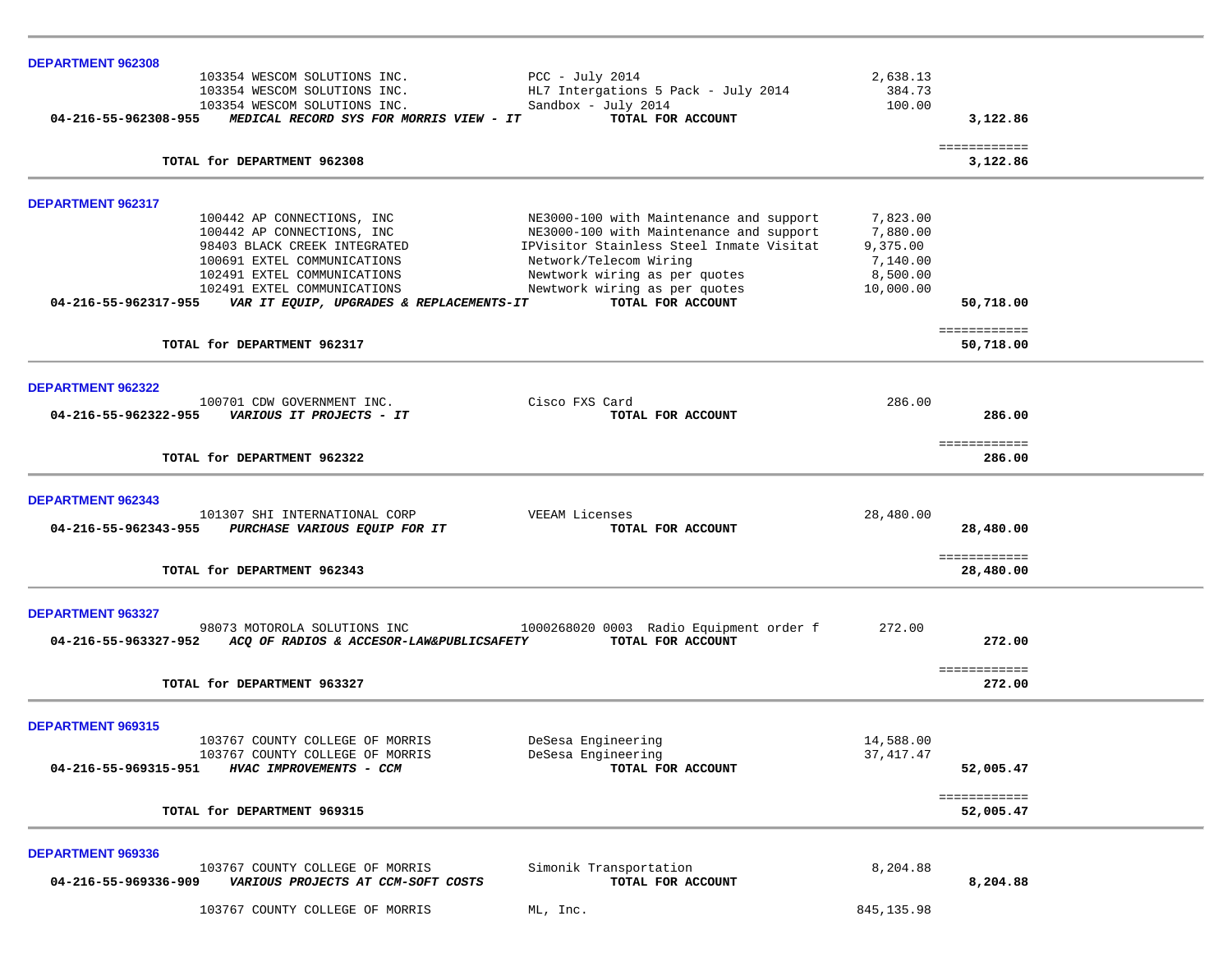| DEPARTMENT 962308        |                                                               |                                          |             |              |  |
|--------------------------|---------------------------------------------------------------|------------------------------------------|-------------|--------------|--|
|                          | 103354 WESCOM SOLUTIONS INC.                                  | $PCC - July 2014$                        | 2,638.13    |              |  |
|                          | 103354 WESCOM SOLUTIONS INC.                                  | HL7 Intergations 5 Pack - July 2014      | 384.73      |              |  |
|                          | 103354 WESCOM SOLUTIONS INC.                                  | Sandbox - July 2014                      | 100.00      |              |  |
| 04-216-55-962308-955     | MEDICAL RECORD SYS FOR MORRIS VIEW - IT                       | TOTAL FOR ACCOUNT                        |             | 3,122.86     |  |
|                          |                                                               |                                          |             |              |  |
|                          |                                                               |                                          |             | ============ |  |
|                          | TOTAL for DEPARTMENT 962308                                   |                                          |             | 3,122.86     |  |
|                          |                                                               |                                          |             |              |  |
| DEPARTMENT 962317        |                                                               |                                          |             |              |  |
|                          | 100442 AP CONNECTIONS, INC                                    | NE3000-100 with Maintenance and support  | 7,823.00    |              |  |
|                          | 100442 AP CONNECTIONS, INC                                    | NE3000-100 with Maintenance and support  | 7,880.00    |              |  |
|                          | 98403 BLACK CREEK INTEGRATED                                  | IPVisitor Stainless Steel Inmate Visitat | 9,375.00    |              |  |
|                          | 100691 EXTEL COMMUNICATIONS                                   | Network/Telecom Wiring                   | 7,140.00    |              |  |
|                          | 102491 EXTEL COMMUNICATIONS                                   | Newtwork wiring as per quotes            | 8,500.00    |              |  |
|                          | 102491 EXTEL COMMUNICATIONS                                   | Newtwork wiring as per quotes            | 10,000.00   |              |  |
| 04-216-55-962317-955     | VAR IT EQUIP, UPGRADES & REPLACEMENTS-IT                      | TOTAL FOR ACCOUNT                        |             | 50,718.00    |  |
|                          |                                                               |                                          |             |              |  |
|                          |                                                               |                                          |             | ============ |  |
|                          | TOTAL for DEPARTMENT 962317                                   |                                          |             | 50,718.00    |  |
|                          |                                                               |                                          |             |              |  |
| DEPARTMENT 962322        |                                                               |                                          |             |              |  |
|                          | 100701 CDW GOVERNMENT INC.                                    | Cisco FXS Card                           | 286.00      |              |  |
| 04-216-55-962322-955     | VARIOUS IT PROJECTS - IT                                      | TOTAL FOR ACCOUNT                        |             | 286.00       |  |
|                          |                                                               |                                          |             |              |  |
|                          |                                                               |                                          |             | ============ |  |
|                          | TOTAL for DEPARTMENT 962322                                   |                                          |             | 286.00       |  |
|                          |                                                               |                                          |             |              |  |
| <b>DEPARTMENT 962343</b> |                                                               |                                          |             |              |  |
|                          | 101307 SHI INTERNATIONAL CORP                                 | VEEAM Licenses                           | 28,480.00   |              |  |
| 04-216-55-962343-955     | PURCHASE VARIOUS EQUIP FOR IT                                 | TOTAL FOR ACCOUNT                        |             | 28,480.00    |  |
|                          |                                                               |                                          |             |              |  |
|                          |                                                               |                                          |             | ============ |  |
|                          | TOTAL for DEPARTMENT 962343                                   |                                          |             | 28,480.00    |  |
|                          |                                                               |                                          |             |              |  |
| DEPARTMENT 963327        |                                                               |                                          |             |              |  |
|                          | 98073 MOTOROLA SOLUTIONS INC                                  | 1000268020 0003 Radio Equipment order f  | 272.00      |              |  |
|                          | 04-216-55-963327-952 ACQ OF RADIOS & ACCESOR-LAW&PUBLICSAFETY | TOTAL FOR ACCOUNT                        |             | 272.00       |  |
|                          |                                                               |                                          |             |              |  |
|                          |                                                               |                                          |             | ============ |  |
|                          | TOTAL for DEPARTMENT 963327                                   |                                          |             | 272.00       |  |
|                          |                                                               |                                          |             |              |  |
| DEPARTMENT 969315        |                                                               |                                          |             |              |  |
|                          | 103767 COUNTY COLLEGE OF MORRIS                               | DeSesa Engineering                       | 14,588.00   |              |  |
|                          | 103767 COUNTY COLLEGE OF MORRIS                               | DeSesa Engineering                       | 37, 417.47  |              |  |
|                          | 04-216-55-969315-951 HVAC IMPROVEMENTS - CCM                  | TOTAL FOR ACCOUNT                        |             | 52,005.47    |  |
|                          |                                                               |                                          |             |              |  |
|                          |                                                               |                                          |             | ============ |  |
|                          | TOTAL for DEPARTMENT 969315                                   |                                          |             | 52,005.47    |  |
|                          |                                                               |                                          |             |              |  |
| DEPARTMENT 969336        |                                                               |                                          |             |              |  |
|                          | 103767 COUNTY COLLEGE OF MORRIS                               | Simonik Transportation                   | 8,204.88    |              |  |
| 04-216-55-969336-909     | <i>VARIOUS PROJECTS AT CCM-SOFT COSTS</i>                     | TOTAL FOR ACCOUNT                        |             | 8,204.88     |  |
|                          |                                                               |                                          |             |              |  |
|                          | 103767 COUNTY COLLEGE OF MORRIS                               | ML, Inc.                                 | 845, 135.98 |              |  |
|                          |                                                               |                                          |             |              |  |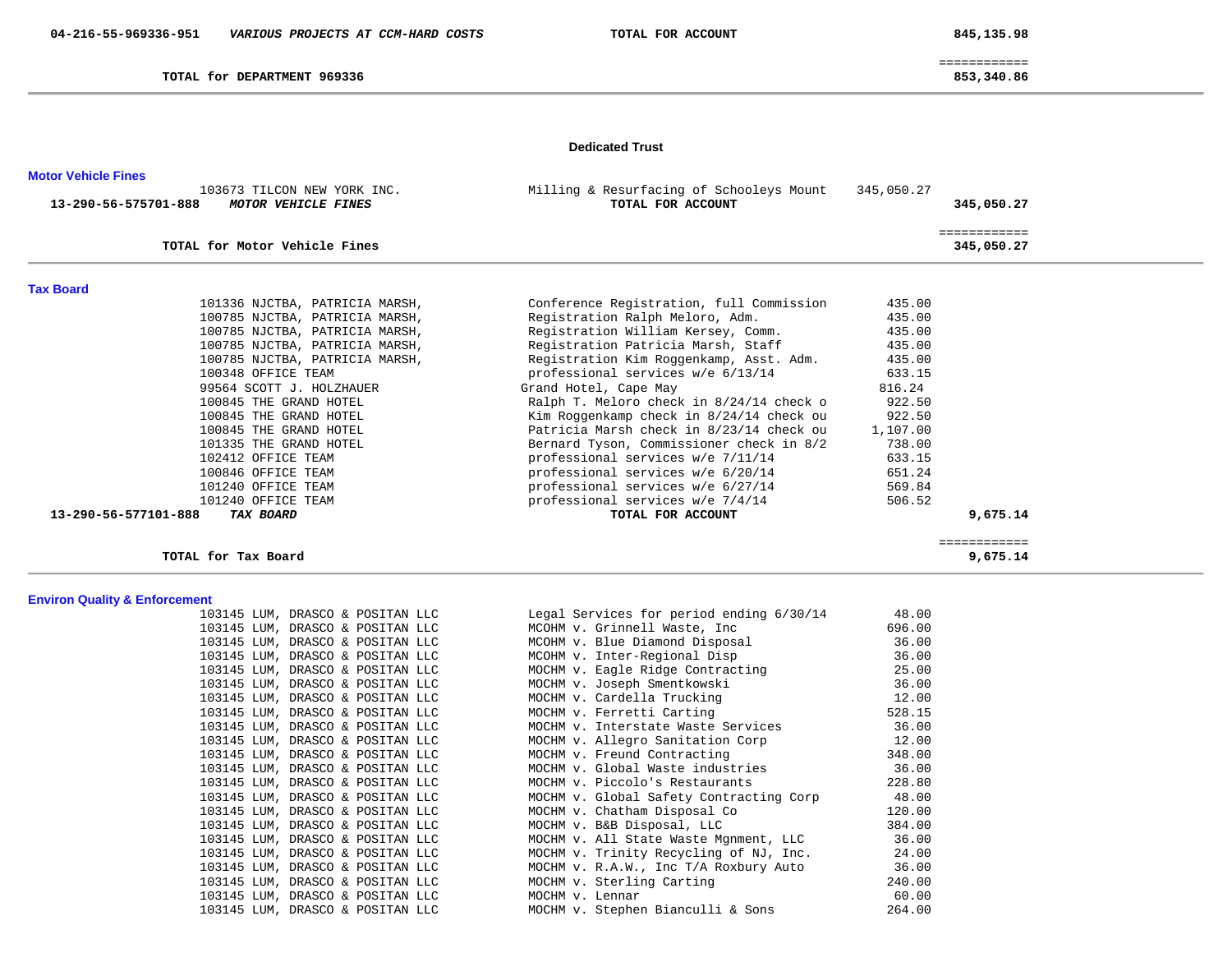-

============

#### **TOTAL for DEPARTMENT 969336** 853,340.86

#### **Dedicated Trust**

| <b>Motor Vehicle Fines</b><br>103673 TILCON NEW YORK INC.<br>13-290-56-575701-888<br>MOTOR VEHICLE FINES | Milling & Resurfacing of Schooleys Mount<br>TOTAL FOR ACCOUNT | 345,050.27<br>345,050.27   |
|----------------------------------------------------------------------------------------------------------|---------------------------------------------------------------|----------------------------|
| TOTAL for Motor Vehicle Fines                                                                            |                                                               | ============<br>345,050.27 |
| <b>Tax Board</b>                                                                                         |                                                               |                            |
| 101336 NJCTBA, PATRICIA MARSH,                                                                           | Conference Registration, full Commission                      | 435.00                     |
| 100785 NJCTBA, PATRICIA MARSH,                                                                           | Registration Ralph Meloro, Adm.                               | 435.00                     |
| 100785 NJCTBA, PATRICIA MARSH,                                                                           | Registration William Kersey, Comm.                            | 435.00                     |
| 100785 NJCTBA, PATRICIA MARSH,                                                                           | Registration Patricia Marsh, Staff                            | 435.00                     |
| 100785 NJCTBA, PATRICIA MARSH,                                                                           | Registration Kim Roggenkamp, Asst. Adm.                       | 435.00                     |
| 100348 OFFICE TEAM                                                                                       | professional services w/e 6/13/14                             | 633.15                     |
| 99564 SCOTT J. HOLZHAUER                                                                                 | Grand Hotel, Cape May                                         | 816.24                     |
| 100845 THE GRAND HOTEL                                                                                   | Ralph T. Meloro check in 8/24/14 check o                      | 922.50                     |
| 100845 THE GRAND HOTEL                                                                                   | Kim Roggenkamp check in 8/24/14 check ou                      | 922.50                     |
| 100845 THE GRAND HOTEL                                                                                   | Patricia Marsh check in 8/23/14 check ou                      | 1,107.00                   |
| 101335 THE GRAND HOTEL                                                                                   | Bernard Tyson, Commissioner check in 8/2                      | 738.00                     |
| 102412 OFFICE TEAM                                                                                       | professional services w/e 7/11/14                             | 633.15                     |
| 100846 OFFICE TEAM                                                                                       | professional services w/e 6/20/14                             | 651.24                     |
| 101240 OFFICE TEAM                                                                                       | professional services w/e 6/27/14                             | 569.84                     |
| 101240 OFFICE TEAM                                                                                       | professional services $w/e$ 7/4/14                            | 506.52                     |
| 13-290-56-577101-888<br>TAX BOARD                                                                        | TOTAL FOR ACCOUNT                                             | 9,675.14                   |
|                                                                                                          |                                                               | ============               |
| TOTAL for Tax Board                                                                                      |                                                               | 9,675.14                   |

## **Environ Quality & Enforcement**

| 103145 | LUM, | DRASCO   | &        | POSITAN          | LLC        |
|--------|------|----------|----------|------------------|------------|
| 103145 | LUM, | DRASCO   | &        | POSITAN          | LLC        |
| 103145 | LUM, | DRASCO & |          | POSITAN          | LLC        |
| 103145 | LUM, |          |          | DRASCO & POSITAN | <b>LLC</b> |
| 103145 | LUM, | DRASCO   | &        | POSITAN          | LLC        |
| 103145 | LUM, | DRASCO & |          | POSITAN          | LLC        |
| 103145 | LUM, | DRASCO & |          | POSITAN          | <b>LLC</b> |
| 103145 | LUM, | DRASCO   | &        | POSITAN          | LLC        |
| 103145 | LUM, | DRASCO & |          | POSITAN          | LLC        |
| 103145 | LUM, | DRASCO & |          | POSITAN          | LLC        |
| 103145 | LUM, | DRASCO   | &        | POSITAN          | LLC        |
| 103145 | LUM, | DRASCO   | &.       | POSITAN          | LLC        |
| 103145 | LUM, | DRASCO   | $\delta$ | POSITAN          | LLC        |
| 103145 | LUM, |          |          | DRASCO & POSITAN | LLC        |
| 103145 | LUM, | DRASCO   | &.       | POSITAN          | LLC        |
| 103145 | LUM, | DRASCO   | $\delta$ | POSITAN          | LLC        |
| 103145 | LUM, | DRASCO   | &        | POSITAN          | LLC        |
| 103145 | LUM, | DRASCO   | &        | POSITAN          | <b>LLC</b> |
| 103145 | LUM, | DRASCO   | $\delta$ | POSITAN          | LLC        |
| 103145 | LUM, | DRASCO & |          | POSITAN          | LLC        |
| 103145 | LUM, | DRASCO   |          | & POSITAN        | LLC        |
| 103145 | LUM. | DRASCO & |          | POSITAN          | <b>LLC</b> |

| 103145 LUM, DRASCO & POSITAN LLC | Legal Services for period ending 6/30/14     | 48.00  |
|----------------------------------|----------------------------------------------|--------|
| 103145 LUM, DRASCO & POSITAN LLC | MCOHM v. Grinnell Waste, Inc                 | 696.00 |
| 103145 LUM, DRASCO & POSITAN LLC | MCOHM v. Blue Diamond Disposal               | 36.00  |
| 103145 LUM, DRASCO & POSITAN LLC | MCOHM v. Inter-Regional Disp                 | 36.00  |
| 103145 LUM, DRASCO & POSITAN LLC | MOCHM v. Eagle Ridge Contracting             | 25.00  |
| 103145 LUM, DRASCO & POSITAN LLC | MOCHM v. Joseph Smentkowski                  | 36.00  |
| 103145 LUM, DRASCO & POSITAN LLC | MOCHM v. Cardella Trucking                   | 12.00  |
| 103145 LUM, DRASCO & POSITAN LLC | MOCHM v. Ferretti Carting                    | 528.15 |
| 103145 LUM, DRASCO & POSITAN LLC | MOCHM v. Interstate Waste Services           | 36.00  |
| 103145 LUM, DRASCO & POSITAN LLC | MOCHM v. Allegro Sanitation Corp             | 12.00  |
| 103145 LUM, DRASCO & POSITAN LLC | MOCHM v. Freund Contracting                  | 348.00 |
| 103145 LUM, DRASCO & POSITAN LLC | MOCHM v. Global Waste industries             | 36.00  |
| 103145 LUM, DRASCO & POSITAN LLC | MOCHM v. Piccolo's Restaurants               | 228.80 |
| 103145 LUM, DRASCO & POSITAN LLC | MOCHM v. Global Safety Contracting Corp      | 48.00  |
| 103145 LUM, DRASCO & POSITAN LLC | MOCHM v. Chatham Disposal Co                 | 120.00 |
| 103145 LUM, DRASCO & POSITAN LLC | MOCHM v. B&B Disposal, LLC                   | 384.00 |
| 103145 LUM, DRASCO & POSITAN LLC | MOCHM v. All State Waste Mgnment, LLC        | 36.00  |
| 103145 LUM, DRASCO & POSITAN LLC | MOCHM v. Trinity Recycling of NJ, Inc. 24.00 |        |
| 103145 LUM, DRASCO & POSITAN LLC | MOCHM v. R.A.W., Inc T/A Roxbury Auto        | 36.00  |
| 103145 LUM, DRASCO & POSITAN LLC | MOCHM v. Sterling Carting                    | 240.00 |
| 103145 LUM, DRASCO & POSITAN LLC | MOCHM v. Lennar                              | 60.00  |
| 103145 LUM, DRASCO & POSITAN LLC | MOCHM v. Stephen Bianculli & Sons            | 264.00 |